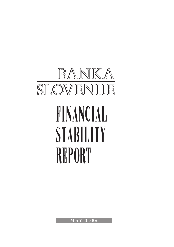

2006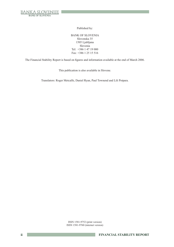Published by:

BANK OF SLOVENIA Slovenska 35 1505 Ljubljana Slovenia Tel: +386 1 47 19 000 Fax: +386 1 25 15 516

The Financial Stability Report is based on figures and information available at the end of March 2006.

This publication is also available in Slovene.

Translators: Roger Metcalfe, Daniel Ryan, Paul Townend and Lili Potpara.

ISSN 1581-9752 (print version) ISSN 1581-9760 (internet version)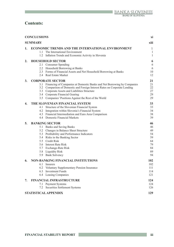# **Contents:**

|    | <b>CONCLUSIONS</b>                                                                                            |                                                                                                                                                                                                                                                                                                  | xi                                                       |
|----|---------------------------------------------------------------------------------------------------------------|--------------------------------------------------------------------------------------------------------------------------------------------------------------------------------------------------------------------------------------------------------------------------------------------------|----------------------------------------------------------|
|    | <b>SUMMARY</b>                                                                                                |                                                                                                                                                                                                                                                                                                  | xiii                                                     |
| 1. | 1.1                                                                                                           | <b>ECONOMIC TRENDS AND THE INTERNATIONAL ENVIRONMENT</b><br>The International Environment<br>1.2 Inflation Trends and Economic Activity in Slovenia                                                                                                                                              | $\mathbf{1}$<br>1<br>1                                   |
| 2. | <b>HOUSEHOLD SECTOR</b><br>2.1<br>2.2<br>2.3                                                                  | <b>Consumer Spending</b><br>Household Borrowing at Banks<br>Forms of Financial Assets and Net Household Borrowing at Banks<br>2.4 Real Estate Market                                                                                                                                             | 6<br>6<br>6<br>10<br>12                                  |
| 3. | <b>CORPORATE SECTOR</b><br>3.2<br>3.3                                                                         | 3.1 Financing of Companies at Domestic Banks and Net Borrowing by Companies<br>Comparison of Domestic and Foreign Interest Rates on Corporate Lending<br>Corporate Assets and Liabilities Structure<br>3.4 Corporate Financial Gearing<br>3.5 Companies' Positions Against the Rest of the World | 21<br>21<br>22<br>27<br>29<br>29                         |
| 4. | 4.1                                                                                                           | THE SLOVENIAN FINANCIAL SYSTEM<br>Structure of the Slovenian Financial System<br>4.2 Integration within Slovenia's Financial System<br>4.3 Financial Intermediation and Euro Area Comparison<br>4.4 Domestic Financial Markets                                                                   | 33<br>33<br>34<br>38<br>39                               |
| 5. | <b>BANKING SECTOR</b><br>5.5 Credit Risk<br>5.6 Interest Rate Risk<br>5.8 Liquidity Risk<br>5.9 Bank Solvency | 5.1 Banks and Saving Banks<br>5.2 Changes in Balance Sheet Structure<br>5.3 Profitability and Performance Indicators<br>5.4 Risks in the Banking Sector<br>5.7 Exchange-Rate Risk                                                                                                                | 46<br>46<br>49<br>54<br>59<br>64<br>79<br>84<br>89<br>94 |
| 6. | 6.1 Insurers<br>6.3                                                                                           | <b>NON-BANKING FINANCIAL INSTITUTIONS</b><br>6.2 Voluntary Supplementary Pension Insurance<br><b>Investment Funds</b><br>6.4 Leasing Companies                                                                                                                                                   | <b>102</b><br>102<br>111<br>114<br>121                   |
| 7. | 7.1<br>7.2                                                                                                    | <b>FINANCIAL INFRASTRUCTURE</b><br>Payment Systems<br>Securities Settlement Systems                                                                                                                                                                                                              | 124<br>124<br>126                                        |
|    | STATISTICAL APPENDIX                                                                                          |                                                                                                                                                                                                                                                                                                  | 129                                                      |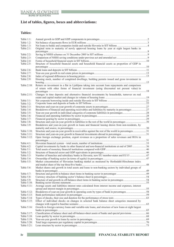BANK OF SLOVENIA

# **List of tables, figures, boxes and abbreviations:**

# **Tables:**

| Table $1.1$ :                  |                                                                                                                                                                                    |  |
|--------------------------------|------------------------------------------------------------------------------------------------------------------------------------------------------------------------------------|--|
| Table $1.2$ :                  |                                                                                                                                                                                    |  |
| Table $1.3$ :                  |                                                                                                                                                                                    |  |
| Table 2.1:                     | Original term to maturity of newly approved housing loans by year at eight largest banks in                                                                                        |  |
|                                |                                                                                                                                                                                    |  |
| Table $2.2$ :                  |                                                                                                                                                                                    |  |
| Table $2.3$ :                  |                                                                                                                                                                                    |  |
| Table $2.4$ :                  |                                                                                                                                                                                    |  |
| Table $2.5$ :                  | Structure of household financial assets and household financial assets as proportion of GDP in                                                                                     |  |
| Table $2.6$ :                  |                                                                                                                                                                                    |  |
| Table $2.7$ :                  |                                                                                                                                                                                    |  |
|                                |                                                                                                                                                                                    |  |
| Table $2.8$ :<br>Table $2.9$ : | Housing stock, number of completed dwellings, building permits issued and gross investment in                                                                                      |  |
|                                |                                                                                                                                                                                    |  |
| Table 2.10:                    | Return on investment in a flat in Ljubljana taking into account loan repayments and comparison                                                                                     |  |
|                                | of return with other forms of financial investment (using discounted net present value) in                                                                                         |  |
| Table 2.11:                    | Changes in time deposits and alternative financial investments by households, turnover on real                                                                                     |  |
|                                |                                                                                                                                                                                    |  |
| Table $3.1$ :                  |                                                                                                                                                                                    |  |
| Table $3.2$ :                  |                                                                                                                                                                                    |  |
| Table $3.3$ :                  |                                                                                                                                                                                    |  |
| Table $3.4$ :                  | Breakdown of financial and operating receivables and liabilities by maturity in percentages 27                                                                                     |  |
| Table $3.5$ :                  |                                                                                                                                                                                    |  |
| Table $3.6$ :                  |                                                                                                                                                                                    |  |
| Table $3.7$ :                  |                                                                                                                                                                                    |  |
| Table $3.8$ :                  | Structure and year-on-year growth in liabilities to the rest of the world in percentages 30                                                                                        |  |
| Table $3.9$ :                  | Breakdown and year-on-year growth in loans and financial leasing drawn from non-residents, by                                                                                      |  |
|                                |                                                                                                                                                                                    |  |
| Table 3.10:                    | Structure and year-on-year growth in receivables against the rest of the world in percentages31                                                                                    |  |
| Table 3.11:<br>Table 3.12:     | Structure and year-on-year growth in financial investments abroad in percentages31<br>Open foreign exchange position, export revenues as a proportion of sales revenues and ROA in |  |
|                                |                                                                                                                                                                                    |  |
| Table $4.1$ :                  |                                                                                                                                                                                    |  |
| Table $4.2$ :                  | Capital investments by banks in other financial and non-financial institutions at end of 2005 36                                                                                   |  |
| Table $5.1$ :                  |                                                                                                                                                                                    |  |
| Table $5.2$ :                  |                                                                                                                                                                                    |  |
| Table $5.3$ :                  | Number of branches and subsidiary banks in Slovenia, new EU member-states and EU15 47                                                                                              |  |
| Table $5.4$ :                  |                                                                                                                                                                                    |  |
| Table $5.5$ :                  | Market concentration of Slovenian banking market as measured by Herfindahl-Hirschman index                                                                                         |  |
| Table $5.6$ :                  | Market shares and growth in total assets and loans to non-banking sectors by individual groups of                                                                                  |  |
|                                |                                                                                                                                                                                    |  |
| Table 5.7:                     |                                                                                                                                                                                    |  |
| Table $5.8$ :                  |                                                                                                                                                                                    |  |
| Table $5.9$ :                  |                                                                                                                                                                                    |  |
| Table 5.10:                    |                                                                                                                                                                                    |  |
| Table 5.11:                    | Average assets and liabilities interest rates calculated from interest income and expenses, interest                                                                               |  |
| Table 5.12:                    | Breakdown of year-on-year growth in operating costs by types of bank in percentages58                                                                                              |  |
| Table 5.13:                    |                                                                                                                                                                                    |  |
|                                |                                                                                                                                                                                    |  |
| Table 5.14:                    |                                                                                                                                                                                    |  |
| Table 5.15:                    | Effect of individual shocks on changes in selected bank balance sheet categories measured by                                                                                       |  |
| Table 5.16:                    | Growth in foreign currency loans and variable-rate loans, and structure of new loans at eight largest                                                                              |  |
|                                |                                                                                                                                                                                    |  |
| Table 5.17:                    | Classification of balance sheet and off-balance-sheet assets of banks and special provisions 66                                                                                    |  |
| Table 5.18:                    |                                                                                                                                                                                    |  |
| Table 5.19:                    |                                                                                                                                                                                    |  |
| Table 5.20:                    |                                                                                                                                                                                    |  |
| Table 5.21:                    |                                                                                                                                                                                    |  |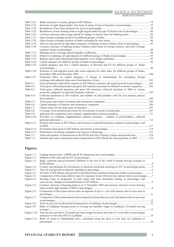Table 5.22: Banks exposure to country groups in SIT billions .........................................................................................74 Table 5.23: Structure of eight largest banks' new loans in terms of type of insurance in percentages .............................75 Table 5.24: Breakdown of new loan insurance by sector in percentages ..........................................................................78 Table 5.25: Breakdown of new housing loans at eight largest banks by type of interest rate in percentages ..................80 Table 5.26: Currency structure and average period for change in interest rates for banking sector .................................84 Table 5.27: Open foreign exchange position for different groups of banks ......................................................................85 Table 5.28: Open foreign exchange position of banks excluding the euro items ..............................................................86 Table 5.29: Year-on-year growth in individual categories of banking system's balance sheet in percentages ................87 Currency structure of banking system's balance-sheet items in foreign currency and with a foreign currency clause in percentages .......................................................................................................................88 Table 5.31: Banking sector's average annual liquidity coefficients ..................................................................................90 Table 5.32: Effective weightings of sight deposits for different groups of banks in percentages .....................................91 Table 5.33: Balance sheet ratios illustrating bank liquidity over a longer timeframe .......................................................93 Table 5.34: Capital adequacy for different groups of banks in percentages .....................................................................95 Table 5.35: Capital adequacy and Tier 1 capital adequacy in Slovenia and EU for different groups of banks in percentages .................................................................................................................................................96 Structure of risk-adjusted assets plus items adjusted for other risks, for different groups of banks, December 2004 and December 2005 ...........................................................................................................100 Table 5.37: Estimated effect on capital adequacy of change in methodology for calculating foreign exchange-risk-adjusted items and of introduction of euro ...........................................................................101 Table 6.1: Gross premiums collected by insurers in SIT billions, structure and annual growth in percentages ...........102 Table 6.2: Total gross collected premium and gross life insurance premium in different economic categories ..........103<br>Table 6.3: Total gross collected premium and gross life insurance collected premium in 2004 in variou Total gross collected premium and gross life insurance collected premium in 2004 in various economic categories in selected European countries ...................................................................................103 Collected premiums in SIT millions and number of policyholders with life and pension policies from insurers ................................................................................................................................................104 Table 6.5: Total assets and results of insurers and reinsurance companies ...................................................................105 Table 6.6: Capital adequacy of insurers and reinsurance companies ............................................................................106 Table 6.7: Claims ratios for the main types of insurance .............................................................................................107 Table 6.8: Coverage of net technical provisions by investments of assets covering them ...........................................107 Table 6.9: Indicators for compulsory and voluntary supplementary pension insurance ...............................................111 Providers of voluntary supplementary pension insurance – number of policyholders, collected premium and assets ......................................................................................................................................112 Table 6.11: Pension fund assets in SIT billions and structure in selected European countries in percentages, end of 2004 .........................................................................................................................................................113 Table 6.12: Investment fund assets in SIT billions and returns in percentages ..............................................................114 Table 6.13: Performance of leasing companies and sources of financing .......................................................................123 Value and number of transactions in the RTGS and Giro Clearing systems and growth rates ......................124 Table 7.2: Number and value of payment system transactions in SIT billions for tolar payments in 2005 ................125

# **Figures:**

| Figure $1.1$ :  |                                                                                                           |      |
|-----------------|-----------------------------------------------------------------------------------------------------------|------|
| Figure $1.2$ :  |                                                                                                           |      |
| Figure $1.3$ :  | Bank, corporate and government liabilities to the rest of the world (3-month moving average) in           |      |
|                 | Country risk premium for investments in domestic eurobonds maturing in 2011 in percentage points5         |      |
| Figure $1.4$ :  |                                                                                                           |      |
| Figure $2.1$ :  |                                                                                                           |      |
| Figure $2.2$ :  | Net flow in SIT billions and growth in household loans and borrowing from banks in percentages 7          |      |
| Figure $2.3$ :  | Comparison of Slovenian interest rates for consumer loans with euro area interest rates in percentages    |      |
| Figure $2.4$ :  | Housing loans as proportion of total assets and total household lending in percentages and                |      |
|                 |                                                                                                           |      |
| Figure $2.5$ :  | Currency structure of housing loans as at 31 December 2005 and currency structure of new housing          |      |
|                 |                                                                                                           |      |
| Figure $2.6$ :  | Comparison of Slovenian interest rates on deposits of up to 1 year with interest rates in euro area in    |      |
|                 |                                                                                                           | - 11 |
| Figure $2.7$ :  | Comparison of Slovenian interest rates on deposits of more than one year with interest rates in euro area |      |
|                 | in percentages                                                                                            |      |
| Figure $2.8$ :  |                                                                                                           |      |
| Figure $2.9$ :  | Ratio of Ljubljana housing prices to average net monthly wages in Ljubljana (12-month moving              |      |
|                 |                                                                                                           | 13   |
|                 |                                                                                                           |      |
| Figure $2.10$ : | Year-on-year growth in 12-month moving average for prices and rents of 1-room flats in percentages        |      |
|                 |                                                                                                           | 14   |
| Figure $2.11$ : | Ratio of actual to fundamental price, calculated using the price to rent ratio for Ljubljana in           |      |
|                 |                                                                                                           | 14   |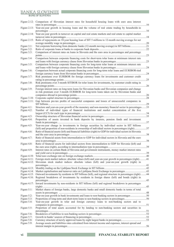# BANKA SLOVENIJE

BANK OF SLOVENIA

|                            | Figure 2.12: Comparison of Slovenian interest rates for household housing loans with euro area interest                                                                                                                             |  |
|----------------------------|-------------------------------------------------------------------------------------------------------------------------------------------------------------------------------------------------------------------------------------|--|
|                            | Figure 2.13: Year-on-year growth in housing loans and the volume of real estate trading by households in                                                                                                                            |  |
|                            |                                                                                                                                                                                                                                     |  |
|                            | Figure 2.14: Year-on-year growth in turnover on capital and real estate markets and real estate to capital market                                                                                                                   |  |
|                            | Figure 2.15: Ratio of repayments on 10-year housing loan of SIT 5 millions to 12-month moving average for net                                                                                                                       |  |
| Figure 3.1:                | Net corporate borrowing from domestic banks (12-month moving average) in SIT billions21                                                                                                                                             |  |
| Figure 3.2:                |                                                                                                                                                                                                                                     |  |
| Figure 3.3:                | Comparison of interest rates on loans in Slovenia and the euro area in percentages and percentage                                                                                                                                   |  |
| Figure 3.4:                | Comparison between corporate financing costs for short-term tolar loans at minimum interest rate                                                                                                                                    |  |
| Figure 3.5:                | Comparison between corporate financing costs for long-term tolar loans at minimum interest rate                                                                                                                                     |  |
| Figure 3.6:                | Comparison between actual corporate financing costs for long-term tolar loans and EURIBOR-tied                                                                                                                                      |  |
|                            |                                                                                                                                                                                                                                     |  |
| Figure 3.7:                | Risk premiums over EURIBOR for foreign currency loans for investments and customer credit                                                                                                                                           |  |
| Figure 3.8:                | Risk premiums over 3-month SITIBOR for tolar loans for investments, by customer credit rating in                                                                                                                                    |  |
| Figure 3.9:                | Foreign interest rates on long-term loans for Slovenian banks and Slovenian companies and change                                                                                                                                    |  |
|                            | in risk premium over 3-month EURIBOR for long-term loans taken out by Slovenian banks and                                                                                                                                           |  |
|                            |                                                                                                                                                                                                                                     |  |
|                            | Figure 3.11: Gap between pre-tax profits of successful companies and losses of unsuccessful companies in                                                                                                                            |  |
|                            |                                                                                                                                                                                                                                     |  |
| Figure 4.1:                | Structure and year-on-year growth of the monetary and non-monetary financial sector in percentages33                                                                                                                                |  |
| Figure 4.2:                | Number of individual types of financial institutions and market concentration of the five                                                                                                                                           |  |
|                            |                                                                                                                                                                                                                                     |  |
| Figure 4.3:<br>Figure 4.4: | Proportion of assets invested in bank deposits by insurers, pension funds and investment                                                                                                                                            |  |
|                            |                                                                                                                                                                                                                                     |  |
| Figure 4.5:                | Year-on-year change in investments in foreign securities by individual sector in SIT billions                                                                                                                                       |  |
|                            | (left) and proportion of non-residents in ownership of individual sectors in percentages (right)37                                                                                                                                  |  |
| Figure 4.6:                | Ratio of financial assets (left) and financial liabilities (right) to GDP for individual sectors in Slovenia                                                                                                                        |  |
| Figure 4.7:                | Ratio of financial assets from intermediation to GDP for individual sectors in Slovenia and the euro                                                                                                                                |  |
|                            |                                                                                                                                                                                                                                     |  |
| Figure 4.8:                | Ratio of financial assets for individual sectors from intermediation to GDP for Slovenia (left) and                                                                                                                                 |  |
| Figure 4.9:                | Interest rates on certain Bank of Slovenia and government instruments, money market interest rates                                                                                                                                  |  |
|                            |                                                                                                                                                                                                                                     |  |
|                            |                                                                                                                                                                                                                                     |  |
|                            | Figure 4.11: Foreign stock market indices: absolute values (left) and year-on-year growth in percentages (right)41<br>Figure 4.12: Slovenian stock market indices: absolute values (left) and year-on-year growth (right) in        |  |
|                            |                                                                                                                                                                                                                                     |  |
|                            |                                                                                                                                                                                                                                     |  |
|                            |                                                                                                                                                                                                                                     |  |
|                            | Figure 4.15: Outward investments by residents in SIT billions (left), and regional structure in percentages (right) 44<br>Figure 4.16: Regional breakdown of investments by residents in foreign shares (left) and bonds (right) in |  |
|                            | Figure 4.17: Inward investments by non-residents in SIT billions (left) and regional breakdown in percentages                                                                                                                       |  |
| Figure 5.1:                | Market shares of foreign banks, large domestic banks and small domestic banks in terms of total                                                                                                                                     |  |
| Figure 5.2:                | Year-on-year growth in bank investments and loans to non-banking sectors in percentages50                                                                                                                                           |  |
| Figure 5.3:                | Proportions of long-term and short-term loans to non-banking sectors in percentages50                                                                                                                                               |  |
| Figure 5.4:                | Year-on-year growth in tolar and foreign currency loans to non-banking sectors and to                                                                                                                                               |  |
|                            |                                                                                                                                                                                                                                     |  |
| Figure 5.5:                | Proportion of total assets accounted for by lending to non-banking sectors and securities in                                                                                                                                        |  |
| Figure 5.6:                |                                                                                                                                                                                                                                     |  |
| Figure 5.7:                |                                                                                                                                                                                                                                     |  |
| Figure 5.8:<br>Figure 5.9: | Currency structure of newly approved loans by eight largest banks in percentages53<br>Average assets and liabilities rates calculated from interest income and expenses, interest spread and                                        |  |
|                            |                                                                                                                                                                                                                                     |  |
|                            |                                                                                                                                                                                                                                     |  |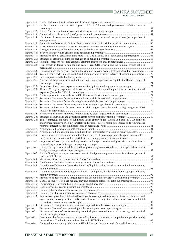|              | Figure 5.11: Declared interest rates on tolar deposits of 31 to 90 days, and year-on-year inflation rates in           |    |
|--------------|------------------------------------------------------------------------------------------------------------------------|----|
|              |                                                                                                                        |    |
|              |                                                                                                                        |    |
|              | Figure 5.14: Net interest income, net non-interest income, operating costs and net provisions (as proportion of        |    |
|              |                                                                                                                        |    |
|              |                                                                                                                        |    |
|              |                                                                                                                        |    |
|              |                                                                                                                        |    |
|              |                                                                                                                        |    |
|              |                                                                                                                        |    |
|              |                                                                                                                        |    |
|              |                                                                                                                        |    |
|              | Figure 5.22: Real growth in loans to non-banking sectors, real GDP growth and the nominal growth ratio in              |    |
|              |                                                                                                                        |    |
|              | Figure 5.23: Breakdown of year-on-year growth in loans to non-banking sectors by types of bank in percentages69        |    |
|              | Figure 5.24: Year-on year growth in loans in 2005 and credit portfolio structure in terms of sectors in percentages70  |    |
|              |                                                                                                                        |    |
|              | Figure 5.26: Number of large exposures and ratio of total large exposures to capital at different groups of            |    |
|              |                                                                                                                        |    |
|              |                                                                                                                        |    |
|              | Figure 5.28: 10 and 20 largest exposures of banks to entities of individual segment as proportion of total             |    |
|              |                                                                                                                        |    |
|              |                                                                                                                        |    |
|              |                                                                                                                        |    |
|              |                                                                                                                        |    |
|              |                                                                                                                        |    |
|              | Figure 5.33: Structure of insurance for new loans at eight largest banks by credit rating categories, 2003             |    |
|              |                                                                                                                        |    |
|              |                                                                                                                        |    |
|              | Figure 5.36: Total contractual amounts of syndicated loans approved for Slovenian banks in EUR millions                |    |
|              | and average maturity period in years (left) and average interest rate in percentages and premium over                  |    |
|              |                                                                                                                        |    |
|              |                                                                                                                        |    |
|              | Figure 5.39: Change in net interest income and interest margin given 1 percentage point change in interest rates -     |    |
|              |                                                                                                                        |    |
|              | Figure 5.40: Proportion of loans to non-banking sectors in foreign currency and proportion of liabilities to           |    |
|              |                                                                                                                        |    |
|              | Figure 5.41: Ratio of foreign currency liabilities and foreign currency assets to total assets, and open balance-sheet |    |
|              |                                                                                                                        | 87 |
|              | Figure 5.42: Ratio of foreign-currency-clause asset items to foreign currency assets items for different groups of     |    |
|              |                                                                                                                        |    |
|              |                                                                                                                        |    |
|              |                                                                                                                        |    |
|              | Figure 5.45: Liquidity coefficients for Categories 1 and 2 of liquidity ladder based on new and old methodology,       |    |
|              |                                                                                                                        |    |
|              | Figure 5.46: Liquidity coefficients for Categories 1 and 2 of liquidity ladder for different groups of banks,          |    |
|              |                                                                                                                        |    |
|              | Figure 5.47: Proportion of deposits of 30 largest depositors accounted for by largest depositor in percentages93       |    |
|              |                                                                                                                        |    |
|              |                                                                                                                        |    |
|              |                                                                                                                        |    |
|              |                                                                                                                        |    |
|              | Figure 5.53: Year-on-year growth in total risk-adjusted assets, risk-adjusted balance-sheet assets, total assets and   |    |
|              | loans to non-banking sectors (left), and ratios of risk-adjusted balance-sheet assets and total                        |    |
|              |                                                                                                                        |    |
| Figure 5.54: |                                                                                                                        |    |
| Figure 6.1:  |                                                                                                                        |    |
| Figure 6.2:  | Structure of insurers' assets covering technical provisions without assets covering mathematical                       |    |
|              |                                                                                                                        |    |
| Figure 6.3:  | Investments by the insurance sector (including insurers, reinsurance companies and pension funds)                      |    |
|              |                                                                                                                        |    |
| Figure 6.4:  | Collected premium and paid claims in SIT millions and the claims ratio for credit insurance 110                        |    |
|              |                                                                                                                        |    |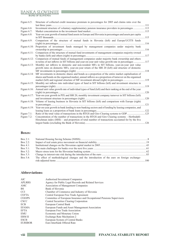# BANKA SLOVENIJE

BANK OF SLOVENIA

| Figure 6.5:     | Structure of collected credit insurance premium in percentages for 2005 and claims ratio over the                                                                                                                        |  |
|-----------------|--------------------------------------------------------------------------------------------------------------------------------------------------------------------------------------------------------------------------|--|
| Figure 6.6:     | Investment structure of voluntary supplementary pension insurance providers in percentages 113                                                                                                                           |  |
| Figure 6.7:     |                                                                                                                                                                                                                          |  |
| Figure 6.8:     | Year-on-year growth of mutual fund assets in Europe and Slovenia in percentages and assets per capita                                                                                                                    |  |
| Figure 6.9:     | Comparison of the structure of mutual funds in Slovenia (left) and Europe/UCITS funds                                                                                                                                    |  |
| Figure $6.10$ : | Proportion of investment funds managed by management companies under majority bank                                                                                                                                       |  |
| Figure $6.11$ : | Comparison of the structure of mutual fund investments of management companies majority-owned                                                                                                                            |  |
|                 | Figure 6.12: Comparison of mutual funds of management companies under majority bank ownership and others<br>in terms of net inflows in SIT billions and year-on-year unit value growth rate in percentages 117           |  |
| Figure $6.13$ : | Monthly net inflows to domestic and non-resident MFs in SIT billions, year-on-year unit value<br>growth rates on domestic MFs, year-on-year return of the SBI 20 (left) and structure of domestic                        |  |
|                 | Figure 6.14: MF investments in domestic shares and bonds as a proportion of the entire market capitalisation of<br>shares and bonds on the organised market, annual inflows as a proportion of turnover on the organised |  |
| Figure $6.15$ : | Monthly net inflows into individual types of fund in SIT billions (left) and investment structure in                                                                                                                     |  |
|                 | Figure 6.16: Annual unit value growth rate of individual types of fund (left) and their ranking at the end of the year                                                                                                   |  |
|                 | Figure 6.17: Year-on-year growth in PIX and SBI 20, monthly investment company turnover in SIT billions (left)                                                                                                           |  |
|                 | Figure 6.18: Volume of leasing business in Slovenia in SIT billions (left) and comparison with Europe (right)                                                                                                            |  |
|                 | Figure 6.19: Year-on-year growth in bank lending to non-banking sectors and of lending by leasing companies, and                                                                                                         |  |
| Figure $7.1$ :  |                                                                                                                                                                                                                          |  |
| Figure 7.2:     | Concentration of the number of transactions in the RTGS and Giro Clearing systems – Herfindahl-<br>Hirschman index $(HHI)$ – and proportion of total number of transactions accounted for by the five                    |  |
|                 |                                                                                                                                                                                                                          |  |

# **Boxes:**

| Box $2.1$ : |                                                                                            |  |
|-------------|--------------------------------------------------------------------------------------------|--|
| Box 2.2:    |                                                                                            |  |
| $Box 4.1$ : |                                                                                            |  |
| Box 5.1:    |                                                                                            |  |
| Box 5.2:    |                                                                                            |  |
| Box 5.3:    |                                                                                            |  |
| Box 5.4:    | The effect of methodological changes and the introduction of the euro on foreign exchange- |  |
|             |                                                                                            |  |

# **Abbreviations:**

| Authorised Investment Companies                                       |
|-----------------------------------------------------------------------|
| Agency for Public Legal Records and Related Services                  |
| Association of Management Companies                                   |
| Bank of Slovenia                                                      |
| Chamber of Commerce and Industry of Slovenia                          |
| Central European Free Trade Agreement                                 |
| Committee of European Insurance and Occupational Pensions Supervisors |
| Central Securities Clearing Corporation                               |
| European Central Bank                                                 |
| European Funds and Asset Management Association                       |
| European Free Trade Association                                       |
| Economic and Monetary Union                                           |
| Exchange Rate Mechanism 2                                             |
| European System of Central Banks                                      |
| Euro Interbank Offered Rate                                           |
|                                                                       |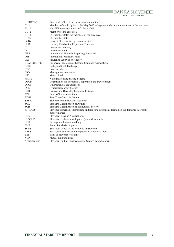| <b>EUROSTAT</b>   | Statistical Office of the European Communities                                                                |
|-------------------|---------------------------------------------------------------------------------------------------------------|
| EU3               | Members of the EU prior to the May 2005 enlargement who are not members of the euro area                      |
| <b>EU10</b>       | New EU member-states as of 1 May 2004                                                                         |
| EU12              | Members of the euro area                                                                                      |
| EU13              | EU member-states not members of the euro area                                                                 |
| EU25              | EU member-states                                                                                              |
| <b>FCBs</b>       | Bank of Slovenia foreign currency bills                                                                       |
| <b>HFRS</b>       | Housing Fund of the Republic of Slovenia                                                                      |
| IC                | Investment company                                                                                            |
| IF                | Investment fund                                                                                               |
| <b>IFRS</b>       | International Financial Reporting Standards                                                                   |
| <b>IMF</b>        | <b>International Monetary Fund</b>                                                                            |
| <b>ISA</b>        | Insurance Supervision Agency                                                                                  |
| <b>LEASEUROPE</b> | European Federation of Leasing Company Associations                                                           |
| <b>LJSE</b>       | Ljubljana Stock Exchange                                                                                      |
| <b>LTV</b>        | Loan to value                                                                                                 |
| <b>MCs</b>        | Management companies                                                                                          |
| <b>MFs</b>        | Mutual funds                                                                                                  |
| <b>NHHS</b>       | National Housing Saving Scheme                                                                                |
| <b>OECD</b>       | Organisation for Economic Cooperation and Development                                                         |
| <b>OFOs</b>       | Other financial organisations                                                                                 |
| <b>OSM</b>        | Official Secondary Market                                                                                     |
| PDII              | Pension and Disability Insurance Institute                                                                    |
| <b>PIX</b>        | Index of investment funds                                                                                     |
| <b>RTGS</b>       | <b>Real-Time Gross Settlement</b>                                                                             |
| <b>SBI 20</b>     | Slovenia's main stock market index                                                                            |
| <b>SCA</b>        | <b>Standard Classification of Activities</b>                                                                  |
| <b>SCIS</b>       | Standard Classification of Institutional Sectors                                                              |
| <b>SITIBOR</b>    | Slovenia's interbank interest rate on tolar time deposits as formed on the domestic interbank<br>money market |
| <b>SLA</b>        | Slovenian Leasing Associatioons                                                                               |
| <b>SLONEP</b>     | Slovenian real estate web portal (www.slonep.net)                                                             |
| <b>SLU</b>        | Savings and loan undertaking                                                                                  |
| <b>SMA</b>        | Securities Market Agency                                                                                      |
| <b>SORS</b>       | Statistical Office of the Republic of Slovenia                                                                |
| <b>TARS</b>       | Tax Administration of the Republic of Slovenia Sitibor                                                        |
| <b>TBs</b>        | Bank of Slovenia tolar bills                                                                                  |
| <b>VEP</b>        | Mutual fund unit price                                                                                        |
| Vzajemci.com      | Slovenian mutual fund web portal (www.vzajemci.com)                                                           |
|                   |                                                                                                               |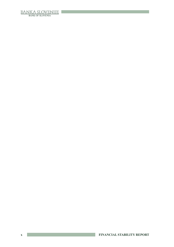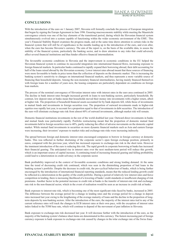# **CONCLUSIONS**

With the introduction of the euro on 1 January 2007, Slovenia will formally conclude the process of European integration that began by signing the Europe Agreement in June 1996. Ensuring macroeconomic stability while meeting the Maastricht convergence criteria was one of the key elements of the transitional period, during which the Slovenian financial system simultaneously evolved into a system capable of functioning within the wider economic environment of the EMU. This year's Financial Stability Report examines the progress made, and at the same time draws attention to certain risks in the financial system that will still be of significance in the months leading up to the introduction of the euro, and even after, when the euro has become Slovenia's currency. The aim of the report is, on the basis of the available data, to assess the stability of the financial system, particularly the banking sector, and to draw attention to any risks that could adversely affect several financial institutions and thus hinder effective financial intermediation.

The favourable economic conditions in Slovenia and the improvement in economic conditions in the EU helped the Slovenian financial system to continue its successful integration into international financial flows, increasing exposure to foreign financial markets. In particular banks continued to rapidly expand their borrowing abroad, their debt accounting for half of the loans raised abroad by the Slovenian economy. Lower interest rates abroad meant that these sources of financing were more favourable to banks in price terms than the collection of deposits on the domestic market. This is increasing the banking system's sensitivity to changes on international financial markets, and thus represents a more variable source of financing than household deposits. Among the non-monetary financial intermediaries, having mainly financed themselves with foreign loans for a number of years now, the leasing companies are particularly dependent on conditions on foreign loan markets.

The process of the nominal convergence of Slovenian interest rates with interest rates in the euro area continued in 2005. The decline in bank interest rates brought increased growth in loans to non-banking sectors, particularly households. By contrast, low deposit rates at banks mean that households moved their money into investments with a higher return, albeit at higher risk. The proportion of household financial assets accounted for by bank deposits fell, while those of investments in mutual funds and investments in foreign securities rose. The proportion of outward investments made in higher-risk equities rose rapidly last year, to account for a proportion equal to that of investments in debt securities. The introduction of the euro will eliminate exchange-rate risk from almost 60% of outward investments, although market risk will remain.

Domestic financial institutions investments in the rest of the world doubled last year. Outward direct investments in banks and mutual funds rose particularly rapidly. Portfolio restructuring meant that the proportion of domestic mutual fund investments held in foreign securities rose to 40%, partly reducing the effect of adverse movements on the domestic capital market. While mutual fund investments in securities on more dynamic financial markets such as Asia and eastern Europe were increasing, their investors' exposure to market risks and exchange-rate risks were increasing indirectly.

The spread between foreign and domestic interest rates encouraged companies to borrow in foreign currency at domestic banks. This was reflected in further shortening of the corporate sector's open foreign exchange position, primarily in euros, compared with the previous year, which has increased exposure to exchange-rate risk in the short term. However the imminent introduction of the euro is reducing this risk. The rapid growth in corporate borrowing at banks has increased their financial gearing. The anticipated rise in interest rates over the next medium-term period will reduce this growth, which is an important source of capital increase. A continuing trend of increasing financial gearing and falling profitability could lead to a deterioration in credit solvency in the corporate sector.

Bank profitability improved in the context of favourable economic conditions and strong lending demand. At the same time the trend of decreasing credit risk continued, which was seen in the diminishing proportion of bad loans in the banking system's portfolio. Despite the decrease in credit risk, the pro-cyclical behaviour of banks, which is being further encouraged by the introduction of international financial reporting standards, means that the reduced lending growth could be reflected in a deterioration in the quality of the credit portfolio. During a period of relatively low interest rates and fierce competition in lending, there is increasing likelihood of a lowering of banks' credit standards or insufficient charging of risk premiums. Another factor in the potential increase in credit risk at banks is the transfer of interest-rate risk and exchangerate risk to the non-financial sector, which in the event of realisation would be seen as an increase in credit risk at banks.

Bank exposure to interest-rate risk, which is becoming one of the most significant risks faced by banks, increased in 2005. The difference between the average period for a change in lending rates and the average period for a change in deposit rates increased last year owing to the lengthening of the average maturity of loans and the decline in the proportion of longterm deposits by non-banking sectors. After the introduction of the euro, the majority of the interest rates tied to any of the current reference rates will track the changes in ECB interest rates at their own pace, with the exception of interest rates index-linked to the TOM base rate, which will continue to depend of the movement of past inflation in Slovenia.

Bank exposure to exchange-rate risk decreased last year. It will decrease further with the introduction of the euro, as the majority of the banking system's balance sheet items are denominated in this currency. The fastest-increasing part of foreign currency exposure is bank exposure to exchange-rate risk caused by changes in the tolar exchange rate of the Swiss franc.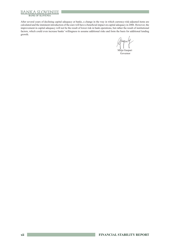### BANKA SI BANK OF SLOVENIA

After several years of declining capital adequacy at banks, a change in the way in which currency-risk-adjusted items are calculated and the imminent introduction of the euro will have a beneficial impact on capital adequacy in 2006. However, the improvement in capital adequacy will not be the result of lower risk in bank operations, but rather the result of institutional factors, which could even increase banks' willingness to assume additional risks and form the basis for additional lending growth.

Jugue

Mitja Gaspari Governor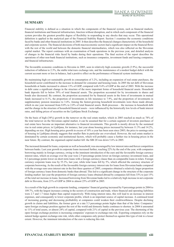# **SUMMARY**

Financial stability is defined as a situation in which the components of the financial system, such as financial markets, financial institutions and financial infrastructure, function without disruption, and in which each component of the financial system provides the greatest possible degree of flexibility in responding to any shocks that may occur. This operational definition is applied in the analytical part of the Financial Stability Report. Section 1 examines the economic conditions faced by banks and other financial institutions in 2005. It then describes the financial changes characteristic of the household and corporate sectors. The financial decisions of both macroeconomic sectors had a significant impact on the financial flows with the rest of the world and between the domestic financial intermediaries, which was also reflected on the Slovenian capital market. The report continues with an examination of bank operations in the previous year, and detailed analysis of changes in the financial risks faced by banks during their operations. The final section of the report describes the operations of other non-bank financial institutions, such as insurance companies, investment funds and leasing companies, and financial infrastructure.

The favourable economic conditions in Slovenia in 2005, seen in relatively high economic growth (3.9%), the successful reduction of inflation to 2.3%, the stable tolar/euro exchange rate, and the maintenance of a modest budget deficit with the current account more or less in balance, had a positive effect on the performance of financial system institutions.

By maintaining high yet sustainable growth in consumption of 3.2%, including an expansion of real estate purchases, the household sector contributed to the increase in demand for consumer and housing loans. In 2005 the net debt of Slovenian households at banks increased to almost 13% of GDP, compared with 9.4% of GDP at the end of 2003. With the increase in debt came a significant change in the structure of the more important forms of household financial assets. Household bank deposits fell to below 59% of total financial assets. The proportion accounted for by investments in shares and bonds also decreased. By contrast, the proportion accounted for by financial assets in the form of investments in mutual funds increased to 8.1%, the proportion of investments in life insurance to 7.9%, and the proportion of investments in supplementary pension insurance to 3.4%. Among the fastest-growing household investments were those made abroad, which in one year increased from 0.8% to 2.0% of total financial assets. Both processes – the increase in household debt and the change in the structure of household financial assets – were influenced by the historically low levels of bank interest rates, and falling prices of securities on the Ljubljana Stock Exchange.

On the basis of high (34%) growth in the turnover on the real estate market, which in 2005 reached as much as 78% of the total turnover on the Slovenian capital market, it can be assumed that for a certain segment of investors purchases of real estate have become an important alternative to financial investments. This growth is mostly driven by the sustained rise in real estate prices; in Ljubljana, for instance, last year alone housing prices increased by between 11.3% and 14.2%, depending on size. High housing price growth in excess of 10% a year has been seen since 2003; the price to earnings ratio of housing in Ljubljana already suggests that smaller flats in particular are overvalued. However, the real estate market is dominated by certain economic and institutional factors, which will probably cause a further rise in housing prices in the near future. By contrast, the organised capital market fell: the SBI 20 was down 5.6% in 2005.

The increased demand for loans, corporate as well as household, was encouraged by low interest rates and fiercer competition between banks. Last year growth in corporate loans increased further, reaching 22% by the end of the year, with companies borrowing mainly in foreign currency, owing to the imminent introduction of the euro and the favourable foreign currency interest rates, which on average over the year were 2.9 percentage points lower on foreign currency investment loans, and 0.2 percentage points lower on short-term loans with a foreign currency clause than on comparable loans in tolars. Foreign currency corporate loans rose by 55.3%, last year, while tolar loans fell by 5%, which affected the currency structure of corporate borrowing. As the result of the favourable foreign currency interest rate for loans from Slovenian banks compared with the average euro area interest rate in the first three quarters of 2005, companies obtained a relatively larger proportion of foreign currency loans from domestic banks than abroad. This led to a significant change in the structure of the corporate lending market: last year the proportion of foreign currency loans obtained abroad by companies fell from 33% to just 15% of the total net increase in loans. Increased borrowing from Slovenian banks led to a relatively high increase in net corporate debt in Slovenia, from 21% of GDP in 2004 to almost 25% of GDP in 2005.

As a result of the high growth in corporate lending, companies' financial gearing increased by 9 percentage points in 2004 to 109.7%, with the largest increases coming in the sectors of construction and trade, where financial and operating liabilities were 2.7 and 1.7 times higher than capital respectively. With rising interest rates, this will lead to an increase in interest expenses, and consequently to lower corporate profits, which is an important source of capital increase. A continued trend of increasing gearing and decreasing profitability at companies could weaken their creditworthiness. Despite declining growth in claims and liabilities, the former grew at a rate 5.3 percentage points higher than that of the latter. Companies' open foreign exchange position against the rest of the world and domestic banks continues to shorten: in 2004 it amounted to 11% of total assets, or almost 24% of capital, compared with 21% of capital in the previous year. The shortening of the open foreign exchange position is increasing companies' exposure to exchange-rate risk. Exporting companies rely on the natural hedge against exchange-rate risk, while other companies only protect themselves against this type of risk to a lesser extent. However, the imminent introduction of the euro is reducing this risk.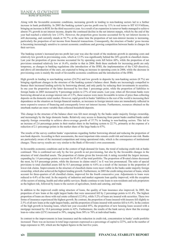# BANKA SLOVENIJE

BANK OF SLOVENIA

Along with the favourable economic conditions, increasing growth in lending to non-banking sectors led to a further increase in bank profitability. In 2005 the banking system's pre-tax profit rose by 11% in real terms to SIT 63.9 billions, bringing an increase in ROE for the third successive year. As a result of an expansion in turnover banks managed to achieve almost 5% growth in net interest income, despite the continued decline in the net interest margin, which by the end of the year had reached a relatively low 2.53%. However, the proportion gross income accounted for by net interest income is still decreasing, and currently stands at 56.7%; at the same time the proportion of net non-interest income is increasing, particularly the proportion of net income from financial transactions. Consequently, the structure of banks' gross income is becoming increasingly sensitive to current economic conditions and growing competition between banks in charges for their services.

The banking system's increased pre-tax profit last year was also the result of the moderate growth in operating costs and relatively low growth in provisioning costs, which at 12.5% was significantly behind the 24% growth in classified claims. Last year the proportion of gross income accounted for by operating costs fell below 60%, while the proportion of net provisions remained relatively low at 16.4%, similar to that in 2004. Both these methods for increasing profit are only temporary, as changes in banking regulations (the introduction of the IFRS, the implementation of the CAD directive), and above all introduction of the euro, are expected to bring an increase in operating costs in 2006, while the decrease in provisioning costs is mainly the result of favourable economic conditions and the introduction of the IFRS.

High growth in lending to non-banking sectors (24.2%) and low growth in deposits by non-banking sectors (8.7%) are bringing significant changes in the structure of the banking system's balance sheet. Banks are increasingly compelled to finance their increased lending activity by borrowing abroad, and only partly by reducing their investments in securities. In one year the proportion of the latter decreased by less than 1 percentage point, while the proportion of liabilities to foreign banks in 2005 increased by 9 percentage points to 27% of total assets. Last year, when all Slovenian banks were borrowing abroad at an average interest rate of 2.5%, these sources were more favourable in terms of price than collecting deposits on the domestic retail market. However, rapid growth in banks' liabilities to the rest of the world is increasing their dependence on the situation on foreign financial markets, as increases in foreign interest rates are immediately reflected in more expensive sources of financing and consequently lower net interest income. Furthermore, resources obtained on the interbank market are more variable than collected household deposits.

This change in the structure of the balance sheet was felt most strongly by the banks under majority foreign ownership, and increasingly by the large domestic banks. Relatively easy access to financing from parent banks enabled banks under majority foreign ownership to achieve above-average growth of 37.7% in lending to non-banking sectors. This led to an increase of 2.6 percentage points in their market share in the banking system to 22.7%, primarily at the expense of a reduction of 2.1 percentage points in the market share of the large banks to 67%.

The results of the survey confirm banks' expectations regarding further borrowing abroad and reducing the proportion of non-bank deposits. According to their assessments, the most important risks remain credit risk and interest-rate risk. Banks are particularly aware of the increased competition and rising operational risks, which is the consequence of institutional changes. These survey results are very similar to the Bank of Slovenia's own assessments.

In favourable economic conditions and in the context of high demand for loans, the trend of reducing credit risk at banks continued. This is confirmed not only by the low growth in net provisioning, but also by the favourable changes in the structure of total classified assets. The proportion of claims given the lowest-risk A rating recorded the largest increase, expanding by 1.6 percentage points to account for 83.4% of the total portfolio. The proportion of B-rated claims decreased the most, by 0.9 percentage points, while the decrease in claims rated C to E was less pronounced. The ratio of special provisions to total classified assets fell by 0.5 percentage points to 4.6% as a result of the increase in the proportion of lower-risk claims. Improvements in the structure of classified claims were most visible in the banks under majority foreign ownership, which also achieved the highest lending growth. Furthermore, in 2005 the credit rating structure of loans, which account for three-quarters of all classified claims, improved for the fourth consecutive year. Adjustments to loans were reduced to 4.4% of the total. In the majority of industries and market segments loan quality improved, with the exception of the sectors of mining, health and other public services. Banks continue to rate loans to non-residents and sole proprietors as the highest risk, followed by loans to the sectors of agriculture, hotels and catering, and trade.

In addition to the improved credit rating structure of loans, the quality of loan insurance also improved. In 2005, the proportion of new loans at the eight largest banks that were unsecured fell by 2 percentage points to 61.4%. The highest proportion of loans are those with real estate collateral (12.8%), while 5.2% of loans are insured with securities. These two forms of insurance experienced the highest growth. By contrast, the proportion of loans insured with insurers fell slightly to 2.5% of all new loans at the eight largest banks, and the proportion of loans insured with sureties fell to 6.4%. In the context of the high growth in housing loans, which last year exceeded 45%, the proportion of new housing loans secured with a mortgage increased by 10.4 percentage points to 42%. Furthermore, the results of the bank survey show that the average loan-to-value ratio (LTV) increased to 59%, ranging from 50% to 70% at individual banks.

In contrast to the improvements in loan insurance and the reduction in credit risk, concentration in banks' credit portfolio increased. There was an increase in total large exposure expressed as a percentage of capital to 227%, and in the number of large exposures to 305, which are the highest figures in the last five years.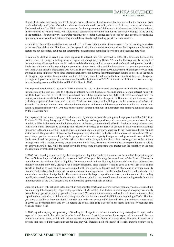Despite the trend of decreasing credit risk, the pro-cyclic behaviour of banks means that any reversal in the economic cycle would relatively quickly be reflected in a deterioration in the credit portfolio, which would in turn reduce banks' returns. The introduction of the IFRS, which in accounting for the impairment of claims and off-balance-sheet liabilities are based on the concept of realised losses, will additionally contribute to the more pronounced pro-cyclic changes in the quality of the portfolio. The current very favourable risk structure of total classified assets should not give grounds for excessive optimism, since it would start deteriorating should the relatively high lending growth begin to weaken.

An additional factor of potential increase in credit risk at banks is the transfer of interest-rate risks and exchange-rate risks to the non-financial sector. This increases the systemic risk for the entire economy, since the corporate and household sectors are not adequately equipped for determining, assessing and managing interest-rate and exchange-rate risks.

In contrast to decline in credit risk, bank exposure to interest-rate risk increased in 2005. The difference between the average period of change in lending rates and deposit rates lengthened by 10% to 6.6 months. This is primarily the result of the lengthening of average loan maturity periods and the shortening of the average maturity of non-banking sector deposits. Banks are relatively rapidly expanding the proportion of new loans with a variable interest rate: last year the percentage of new loans with a variable interest rate was 57%, up 16 percentage points from 2004. Last year the banking sector was more exposed to a rise in interest rates, since interest expenses would increase faster than interest income as a result of the period of change in deposit rates being shorter than that of lending rates. In addition to the time imbalance between changes in lending and deposit rates, interest-rate risk was affected by the increase of SIT 20 billions in the difference between average interest-bearing assets and liabilities to SIT 430 billions in 2005.

The expected introduction of the euro in 2007 will not affect the level of interest-bearing assets or liabilities. However, the introduction of the euro will lead to a change in interest-rate risk because of the indexation of certain interest rates with the TOM base rate. The SITIBOR reference interest rate will be replaced with the EURIBOR reference interest rate. The majority of interest rates linked to one of the reference rates will track the changes in ECB interest rates at their own pace, with the exception of those index-linked to the TOM base rate, which will still depend on the movement of inflation in Slovenia. The change in interest-rate risk after the introduction of the euro will be the result of the fact that the interest-ratesensitive assets indexed by the TOM base rate are almost double the amount of the interest-rate-sensitive liabilities indexed by the TOM base rate.

The exposure of banks to exchange-rate risk measured by the openness of the foreign exchange position fell in 2005 from 23.4% to 21.7% of regulatory capital. The long open foreign exchange position, and consequently exposure to exchangerate risk, will be further reduced with the introduction of the euro, as around 90% of banks' foreign currency balance-sheet items are in euros. Exposure to exchange-rate risk partly increased as the result of changes in the Swiss franc exchange rate owing to the rapid growth in balance-sheet items with a foreign currency clause tied to the Swiss franc. In the banking sector overall, the proportion of items with a foreign currency clause tied to the Swiss franc increased from 4% to 12% last year; this proportion was even higher in the group of banks under majority foreign ownership, where it stood at 14.5%. Banks transferred the greater part of the risk associated with changes in the Swiss franc exchange rate to their clients through loans with a foreign currency clause tied to the Swiss franc. Borrowers who obtained this type of loans as a rule do not enjoy a natural hedge, while the variability in the Swiss franc exchange rate was greater than the variability in the euro exchange rate over the last ten years.

In 2005 bank liquidity as measured by the average annual liquidity coefficient remained at the level of the previous year. The coefficients improved slightly in the second half of the year following the amendment of the Bank of Slovenia's regulation on the minimum level of liquidity. However, certain indirect liquidity indicators deriving from balance-sheet maturity structure show that, viewed over a longer timeframe, bank liquidity is not as good as it was last year. Higher growth in lending to non-banking sectors coupled with low growth in deposits and the shortening of average maturity periods is intensifying banks' dependence on sources of financing obtained on the interbank market, and particularly on sources borrowed from foreign banks. The concentration of the largest depositors increased, and the volume of secondary liquidity decreased. Preparations for the adoption of the euro, the introduction of international accounting standards and the implementation of the CAD directive are also increasing operational risks at banks.

Changes in banks' risks reflected in the growth in risk-adjusted assets, and slower growth in regulatory capital, resulted in a decline in capital adequacy by 1.2 percentage points to 10.6% in 2005. The decline in banks' capital adequacy was mostly driven by high growth in lending, growth of more than 52% in capital investments, and banks' reluctance to increase their capital in the expectation of higher capital adequacy after the introduction of the IFRS at the beginning of 2006. The fiveyear trend of decline in the proportion of total risk-adjusted assets accounted for by credit-risk-adjusted items was reversed in 2005: this proportion increased by 1.4 percentage points, alongside a decline in the items adjusted for exchange-rate risks and market risks.

In 2006 capital adequacy was positively affected by the change in the calculation of currency-risk-adjusted items, and is expected to improve further with the introduction of the euro. Bank balance-sheet items expressed in euros will become domestic currency items, which will reduce capital requirements for foreign exchange risks. However, it needs to be stressed that expected improvement in capital adequacy will therefore not be the result of less risk-incurring behaviour by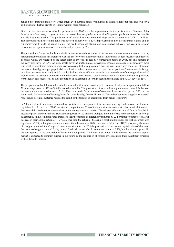# BANKA SLOVENIJ

BANK OF SLOVENIA

banks, but of institutional factors, which might even increase banks' willingness to assume additional risks and will serve as the basis for further growth in lending without recapitalisation.

Similar to the improvements in banks' performance in 2005 were the improvements in the performance of insurers. After three years of decrease, last year insurers increased their net profits as a result of improved performance on the non-life and life insurance market. The performance of health insurance remained negative in the amount of SIT 2.1 billions. The improvement in the claims ratio was boosted primarily by a 12% improvement in non-life insurance claims and an 8% improvement in life insurance claims. The health insurance claims ratio deteriorated last year. Last year insurers and reinsurance companies increased their collected premium by 9%.

The proportion of more profitable and riskier investments in the structure of life insurance investments and assets covering mathematical provisions has increased over the last few years. The proportion of investments in debt securities and deposits at banks, which are regarded as the safest form of investment, fell by 4 percentage points in 2005, but still remains at the very high level of 82%. As with assets covering mathematical provisions, insurers displayed a significantly more conservative investment policy in other assets covering technical provisions than insurers in euro area countries. Slovenian insurers achieved greater geographical diversification in their investments: last year the proportion of investments in foreign securities increased from 19% to 24%, which had a positive effect on reducing the dependence of coverage of technical provisions by investments on returns on the domestic stock market. Voluntary supplementary pension insurance providers were slightly less successful, as their proportion of investments in foreign securities remained at the 2004 level of 15%.

The proportion of bank loans to households secured with insurers continues to decrease. Last year this proportion fell by 20 percentage points to 40% of total loans to households. The proportion of total collected premium accounted for by loan insurance premiums remains low at 2.6%. The claims ratio for insurance of consumer loans rose last year to 0.72, but the claims ratio for insurance of housing loans fell considerably, from 0.54 to 0.26. These developments suggest a successful reduction in potential systemic risks as the result of the transfer of credit risks from banks to insurers.

In 2005 investment fund assets increased by just 6%, as a consequence of the less encouraging conditions on the domestic capital market. At the end of 2005 investment companies had 63% of their investments in domestic shares, which increased their sensitivity to the return on securities on the domestic capital market. The adverse effect on mutual funds of the fall in securities prices on the Ljubljana Stock Exchange was not so marked, owing to a rapid increase in the proportion of foreign investments. In 2005 mutual funds increased their proportion of foreign investments by 23 percentage points to 40%. For this reason their annual return of 7% was higher than the return of Slovenia's stock market index the SBI 20, which was negative at -5.6%, although considerably lower than the return in 2004. Last year's fall in the SBI 20 was partly the result of changes in mutual funds' regional investment structure. In 2005 the proportion of the market capitalisation of shares on the stock exchange accounted for by mutual funds' shares rose by 2 percentage points to 6.7%, but this rise was primarily the consequence of the conversion of investment companies. The impact that mutual funds have on the domestic capital market is expected to diminish further in the future, as the proportion of foreign investments in their investment structure will continue to increase.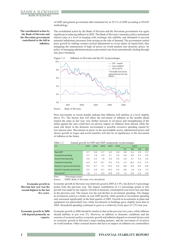

of GDP, and general government debt remained low at 29.1% of GDP according to ESA95 methodology.

**The coordinated action by the Bank of Slovenia and the Slovenian government contributed to the fall in inflation.** 

The coordinated action by the Bank of Slovenia and the Slovenian government was again significant in reducing inflation in 2005. The Bank of Slovenia's monetary policy maintained interest rates at a level in keeping with exchange rate stability, and attempted to prevent potential inflationary pressures from arising on the side of demand. The government curbed price growth by making counter-cyclical adjustments to excise duties on liquid fuels, thus mitigating the transmission of high oil prices on world markets into domestic prices. Its policy of managing administered prices prevented costs from automatically feeding through into price formation.





Source: Bank of Slovenia

Price movements in recent months indicate that inflation will stabilise at a level slightly above 2%. The factors that will affect the movement of inflation in the months ahead remain the same as last year. Any further increase in oil prices and strengthening of the dollar against the euro could have an adverse impact on inflation from abroad, while the main risk factor in the domestic environment is possible excessive spending caused by low interest rates. Movements in prices in the non-tradable sector, administered prices and slower growth in wages and social transfers will also be of significance to the movement of inflation in the future.

Table 1.1: Annual growth in GDP and GDP components in percentages

| (%)                           | 2001   | 2002 | 2003   | 2004   | 2005   | 2005           |                |                |                |
|-------------------------------|--------|------|--------|--------|--------|----------------|----------------|----------------|----------------|
|                               |        |      |        |        |        | Q <sub>1</sub> | Q <sub>2</sub> | Q <sub>3</sub> | Q <sub>4</sub> |
| <b>Real GDP</b>               | 2.7    | 3.5  | 2.7    | 4.2    | 3.9    | 2.8            | 5.4            | 3.6            | 3.7            |
| Household spending            | 2.7    | 1.8  | 3.0    | 3.1    | 3.2    | 2.9            | 3.8            | 3.4            | 2.8            |
| Government spending           | 3.9    | 3.2  | 1.6    | 2.9    | 3.0    | 2.0            | 3.1            | 3.2            | 3.9            |
| Investment spending           | $-4.3$ | 4.0  | 10.1   | 9.2    | $-3.0$ | $-1.5$         | $-8.0$         | $-4.4$         | 2.0            |
| Exports of goods and services | 6.3    | 6.7  | 3.1    | 12.5   | 9.2    | 8.8            | 9.6            | 9.5            | 8.8            |
| Imports of goods and services | 3.0    | 4.8  | 6.7    | 13.2   | 5.3    | 6.8            | 1.6            | 5.9            | 7.2            |
| Net exports <sup>1</sup>      | 1.8    | 1.1  | $-2.2$ | $-0.8$ | 2.3    | 1.2            | 4.8            | 2.2            | 0.9            |

Note: <sup>1</sup> Percentage points.

Source: SORS, Bank of Slovenia, own calcualtions

**Economic growth in Slovenia last year was the second-highest in the last five years.**

**Economic growth in 2006 will depend primarily on exports.**

Economic growth in Slovenia was relatively good in 2005 at 3.9%, but down 0.3 percentage points from the previous year. The largest contribution of 2.3 percentage points to this growth was made by net exports. Growth in domestic consumption was lower last year than in the previous year. The reason was the real decline in investment spending. The change in inventories acted as a brake on real GDP growth, while growth in investment spending only increased significantly in the final quarter of 2005. Growth in investments in plant and equipment was particularly low, while investments in buildings grew slightly more than in 2004. Household spending continued to grow at a relatively lively pace of 3.2% last year.

Economic growth in 2006 should be similar to that in the previous two years, while inflation should stabilise at just over 2%. However, in addition to domestic conditions and the exercise of economic policy, economic growth and inflation depend on external factors such as economic growth in Slovenia's major trading partners, and the movement of oil prices on world markets. Other external factors that have an impact on inflation are commodities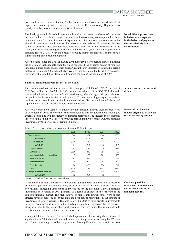prices and the movement of the euro/dollar exchange rate. Given the importance of net exports to economic growth, economic recovery in the EU remains key. Higher exports could gradually revive investment activity in Slovenia.

The lively growth in household spending is tied to increased purchases of consumer durables. With a stable exchange rate and low interest rates, consumption has been relatively lively for some time now. Despite the fear that increased consumption under altered circumstances could increase the pressure on the balance of payments, this has so far not occurred. Increased household debt could even act to limit consumption in the future, household debt having risen sharply in the last three years. Growth in government spending rose to 3% last year, but because of public finance restrictions it cannot have a significant impact on economic growth.

After Slovenia joined the ERM II in June 2004 monetary policy began to focus on meeting the criterion of exchange rate stability, which has placed the principal burden of reducing inflation on fiscal policy and incomes policy. Given the current inflation trends, it is certain that by early summer 2006, when the two years of membership of the ERM II have passed, Slovenia will meet all the criteria for introducing the euro at the beginning of 2007.

#### **Financial transactions with the rest of the world**

There was a moderate current account deficit last year of 1.1% of GDP. The deficit of EUR 301 millions was half that in 2004, when it stood at 2.1% of GDP. With domestic consumption lively and the terms of trade deteriorating, which brought a sharp acceleration in merchandise imports in the second half of 2005, the record high surplus in trade in services, an increase in the surplus in transfers and smaller net outflows of labour and capital income were all positive factors in current account.

After two consecutive years of relatively low net financial inflows, these reached 5.5% of GDP again in 2005. The private sector contributed to this, the government reducing its external debt in line with its strategy of domestic borrowing. The increase in net financial inflows originated in private sector borrowing abroad, mainly by banks. Outward portfolio investments by the private sector remained high.

1. Current account 1. Current account 1. Current account 1. Current account 1. Current account 1. 301

as % of GDP 1.5 -0.3 -2.1 -1.1 2. Financial account 1,099 149 411 1,506

2002 2003 2004 2005

| as % BDP                                                                                                                                                                                | 5.4      | 0.6    | 1.6    | 5.5               |  |  |  |
|-----------------------------------------------------------------------------------------------------------------------------------------------------------------------------------------|----------|--------|--------|-------------------|--|--|--|
| Capital transfers                                                                                                                                                                       | $-163$   | $-164$ | $-116$ | $-137$            |  |  |  |
| <b>Outward FDI</b>                                                                                                                                                                      | 1,538    | $-118$ | 221    | $-27$             |  |  |  |
| Investments in foreign securities                                                                                                                                                       | $-117$   | $-173$ | $-221$ | $-322$            |  |  |  |
| Net trade credits                                                                                                                                                                       | $-41$    | $-58$  | $-31$  | $12 \overline{ }$ |  |  |  |
| Net loans abroad                                                                                                                                                                        | 718      | 979    | 1,391  | 2,292             |  |  |  |
| <b>Bank deposits</b>                                                                                                                                                                    | 130      | 428    | 236    | 1,012             |  |  |  |
| Other                                                                                                                                                                                   | $-620$   | $-733$ | -852   | $-645$            |  |  |  |
| 3. Foreign exchange reserves                                                                                                                                                            | $-1,443$ | $-68$  | 133    | $-1,205$          |  |  |  |
| as % of GDP                                                                                                                                                                             | 6.9      | 0.3    | $-0.5$ | 4.4               |  |  |  |
| Bank of Slovenia, own calculations<br>Source:                                                                                                                                           |          |        |        |                   |  |  |  |
| In the financial account, the largest rise in claims against the rest of the world was recorded<br>by outward portfolio investments. They rose by just under one-third last year to EUR |          |        |        |                   |  |  |  |

649 millions, exceeding other types of investment for the first time. Outward portfolio investments rose rapidly in 2004 primarily as a result of changes in the structure of the domestic financial market. The high inflows of money into mutual funds were at first directed towards domestic securities until the abolition of restrictions in the amount of investments in foreign securities. This was followed in 2005 by rapid growth in investments in foreign securities and foreign mutual funds, particularly in the second half of the year. Growth in loans to the rest of the world was also relatively rapid. The volume of trade credits remained similar to that in the previous year.

Among liabilities to the rest of the world, the large volume of borrowing abroad increased significantly in 2005, the total financial inflows into the private sector rising by 56% last year. Direct borrowing abroad by companies was less significant last year than in previous

**No additional pressures or imbalances are expected in the balance of payments despite relatively lively consumption.**

**A moderate current account deficit.**

**Increased net financial inflows originated in private sector borrowing abroad.**

**Outward portfolio investments are prevalent on the claim side of the financial account.**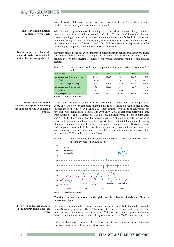#### SLOVENI BANK OF SLOVENIA

**The tolar lending market continued to contract.**

years. Inward FDI by non-residents was lower last year than in 2004, while outward portfolio investments by the private sector increased.

While the currency structure of the lending market had shifted towards foreign currency loans and away from tolar loans even in 2004, in 2005 this trend intensified. Foreign currency lending to non-banking sectors is growing in importance for banks in comparison with tolar lending. In 2004 foreign currency loans accounted for 80.6% of the net increase in loans to companies<sup>1</sup> at Slovenian banks. In 2005 there even a net repayment of tolar borrowing by companies in the amount of SIT 42.6 billions.

**Banks compensated for weak domestic saving by non-bank sectors by borrowing abroad.**

Slovenian banks intensified even further their borrowing from banks abroad last year. These sources of financing were used to compensate for relatively weak saving by domestic nonbanking sectors, thus securing resources for increased domestic lending to non-banking sectors.

Table 1.3: Net loans to banks and companies inside and outside Slovenia in SIT billions

| (SIT billions)                 | 2001  | 2002  | 2003  | 2004  | 2005    |
|--------------------------------|-------|-------|-------|-------|---------|
| Companies and OFOs in Slovenia | 235.8 | 140.4 | 341.7 | 362.9 | 497.1   |
| of which tolars                | 142.4 | 11.7  | 158.1 | 70.5  | $-42.6$ |
| of which foreign currency      | 93.4  | 128.7 | 183.6 | 292.4 | 539.6   |
| Companies and OFOs abroad      | 108.1 | 136.0 | 124.7 | 168.7 | 71.3    |
| Banks abroad                   | 33.1  | 76.0  | 154.4 | 230.2 | 568.2   |
| Total (companies and banks)    | 377.0 | 352.4 | 620.7 | 761.9 | 1136.6  |
| Don't of Clarence<br>Camaan    |       |       |       |       |         |

Source: Bank of Slovenia

#### **There was a shift in the structure of corporate financing towards borrowing at domestic banks.**

In addition there was a decline in direct borrowing at foreign banks by companies in 2005. The ratio between corporate financing inside and outside Slovenia shifted sharply towards the former last year. Even in 2004 approximately two-thirds of companies' net new loans were raised inside Slovenia. In 2005 only 12.5% of corporate borrowing came from outside Slovenia. At almost SIT 500 billions, the net increase in loans to companies was SIT 134 billions more than the previous year's. Although corporate borrowing at banks in Slovenia recorded relatively high growth last year, the total amount of financing obtained inside and outside Slovenia by companies rose only slightly. Slovenian banks and companies were able to borrow abroad at relatively favourable interest rates last year. On average banks concluded agreements for long-term foreign currency loans at an interest rate of 2.5%, and companies at 3.4%.

#### Figure 1.3: Bank, corporate and government liabilities to the rest of the world (3-month) moving average) in EUR millions



Source: Bank of Slovenia

#### **Country risk and the spread in the yield on Slovenian eurobonds and German government bonds**

**There were no further changes in the country risk rating last year.** 

Slovenia has been upgraded by rating agencies in recent years. The last upgrade was made before Slovenia joined the ERM II. The reasons for Slovenia's improved credit rating lie in its relatively good macroeconomic position. With a well-diversified, open economy, and balanced public finances and balance of payments, at the end of 2005 Slovenia met all the

<sup>1</sup> Corporate borrowing at domestic banks involves a change in loan stock, while corporate borrowing at banks abroad involves flows from the financial account.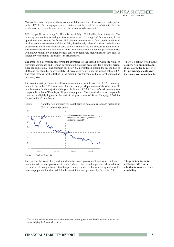Maastricht criteria for joining the euro area, with the exception of two years of participation in the ERM II. The rating agencies' expectations that the rapid fall in inflation in Slovenia would soon see it join the euro area have been confirmed as accurate.

S&P last published a rating for Slovenia on 11 July 2005, holding it at AA-/A-1+. The report again cites factors acting to further reduce the risk rating, and factors acting in the opposite manner. Among the former S&P cites the commitment to fiscal prudence reflected in a low general government deficit and debt, the relatively balanced position in the balance of payments and the net external debt, political stability and the consensus about reform. The weaknesses were the low level of GDP in comparison with other comparable countries with an AA rating, low competitiveness caused by relatively high wages, the low level of foreign investment and the progress in privatisation.

The trend of a decreasing risk premium expressed as the spread between the yield on Slovenian eurobonds and German government bonds has been seen for a lengthy period, since the end of 2002. The premium fell below 0.2 percentage points in the second half of 2004, and has stalled at approximately 0.1 percentage points since the second half of 2005. The basic reasons for the decline in the premium are the same as those for the upgrading in country risk.

The country risk premium for Slovenian eurobonds, which stood at 0.109 percentage points in December 2005, was lower than the country risk premiums of the other new EU member-states for the majority of the year. At the end of 2005, Slovenia's risk premium was comparable to that of Estonia, 0.131 percentage points. The spread with other comparable countries is slightly higher: at the end of the year it was 0.244 for Hungary, 0.207 for Cyprus and 0.205 for Poland.

Figure 1.4: Country risk premium for investments in domestic eurobonds maturing in 2011 in percentage points



The spread between the yield on domestic tolar government securities and eurodenominated German government bonds,<sup>2</sup> which reflects exchange-rate risk in addition to country risk, ranged from 1.0 to 0.4 percentage points. In January the spread was 1.0 percentage points, but this had fallen below 0.5 percentage points by December 2005.

**The premium including exchange-rate risk in addition to country risk is also falling.** 

**There is a falling trend in the country risk premium, and it has now fallen to just over 0.1 percentage points over German government bonds.**

<sup>2</sup> The comparison is between the interest rates on 10-year government bonds, which are those used when judging the Maastricht criteria.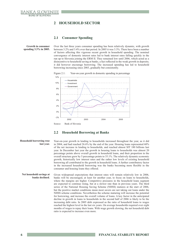# **2 HOUSEHOLD SECTOR**

# **2.1 Consumer Spending**

**Growth in consumer spending 3.3% in 2005.** 

Over the last three years consumer spending has been relatively dynamic, with growth between 3.2% and 3.4% over that period. In 2005 it was 3.3%. There have been a number of factors affecting this vigorous recent growth in household spending. The nominal convergence of domestic interest rates led to bank interest rates falling quickly in the run up to Slovenia joining the ERM II. They remained low until 2006, which acted as a disincentive to household saving at banks, a fact reflected in the weak growth in deposits; it did however encourage borrowing. The increased spending has led to household borrowing increasing since 2003, gradually but consistently.





### **2.2 Household Borrowing at Banks**

#### **Household borrowing rose last year.**

Year-on-year growth in lending to households increased throughout the year, as it did in 2004, and had reached 26.6% by the end of the year. Housing loans represented 60% of the net increase in lending to households, and reached almost SIT 180 billions last year. In December last year the growth in housing loans to households was almost 20 percentage points above overall growth in household loans, and their proportion in the overall structure grew by 5 percentage points to 35.1%. The relatively dynamic economic growth, historically low interest rates and the rather low levels of existing household borrowing all contributed to the growth in household loans. A further contributory factor in the increased household borrowing was the banks becoming more flexible in the consumer and housing loans they offered.

Given widespread expectations that interest rates will remain relatively low in 2006, banks will be encouraged, at least for another year, to focus on loans to households, where the margins are higher. Competitive pressures in the household loans segment are expected to continue rising, but at a slower rate than in previous years. The third series of the National Housing Saving Scheme (NHSS) matures at the start of 2006, but the positive market conditions mean most savers are not taking out loans under the NHSS scheme conditions. Nevertheless the scheme maturing will increase the potential for borrowing, and increase the overall volume of loans. A key factor in the anticipated decline in growth in loans to households in the second half of 2006 is likely to be the increasing debt ratio. In 2005 debt expressed as the ratio of household loans to wages reached the highest level in the last six years. On average households required over eight months of wages to repay their loans. With wage growth slowing, the net household debt ratio is expected to increase even more. **Net household savings at banks declined.**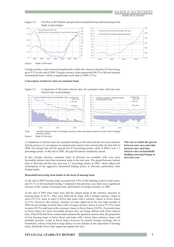



Source: Bank of Slovenia

Foreign currency loans increased significantly within the currency structure for borrowing, up to 9.5% at the end of 2005. Foreign currency loans represented 40.2% of the net increase in household loans, which is significantly more than in 2004 (7.5%).

#### **Convergence of interest rates on consumer loans**



Figure 2.3: Comparison of Slovenian interest rates for consumer loans with euro area interest rates in percentages

Note: 1 Includes interest rates for foreign currency loans and interest rates for loans with a foreign currency clause. Source: Bank of Slovenia

A comparison of interest rates for consumer lending in Slovenia and the euro area indicates that the process of convergence in nominal tolar interest rates slowed after the first half of 2004. On average last year the spread was 0.5 percentage points, while in 2004 it was 1.2 percentage points. At the end of 2005, the gap had almost completely closed.

In fact, foreign currency consumer loans in Slovenia are available with even more favourable interest rates than consumer loans in the euro area. The spread between interest rates in Slovenia and the euro area was 1.2 percentage points in 2005, which reflects the continuation of the aggressive household lending policy in Slovenia, particularly from foreign banks.

#### **Household borrowing from banks in the form of housing loans**

At the end of 2005 housing loans accounted for 4.8% of the banking system's total assets, and 35.1% of all household lending. Compared to the previous year, there was a significant increase in the volume of housing loans, particularly in foreign currency, in 2005.

At the end of 2005 tolar loans were still the largest group in the currency structure of housing loans at 36.7%. They were followed by loans with a foreign currency clause in euros (35.7%), loans in euros (14.6%) and loans with a currency clause in Swiss francs (12.7%). However, the currency structure of loans approved in the last eight months of 2005 moved strongly towards loans with a foreign currency clause in euros (31.5%), loans in euros (30.9%) and loans with a currency clause in Swiss francs (24.8%). At present loans in Swiss francs are more favourable because they are being offered with lower interest rates. If the ECB and Swiss central bank maintain the spread in interest rates, the proportion of new housing loans in Swiss francs and loans with a Swiss franc currency clause will probably increase. Loans in Swiss francs however do transfer foreign exchange risk to households, which could lead to large delays or even defaults in the repayment of housing loans, should the Swiss franc appreciate against the euro.

**The rate at which the spread between euro area and tolar interest rates and tolar interest rates on household lending converged began to slow last year.**

# **FINANCIAL STABILITY REPORT 7**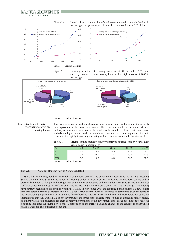

Figure 2.4: Housing loans as proportion of total assets and total household lending in percentages and year-on-year changes in household loans in SIT billions

Source: Bank of Slovenia

Figure 2.5: Currency structure of housing loans as at 31 December 2005 and currency structure of new housing loans in final eight months of 2005 in





Source: Bank of Slovenia

**Lengthier terms to maturity were being offered on housing loans.** 

The main criterion for banks in the approval of housing loans is the ratio of the monthly loan repayment to the borrower's income. The reduction in interest rates and extended maturity of new loans has increased the number of households that can meet bank criteria and take out higher loans in order to buy a home. Easier access to housing loans is the main reason for the rapidly increasing borrowing and increased demand on the housing market.

Table 2.1: Original term to maturity of newly approved housing loans by year at eight largest banks in percentages

|         | algest baliks in percentages |         |          |          |         |
|---------|------------------------------|---------|----------|----------|---------|
| (%)     | up to $5$                    | 5 to 10 | 10 to 15 | 15 to 20 | over 20 |
| 2003    | 3.0                          | 19.7    | 52.8     | 20.1     | 4.4     |
| 2004    | 3.2                          | 18.6    | 46.7     | 20.8     | 10.6    |
| 2005    | 2.2                          | 13.0    | 35.0     | 24.2     | 25.6    |
| Source: | Bank of Slovenia             |         |          |          |         |

**Box 2.1: National Housing Saving Scheme (NHSS)**

In 1999, via the Housing Fund of the Republic of Slovenia (HFRS), the government began using the National Housing Saving Scheme (NHSS) as an instrument of housing policy to exert a positive influence on long-term saving and to expand the amount of long-term housing credit available. In accordance with the National Housing Saving Scheme Act (Official Gazette of the Republic of Slovenia, Nos 86/2000 and 79/2001-Const. Court Dec.) four tenders (of five in total) have already been issued for savings within the NHSS. In November 2004 the Housing Fund published a new (sixth) tender to select a bank to participate in the NHSS for 2004, but banks were not prepared to participate given the terms of the tender. Changing circumstances meant this form of lending was less attractive to banks and households. For banks the interest rates that they would have to pay savers under the terms of the scheme were too high compared to market prices, and there was also an obligation for them to repay the premiums to the government if the saver does not opt to take out a housing loan after the saving period ends. Competition on the market has led to changes in the conditions under which NHSS savers can take out loans from banks.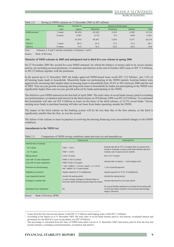| Table 2.2:               | Saving in NHSS schemes on 31 December 2005 in SIT millions |           |          |                       |          |        |  |  |  |  |
|--------------------------|------------------------------------------------------------|-----------|----------|-----------------------|----------|--------|--|--|--|--|
|                          | Saving                                                     | Number of |          | Volume of funds saved |          |        |  |  |  |  |
|                          | term                                                       | savers    | Payments | <b>Premiums</b>       | Interest | Total  |  |  |  |  |
| NHSS scheme <sup>1</sup> | 5 years                                                    | 36.935    | 40.342   | 2.610                 | 4.562    | 47.514 |  |  |  |  |
|                          | 10 years                                                   | 5.997     | 9.119    | 773                   | 1.909    | 11,801 |  |  |  |  |
| Total                    |                                                            | 42.932    | 49.461   | 3,383                 | 6.471    | 59,314 |  |  |  |  |
| Total $(\%)$             | 5 years                                                    | 86.0      | 81.6     | 77.2                  | 70.5     | 80.1   |  |  |  |  |
| Total $(\%)$             | 10 years                                                   | 14.0      | 18.4     | 22.8                  | 29.5     | 19.9   |  |  |  |  |

Table 2.2: Saving in NHSS schemes on 31 December 2005 in SIT millions

Note: <sup>1</sup> Schemes 3, 4 and 5 and the remainder of Schemes 1 and 2.

Source: Bank of Slovenia

#### **Maturity of NHSS schemes in 2005 and anticipated end to third five-year scheme in spring 2006**

On 27 November 2005 the second five-year NHSS matured, for which the balance of money paid in by savers (money paid in, not including accrued premiums, revaluations and interest) at the end of October 2005 came to SIT 17.6 billions, or SIT 23 billions together with the premiums.

In the period up to 31 December 2005 the banks approved NHSS-based loans worth SIT 13.9 billions<sup>3</sup>, just 7.4% of all housing loans made to households. Meanwhile banks not participating in the NHSS (mainly Austrian banks) were aggressively increasing their market share in housing loans to households from 10.6% to 44% between 2000 and the end of 2005. Year-on-year growth in housing and long-term loans to households by banks not participating in the NHSS were significantly higher than year-on-year growth achieved by banks participating in the NHSS.

The third five-year NHSS matured in the first half of April 2006. The total value of saved funds (money paid in excluding accrued premiums, revaluation and interest) in the third scheme on 28 February 2006 was SIT 16.9 billions.<sup>4</sup> It is estimated that households will take out SIT 4 billions in loans on the basis of the third scheme, or  $23.5\%$  saved funds.<sup>5</sup> Savers needing more funds to purchase housing will take out loans from banks operating outside the NHSS.

The impact of the third scheme on the banking system will be far less than that of the first scheme, as the third is significantly smaller than the first, as was the second.

The failure of the scheme to meet its purpose in resolving the housing financing issue necessitated changes in the NHSS conditions.

#### **Amendments to the NHSS Act**

#### Table 2.3: Comparison of NHSS saving conditions under previous act and amended act

|                                   | <b>Previous Act</b>                                                                                | Amended Act                                                                                                                          |
|-----------------------------------|----------------------------------------------------------------------------------------------------|--------------------------------------------------------------------------------------------------------------------------------------|
| Interest rate on savings:         |                                                                                                    |                                                                                                                                      |
| for 5 years                       | $TOM + 1.65%$                                                                                      | Interest rate set at 75% of market yield on government<br>bonds in domestic currency with fixed interest rate and                    |
| for 10 years                      | $TOM + 3.00\%$                                                                                     | maturity over 9 years and six months                                                                                                 |
| Saving period                     | 5 and 10 years                                                                                     | from 5 to 10 years                                                                                                                   |
| Loan with 10 year repayment       | TOM $+2.45%$ (5 years)                                                                             |                                                                                                                                      |
| Loan with 20 year repayment       | TOM+3.80% (10 years)                                                                               | interest rate on saving + 1 percentage point                                                                                         |
| Premium for annual saving         | 1 mth. instllmt/ 1/12 ann. paymt., or 1.25 of<br>mth. instllmt. for 10-year saving                 | 1/24 of annual payment                                                                                                               |
| Eligibility for premium           | regular payment of 12 installments                                                                 | regular payment of 10 to 12 installments                                                                                             |
| Loan repayment period             | double the saving period                                                                           | double the saving period                                                                                                             |
| Changes in interest rate          | in case of large changes to interest rates on<br>financial market (interest spread stays the same) | interest rate fixed for one year period                                                                                              |
| Subsidised Ioan repayment         | <b>No</b>                                                                                          | for young families seeking to purchase first housing with<br>income per family member not exceeding half average<br>wage in Slovenia |
| Bank of Slovenia, HFRS<br>Source: |                                                                                                    |                                                                                                                                      |

<sup>&</sup>lt;sup>3</sup> Loans from the first and second scheme worth SIT 12.5 billions and bridging loans worth SIT 1.4 billions.

<sup>4</sup> According to the figures as at 31 December 2005, the total value of saved funds (money paid in, real interest, revaluated interest and premiums) for the third five-year saving sheme was SIT 20 billions.

<sup>5</sup> The percentage is calculated from the ratio of NHSS loans taken out (as at 31 December 2005) and money paid in from the first and second schemes, excluding accrued premiums, revaluation and interest.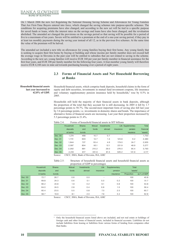## -SLOVENIJ

BANK OF SLOVENIA

On 1 March 2006 the new Act Regulating the National Housing Saving Scheme and Allowances for Young Families That Are First-Time Buyers entered into force, which changed the saving schemes into purpose-specific schemes. The conditions for acquiring premiums have also changed, and according to the new act will be tied to a specific purpose for saved funds or loans, while the interest rates on the savings and loans have also been changed, and the revaluation abolished. The amended act changed the provisions on the savings period so that saving will be possible for a period of five to a maximum of ten years. Savers will be entitled to a premium at the end of a one-year saving period, if they pay in at least ten monthly payments during the saving year instead of all 12, as in the previous five schemes. At the same time the value of the premium will be halved.

The amended act included a new title on allowances for young families buying their first home. Any young family that is seeking to acquire their first home by buying or building and whose income per family member does not exceed half the average wage in Slovenia in the past year will be entitled to subsidies that are not related to saving in the scheme. According to the new act, young families will receive EUR 160 per year per family member in financial assistance for the first four years, and EUR 100 per family member for the following four years. A four-member young family will therefore receive EUR 4,160 euro in state aid towards purchasing housing over a period of eight years.

# **2.3 Forms of Financial Assets and Net Household Borrowing at Banks**

**Household financial assets last year increased to 62.8% of GDP.** Household financial assets, which comprise bank deposits, household claims in the form of equity and debt securities, investments in mutual fund investment coupons, life insurance and voluntary supplementary pension insurance held by households, $6$  rose by 8.5% in 2005.

Households still hold the majority of their financial assets in bank deposits, although the proportion of the total that they account for is still decreasing. In 2005 it fell by 1.7 percentage points to 58.7%. The second-most important form of saving also fell last year by 3.6 percentage points, i.e. investments in domestic shares and bonds. The importance of alternative forms of financial assets are increasing. Last year their proportion increased by 5.3 percentage points to 21.4%.

|  | Table 2.4: | Forms of household financial assets in SIT billions |  |  |
|--|------------|-----------------------------------------------------|--|--|
|--|------------|-----------------------------------------------------|--|--|

|         | Household | <b>Shares</b> | Mutual | Investments |           | Life Supplementary | <b>Total</b> |
|---------|-----------|---------------|--------|-------------|-----------|--------------------|--------------|
|         | deposits  | and           | funds  | abroad      | insurance | pension            | financial    |
|         | at banks  | bonds         |        |             |           | insurance          | "assets"     |
| Dec. 00 | 1.274     | 468           | 10.7   | 0.7         | -         | -                  | 1,753        |
| Dec. 01 | 1.731     | 603           | 14.7   | 1.4         | 123.8     | 6.2                | 2,480        |
| Dec. 02 | 1.944     | 727           | 55.4   | 4.6         | 179.0     | 24.7               | 2,935        |
| Dec. 03 | 2.097     | 804           | 93.1   | 12.1        | 221.9     | 48.9               | 3,277        |
| Dec. 04 | 2.292     | 891           | 210.2  | 29.0        | 276.0     | 95.4               | 3,793        |
| Dec. 05 | 2.418     | 817           | 331.9  | 81.5        | 326.2     | 141.9              | 4,117        |

Source: CSCC, SMA, Bank of Slovenia, ISA, AMC

| Table 2.5: | Structure of household financial assets and household financial assets as |  |
|------------|---------------------------------------------------------------------------|--|
|            | proportion of GDP in percentages                                          |  |

|         |           |               |        |             | ັ                        |                          |            |             |
|---------|-----------|---------------|--------|-------------|--------------------------|--------------------------|------------|-------------|
|         | Household | <b>Shares</b> | Mutual | Investments | Life                     | Supplementary            |            | Total       |
|         | deposits  | and           | funds  | abroad      | insurance                | pension                  |            | "assets"    |
|         | in banks  | bonds         |        |             |                          | insurance                | Proportion | as % of GDP |
| Dec. 00 | 72.7      | 26.7          | 0.6    | 0.0         | $\overline{\phantom{0}}$ | $\overline{\phantom{a}}$ | 100        | 40.8        |
| Dec. 01 | 69.8      | 24.3          | 0.6    | 0.1         | 5.0                      | 0.2                      | 100        | 51.7        |
| Dec. 02 | 66.2      | 24.8          | 1.9    | 0.2         | 6.1                      | 0.8                      | 100        | 54.8        |
| Dec. 03 | 64.0      | 24.5          | 2.8    | 0.4         | 6.8                      | 1.5                      | 100        | 56.4        |
| Dec. 04 | 60.4      | 23.5          | 5.5    | 0.8         | 7.3                      | 2.5                      | 100        | 60.7        |
| Dec. 05 | 58.7      | 19.9          | 8.1    | 2.0         | 7.9                      | 3.4                      | 100        | 62.8        |

Source: CSCC, SMA, Bank of Slovenia, ISA, AMC

<sup>6</sup> Only the household financial assets listed above are included, and not real estate or holdings of foreign cash and other forms of financial assets, included in financial accounts. Liabilities do not include liabilities from leasing or liabilities from various forms of lending from companies other than banks.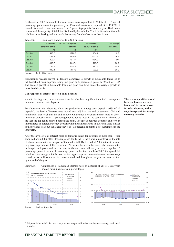At the end of 2005 household financial assets were equivalent to 62.8% of GDP, up 2.1 percentage points over the previous year. Financial assets were equivalent to 138.2% of annual disposable household income<sup>7</sup>, up 5 percentage points from last year. Bank loans represented the majority of liabilities disclosed by households. The liabilities do not include liabilities from leasing and household borrowing from lenders other than banks.

| Table $2.6$ : | Bank loans and deposits in SIT billions |                           |                  |             |  |  |  |  |  |
|---------------|-----------------------------------------|---------------------------|------------------|-------------|--|--|--|--|--|
|               | Household                               | <b>Household deposits</b> | Net household    | Net savings |  |  |  |  |  |
|               | loans from banks                        | at banks                  | savings at banks | as % of GDP |  |  |  |  |  |
|               | (1)                                     | (2)                       | $(2-1)$          |             |  |  |  |  |  |
| Dec. 00       | 419.2                                   | 1273.6                    | 854.4            | 19.9        |  |  |  |  |  |
| Dec. 01       | 453.3                                   | 1730.9                    | 1277.6           | 26.6        |  |  |  |  |  |
| Dec. 02       | 490.1                                   | 1944.1                    | 1454.0           | 27.1        |  |  |  |  |  |
| Dec. 03       | 548.7                                   | 2097.4                    | 1548.7           | 26.6        |  |  |  |  |  |
| Dec. 04       | 671.0                                   | 2291.7                    | 1620.7           | 25.9        |  |  |  |  |  |
| Dec. 05       | 849.3                                   | 2417.8                    | 1568.5           | 23.9        |  |  |  |  |  |

Table 2.6: Bank loans and deposits in SIT billions

Source: Bank of Slovenia

Significantly weaker growth in deposits compared to growth in household loans led to net household bank deposits falling last year by 2 percentage points to 23.9% of GDP. The average growth in household loans last year was three times the average growth in household deposits.

#### **Convergence of interest rates on bank deposits**

As with lending rates, in recent years there has also been significant nominal convergence in interest rates on bank deposits.

For short-term tolar deposits, which are predominant among bank deposits (93% of all deposits), the level of interest rates moved near 3% from the end of summer 2004, and remained at that level until the end of 2005. On average Slovenian interest rates on shortterm tolar deposits were 1.2 percentage points above those in the euro area. At the end of the year the gap fell to below 1 percentage point. The spread between domestic and foreign interest rates on foreign currency deposits with the same maturity in 2005 remained similar to the previous year, but the average level of -0.6 percentage points is not sustainable in the long-term.

After the level of tolar interest rates at domestic banks for deposits of more than 1 year stabilised around 4% after Slovenia joined the ERM II, there was a slowdown in the rate at which interest rates in this part of the market fell. By the end of 2005, interest rates on long-term deposits had fallen to around 3%, while the spread between tolar interest rates on long-term deposits and interest rates in the euro area fell last year on average by 0.6 percentage points to around 1 percentage point. In the final months of 2005 the spread fell to below 1 percentage point. In contrast the negative spread between interest rates on longterm deposits in Slovenia and the euro area reduced throughout last year and was positive by the end of the year.

**There was a positive spread between interest rates at home and in the euro area for tolar deposits, and a negative spread for foreign currency deposits.**

> **Differentia** (right scale) Slovenija Euro area

2.0 1.5 1.0 0.5  $0.0$ -0.5 -1.0



Figure 2.6: Comparison of Slovenian interest rates on deposits of up to 1 year with interest rates in euro area in percentages

<sup>7</sup> Disposable household income comprises net wages paid, other employment earnings and social transfers.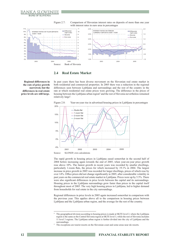

# **2.4 Real Estate Market**

**Regional differences in the rate of price growth narrowed, but the differences in real estate price levels are still large.** In past years there has been diverse movement on the Slovenian real estate market in both residential and commercial properties. In 2005 there was a reduction in the regional differences seen between Ljubljana and surroundings and the rest of the country in the rate at which residential real estate prices were growing. The difference in the prices of housing between the Ljubljana urban region<sup>8</sup> and the rest of Slovenia nevertheless remained relatively large<sup>9</sup>.

Figure 2.7: Comparison of Slovenian interest rates on deposits of more than one year

Figure 2.8: Year-on-year rise in advertised housing prices in Ljubljana in percentages



The rapid growth in housing prices in Ljubljana eased somewhat in the second half of 2004 before increasing again towards the end of 2005, when year-on-year price growth rose above 10%. The fastest growth in recent years was recorded by smaller dwellings, particularly 1-room flats, the prices for which increased by 19.1% in 2004. The largest increase in price growth in 2005 was recorded for larger dwellings, prices of which rose by over 14%. Office prices did not change significantly in 2005, after considerable volatility in past years on the commercial real estate market in Ljubljana. Prices were up by 5.5%. There were also significant differences in price levels between the capital and its surroundings. Housing prices in the Ljubljana surroundings grew faster than prices in the capital itself throughout most of 2005. The very high housing prices in Ljubljana, led to higher demand from households for real estate in the city surroundings.

Regional differences in price levels in 2005 again increased somewhat in comparison with the previous year. This applies above all to the comparison in housing prices between Ljubljana and the Ljubljana urban region, and the average for the rest of the country.

<sup>8</sup> The geographical division according to housing prices is made at SKTE level 2, where the Ljubljana region is the same as the Central Slovenia region at SKTE level 3, while the rest of Slovenia includes 11 level 3 regions. The Ljubljana urban region is further divided into the city of Ljubljana and the surroundings.

<sup>9</sup> The exceptions are tourist resorts on the Slovenian coast and some areas near ski resorts.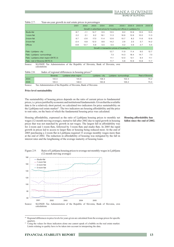### NKA SLOV BANK OF SLOVENIA

| Table $2.7$ : | Year-on-year growth in real estate prices in percentages |  |  |
|---------------|----------------------------------------------------------|--|--|
|               |                                                          |  |  |

|                                         | 2001   | 2002   | 2003 | 2004 | 2005 | 20051                                                                | 2005 II | 2005 III | 2005 IV |
|-----------------------------------------|--------|--------|------|------|------|----------------------------------------------------------------------|---------|----------|---------|
|                                         |        |        |      |      |      | Growth in advertised prices for housing and offices in Ljubliana (%) |         |          |         |
| Studio-flat                             | 8.7    | $-1.1$ | 14.7 | 6.5  | 13.5 | 8.2                                                                  | 10.9    | 13.5     | 13.5    |
| 1-room flat                             | 2.2    | 2.1    | 6.2  | 19.1 | 11.3 | 16.6                                                                 | 12.6    | 10.0     | 11.3    |
| 2-room flat                             | 9.7    | $-2.6$ | 17.0 | 11.4 | 12.6 | 10.7                                                                 | 8.2     | 11.6     | 12.6    |
| 3-room flat                             | $-2.4$ | 6.8    | 12.0 | 8.6  | 14.2 | 2.6                                                                  | 2.5     | 3.7      | 14.2    |
| <b>Offices</b>                          | $-0.8$ | 12.7   | 5.9  | 5.5  | 5.5  | 0.2                                                                  | 0.9     | 2.7      | 5.5     |
|                                         |        |        |      |      |      | Growth in transaction prices of housing (%)                          |         |          |         |
| Flats - Ljubljana - city                |        |        |      |      | 12.7 | 11.9                                                                 | 11.4    | 9.0      | 12.7    |
| Flats - Ljubljana - surroundings        |        |        |      |      | 7.3  | 14.3                                                                 | 18.4    | 14.7     | 7.3     |
| Flats - Ljubljana urban region (SKTE 2) |        |        |      |      | 11.1 | 12.0                                                                 | 12.1    | 9.4      | 11.1    |
| Flats - rest of Slovenia (SKTE 2)       |        |        |      |      | 11.7 | 5.8                                                                  | 10.9    | 10.8     | 11.7    |

Source: SLONEP, Tax Administration of the Republic of Slovenia, Bank of Slovenia, own calculations

#### Table 2.8: Index of regional differences in housing prices<sup>10</sup>

|      | Slovenia | Ljubljana urban region | Liubliana - city | Ljubljana - surroundings | <b>Rest of Slovenia</b> |
|------|----------|------------------------|------------------|--------------------------|-------------------------|
| 2004 | 100.0    | 145.8                  | 158.3            | 102.4                    | 75.2                    |
| 2005 | 100.0    | 148.0                  | 160.8            | 106.2                    | 75.5                    |

Source: Tax Administration of the Republic of Slovenia, Bank of Slovenia

#### **Price level sustainability**

The sustainability of housing prices depends on the ratio of current prices to fundamental prices, i.e. prices justified by economic and institutional fundamentals. Given that the available data is for a relatively short period, we calculated two indicators for price sustainability on the Ljubljana real estate market<sup>11</sup>. The two indicators are housing affordability and the price to rent ratio, on the basis of which the fundamental housing price was calculated.

Housing affordability, expressed as the ratio of Ljubljana housing prices to monthly net wages (12-month moving average), started to fall after 2002 due to rapid growth in housing prices that was not matched by growth in net wages. The largest fall in affordability was for 2-room and 1-room flats, followed by 3-room flats and studio flats. In 2005 the rapid growth in prices led to access to larger flats or housing being reduced most. At the end of 2005 purchasing a 2-room flat in Ljubljana required 33 average monthly wages more than at the end of 2002. The reduction in affordability of housing was mitigated by the fall in interest rates and the lengthening of the average maturity of housing loans.

**Housing affordability has fallen since the end of 2002.**



Figure 2.9: Ratio of Ljubljana housing prices to average net monthly wages in Ljubljana (12-month moving average)

<sup>&</sup>lt;sup>10</sup> Regional differences in price levels for years given are calculated from the average prices for specific quarters.

<sup>&</sup>lt;sup>11</sup> Using the values for these indicators alone one cannot speak of a bubble on the real estate market. Limits relating to quality have to be taken into account in interpreting the data.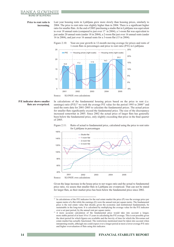BANK OF SLOVENIA

#### **Price to rent ratio is increasing.**

Last year housing rents in Ljubljana grew more slowly than housing prices, similarly to 2004. The price to rent ratio was slightly higher than in 2004. There is a significant higher ratio for smaller flats. At the end of 2005 purchasing a studio flat in Ljubljana was equivalent to over 18 annual rents (compared to just over 17 in 2004), a 1-room flat was equivalent to just under 20 annual rents (under 18 in 2004), a 2-room flat just over 16 annual rents (under 16 in 2004), and just over 16 annual rents for a 3-room flat (15 in 2004).







#### **P/E indicator shows smaller flats are overpriced.**

In calculations of the fundamental housing prices based on the price to rent (i.e. earnings) ratio ( $P/E$ )<sup>12</sup> we took the average  $P/E$  value for the period 1995 to 2000<sup>13</sup> and used the rents data for 2001-2005 to calculate the fundamental prices. The actual prices for smaller flats significantly exceed the fundamental price. The size of the discrepancy increased somewhat in 2005. Since 2002 the actual price of larger flats has generally been below the fundamental price, only slightly exceeding that price in the final quarter of 2005.

Figure 2.11: Ratio of actual to fundamental price, calculated using the price to rent ratio for Ljubljana in percentages



Given the large increase in the house price to net wages ratio and the actual to fundamental price ratio, we assess that smaller flats in Ljubljana are overpriced. That can not be stated for larger flats, as their market price has been below the fundamental price since 2002.

 $12$  In calculations of the P/E indicator for the real estate market the price (P) was the average price per square metre of a flat while the earnings  $(E)$  were the annual rent per square metre. The fundamental price is the real estate value that should, given the economic and institutional fundamentals, be sustainable in the long-term. It is calculated by multiplying the average value for the P/E indicator over a set past period, by the annual rent per square metre.

<sup>&</sup>lt;sup>13</sup> A more accurate calculation of the fundamental price would take into account a longer, more stable period of at least 10 to 15 years in calculating the P/E average. This is not possible given the short period for which figures are available and the brevity of time for which the Slovenian real estate market has actually functioned. The restrictions mentioned must be taken into account when interpreting results, although one could expect over a longer period at most a lower average P/E ratio and higher overvaluation of flats using this indicator.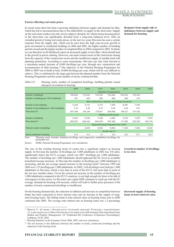#### **Factors affecting real estate prices**

In recent years there has been a growing imbalance between supply and demand for flats, which has led to increased prices due to the inflexibility in supply in the short-term. Supply on the real estate market can only slowly adapt to demand, for which reason housing prices in the short-term can significantly deviated from a long-term balanced level. After an extended period of rising real estate prices, in the last two years Slovenia has seen a certain response from the supply side, which can be seen from the high year-on-year growth in gross investment in residential buildings in 2004 and 2005, the higher number of building permits issued and the higher number of completed flats in 2004 compared to 2003. In future we can therefore in all likelihood expect an increased supply of new flats, which should lead to the growth in prices calming. However, one must remain aware of the restrictions arising from the capacity of the construction sector and the insufficient supply of suitable land with planning permission. According to some assessments, Slovenia can only look forward to a maximum annual increase of 8,000 dwellings per year, through new construction and reconstruction of older housing.14 One objective of the National Housing Programme for 2000 to 2009 was to build at least 10,000 dwellings per year, which will be very difficult to achieve. This is confirmed by the large gap between the planned number from the National Housing Programme and the actual number of newly constructed flats.

**Response from supply side to imbalance between supply and demand for housing.**

| Table 2.9: | Housing stock, number of completed dwellings, building permits issued |
|------------|-----------------------------------------------------------------------|
|            | and gross investment in housing                                       |

|                                                                                                            | 1999                      | 2000    | 2001                                               | 2002    | 2003    | 2004    | 2005    |  |  |
|------------------------------------------------------------------------------------------------------------|---------------------------|---------|----------------------------------------------------|---------|---------|---------|---------|--|--|
|                                                                                                            | Estimate of housing stock |         |                                                    |         |         |         |         |  |  |
| Number of dwellings <sup>1</sup>                                                                           | 709,825                   | 716,402 | 722,924                                            | 730,064 | 736.420 | 743,424 |         |  |  |
| Number of dwellings per 1000 inhabitants                                                                   | 357                       | 360     | 363                                                | 366     | 369     | 372     |         |  |  |
|                                                                                                            |                           |         | New constructions, extension and change of purpose |         |         |         |         |  |  |
| Number of new dwellings                                                                                    | 5,446                     | 6,751   | 6,715                                              | 7,265   | 6,567   | 7,004   |         |  |  |
| Number of new dwellings per 1000 inhabitants                                                               | 2.74                      | 3.39    | 3.37                                               | 3.64    | 3.29    | 3.51    |         |  |  |
| Floor area $(m^2)$                                                                                         | 607,468                   | 745,194 | 778,817                                            | 824.608 | 746,517 | 761.430 |         |  |  |
|                                                                                                            | Building permits issued   |         |                                                    |         |         |         |         |  |  |
| Number of dwellings                                                                                        | 5,634                     | 5,339   | 5.168                                              | 5.080   | 6,122   | 7,002   | 7,003   |  |  |
| Floor area $(m^2)$                                                                                         | 685,650                   | 636,424 | 606,262                                            | 597.366 | 711,385 | 793,200 | 861,179 |  |  |
|                                                                                                            |                           |         | National Housing Programme from 2000               |         |         |         |         |  |  |
| Planned number of dwellings                                                                                |                           | 6,200   | 6.550                                              | 6,950   | 7,400   | 7.950   | 8,550   |  |  |
|                                                                                                            | Growth rate $(\% )$       |         |                                                    |         |         |         |         |  |  |
| Gross investment in housing                                                                                | 14.3                      | $-4.0$  | 7.0                                                | 8.5     | $-8.0$  | 15.7    | 20.5    |  |  |
| <sup>1</sup> Housing stock includes inhabited dwellings and temporarily uninhabited dwellings for<br>Note: |                           |         |                                                    |         |         |         |         |  |  |

Note: permanent use.

Source: SORS, National Housing Programme, own calculations

The size of the existing housing stock of course has a significant impact on housing supply. In Slovenia the number of dwellings per 1,000 inhabitants in 2002 was 336 units, significantly below the EU15 average, which was 490<sup>15</sup> dwellings per 1,000 inhabitants. The number of dwellings per 1,000 inhabitants should approach the EU level as available household income increases. In Slovenia the number of dwellings per 1,000 inhabitants is increasing, and the net average annual increase in the housing stock<sup>16</sup> between 1999 and 2004 was 3.25 dwellings per 1,000 inhabitants. In 2002, 3.64 dwellings were built per 1,000 inhabitants in Slovenia, which is less than in most of the EU15, but more than in most of the ten new member states. Given the current net increase in the number of dwellings per 1,000 inhabitants compared to the EU15 countries, is not high enough for there to be talk of convergence in this sector. As Slovenia's per capita GDP continues to catch up with the EU average, demand for housing will increase, which will lead to further price pressures if the number of newly constructed dwellings is insufficient.

On the housing demand side, the reduction in inflation and increase in competition between banks has been expressed in lower interest rates and an increase in the supply of longterm housing loans. The falling trend in tolar interest rates on housing loans seen in 2004 continued into 2005. The average tolar interest rate on housing loans was 1.2 percentage **Growth in number of dwellings is too slow.**

**Increased supply of housing loans at lower interest rates.**

<sup>14</sup> Banovec T.: *Ali imamo v Sloveniji preveč ali premalo stanovanj? Poslovanje z nepremičninami: 16. tradicionalni posvet* (Does Slovenia have too much or too little housing? Slovenian Real Estate Market and Property Management: 16<sup>th</sup> Traditional RE Conference (Conference Proceedings)). Ljubljana: CCIS, 2005.

<sup>&</sup>lt;sup>15</sup> Housing Statistics in the European Union 2004, 2005, and own calculations.

<sup>&</sup>lt;sup>16</sup> The net increase is the difference between the number of newly constructed dwellings and the reduction in the housing stock.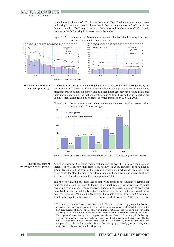A SLOVENII BANK OF SLOVENIA

> points lower by the end of 2005 than at the end of 2004. Foreign currency interest rates on housing loans were somewhat lower than in 2004 throughout most of 2005, but in the final two months of 2005 they did return to the level seen throughout most of 2004, largely because of the ECB raising its interest rates in December.





**Turnover on real estate market up by 34%.**

In 2005 year-on-year growth in housing loan volume increased further, passing 45% by the end of the year. The continuation of these trends over a longer period could, without any matching growth in housing supply, lead to a significant gap between housing prices and their fundamental value. The higher growth in housing loans has also had an impact on the volume of real estate trading by households, which increased by 33.6% in 2005.



Figure 2.13: Year-on-year growth in housing loans and the volume of real estate trading by households $17$  in percentages

Source: Bank of Slovenia, Nepremičninski informator 2005/XII (CCIS et al.), own calculations

#### **Institutional factors affecting real estate prices.**

A further reason for the rise in trading volume and the growth in prices is the projected increase in VAT on new flats from 8.5% to 20% in 2008. Households have already anticipated expected increases in the price of new dwellings, which has been seen in the rising prices for older housing. The future change in the tax treatment of new dwellings will in all likelihood contribute to rises in prices in 2006.

Tax relief for housing purchases has an important effect on the amount of demand for housing, and in combination with the extremely small renting market encourages house ownership over renting.18 The continued reduction in the average number of people per household despite the relatively stable population is a further factor in strengthening demand. Between 1991 and 2002 the average household size fell from 3 to 2.8 members, which is still significantly above the EU15 average, which was 2.3 in 2002. The reduction

<sup>&</sup>lt;sup>17</sup> The turnover is estimated on the basis of data on the 2% real estate sales tax payments. For 2005 the evaluation was made by comparing turnover in the first three quarters of 2005 with turnover in the first three quarters of 2004. The sale of new dwellings is not included in real estate turnover. In the following section the turnover on the real estate market relates to transactions made by households.

<sup>&</sup>lt;sup>18</sup> For 15 years after purchasing a house, buyers can make use of tax relief for sums paid for housing. The sums paid include their own funds and the principal and interest on a housing loan. The tax relief is a maximum of 4% of the taxpayer's taxable base. Furthermore, flat and house owners can use general tax relief to further reduce their taxable base by up to 2% of payments relating to the maintenance of housing and residential buildings.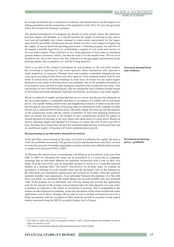in average household size is expected to continue, and should cancel out the impact of a falling population and the proportion of the population in the 30 to 44 year-old age band, where the demand for housing is greatest.

The planned introduction of a property tax should, to some extent, reduce the imbalance between supply and demand, as it should increase the supply of housing to buy and to rent, and will probably also reduce demand to some extent, particularly for the larger, more heavily taxed flats. Furthermore the tax should also have some impact on improving the supply of vacant land with planning permission. Collecting property tax will first of all require a suitable legal basis for establishing a register of real estate and records on the real estate market. There will have to be a mass appraisal of real estate to determine general market valuations, which can then be used to set the taxable base. The tax level should be low, this is the reason why the reduction in the gap supply and demand on the housing market, due to property tax, will be of long duration.

There is no data on the volume of purchases by non-residents on the real estate market, but according to reporting by real estate agencies, these transactions still represent a small proportion of turnover. Demand from non-residents somewhat strengthened last year, again according to data from real estate agencies. Non-residents mainly look for real estate in tourist areas and older buildings in rural areas. In future we can expect higher demand for real estate in Slovenia from non-residents, due to the probable slowdown or even negative price growth in some European countries with overpriced real estate. This can already be seen with British buyers, who are among the most common foreign buyers of Slovenian real estate alongside Austrians and Italians, according to real estate agents.

Based on analysis of supply and demand factors, we assess that the past development on the real estate market is sustainable and there is no danger of a sudden fall in real estate prices. The rapidly falling interest rates and lengthening maturity of loans in recent years has through an increased volume of housing loans in combination with a number of other factors led to rapid growth in house prices. Recently supply has been up, but the capacity of the construction sector and the current availability of land with planning permission does not permit the increase in the number of new constructions needed for supply to exceed demand for housing in the near future and cause prices to come down. Based on factors affecting supply and demand for housing we expect the rate of price growth to ease, but there does remain the risk that the continued rapid increase in housing loans and an insufficient supply of housing will foster continued price growth.

#### **Buying housing as an alternative financial investment**

In the past three years housing in Slovenia, or at least in Ljubljana, the capital, has been a relatively profitable investment. The growth of prices and income from rents have covered not only the payment of monthly repayments on loans, but have also offered further income to owners over the period 2003 to 2005.

To illustrate the attractiveness of purchasing a dwelling as an investment, each year from 2003 to 2005 we calculated the return on an investment in a 2-room flat in Ljubljana, assuming that an individual finances the purchase exclusively with a loan or their own funds. If at the start of the year an individual decided to invest in a 2-room flat financed entirely by a housing loan,<sup>19</sup> the return<sup>20</sup> was positive for all three years. To evaluate an investment in housing we took monthly rents and the increased value of the housing for the individual year (unrealised capital gain) into account as revenue, while the expenses included monthly loan repayments. If an individual financed the purchase of a flat with their own funds, we calculated the return taking into account monthly rent and increased value of the property for an individual year, and also taking into account the opportunity cost (in the amount of the average annual interest rates for time deposits over one year), to produce an indicator of the return on investment in housing. This is comparable to the returns on other financial investments, where the calculation of the return included the same opportunity cost as above. Buying a flat in order to rent it out (buy-to-lease) proved to be a better investment, with the exception of 2004, when the growth in securities on the capital market measured using the SBI 20 recorded a higher level of return.

#### $19$  The loan-to-value ratio (LTV) is actually set below 100%, which requires the purchaser to invest their own funds as well.

#### **Increased demand from non-residents.**

**Investment in housing proves profitable.** 

<sup>&</sup>lt;sup>20</sup> The return is calculated using the discounted net present value method.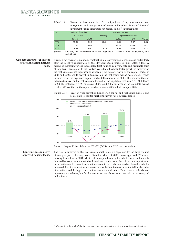| Table 2.10: | Return on investment in a flat in Ljubliana taking into account loan         |  |  |  |  |  |  |  |
|-------------|------------------------------------------------------------------------------|--|--|--|--|--|--|--|
|             | repayments and comparison of return with other forms of financial            |  |  |  |  |  |  |  |
|             | investment (using discounted net present value) <sup>21</sup> in percentages |  |  |  |  |  |  |  |

| In vestment (womig unocounted not present value) in percentages |                     |             |         |                        |            |              |  |  |  |  |
|-----------------------------------------------------------------|---------------------|-------------|---------|------------------------|------------|--------------|--|--|--|--|
| (%)                                                             | Purchase of housing |             |         |                        |            |              |  |  |  |  |
|                                                                 | with a loan         |             | Housing | Capital market indices |            |              |  |  |  |  |
|                                                                 | TOM+r               | <b>SIOM</b> |         | <b>SBI20</b>           | <b>BIO</b> | <b>VEPVS</b> |  |  |  |  |
| 2003                                                            | 11.63               | 12.82       | 26.84   | 9.85                   | $-1.37$    | 9.37         |  |  |  |  |
| 2004                                                            | 3.53                | 4.49        | 17.33   | 19.82                  | $-0.04$    | 13.15        |  |  |  |  |
| 2005                                                            | 3.93                | 4.01        | 16.94   | $-8.36$                | $-2.08$    | 4.09         |  |  |  |  |

Source: SLONEP, Tax Administration of the Republic of Slovenia, Bank of Slovenia, own calculations

#### **Gap between turnover on real estate and capital markets falls.**

Buying a flat was and remains a very attractive alternative financial investment, particularly after the negative experiences on the Slovenian stock market in 2005. After a lengthy period of increasing prices, households treat housing as a very safe and profitable form of long-term investment. In the last two years there has been faster growth in turnover on the real estate market, significantly exceeding the rate of growth on the capital market in 2004 and 2005. While growth in turnover on the real estate market accelerated, growth in turnover on the organised capital market fell somewhat in 2005. This reduced the gap between turnover on the real estate market and on the capital market from SIT 140 billions in 2004 to just under SIT 98 billions in 2005. In 2005 the turnover on the real estate market reached 78% of that on the capital market, while in 2002 it had been just 40%.





Source: Nepremičninski informator 2005/XII (CCIS et al.), LJSE, own calculations

#### **Large increase in newly approved housing loans.**

The rise in turnover on the real estate market is largely explained by the large volume of newly approved housing loans. Over the whole of 2005, banks approved 59% more housing loans than in 2004. Most real estate purchases by households were undoubtedly financed by loans taken out with banks and own funds. Some funds from time deposits and the securities market were therefore transferred to the real estate market. Some households increased their investment in real estate due to the low interest rates, the fall in the value of securities, and the high return on investments in real estate. There is no specific data on buy-to-lease purchases, but for the reasons set out above we expect this sector to expand in the future.

<sup>21</sup> Calculations for a 60m2 flat in Ljubljana. Housing prices at start of year used to calculate return..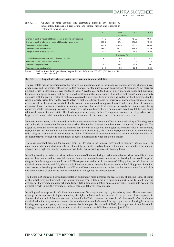#### Table 2.11: Changes in time deposits and alternative financial investments by households, turnover on real estate and capital market and changes in volume of housing loans

| $\frac{1}{2}$                                                       |       |                     |       |          |
|---------------------------------------------------------------------|-------|---------------------|-------|----------|
|                                                                     | 2002  | 2003                | 2004  | 2005     |
|                                                                     |       | (SIT billions)      |       |          |
| Change in stock of household time deposits excluding sight deposits | 151.9 | 61.1                | 127.3 | $-102.4$ |
| Change in stock of alternative household financial investments      | 239.7 | 184.1               | 319.5 | 192.5    |
| Turnover on capital market                                          | 475.2 | 339.9               | 396.7 | 440.8    |
| Turnover on real estate market                                      | 189.9 | 210.1               | 256.5 | 342.6    |
| Change in stock of housing loans                                    | 24.7  | 31.7                | 54.5  | 102.5    |
|                                                                     |       | Growth rate $(\% )$ |       |          |
| Household time deposits excluding demand deposits                   | 14.0  | 4.9                 | 9.8   | $-7.2$   |
| Alternative household financial investments                         | 32.1  | 18.7                | 27.3  | 12.9     |
| Turnover on capital market                                          | 39.2  | $-28.5$             | 16.7  | 11.1     |
| Turnover on real estate market                                      | 21.0  | 10.6                | 22.1  | 33.6     |

Source: Bank of Slovenia, Vzajemci.com, Nepremičninski informator 2005/XII (CCIS et al.), ISA, LJSE, own calculations

#### **Box 2.2: Impact of real estate price movement on financial stability**

The real estate market is characterised by pro-cyclical movement due to the strong correlation between changes in real estate prices and the credit cycle, owing to debt financing for the purchase and construction of housing. As yet there are no bond issues in Slovenia to cover mortgage loans. Nevertheless, on the basis of a new mortgage bonds and municipal bonds act, mortgage banking will be developed in Slovenia, the main feature of which is that banks' lending capacity increases with the growing value of real estate covered by mortgage. Even in a banking system without mortgage banks, rising property prices lead via the wealth effect to higher creditworthiness for borrowers, and to improvements in bank assets, which in the terms of available funds became more inclined to approve loans. Finally in a phase of economic expansion there is often a relaxation in lending standards that leads to excesses or to overly favourable loans being approved. While real estate prices rise, if banks have sufficient funds, there is an increased credit availability and hence additional demand for real estate. This leads to prices increasing further. The opposite scenario develops when prices begin to fall on real estate markets and the reduced volume of bank loans leads to further falls in prices.

Nominal interest rates, which depend on inflationary expectations, have an effect on the availability of housing loans and indirectly on demand on the real estate market. The nominal interest rate when a loan is approved is important. The higher the nominal interest rate at the moment that the loan is taken out, the higher the nominal value of the monthly repayment (if the loan amount remains the same). For a given wage, the nominal repayment amount to nominal wage ratio is higher when nominal interest rates are higher. If the nominal repayment to income ratio is an important criterion for loan approval, households find it harder to access housing loans when inflation is higher.

The most important criterion for granting loans in Slovenia is the nominal repayment to monthly income ratio. The amortisation schedule includes calculation of monthly payments based on the current nominal interest rate. If the nominal interest rate is high, the monthly repayment will be higher, restricting access to housing loans.

Including housing or real estate prices in the calculation of inflation during a period where house prices rise while all other remains the same, would increase inflation and hence the nominal interest rate. Access to housing loans would drop and the growth in housing prices would tail off. The opposite would occur in the event of falling prices, as inflation and the nominal interest rate would fall, which would increase access to housing loans and reverse the falling prices. Including a real estate or housing price index in the CPI would have a counter-cyclical effect on the real estate market, which is desirable in terms of preventing real estate bubbles or mitigating their consequences.

The Figure 2.15 indicates how reducing inflation and interest rates increases the accessibility of housing loans. The ratio of the initial repayment amount (when a new housing loan is taken out in a specific month) to the 12-month moving average for the average monthly net wage largely fell in line with inflation since January 2003. Taking into account the nominal growth in monthly average net wages, this ratio fell even more quickly.

Including real estate prices in inflation calculations also affects repayment capacity for existing loans. The increase in real estate prices is expressed in higher annuities, via higher inflation and interest rates. In the past most loans approved in Slovenia had a principal that was revalued in line with the TOM base rate. Increases in inflation would reflect in a higher nominal value for repayment instalments, but would not threaten the household's capacity to repay a housing loan, as the housing loan approval policy was very conservative in the past. By the end of 2005, the proportion of total household housing loans accounted for by loans with a principal linked to the TOM base rate was just 27.3%.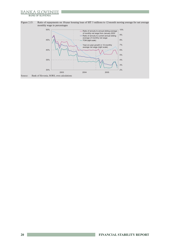

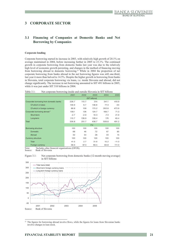# **3 CORPORATE SECTOR**

# **3.1 Financing of Companies at Domestic Banks and Net Borrowing by Companies**

# **Corporate lending**

Corporate borrowing started its increase in 2003, with relatively high growth of 20.1% on average maintained in 2004, before increasing further in 2005 to 23.1%. The continued growth in corporate borrowing from domestic banks last year was due to the relatively high level of economic growth persisting, and changes in the method of financing moving from borrowing abroad to domestic borrowing.22 While in 2004 the proportion of net corporate borrowing from banks abroad in the net borrowing figures was still one-third, last year it more than halved to 14.5%. Despite the higher growth in borrowing from banks in Slovenia, total corporate borrowing via loans, i.e. inside Slovenia and abroad, did not change significantly. The increase in net borrowing amounted to SIT 491 billions in 2005, while it was just under SIT 510 billions in 2004.

Table 3.1: Net corporate borrowing inside and outside Slovenia in SIT billions

|                                         | 2001   | 2002   | 2003  | 2004   | 2005    |
|-----------------------------------------|--------|--------|-------|--------|---------|
|                                         |        |        |       |        |         |
| Corporate borrowing from domestic banks | 228.7  | 115.7  | 314   | 341.1  | 419.9   |
| Of which in tolars                      | 139.9  | 6.7    | 138.8 | 77.3   | $-54$   |
| Of which in foreign currency            | 88.8   | 109    | 175.2 | 263.8  | 473.9   |
| Corporate borrowing abroad 1            | 108.1  | 136    | 124.7 | 168.7  | 71.3    |
| Short-term                              | $-2.7$ | $-2.9$ | 16.3  | $-7.3$ | 21.9    |
| Long-term                               | 110.7  | 138.9  | 108.4 | 176    | 49.4    |
| Total                                   | 336.8  | 251.7  | 438.7 | 509.8  | 491.2   |
|                                         |        |        | (%)   |        |         |
| <b>Borrowing structure</b>              | 100    | 100    | 100   | 100    | 100     |
| <b>Domestic</b>                         | 68     | 46     | 72    | 67     | 85      |
| Abroad                                  | 32     | 54     | 28    | 33     | 15      |
| <b>Currency structure</b>               | 100    | 100    | 100   | 100    | 100     |
| Tolar                                   | 41.5   | 2.7    | 31.6  | 15.2   | $-11.0$ |
| Foreign currency                        | 58.5   | 97.3   | 68.4  | 84.8   | 111.0   |

Note:<br>Source: <sup>1</sup>Includes other financial organisations (OFOS).

Bank of Slovenia

Figure 3.1: Net corporate borrowing from domestic banks (12-month moving average) in SIT billions



<sup>&</sup>lt;sup>22</sup> The figures for borrowing abroad involve flows, while the figures for loans from Slovenian banks involve changes in loan stock.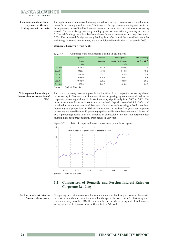**Companies make net tolar repayments as the tolar lending market contracts.**

The replacement of sources of financing abroad with foreign currency loans from domestic banks further strengthened last year. The increased foreign currency lending was due to the falling interest rates offered by domestic banks; at the same time the banks were borrowing abroad. Corporate foreign currency lending grew last year with a year-on-year rate of 55.3%, while the growth in tolar-denominated loans to companies was negative, down 5.0%. The increased foreign currency lending is a reflection of the spread between tolar and foreign currency interest rates, and the anticipated introduction of the euro in 2007.

## **Corporate borrowing from banks**

| Corporate loans and deposits at banks in SIT billions<br>Table 3.2: |  |
|---------------------------------------------------------------------|--|
|---------------------------------------------------------------------|--|

|         | Corporate        | Corporate | Net corporate      | Net borrowing |
|---------|------------------|-----------|--------------------|---------------|
|         | loans            | deposits  | borrowing at banks | (as % of GDP) |
|         | (1)              | (2)       | $(1-2)$            |               |
| Dec. 00 | 938.3            | 441.8     | 496.6              | 11.5          |
| Dec. 01 | 1167.1           | 517.7     | 649.3              | 13.5          |
| Dec. 02 | 1282.8           | 605.0     | 677.9              | 12.7          |
| Dec. 03 | 1596.9           | 619.6     | 977.3              | 16.8          |
| Dec. 04 | 1938.0           | 636.2     | 1301.8             | 20.8          |
| Dec. 05 | 2357.9           | 744.6     | 1613.4             | 24.6          |
| Source: | Bank of Slovenia |           |                    |               |

#### **Net corporate borrowing at banks rises as proportion of GDP.**

The relatively strong economic growth, the transition from companies borrowing abroad to borrowing in Slovenia, and increased financial gearing by companies all led to net corporate borrowing at domestic banks increasing significantly from 2003 to 2005. The ratio of corporate loans at banks to corporate bank deposits exceeded 3 in 2004, and remained a little above that level last year. Net corporate borrowing at banks has been increasing as a proportion of GDP for some time. In the last five years net corporate borrowing increased by over 13 percentage points, while in the last year alone it increased by 3.8 percentage points to 24.6%, which is an expression of the fact that corporate debt financing has been predominantly from banks in Slovenia.





# **3.2 Comparison of Domestic and Foreign Interest Rates on Corporate Lending**

**Decline in interest rates in Slovenia slows down.**

Comparing interest rates on tolar loans and on loans with a foreign currency clause with interest rates in the euro area indicates that the spread between rates fell fastest up until Slovenia's entry into the ERM II. Later on the rate at which the spread closed slowed, as the reduction in interest rates in Slovenia itself slowed.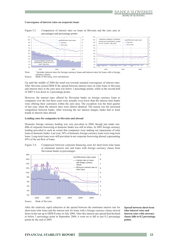## **Convergence of interest rates on corporate loans**



Figure 3.3: Comparison of interest rates on loans in Slovenia and the euro area in percentages and percentage points



Up until the middle of 2004 the trend was towards nominal convergence of interest rates. After Slovenia joined ERM II the spread between interest rates on tolar loans in Slovenia and interest rates in the euro area was below 3 percentage points, while in the second half of 2005 it was down to 2 percentage points.

However, the interest rates offered by Slovenian banks on foreign currency loans to companies over the last three years were actually even lower than the interest rates banks were offering their customers within the euro area. The exception was the final quarter of last year, when the interest rates were almost identical. The reason was the increased competition between banks. After lowering the net interest margin, banks had to track trends in interest rates abroad.

#### **Lending rates for companies in Slovenia and abroad**

Domestic foreign currency lending was very prevalent in 2004, though just under onefifth of corporate borrowing at domestic banks was still in tolars. In 2005 foreign currency lending prevailed to such an extent that companies were making net repayments of tolar loans at domestic banks. Last year, 56% of domestic foreign currency loans were long-term loans. Long-term loans were still prevalent in net corporate borrowing abroad, representing 69% of the net flow of loans.





After the relatively rapid reduction in the spread between the minimum interest rate for short-term tolar loans and the interest rate for loans with a foreign currency clause slowed down in the run up to ERM II entry in July 2004. After this interest rate spread had declined to below 1 percentage point in September 2004, it went on to fall to just 0.2 percentage points by the end of 2005.

**Spread between short-term tolar interest rates and interest rates with currency clause falls to 0.2 percentage points.**

# **FINANCIAL STABILITY REPORT 23**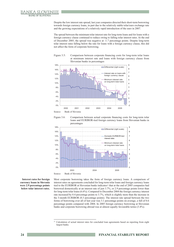

Despite the low interest rate spread, last year companies directed their short-term borrowing towards foreign currency loans, in part due to the relatively stable tolar/euro exchange rate and the growing expectations of a relatively rapid introduction of the euro in 2007.

The spread between the minimum tolar interest rate for long-term loans and for loans with a foreign currency clause continued to reduce owing to falling tolar interest rates. At the end of December 2005, the spread was negative at -1.7 percentage points. Despite long-term tolar interest rates falling below the rate for loans with a foreign currency clause, this did not affect the form of corporate borrowing.









**Interest rates for foreign currency loans in Slovenia were 2.9 percentage points below tolar interest rates.**

Most corporate borrowing takes the form of foreign currency loans. A comparison of interest rates on agreements concluded for long-term tolar loans and foreign currency loans tied to the EURIBOR at Slovenian banks indicates<sup>23</sup> that at the end of 2005 companies had borrowed domestically at an interest rate of just 3.7%, or 2.9 percentage points lower than for long-term tolar loans (6.6%). Compared to December 2004 the foreign currency interest rate increased by 0.4 percentage points to 3.7%, which is slightly more than the increase in the 3-month EURIBOR (0.3 percentage points). The interest rate spread between the two forms of borrowing over all of last year was 3.1 percentage points on average, a fall of 0.6 percentage points compared with 2004. In 2005 foreign currency borrowing at Slovenian banks and corporate borrowing abroad was at almost equally favourable terms (3.4%).

<sup>&</sup>lt;sup>23</sup> Calculation of actual interest rates for concluded loan agreements based on reporting from eight largest banks.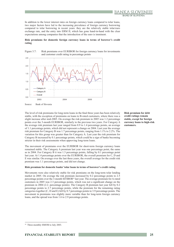In addition to the lower interest rates on foreign currency loans compared to tolar loans, two major factors have led to the increasing prevalence of foreign currency borrowing compared to tolar borrowing in recent years: they are the relatively stable tolar/euro exchange rate, and the entry into ERM II, which has gone hand-in-hand with the clear expectations among companies that the introduction of the euro is imminent.

# **Risk premiums for domestic foreign currency loans in terms of borower's credit rating**

Figure 3.7: Risk premiums over EURIBOR for foreign currency loans for investments and customer credit rating in percentage points



Source: Bank of Slovenia

The level of risk premiums for long-term loans in the final three years has been relatively stable, with the exception of premiums on loans to B-rated customers, where there was a slight increase after mid-2005. On average the risk premium in 2005 was 1.2 percentage points over the 3-month EURIBOR, similarly to the previous two years. For Category A the average risk premium last year ranged from 0.9 to 1.4 percentage points, an average of 1.1 percentage points, which did not represent a change on 2004. Last year the average risk premium for Category B was 1.7 percentage points, ranging from 1.1% to 2.2%. The variation for this group was greater than for Category A. Last year the risk premium for Category B increased by 0.1 percentage points, which could be a sign of banks becoming stricter in their risk assessments when approving long-term loans.

The movement of premiums over the EURIBOR for short-term foreign currency loans remained stable. The Category A premium last year was one percentage point, the same as in 2004. For Category B it was 1.3 percentage points, falling by 0.1 percentage point last year. At 1.4 percentage points over the EURIBOR, the overall premium for C, D and E was similar. On average over the last three years, the overall average for the credit risk premium was 1.1 percentage points, and did not change.

# **Risk premium for domestic banks' tolar loans in terms of borower's credit rating**

Movements were also relatively stable for risk premiums on the long-term tolar lending market in 2005. On average the risk premium increased by 0.2 percentage points to 2.5 percentage points over the 3-month SITIBOR24 last year. The average premium for A-rated customers in 2005 was 2.3 percentage points, which was not a significant change on the premium in 2004 (2.2. percentage points). The Category B premium last year fell by 0.2 percentage points to 2.7 percentage points, while the premium for the remaining rating categories together (C, D and E) fell by 0.7 percentage points to 3.9 percentage points. The movement in premiums was slightly more variable than for long-term foreign currency loans, and the spread was from 1.6 to 2.9 percentage points.

**Risk premium for debt credit ratings remain stable, except for foreign currency loans to high-risk customers.**

<sup>&</sup>lt;sup>24</sup> Three-monthly SMOM to July 2003.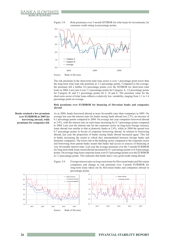A SLOVENIJ BANK OF SLOVENIA



Source: Bank of Slovenia

The risk premium in the short-term tolar loan sector is over 1 percentage point lower than the long-term tolar loan risk premium at 1.2 percentage points. Compared to the average, the premium fell a further 0.4 percentage points over the SITIBOR for short-term tolar loans in 2004. Last year it was 1.2 percentage points for Category A, 1.6 percentage points for Category B, and 2.1 percentage points for C, D and E. The premium value for the short-term sector of tolar loans reflects a relatively low variability, ranging from 1.1 to 1.6 percentage point on average.

## **Risk premiums over EURIBOR for financing of Slovenian banks and companies abroad**

**Banks retained a low premium over EURIBOR in 2005 for borrowing abroad, while premiums for companies fell.**

As in 2004, banks borrowed abroad at more favourable rates than companies in 2005. On average last year the interest rates for banks raising funds abroad was 2.5%, an increase of 0.1 percentage points compared to 2004. On average last year companies borrowed abroad at 3.4%, with the interest rate on such loans increasing by 0.7 percentage points compared to 2004. Last year the interest rate for the corporate sector on long-term foreign currency loans abroad was similar to that at domestic banks at 2.4%, while in 2004 the spread was 0.7 percentage points in favour of corporate borrowing abroad. In relation to borrowing abroad, last year the proportion of banks raising funds abroad increased again. This led to banks increasing the extent to which they intermediated between foreign banks and domestic companies. The lower risk in the banking sector compared to the corporate sector and borrowing from parent banks meant that banks had access to sources of financing at very favourable interest rates. Last year the average premium over the 3-month EURIBOR for long-term bank loans raised abroad increased by 0.1 percentage points to 0.4 percentage points. On average long-term corporate loans were 0.5 percentage points over the EURIBOR at 1.2 percentage points. This indicates that banks had a very good credit rating abroad.





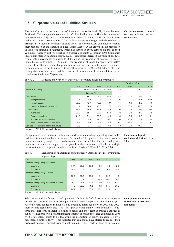# **3.3 Corporate Assets and Liabilities Structure**

The rate of growth in the total assets of Slovenian companies gradually slowed between 2001 and 2004, owing to the reduction in inflation. Real growth in Slovenian companies' total assets fell to 1.8% in 2002, before returning to its 2001 level of 4.1% in 2003. In 2004 real growth in total assets reached 5.5%, without any major changes in the breakdown of principal asset items in company balance sheets, as current assets continued to expand their proportion at the expense of fixed assets. Last year the growth in the proportion of long-term financial investments, which had started in 1998, came to an end, as their volume increased by just 7%, which is 18.3 percentage points less than in 2003. Companies invested far more in intangible assets. In 2004, companies increased the value of goodwill by more than seven times compared to 2003, taking the proportion of goodwill to overall intangible assets to a high 37.4% in 2004; the proportion of intangible assets nevertheless remains low. The increase in the proportion of current assets in 2004 came from shortterm financial investments and inventories. They grew by 13.2% in 2004 due to Slovenia joining the European Union, and the consequent introduction of customs duties for the countries of the former Yugoslavia.

| Corporate assets structure  |
|-----------------------------|
| starting to favour shorter- |
| term assets.                |

| Table 3.3: | Structure and year-on-year growth of corporate assets in percentages |  |  |
|------------|----------------------------------------------------------------------|--|--|
|------------|----------------------------------------------------------------------|--|--|

|                                        |          |               |          |          |      | Growth rate $(\% )$ |      |        |
|----------------------------------------|----------|---------------|----------|----------|------|---------------------|------|--------|
|                                        | 2001     | 2002          | 2003     | 2004     | 2001 | 2002                | 2003 | 2004   |
| Assets (SIT billions)                  | 11.623.8 | 12.683.6      | 13,806.2 | 15.030.8 | 11.5 | 9.1                 | 8.9  | 8.9    |
|                                        |          | Structure (%) |          |          |      |                     |      |        |
| <b>Fixed assets</b>                    | 65.3     | 64.7          | 64.3     | 63.8     | 11.9 | 8.0                 | 8.1  | 8.1    |
| Intangible assets                      | 2.1      | 2.2           | 2.2      | 3.4      | 49.8 | 11.1                | 8.8  | 69.6   |
| Tangible assets                        | 76.8     | 73.9          | 70.0     | 69.1     | 5.7  | 4.0                 | 2.5  | 6.6    |
| Long-term financial investments        | 21.1     | 24.0          | 27.8     | 27.5     | 37.9 | 22.6                | 25.3 | 7.0    |
| Current assets                         | 34.2     | 34.9          | 35.3     | 35.8     | 10.9 | 11.2                | 10.1 | 10.4   |
| Inventories                            | 25.0     | 24.4          | 23.9     | 24.5     | 6.2  | 8.4                 | 8.0  | 13.2   |
| Operating receivables                  | 51.9     | 51.1          | 50.2     | 49.6     | 9.0  | 9.5                 | 8.2  | 9.1    |
| Short-term financial investments       | 17.4     | 18.6          | 19.5     | 20.3     | 20.8 | 18.8                | 15.7 | 15.0   |
| Bank balances, cheques and cash        | 5.7      | 5.9           | 6.4      | 5.5      | 22.1 | 15.6                | 17.7 | $-4.1$ |
| Deferred expenses and accrued revenues | 0.5      | 0.4           | 0.5      | 0.5      | 11.9 | 6.9                 | 15.7 | 8.4    |

Source: APLRRS, own calculations

Companies have an increasing volume of short-term financial and operating receivables and liabilities on their balance sheets. The trend of the previous few years towards increasing maturity length for receivables came to an end in 2004. The increased growth in short-term liabilities compared to the growth in short-term receivables led to a slight deterioration in the corporate liquidity ratio from 82.6% in 2003 to 82.1% in 2004.

**Companies' liquidity coefficient deteriorated in 2004.**

Table 3.4: Breakdown of financial and operating receivables and liabilities by maturity in net

| in percentages                                  |      |      |      |      |      |      |
|-------------------------------------------------|------|------|------|------|------|------|
| (%)                                             | 1999 | 2000 | 2001 | 2002 | 2003 | 2004 |
| Financial and operating receivables             |      |      |      |      |      |      |
| Long-term                                       | 33.1 | 33.8 | 38.3 | 40.3 | 43.0 | 42.3 |
| Short-term                                      | 66.9 | 66.2 | 61.7 | 59.7 | 57.0 | 57.7 |
| Financial and operating liabilities             |      |      |      |      |      |      |
| Long-term                                       | 35.0 | 36.6 | 39.9 | 41.1 | 39.7 | 41.2 |
| Short-term                                      | 65.0 | 63.4 | 60.1 | 58.9 | 60.3 | 58.8 |
| Financial and operating receivables/liabilities | 76.0 | 74.3 | 77.4 | 80.9 | 87.4 | 83.7 |
| Long-term                                       | 71.8 | 68.5 | 74.2 | 79.2 | 94.7 | 85.8 |
| Short-term                                      | 78.2 | 77.6 | 79.6 | 82.1 | 82.6 | 82.1 |

Source: APLRRS, own calculations

With the exception of financial and operating liabilities, in 2004 lower or even negative growth was recorded by most principal liability items compared to the previous year. After the rapid reduction in financial and operating liabilities between 2000 and 2003, their volume again increased. The 14% growth came mainly from companies' longterm and short-term financial liabilities to banks and short-term operating liabilities to suppliers. The proportion of debt financing (mainly at banks) increased compared to 2003 by 2.5 percentage points to 55.4%, while the proportion of equity financing fell by 2 percentage points to 46.4%. This indicates that companies have started to redirect their preferred financing method towards debt financing. The growth in long-term financial

**Companies have started to redirect towards debt financing.**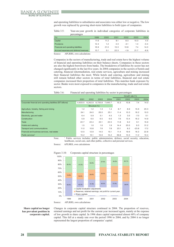BANK OF SLOVENIA

A SLOVENI

and operating liabilities to subsidiaries and associates was either low or negative. The low growth was replaced by growing short-term liabilities to both types of companies.

Table 3.5: Year-on-year growth in individual categories of corporate liabilities in

| percentages                            |      |      |      |        |      |        |
|----------------------------------------|------|------|------|--------|------|--------|
| (%)                                    | 1999 | 2000 | 2001 | 2002   | 2003 | 2004   |
| Capital                                | 11.6 | 11.2 | 8.1  | 8.3    | 10.3 | 4.5    |
| <b>Provisions</b>                      | 12.4 | 1.2  | 4.3  | $-4.1$ | 1.4  | $-0.4$ |
| Financial and operating liabilities    | 16.9 | 21.0 | 15.3 | 10.8   | 7.4  | 14.0   |
| Accrued expenses and deferred revenues | 13.7 | 5.1  | 22.3 | $-1.9$ | 217  | $-6.9$ |

Source: APLRRS, own calculations

Companies in the sectors of manufacturing, trade and real estate have the highest volume of financial and operating liabilities on their balance sheets. Companies in these sectors are also the highest borrowers from banks. The breakdown of liabilities by sector has not changed significantly in the last five years. In 2004 companies in the sectors of hotels and catering, financial intermediation, real estate services, agriculture and mining increased their financial liabilities the most. While hotels and catering, agriculture and mining still remain behind other sectors in terms of total liabilities, financial and real estate companies increased their proportion of total liabilities. This matches bank exposure by sector. Banks were most exposed to companies in the manufacturing, trade and real estate sectors.

| Table 3.6: | Financial and operating liabilities by sector in percentages |
|------------|--------------------------------------------------------------|
|------------|--------------------------------------------------------------|

|                                                              |         |               |         |         |      | Growth rate $(\% )$ |         |      |
|--------------------------------------------------------------|---------|---------------|---------|---------|------|---------------------|---------|------|
|                                                              | 2001    | 2002          | 2003    | 2004    | 2001 | 2002                | 2003    | 2004 |
| Corporate financial and operating liabilities (SIT billions) | 5.633.5 | 6.242.9       | 6.705.8 | 7.645.7 | 15.3 | 10.8                | 7.4     | 14.0 |
|                                                              |         | Structure (%) |         |         |      |                     |         |      |
| Agriculture, forestry, fishing and mining                    | 1.2     | 1.2           | 1.3     | 1.4     | 8.7  | 8.9                 | 15.6    | 20.3 |
| Manufacturing                                                | 24.1    | 24.0          | 26.0    | 25.1    | 11.4 | 10.3                | 16.2    | 10.0 |
| Electricity, gas and water                                   | 6.4     | 5.9           | 5.1     | 4.5     | 1.3  | 3.5                 | $-7.0$  | 0.1  |
| Construction                                                 | 5.9     | 6.0           | 6.5     | 6.6     | 7.6  | 13.4                | 16.2    | 14.9 |
| Trade                                                        | 22.7    | 22.4          | 22.1    | 22.5    | 11.8 | 9.2                 | 6.1     | 15.9 |
| Hotels and catering                                          | 1.5     | 1.6           | 1.6     | 1.9     | 14.4 | 20.5                | 9.3     | 31.2 |
| Transport and communications                                 | 11.0    | 10.8          | 7.6     | 7.8     | 23.1 | 8.2                 | $-23.8$ | 17.2 |
| Financial and business services, real estate                 | 12.0    | 12.9          | 14.0    | 15.1    | 11.4 | 19.6                | 16.3    | 22.8 |
| Public services <sup>1</sup>                                 | 15.2    | 15.1          | 15.6    | 15.2    | 39.8 | 10.3                | 11.2    | 10.4 |

Note: <sup>1</sup> Public services includes: public administration, defence, social security, education, healthcare, social care, and other public, collective and personal services.

Source: APLRRS, own calculations





Source: APLRRS, own calculations

**Share capital no longer has prevalent position in corporate capital.**  Changes in corporate capital structure continued in 2004. The proportion of reserves, retained earnings and net profit for the current year increased again, mainly at the expense of low growth in share capital. In 1996 share capital represented almost 60% of company capital. This fell at a steady rate over the period 1996 to 2004, and by 2004 it no longer represented the largest proportion of companies' capital.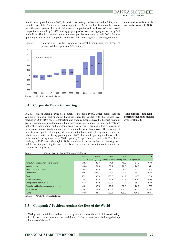Despite lower growth than in 2003, the positive operating results continued in 2004, which is a reflection of the favourable economic conditions. At the level of the national economy the difference between the profits of success companies and the losses of unsuccessful companies increased by 21.4%, with aggregate profits exceeded aggregate losses by SIT 460 billions. This is confirmed by the continued positive economic cycle in 2004. Positive operating results enabled companies to increase debt financing in the financing structure.

**Companies continue with successful results in 2004.**





# **3.4 Corporate Financial Gearing**

In 2001 total financial gearing by companies exceeded 100%, which means that the volume of financial and operating liabilities exceeded capital, with the highest level reached in 2004 (109.7%). Construction and trade companies have the highest financial gearing, with financial and operating liabilities respectively almost 2.7 times and 1.7 times higher than their capital, and increasing from year to year. This means that companies in these sectors are relatively more exposed to a number of different risks. The coverage of liabilities by capital is also rapidly decreasing in the hotels and catering sector, where the debt to capital ratio has being growing since 2000. The stable gearing level was broken in the manufacturing sector as in 2004 it grew by 9.1 percentage points to 84.1%, almost reaching its 1997 level. Although in 2004 companies in this sector had the lowest growth in debt over the preceding five years, a 1.9-per cent reduction in capital contributed to the rise in financial gearing.

**Total corporate financial gearing reaches its highest ever level in 2004.**

|  |  | 1999 | 2000                    |
|--|--|------|-------------------------|
|  |  |      | Financial gearing - fin |
|  |  |      |                         |

Table 3.7: Financial gearing by sector in percentages

|                                              | 1999  | 2000                                                                | 2001  | 2002  | 2003  | 2004  |  |  |  |  |
|----------------------------------------------|-------|---------------------------------------------------------------------|-------|-------|-------|-------|--|--|--|--|
|                                              |       | Financial gearing - financial and operating liabilities/Capital (%) |       |       |       |       |  |  |  |  |
| Agriculture, forestry, fishing and mining    | 23.2  | 30.7                                                                | 41.4  | 46.0  | 54.9  | 63.0  |  |  |  |  |
| Manufacturing                                | 69.8  | 71.9                                                                | 72.4  | 72.3  | 75.0  | 84.1  |  |  |  |  |
| Electricty, gas and water                    | 31.5  | 35.5                                                                | 49.7  | 48.5  | 42.3  | 41.5  |  |  |  |  |
| Construction                                 | 193.4 | 205.7                                                               | 201.5 | 233.6 | 253.0 | 268.2 |  |  |  |  |
| Trade                                        | 161.1 | 160.6                                                               | 159.2 | 161.7 | 157.0 | 171.8 |  |  |  |  |
| Hotels and catering                          | 51.3  | 50.8                                                                | 55.2  | 62.8  | 65.1  | 80.9  |  |  |  |  |
| Transport and communications                 | 65.6  | 99.8                                                                | 106.9 | 117.7 | 82.7  | 88.0  |  |  |  |  |
| Financial and business services, real estate | 88.2  | 92.8                                                                | 67.0  | 69.2  | 70.6  | 77.7  |  |  |  |  |
| Public services                              | 593.7 | 611.3                                                               | 751.8 | 768.5 | 761.5 | 720.5 |  |  |  |  |
| <b>TOTAL</b>                                 | 86.9  | 94.5                                                                | 100.9 | 103.2 | 100.5 | 109.7 |  |  |  |  |

Source: APLRRS, own calculations

# **3.5 Companies' Positions Against the Rest of the World**

In 2004 growth in liabilities and receivables against the rest of the world fell considerably, which did not have an impact on the breakdown of balance sheet items disclosing dealings with the rest of the world.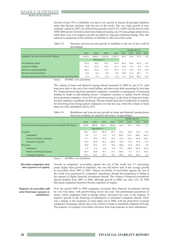Growth of just 5.9% in liabilities was due to low growth in almost all principal liabilities items that disclose dealings with the rest of the world. The very high growth in nonresidents' capital in 2003 was followed by growth of just 8.2%, which was the lowest in the 2000-2004 period. Growth in short-term financial leasing was 18.4 percentage points lower, while there was even negative growth recorded by long-term financial leasing. This also reduced its proportion in the structure of liabilities to the rest of the world.

Table 3.8: Structure and year-on-year growth in liabilities to the rest of the world in percentages

| percentages                                                       |         |               |         |         |                     |      |      |        |
|-------------------------------------------------------------------|---------|---------------|---------|---------|---------------------|------|------|--------|
|                                                                   |         |               |         |         | Growth rate $(\% )$ |      |      |        |
|                                                                   | 2001    | 2002          | 2003    | 2004    | 2001                | 2002 | 2003 | 2004   |
| Liabilities to the rest of the world (SIT billions)               | 1.433.8 | .669.0        | 2.023.9 | 2.143.7 | 24.5                | 16.4 | 21.3 | 5.9    |
|                                                                   |         | Structure (%) |         |         |                     |      |      |        |
| Non-residents' capital                                            | 25.3    | 26.2          | 33.2    | 33.9    | 33.4                | 20.8 | 53.6 | 8.2    |
| Long-term liabilities                                             | 32.3    | 32.6          | 29.1    | 27.4    | 24.8                | 17.5 | 8.2  | $-0.2$ |
| Short-term operating liabilities                                  | 36.3    | 35.2          | 31.5    | 32.4    | 17.3                | 13.0 | 8.4  | 8.9    |
| Short-term financial liabilities                                  | 5.8     | 5.6           | 5.8     | 5.9     | 35.8                | 12.3 | 26.1 | 7.7    |
| Accrued expenses and deferred revenues from the rest of the world | 0.4     | 0.4           | 0.4     | 0.4     | 17.1                | 20.9 | 38.3 | 9.0    |

Source: APLRRS, own calculations

The volume of loans and financial leasing abroad increased in 2004 by just 0.7%, with long-term debt to the rest of the world falling, and short-term debt increasing by less than 8%. Reduced borrowing from unrelated companies is partially a consequence of increased lending by banks to non-banking sectors. Companies continue to mainly borrow abroad from unrelated companies. Over 81% of such borrowing is in the form of long-term loans, but their maturity is gradually declining. This has mainly been due to reductions in maturity for borrowing from foreign parent companies over the last year, while the volume of loans taken out with subsidiaries fell by 45%.

| Table 3.9: | Breakdown and year-on-year growth in loans and financial leasing drawn |
|------------|------------------------------------------------------------------------|
|            | from non-residents, by maturity and source, in percentages             |

|                                                                     |       |               |       |       |         | Growth rate $(\% )$ |         |         |
|---------------------------------------------------------------------|-------|---------------|-------|-------|---------|---------------------|---------|---------|
|                                                                     | 2001  | 2002          | 2003  | 2004  | 2001    | 2002                | 2003    | 2004    |
| Loans and financial leasing drawn from non-residents (SIT billions) | 479.8 | 566.8         | 662.2 | 666.6 | 24.4    | 18.1                | 16.8    | 0.7     |
|                                                                     |       | Structure (%) |       |       |         |                     |         |         |
| Long-term                                                           | 83.1  | 83.7          | 82.3  | 81.1  | 22.2    | 18.9                | 15.0    | $-0.9$  |
| <b>Subsidiaries</b>                                                 | 0.5   | 0.7           | 0.4   | 0.2   | $-85.5$ | 54.2                | $-36.5$ | $-45.2$ |
| Parent (controlling) companies                                      | 17.7  | 18.3          | 21.5  | 16.2  | 79.2    | 22.9                | 34.8    | $-25.1$ |
| Unrelated companies                                                 | 81.8  | 81.0          | 78.2  | 83.6  | 19.6    | 17.8                | 10.9    | 6.0     |
| Short-term                                                          | 16.9  | 16.3          | 17.7  | 18.9  | 36.0    | 14.3                | 26.3    | 7.9     |
| <b>Subsidiaries</b>                                                 | 3.2   | 4.5           | 6.6   | 2.8   | 72.7    | 59.9                | 84.3    | $-53.6$ |
| Parent (controlling) companies                                      | 20.4  | 18.8          | 16.7  | 21.1  | 66.5    | 5.1                 | 12.2    | 36.2    |
| Unrelated companies                                                 | 76.4  | 76.7          | 76.7  | 76.1  | 28.5    | 14.8                | 26.4    | 7.0     |

Source: APLRRS, own calculations

**Slovenian companies turn into exporters of capital.**

Growth in companies' receivables against the rest of the world was 5.3 percentage points higher than growth in liabilities, but was still below half of the average growth in receivables from 2001 to 2003. Almost two-thirds of receivables against the rest of the world were generated by companies' operations, though that proportion is falling at the expense of higher financial investments abroad. The volume of financial investments abroad doubled from 2001 to 2004, although growth in 2004 was only 12%. In 2004 Slovenian companies therefore became exporters of capital.

## **Majority of receivables still arise from loan exposure to subsidiaries.**

Over the period 2000 to 2004 companies increased their financial investments abroad by over four times, with growth being lowest last year. The predominate proportion of assets, which companies hold in foreign shares, increased last year, at the expense of negative growth in the financing of subsidiaries or unrelated companies abroad. There was a change in the recipients of loans taken out in 2004, with the proportion of parent companies increasing, mainly due to the volume of loans to unrelated companies halving. The majority of company receivables still arise from loan exposure to their subsidiaries.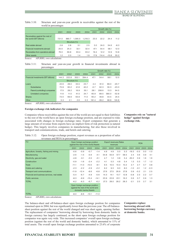## Table 3.10: Structure and year-on-year growth in receivables against the rest of the world in percentages

|                                    | 2001  | 2002  | 2003          | 2004    | 2001 | 2002  | 2003    | 2004   |
|------------------------------------|-------|-------|---------------|---------|------|-------|---------|--------|
| Receivables against the rest of    |       |       |               |         |      |       |         |        |
| the world (SIT billions)           | 721.0 | 880.7 | 1.095.5       | 1.218.3 | 23.5 | 22.2  | 24.4    | 11.2   |
|                                    |       |       | Structure (%) |         |      |       |         |        |
| Real estate abroad                 | 2.8   | 2.8   | 3.1           | 2.5     | 3.0  | 24.0  | 34.6    | $-8.3$ |
| Financial investments abroad       | 20.0  | 25.3  | 32.1          | 32.4    | 47.1 | 54.4  | 58.1    | 12.0   |
| Receivables from operations abroad | 76.0  | 69.8  | 63.4          | 63.2    | 19.4 | 12.2  | 12.9    | 10.8   |
| Other assets                       | 1.2   | 2.0   | 1.4           | 1.9     | 17.9 | 114.4 | $-15.8$ | 55.2   |

Source: APLRRS, own calculations

Table 3.11: Structure and year-on-year growth in financial investments abroad in percentages

|                                      |       |               |       |       |        | Growth rate $(\% )$ |       |         |  |  |  |  |  |
|--------------------------------------|-------|---------------|-------|-------|--------|---------------------|-------|---------|--|--|--|--|--|
|                                      | 2001  | 2002          | 2003  | 2004  | 2001   | 2002                | 2003  | 2004    |  |  |  |  |  |
| Financial investments (SIT billions) | 144.3 | 222.8         | 352.1 | 394.4 | 47.1   | 54.4                | 58.1  | 12.0    |  |  |  |  |  |
|                                      |       | Structure (%) |       |       |        |                     |       |         |  |  |  |  |  |
| Loans                                | 22.6  | 28.0          | 33.5  | 23.7  | 4.4    | 91.0                | 89.0  | $-20.7$ |  |  |  |  |  |
| <b>Subsidiaries</b>                  | 70.9  | 60.2          | 41.6  | 40.2  | $-5.7$ | 62.3                | 30.3  | $-23.3$ |  |  |  |  |  |
| Parent (controlling) companies       | 17.5  | 28.2          | 16.9  | 35.1  | 28.1   | 208.6               | 13.3  | 64.5    |  |  |  |  |  |
| Unrelated companies                  | 11.6  | 11.5          | 41.5  | 24.7  | 65.9   | 89.5                | 580.0 | $-52.8$ |  |  |  |  |  |
| <b>Shares</b>                        | 72.0  | 69.9          | 63.9  | 71.0  | 60.2   | 49.8                | 44.5  | 24.5    |  |  |  |  |  |
| Other                                | 5.3   | 2.1           | 2.6   | 5.3   | 191.4  | $-39.2$             | 98.8  | 124.8   |  |  |  |  |  |

Source: APLRRS, own calculations

## **Foreign exchange risk indicators for companies**

Companies whose receivables against the rest of the world are not equal to their liabilities to the rest of the world have an open foreign exchange position, and are exposed to risks associated with changes in foreign exchange rates. Export companies that generate a large amount of revenue from exports have an implicit form of risk protection (a natural hedge). This largely involves companies in manufacturing, but also those involved in transport and communications, trade, and hotels and catering.

**Companies rely on "natural hedge" against foreign exchange risk.**

## Table 3.12: Open foreign exchange position, export revenues as a proportion of sales revenues and ROA in percentages

| (%)                                          |         | Open foreign exchange position<br>against the rest of the world/Assets                       |         |         |      | Export revenues/Sales<br>revenues |      |      |         | <b>ROA</b> |      |        |  |
|----------------------------------------------|---------|----------------------------------------------------------------------------------------------|---------|---------|------|-----------------------------------|------|------|---------|------------|------|--------|--|
|                                              | 2001    | 2002                                                                                         | 2003    | 2004    | 2001 | 2002                              | 2003 | 2004 | 2001    | 2002       | 2003 | 2004   |  |
| Agriculture, forestry, fishing and mining    | $-0.6$  | $-0.9$                                                                                       | $-0.7$  | $-1.4$  | 4.9  | 4.9                               | 5.0  | 5.3  | $-19.3$ | $-0.5$     | 0.0  | $-1.0$ |  |
| Manufacturing                                | $-2.6$  | $-1.5$                                                                                       | $-5.6$  | $-4.1$  | 54.8 | 55.9                              | 57.7 | 58.5 | 2.4     | 3.6        | 3.9  | 4.1    |  |
| Electricity, gas and water                   | $-4.8$  | $-5.1$                                                                                       | $-3.5$  | $-3.1$  | 4.7  | 1.2                               | 3.8  | 5.4  | $-30.2$ | 0.9        | 1.6  | 1.6    |  |
| Construction                                 | $-0.9$  | $-1.6$                                                                                       | $-2.4$  | $-2.2$  | 4.1  | 5.3                               | 4.8  | 5.4  | 1.3     | 0.3        | 1.7  | 1.2    |  |
| Trade                                        | $-11.1$ | $-11.0$                                                                                      | $-10.0$ | $-9.1$  | 9.5  | 10.5                              | 10.3 | 10.2 | 2.7     | 2.7        | 3.7  | 3.8    |  |
| Hotels and catering                          | $-2.3$  | $-2.2$                                                                                       | $-2.9$  | $-2.2$  | 9.2  | 9.3                               | 9.0  | 8.0  | $-1.0$  | $-0.1$     | 1.2  | $-0.3$ |  |
| <b>Transport and communications</b>          | $-11.9$ | $-12.4$                                                                                      | $-8.6$  | $-6.8$  | 27.6 | 27.5                              | 26.9 | 27.8 | 0.9     | $-0.2$     | 2.1  | 2.5    |  |
| Financial and business services, real estate | $-5.4$  | $-6.7$                                                                                       | $-4.9$  | $-5.6$  | 14.3 | 14.1                              | 13.7 | 12.8 | $-0.8$  | 2.3        | 2.2  | 3.7    |  |
| <b>Public services</b>                       | $-8.3$  | $-9.9$                                                                                       | $-13.4$ | $-14.1$ | 23.9 | 22.8                              | 22.1 | 16.2 | 0.6     | 0.7        | 0.9  | 1.3    |  |
| <b>TOTAL</b>                                 | $-6.2$  | $-6.3$                                                                                       | $-6.7$  | $-6.2$  | 27.3 | 28.0                              | 28.2 | 28.3 | $-2.1$  | 2.0        | 2.7  | 3.1    |  |
|                                              |         | Open foreign exchange position<br>against the rest of the world and<br>domestic banks/Assets |         |         |      |                                   |      |      |         |            |      |        |  |
| <b>TOTAL</b>                                 | $-8.0$  | $-8.6$                                                                                       | $-10.1$ | $-11.0$ |      |                                   |      |      |         |            |      |        |  |

Source: APLRRS, own calculations

The balance-sheet and off-balance-sheet open foreign exchange position for companies remained open in 2004, but was significantly lower than the previous year. The off-balancesheet position against the rest of the world changed and was short again, opening further. The replacement of companies' borrowing abroad by borrowing from domestic banks in foreign currency has largely continued, as the short open foreign exchange position for companies was again very wide. This increased companies' overall open foreign exchange position (against the rest of the world and domestic banks), which amounted to 11% of total assets. The overall open foreign exchange position amounted to 23.6% of corporate

**Companies replace borrowing abroad with borrowing foreign currency at domestic banks.**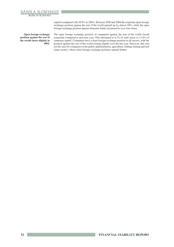

capital (compared with 20.9% in 2003). Between 2000 and 2004 the corporate open foreign exchange position against the rest of the world opened up by almost 60%, while the open foreign exchange position against domestic banks increased by over four times.

**Open foreign exchange position against the rest of the world closes slightly in 2004.** 

The open foreign exchange position of companies against the rest of the world closed somewhat compared to previous year. This amounted to 6.2% of total assets or 13.4% of corporate capital. Companies have a short foreign exchange position in all sectors, with the position against the rest of the world closing slightly over the last year. However, this was not the case for companies in the public administration, agriculture, fishing, mining and real estate sectors, whose short foreign exchange positions opened further.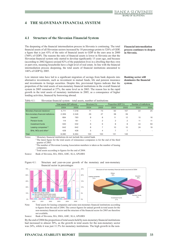# **4 THE SLOVENIAN FINANCIAL SYSTEM**

# **4.1 Structure of the Slovenian Financial System**

The deepening of the financial intermediation process in Slovenia is continuing. The total financial assets of all Slovenian sectors increased by 18 percentage points to 326% of GDP, a figure that is just 43% of the ratio of financial assets to GDP in the euro area in 2000 (760% of GDP). The reasons the ratio of financial assets is lower in Slovenia are that the Slovenian financial system only started to develop significantly 15 years ago, and because (according to 2002 figures) around 82% of the population lives in a dwelling that they own or part-own, meaning households have a high level of real estate. In line with the financial intermediation process deepening, the total assets of financial institutions amounted to 146% of GDP by 2005.

Low interest rates have led to a significant migration of savings from bank deposits into alternative investments, such as investment in mutual funds, life and pension insurance and investments in foreign securities. Despite this, provisional figures indicate that the proportion of the total assets of non-monetary financial institutions in the overall financial system in 2005 remained at 27%, the same level as in 2003. The reason lies in the rapid growth in the total assets of monetary institutions in 2005, as a consequence of higher lending activities, financed by borrowing abroad.

**Financial intermediation process continues to deepen in Slovenia.**

**Banking sector still dominates the financial system.**

Table 4.1: Slovenian financial system – total assets, number of institutions

|                                            | Total assets (SIT billions) |       | Structure (%) |                          | Proportion GDP (%) |                | Number of institutions |      |  |
|--------------------------------------------|-----------------------------|-------|---------------|--------------------------|--------------------|----------------|------------------------|------|--|
|                                            | 2004                        | 2005  | 2004          | 2005                     | 2004               | 2005           | 2004                   | 2005 |  |
| Monetary financial instutions <sup>1</sup> | 5.711                       | 7.018 | 71            | 73                       | 92                 | 107            | 22                     | 25   |  |
| Non-monetary financial institutions        | 2.369                       | 2.546 | 29            | 27                       | 38                 | 39             |                        |      |  |
| Insurers <sup>2</sup>                      | 684                         | 783   | 8             | 8                        | 11                 | 12             | 15                     | 16   |  |
| Pension funds                              | 114                         | 161   |               | 2                        | 2                  | $\overline{2}$ | 11                     | 11   |  |
| Investment funds                           | 500                         | 532   | 6             | 6                        | 8                  | 8              | 44                     | 59   |  |
| Leasing companies <sup>3,4</sup>           | 642                         | 642   | 8             | $\overline{\phantom{a}}$ | 10                 | 10             | 24                     | 19   |  |
| BHs. MCs and other <sup>4</sup>            | 428                         | 428   | 5             | $\overline{4}$           |                    | ⇁              |                        |      |  |
| Total                                      | 8.080                       | 9.564 | 100           | 100                      | 131                | 146            |                        |      |  |

Notes: <sup>1</sup> Monetary financial institutions do not include the central bank.

<sup>2</sup> The latest figure for the total assets of reinsurance companies is for the end of the third quarter of 2005.

<sup>3</sup> The number of Slovenian Leasing Association members is taken as the number of leasing companies.

4 Total assets according to figures for the end of 2004.

Source: Bank of Slovenia, ISA, SMA, AMC, SLA, APLRRS



Figure 4.1: Structure and year-on-year growth of the monetary and non-monetary financial sector in percentages

Note: Total assets for leasing companies and some non-monetary financial institutions according to figures from the end of 2004. The correct figures for annual growth in total assets for the non-monetary financial sector and the structure of the financial sector for 2005 are therefore not available.

By the end of 2004 the proportion of total assets held by non-monetary financial institutions had increased to almost 30%, as the growth in total assets for the non-monetary sector was 24%, while it was just 11.5% for monetary institutions. The high growth in the non-

Source: Bank of Slovenia, ISA, SMA, AMC, SLA, APLRRS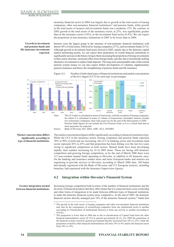#### BANKA SLOVENI) BANK OF SLOVENIA

monetary financial sector in 2004 was largely due to growth in the total assets of leasing companies, other non-monetary financial institutions<sup>25</sup> and pension funds, while growth in the total assets of insurers and investment funds was a moderate 15%. By contrast, in 2005 growth in the total assets of the monetary sector, at 23%, was significantly greater than in the insurance sector  $(14\%)$ , or the investment fund sector  $(6.4\%)$ . We can expect the proportion of non-monetary institutions in 2005 to be lower than in 2004.

# **Growth in investment and pension funds and life insurance investments expected.**

Insurers were the largest group in the structure of non-monetary financial institutions with almost 30% of total assets, followed by leasing companies (27%), and investment funds (21%). Although growth in investment fund assets slowed in 2005, mainly due to the domestic capital market performing poorly, we can expect their proportion of overall financial institutions to significantly increase in the future owing to them increasing the proportion of foreign investments in their assets structure, increased offers from foreign funds, and also due to households seeking alternative investments to replace bank deposits. The long-term unsustainable state of the current pension system means we can also expect further development of voluntary supplementary pension insurance and hence the strengthening of pension funds and life insurance.

Figure 4.2: Number of individual types of financial institutions and market concentration of the five largest (CC5) for each type in percentages



two reinsurance companies; their total assets are for the end of the third quarter of 2005. Pension funds figures do not include the First Pension Fund, as it is a closed fund and no more payments are expected.

Source: Bank of Slovenia, ISA, SMA, AMC, SLA, APLRRS

# **Market concentration differs significantly according to type of financial institutions.**

The market concentration figures differ significantly according to financial institution type. While the CC5 in the insurance sector, leasing companies and pension funds represent 70% to 90% overall and are increasing, the CC5 in banking sector and investment fund sector represent 45% to 65% and that proportion has been falling over the last two years owing to significant competition in both sectors. Mutual funds have been developing rapidly, their number increasing by 18 in 2005 alone. These are facing stiff domestic competition and growing foreign competition, as by the end of March 2006 there were 113 non-resident mutual funds operating in Slovenia, in addition to 68 domestic ones. On the banking and insurance market more and more European banks and insurers are registering to provide services in Slovenia; according to March 2006 data, 108 banks had already registered with the Bank of Slovenia, and 313 European insurers, including branches, had registered with the Insurance Supervision Agency.

# **4.2 Integration within Slovenia's Financial System**

**Greater integration needed between financial institutions.** Increasing foreign competition both in terms of the number of financial institutions and the diversity of financial products that they offer means that it is expected more cross-ownership and other forms of integration to be made between different types of financial institution, to make the domestic financial system more competitive. At the end of 2005, the domestic financial sectors directly managed just  $18\%$  of the domestic financial system,<sup>26</sup> banks first

<sup>&</sup>lt;sup>25</sup> The growth in the total assets of leasing companies and other non-monetary financial institutions may also be the consequence of reclassifying companies from one institutional sector to another (according to Classification of Institutional Sectors) or from one activity to another (according to NACE)

<sup>&</sup>lt;sup>26</sup> The proportion is lower than in 2004 due to the re-classification of Capital Fund from the other financial intermediaries sector (S.123) to general government (S.13). For 2004 the proportion of the financial system owned by general government thereby increased from 18% to 23%, while the proportion owned by other financial intermediaries fell from 10% to 4% and by the financial sector from 24% to 18%.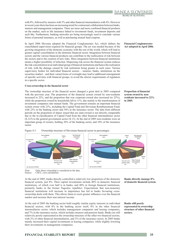# **FINANCIAL STABILITY REPORT 35**

with 8%, followed by insurers with 5% and other financial intermediaries with 4%. However in recent years there has been an increasing trend for contractual collaboration between banks, insurers and management companies. There are more and more combined financial products on the market, such as life insurance linked to investment funds, investment deposits and such like. Furthermore, banking networks are being increasingly used to conclude various forms of personal insurance, as well as purchasing mutual fund coupons.

In April 2006 Slovenia adopted the Financial Conglomerates Act, which defines the consolidated supervision required for financial groups. The act was needed because of the growing integration of the domestic economy with the rest of the world, which will lead to greater capital consolidation in the domestic financial sector. Integration between financial sectors and the various financial products can contribute to the reallocation of risk between the sectors and to the creation of new risks. More integration between financial institutions means a higher possibility of infection. Dispersing risk across the financial system reduces the risk concentration in an individual group of financial institutions and hence the realisation of risk, with the damage caused by risk realisation being greater in such cases. Various supervisory bodies for individual financial sectors – insurers, banks, institutions on the securities market – and their varied forms of oversight may lead to additional reassignment of specific activities with financial groups, to avoid the stricter requirements of regulators in a specific sector.

# **Cross-ownership in the financial sector**

The ownership structure of the financial sector changed a great deal in 2005 compared with the previous year. The proportion of the financial system owned by non-residents increased to 22%, and the proportion that was corporate-owned also increased (to 25%), while the proportion owned by households fell to 11%, due mainly to the transformation of investment companies into mutual funds. The government remains an important financial system owner with 23%, including the Capital Fund and Slovenian Reimbursement Fund, with 23% in the banking sector and 54% in the insurance sector. The data from different periods on the proportion of shares issued that are state-owned is not directly comparable due to the re-classification of Capital Fund from the other financial intermediaries sector (S.123) to the general government sector (S.13). At the end of 2005 non-residents were an important group of owners, holding 36% of the banking sector, and 10% of the insurance sector.





#### Note: Only direct ownership is considered in the data.<br>Source: CSCC, own calculations CSCC, own calculations

At the end of 2005, banks directly controlled a relatively low proportion of the domestic financial system, just 8%. Their capital investments include 40% in domestic financial institutions, of which over half is in banks, and 40% in foreign financial institutions, primarily banks in the former Yugoslav republics. Expectations that non-monetary financial institutions will increase in importance has led to banks favouring crossownership deals with them. This allows them to exert greater influence over the financial market and increase their non-interest income.

At the end of 2005 the banking sector held roughly similar equity interests in individual financial sectors, with 8% in the banking sector itself, 8% in the other financial intermediaries sector, which includes management companies and leasing companies, and 7% in the insurance sector, which includes insurers and pension funds. Banks are still relatively poorly represented in the ownership structure of the other two financial sectors, with 2% of other financial intermediaries, and 3% of the insurance sector. In 2005 banks mainly increased their capital investments in leasing companies, while slightly lowering their investments in management companies.

**Banks directly manage 8% of domestic financial system.**

**Banks still poorly represented in ownership structure of other financial sectors.** 

**Financial Conglomorates Act adopted in April 2006.**

**Proportion of financial system owned by nonresidents increased to 22% in 2005.** 

# BANKA SLOVENIJE BANK OF SLOVENIA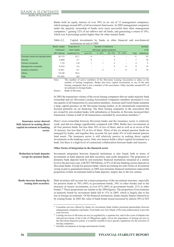BANK OF SLOVENIA

Banks hold an equity interest of over 50% in six out of 15 management companies, which manage around 40% of all investment fund assets. In 2005 management companies under the majority ownership of banks were more successful than other management companies,<sup>27</sup> gaining 52% of net inflows into all funds, and generating a return of 10%, which was 4 percentage points higher than for other mutual funds.

| Table $4.2$ : |                             |  |  |  | Capital investments by banks in other financial and non-financial |
|---------------|-----------------------------|--|--|--|-------------------------------------------------------------------|
|               | institutions at end of 2005 |  |  |  |                                                                   |

|                                  | Banks' capital | Proportion of      |                          | Number of institutions       |                |                          |       | <b>Number</b>  |
|----------------------------------|----------------|--------------------|--------------------------|------------------------------|----------------|--------------------------|-------|----------------|
|                                  | investment     | bank capital       |                          | with bank capital investment |                | of all                   |       |                |
|                                  | (SIT millions) | investment $(\% )$ | up to $5\%$              | $5 - 25%$                    | 25-75%         | $75 - 100%$              | Total | institutions   |
| Domestic banks and savings banks | 30.175         | 22.7               | 6                        | $\overline{\phantom{0}}$     | 5              | $\overline{\phantom{a}}$ | 11    | 25             |
| <b>Insurers</b>                  | 4,889          | 3.7                | 5                        | ٠                            | 2              | $\overline{\phantom{a}}$ |       | 16             |
| Pension companies                | 1.119          | 0.8                |                          |                              | $\overline{2}$ | $\overline{\phantom{a}}$ | 4     | $\overline{4}$ |
| Management companies             | 6,023          | 4.5                |                          | $\overline{\phantom{0}}$     | $\overline{c}$ | 4                        | 6     | 15             |
| Leasing companies                | 10.821         | 8.1                | $\overline{\phantom{a}}$ | 2                            |                | 6                        | 9     | 19             |
| <b>Others</b>                    | 79.108         | 59.5               |                          |                              |                |                          |       |                |
| Total                            | 132.965        | 100                |                          |                              |                |                          |       |                |

Note: The number of active members of the Slovenian Leasing Association is taken as the number of leasing companies. Banks also have capital investments in one of the nine leasing companies that is not a member of the association. Other includes around 65% of investments in foreign banks.

Source: Bank of Slovenia

In 2005 the transaction volume of the seven leasing companies that are under majority bank ownership and are Slovenian Lesaing Association Companies members increased to over one quarter of all transactions by association members. Austrian and French banks maintain a large capital presence on the Slovenian leasing market, as do international corporations focused primarily on car financing. The three leasing companies in the association that are owned by non-resident banks with subsidiaries or branches in Slovenia increased their transaction volume to half of all transactions concluded by association members.<sup>28</sup>

**Insurance sector showed little interest in seeking direct capital investment in banking sector.**

Direct cross-ownership between Slovenian banks and the insurance sector is relatively weak, and did not change significantly compared with 2004. Banks have investments in all four pension funds, but less than 10% in two of them, and as well as in seven of the 16 insurers, but less than 5% in five of them. Three of the six mutual pension funds are managed by banks, and together they account for just under 6% of total mutual pension fund assets. The insurance sector is still relatively passive in seeking direct capital investments in the banking sector. Only one insurer holds a direct capital investment in a bank, but there is a high level of contractual collaboration between banks and insurers.

## **Other forms of integration in the financial sector**

Investment integration between financial institutions is also found, both in terms of investments in bank deposits and debt securities, and credit integration. The proportion of domestic bank deposits held by non-monetary financial institutions remained at a similar level to the previous year, with SIT 300 billions, or 8% of all non-banking sectors deposits at Slovenian banks. Except for pension funds, which are looking for safer forms of investment owing in part to guaranteed returns, in 2005 non-monetary financial institutions reduced the proportion of their investments held in bank deposits, largely due to the low returns. **Reduction in bank deposits except for pension funds.**

Debt securities still account for a major proportion of the investment structure, especially for pension funds at 78% (44% in government bonds, 34% in other bonds) and in the structure of insurer investments, at over 61% (40% in government bonds, 21% in other bonds).<sup>29</sup> These proportions are similar to the 2004 figures. The proportion of investments in domestic bonds by investment funds fell to 15% in 2005, which is largely due to the rise in foreign investments. Of the financial institutions, banks mainly finance themselves by issuing bonds. In 2005 the value of bank bonds issued increased by almost 30% to SIT **Banks increase financing by issuing debt securities.** 

<sup>&</sup>lt;sup>27</sup> Custodian services offered by banks for investment funds further promoted partnerships between management companies and banks. Four banks now have Bank of Slovenia authorisation to provide such services.

<sup>&</sup>lt;sup>28</sup> Leasing services in Slovenia are not yet regulated by a separate law, and in the event of disputes the relevant provisions of the Code of Obligations apply. Given the importance of leasing services to the Slovenian financial system, it would be sensible to have specific regulations for the activities of leasing companies.

<sup>29</sup> Includes investments in foreign and domestic bonds.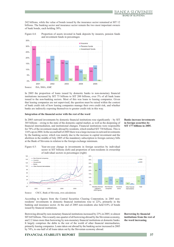242 billions, while the value of bonds issued by the insurance sector remained at SIT 12 billions. The banking sector and insurance sector remain the two most important owners of bank bonds, each holding 30%.



Figure 4.4: Proportion of assets invested in bank deposits by insurers, pension funds and investment funds in percentages

In 2005 the proportion of loans issued by domestic banks to non-monetary financial institutions increased by SIT 75 billions to SIT 200 billions, over 5% of all bank loans issued to the non-banking sectors. Most of this was loans to leasing companies. Given that leasing companies are not supervised, the question must be raised within the context of bank credit risk of how leasing companies manage their own credit risk, and whether banks are indirectly exposing themselves to greater credit risk in this way.

## **Integration of the financial sector with the rest of the word**

In 2005 outward investments by domestic financial institutions rose significantly – by SIT 305 billions – owing to the state of the domestic capital market, as well as the deepening of financial intermediation, and institutional changes. Financial institutions were responsible for 78% of the investment made abroad by residents, which totalled SIT 730 billions. This is 116% up on 2004. In the second half of 2005 there was a large increase in outward investments by the banking sector, which was mainly due to the increase in capital investment and the abolition in the middle of July 2005 of the mandatory subscription to foreign currency bills at the Bank of Slovenia in relation to the foreign exchange minimum.

**Banks increase investments in foreign securities by SIT 177 billions in 2005.**







According to figures from the Central Securities Clearing Corporation, in 2005 nonresidents' investments in domestic financial institutions rose to 22%, primarily in the banking and insurance sector. At the end of 2005 non-residents also held 0.8% of bonds issued by financial institutions.

Borrowing abroad by non-monetary financial institutions increased by 23% in 2005, to almost SIT 645 billions. This is nearly one-quarter of all borrowing abroad by the Slovenian economy, and 2.2 times more than borrowing by non-monetary financial institutions at domestic banks. It largely comprises the debts to the rest of the world of other financial intermediaries, primarily leasing companies. Loans taken out abroad by the banking sector increased in 2005 by 74%, to one-half of all loans taken out by the Slovenian economy abroad.

**Borrowing by financial institutions from the rest of the word increasing.**

# **FINANCIAL STABILITY REPORT 37**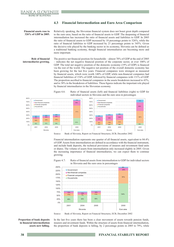

# **4.3 Financial Intermediation and Euro Area Comparison**

**Financial assets rose to 326% of GDP in 2005.**

Relatively speaking, the Slovenian financial system does not boast great depth compared to the euro area, based on the ratio of financial assets to GDP. The deepening of financial intermediation has increased the ratio of financial assets and liabilities to GDP. In 2005 the ratio of financial assets to GDP increased by 18 percentage points to 326%, while the ratio of financial liabilities to GDP increased by 21 percentage points to 345%. Given the decisive role played by the banking sector in its economy, Slovenia can be defined as a traditional banking economy, though financial intermediaries are becoming more and more important.

# **Role of financial intermediaries growing.**

The positive net financial position for households – almost 70% of GDP at the end of 2005 – indicates the net negative financial position of the corporate sector, at over 100% of GDP. The total net negative position of the domestic economy (19% of GDP) is financed via the rest of the world. The negative net position of the overall domestic economy has been growing for the last five years. Financial companies were strongest as measured by financial assets, which were worth 140% of GDP, while non-financial companies had financial liabilities of 154% of GDP, followed by financial companies with 131% of GDP. The proportion ascribed to financial companies in the assets breakdown increased to 43%, and to 38% in the breakdown of liabilities. These figures indicate the important role played by financial intermediaries in the Slovenian economy.





Source: Bank of Slovenia, Report on Financial Structures, ECB, December 2002

Financial intermediation represents one quarter of all financial assets, equivalent to 84.4% of GDP. Assets from intermediation are defined in accordance with the financial instrument, and include bank deposits, the technical provisions of insurers and investment fund units or shares. The volume of assets from intermediation only increased slightly in 2005. Given the increasing importance of financial intermediaries, we can expect them to continue growing.





Source: Bank of Slovenia, Report on Financial Structures, ECB, December 2002

**Proportion of bank deposits in financial intermediation assets now falling.**

In the last five years there has been a clear movement of assets towards pension funds, insurers and investment funds. Within the structure of assets from financial intermediation, the proportion of bank deposits is falling, by 2 percentage points in 2005 to 79%, while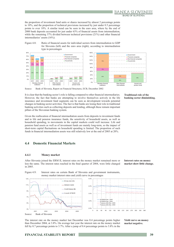the proportion of investment fund units or shares increased by almost 2 percentage points to 10%, and the proportion of technical provisions increased by just under 0.5 percentage points to over 10%. A similar trend can be seen in the euro area, where by the end of 2000 bank deposits accounted for just under 63% of financial assets from intermediation, while the remaining 37% divided between technical provisions (21%) and other financial intermediaries' assets (16%).





Source: Bank of Slovenia, Report on Financial Structures, ECB, December 2002

It is clear that the banking sector's role is falling compared to other financial intermediaries. However, the fact that banks are attempting to involve themselves actively in the life insurance and investment fund segments can be seen as development towards potential changes in banking sector activities. The fact is that banks are losing their role in traditional banking activities such as collecting deposits and lending, although these remain important pillars of the Slovenian banking system.

Given the reallocation of financial intermediation assets from deposits to investment funds and to life and pension insurance funds, the sensitivity of household assets, as well as household spending, to movements in the capital markets could well increase. Life and pension fund assets as well as of investment funds are mainly long-term, so the impact of short-term capital fluctuations on household spending is limited. The proportion of such funds in financial intermediation assets was still relatively low at the end of 2005 at 20%.

# **4.4 Domestic Financial Markets**

## **4.4.1 Money market**

After Slovenia joined the ERM II, interest rates on the money market remained more or less the same. The interest rates reached in the final quarter of 2004, were little changed in 2005.

**Interest rates on money market show little change.**

**Traditional role of the banking sector diminishing.**



The interest rate on the money market last December was 0.4 percentage points higher than December 2004, at 3.8%. On average last year the interest rate on the money market fell by 0.7 percentage points to 3.7%. After a jump of 0.4 percentage points to 3.8% in the **Yield curve on money market negative.**

# **FINANCIAL STABILITY REPORT 39**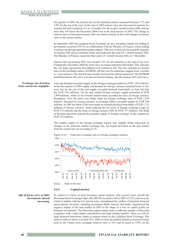## ISLOVENI BANK OF SLOVENIA

first quarter of 2005, the interest rate on the interbank market remained between 3.7% and 3.8% for the rest of the year. At the start of 2005 interest rates also increased at auctions for treasury bill with a maturity of 1 to 12 months. For all except 1-month treasury bills, interest rates only fell below the December 2004 level at the final auction of 2005. The change in interest rates on Slovenian treasury bills was almost entirely in line with changes in interest rates on the money market.

In September 2005 the Ljubljana Stock Exchange set up a secondary market for trading in government securities (TUVL) in collaboration with the Ministry of Finance, where trading is carried out through appointed market-makers. This new system has increased the liquidity of treasury bills and government bonds and eradicated the need for 1-month treasury bills. The Ministry of Finance issued the final series of 1-month treasury bills on 1 December.

Interest rates on treasury bills were around 3.5% for all maturities at the end of last year. Compared to December 2004 the yield curve on longer maturities fell further. This indicates the very high expectations that inflation will continue to fall. The time structure for interest rates on the interbank market, SITIBOR, fell last year for maturities ranging from 3 months to 1 year inclusive. The interest rates actually increased for shorter maturities. The SITIBOR interbank interest rate curve was also downward-sloping, like the treasury bill yield curve.

Last year demand exceeded supply on the foreign exchange market by EUR 1,229 millions. In the first quarter of 2005 supply and demand for foreign currency remained more or less even, but for the rest of the year supply exceeded demand, particularly in June and July (by EUR 534 millions). On the spot market foreign currency supply amounted to EUR 2.809 millions, while on the forward market banks recorded net sales of foreign currency throughout. Over the entire year banks made net foreign exchange sales of EUR 1,250 millions. Demand for foreign currency at exchange offices exceeded supply by EUR 240 millions. In 2005 the Bank of Slovenia made an outright purchase from banks of EUR 1,731 millions of foreign currency, while reducing the net stock of foreign exchange swaps by EUR 272 millions and the stock of foreign currency bills by EUR 737 millions. The Bank of Slovenia therefore reduced the potential supply of foreign exchange on the markets by EUR 722 millions. **Exchange rate deviation from central rate negligible.**

> The surplus supply on the foreign exchange market only slightly found expression in changes in the tolar/euro market exchange rate, the largest deviation on the spot market from the central rate not exceeding 0.1%.



Source: Bank of Slovenia

## **4.4.2 Capital market**

**SBI 20 fell by 5.6% in 2005. Investments abroad increasing.**  In contrast to events on most European capital markets, after several years' growth the Slovenian Stock Exchange Index (the SBI 20) recorded a fall in 2005 of 5.6% year-on-year, which in tandem with the low interest rates, strengthened the outflow of domestic financial assets abroad. Investors, including investment funds, insurers and banks, experienced the negative impact of the bear market in 2005 in the shape of a loss on capital profits on domestic investments. The Slovenian capital market lacks a sufficient number of blue-chip companies with a high market capitalisation and high trading liquidity. There are still no large financial institutions, banks or insurers listed on the Ljubljana Stock Exchange. The turnover ratio of shares is around 14%, while on more developed markets in western Europe such as the Vienna stock exchange turnover ratio is 35% and as much as 134% on the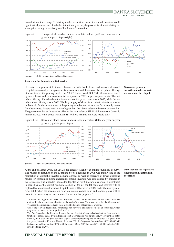Frankfurt stock exchange.30 Existing market conditions mean individual investors could hypothetically make use of, whether intentionally or not, the possibility of manipulating the share price through a relatively small volume of transactions.



Figure 4.11: Foreign stock market indices: absolute values (left) and year-on-year growth in percentages (right)

## **Events on the domestic capital market**

Slovenian companies still finance themselves with bank loans and occasional closed recapitalizations and private placements of securities, and there were also no public offerings of securities on the primary market in 2005.31 Bonds worth SIT 134 billions were issued by seven banks and four non-financial companies in 2005 in private placements. The last public offering of bonds where the issuer was not the government was in 2003, while the last public share offering was in 2000. The large supply of shares from privatisation is somewhat problematic for the development of the primary equities market, as is the fact that only shares from better-rated issuers reach a price higher than their book value on the secondary market. The government issued three series of bonds in a total value of SIT 413 billions on the domestic market in 2005, while bonds worth SIT 191 billions matured and were repaid early.

**Slovenian primary securities market remain rather underdeveloped.**





Source: LJSE, Vzajemci.com, own calculations

At the end of March 2006, the SBI 20 had already fallen by an annual equivalent of 8.5%. The reverse in fortunes on the Ljubljana Stock Exchange in 2005 was mainly due to the redirection of domestic investor demand abroad, as well as forecasts of lower operating results for companies. Some uncertainty among investors was also caused by changes in tax legislation. The amended income tax legislation for 2006 should encourage investment in securities, as the current synthetic method of taxing capital gains and interest will be replaced by a scheduled taxation. Capital gains will be taxed at 20% under the new system. After 2008 when the income tax relief on interest comes to an end, capital gains will be taxed in the same way as bank interest for income tax purposes.<sup>32</sup>

**New income tax legislation encourages investment in securities.**

Turnover ratio figures for 2004. For Slovenian shares this is calculated as the annual turnover divided by the market capitalisation at the end of the year. Turnover ratios for the German and Viennese Stock Exchanges taken from World Federation of Exchanges website.

<sup>&</sup>lt;sup>31</sup> Under the relevant legislation, companies can carry out private placements of securities, which may then be listed on the organised market.

<sup>&</sup>lt;sup>32</sup> The Act Amending the Personal Income Tax Act has introduced scheduled rather than synthetic taxation of capital gains, dividends and interest. Capital gains will be taxed at 20% (regardless of tax bracket), with each five-year period of capital ownership reducing the tax level by 25% (15% after five years, 10% after 10 years, 5% after 15 years, 0% after 20 years). Interest above SIT 300,000 will be taxed annually at a rate of 15% in 2006, again 15% in 2007 but over SIT 150,000 and after 2008 it will be taxed at 20%.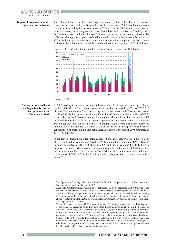# BANKA SLOVENIJE

BANK OF SLOVENIA

#### **Impact of events on domestic capital market on banks.**

The volume of management and brokerage transactions by stockbrokers for foreign markets reveals an increase of almost 20% in the first three quarters of 2005. Bank commissions from securities trading for customers saw a 35% increase in 2005 despite events on the domestic market, and already account for 4.2% of all fees and commissions. The large price fall on the domestic capital market could threaten the quality of bank loans with securities collateral, although the proportion of total household loans that they account for was 1% at SIT 9.3 billions, and only increased by 0.13 percentage points compared with 2004. Loans with securities collateral accounted for 7% of total loans to companies at SIT 212 billions.

Figure 4.13: Monthly trading on the Ljubljana Stock Exchange in SIT billions



Source: LJSE

**Trading in shares fell and trading in bonds rose on the Ljubljana Stock Exchange in 2005.**

In 2005 trading in securities on the Ljubljana Stock Exchange increased by 11% and reached SIT 441 billions, while market capitalisation increased by 5% to SIT 3,210 billions. The importance of the domestic organised share market to the Slovenian economy is still relatively low, given a market capitalisation of shares equivalent to 28% of GDP. As a traditional bank-based economy, Germany's market capitalisation amounts to 45% of GDP.33 The decline of 9% in the market capitalisation of shares listed on the Ljubljana Stock Exchange and the decline of 8% in trading volume were due to the decreased number of listed shares (for 30 shares), as well as the fall in their prices.<sup>34</sup> The market capitalisation of shares on the Ljubljana Stock Exchange at the end of 2005 amounted to SIT 1,761 billions.

In contrast to shares, the market capitalisation of bonds increased by 31% in 2005 to 23% of GDP, and trading volume increased by 58% (not including trading on TUVL). Trading in bonds amounted to SIT 180 billions in 2005, and market capitalisation to SIT 1,449 billions. The bond market increased in importance on the Ljubljana Stock Exchange with the introduction of the TUVL: the secondary market in government securities. In the final four months of 2005, 58% of total trading on the Ljubljana Stock Exchange was on this market<sup>35</sup>.

<sup>&</sup>lt;sup>33</sup> The figures for Germany relate to the Frankfurt Stock Exchange at the end of 2003, while the Slovenian figures refer to the end of 2005.

At end of 2005, there were 227 securities (112 shares) listed on the organised market (the official and the semi-official market), or almost 22% of all securities (12% of shares) registered with the Central Securities Clearing Corporation. Valuing shares registered with the Central Securities Clearing Corporation at market value, or book value where that is not possible, around 40% of the value of shares registered with the Central Securities Clearing Corporation was listed on the Ljubljana Stock Exchange at the end of 2005.

<sup>&</sup>lt;sup>35</sup> The market maker segment (TUVL), special segment for trading in securities issued by Republic of Slovenia, was organised at the Ljubljana Stock Exchange in conjunction with the Ministry of Finance. The objective of the market is to develop a secondary market in government securities that will increase their liquidity and facilitate more transparent pricing. It is a wholesale market (minimum transaction value SIT 30 millions) with only government securities listed (bonds and treasury bills), with a standardised method of determining the amortisation schedule. Trades are made exclusively via official liquidity providers selected by the Ministry of Finance according to set criteria, who also appear on the primary market as primary dealers. At present six primary dealers have been selected, five banks and one brokerage house.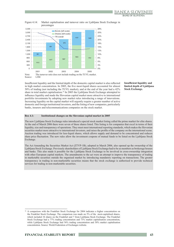SLOVEN BANK OF SLOVENIA



#### Figure 4.14: Market capitalisation and turnover ratio on Ljubljana Stock Exchange in percentages

Insufficient liquidity and the limited depth of the domestic capital market is also reflected in high market concentration. In 2005, the five most-liquid shares accounted for almost 50% of trading (not including the TUVL market), and at the end of the year had a 42% share in total market capitalisation.<sup>36</sup> In 2005 the Ljubljana Stock Exchange attempted to influence liquidity and made the Slovenian capital market more attractive to international portfolio investments by adopting new market rules introducing a range of innovations. Increasing liquidity on the capital market will urgently require a greater number of active domestic and foreign institutional investors, and the listing of new companies, particularly banks, insurers and telecommunications companies on the stock market.

**Insufficient liquidity and limited depth of Ljubljana Stock Exchange.**

## **Box 4.1: Institutional changes on the Slovenian capital market in 2005**

The new Ljubljana Stock Exchange rules introduced a special stock market listing called the prime market for elite shares. At the end of March 2006 there were seven of these shares listed. This listing is for companies that excel in terms of their liquidity, size and transparency of operations. They must meet international reporting standards, which makes the Slovenian securities market more attractive to international investors, and raises the profile of the company on the international scene. Auction trading was introduced for less-liquid shares, which allows supply and demand to be concentrated and reduces share price fluctuation. The new rules allow the investment coupons of mutual funds to be listed on the Ljubljana Stock Exchange.

The Act Amending the Securities Market Act (ZTVP-1B), adopted in March 2006, also opened up the ownership of the Ljubljana Stock Exchange. Previously shareholders of Ljubljana Stock Exchange had to be as members as brokerage houses and banks. This also made it possible for the Ljubljana Stock Exchange to be involved in cross-ownership integration with other European capital markets. The amendments to the act were an attempt to improve the transparency of trading in marketable securities outside the organised market by introducing mandatory reporting on transactions. The greater transparency in trading in non-marketable securities means that the stock exchange is authorised to provide technical services for trading in non-marketable securities.

<sup>36</sup> A comparison with the Frankfurt Stock Exchange for 2004 indicates a higher concentration on the Frankfurt Stock Exchange. The comparison was made on 5% of the most-capitalised shares, which included 34 shares on the Frankfurt and 7 from Ljubljana Stock Exchange. The Frankfurt Stock Exchange had a 77% trading concentration and 73% market capitalisation concentration, while Ljubliana Stock Exchange had 56% trading concentration and 50% market capitalisation concentration. Source: World Federation of Exchanges website.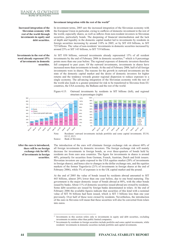

#### **Investment integration with the rest of the world37**

**Increased integration of the Slovenian economy with rest of the world through investments in equity and debt securities.** 

In investment terms, 2005 saw the increased integration of the Slovenian economy with the European Union in particular, owing to outflows of domestic investment to the rest of the world, especially shares, as well as inflows from non-resident investors in Slovenian securities, particularly bonds. The deepening of financial intermediation and the lack of depth and liquidity in the domestic capital market led to investments by residents in foreign securities increasing by around 110% in 2005, or by SIT 410 billions, to SIT 725 billions. The value of non-residents' investments in domestic securities increased by around 25% or SIT 143 billions, to SIT 719 billions.

**Investments in the rest of the word already represent 15% of investments in domestic securities.** At SIT 830 billions, outward investments already represented 15% of all resident investments by the end of February 2006 in domestic securities, $38$  which is 8 percentage points more than one year before. The regional exposure of domestic investors therefore fell compared to past years. Of the outward investments, investments in shares have increased more than investments in bonds. At the end of February 2006, half of all foreign investments were in shares. The reasons for the growth in outward investments are the state of the domestic capital market and the desire of domestic investors for higher returns and the tendency towards greater regional dispersion to reduce exposure to a single economy. The advancing integration of the Slovenian economy with the rest of the world also leads to a greater potential for risk to be transferred to Slovenia from EU countries, the USA economy, the Balkans and the rest of the world.

Figure 4.15: Outward investments by residents in SIT billions (left), and regional structure in percentages (right)



 $46\%$  50% 57% 60% 58% 59% 59% 59% 59% 60% 12% 8%  $6\%$  -  $7\%$  -  $7\%$  -  $7\%$  -  $7\%$  -  $7\%$  -  $7\%$  -  $6\%$  $18\%$  - 18% 17%  $15\%$  15%  $13\%$   $-$  13%  $-$  13%  $-$  13% 12%  $-$  13% 10% 9% 8% 8% 11% 11% 13% 12% 11% 13% 12% 58% 58%  $0%$ 10% 20% 30% 40% 50% 60% 70% 80% 90% 100% .03 Sep. **Mar**.04  $n_{\tilde{O}_1}$ Sep.04 Dec.04 **Mar** do **Wn.05** .05. Sep. Feb.06 EX-YUG USA EU10  $E(x)$  $E[112]$ Dec.03 Dec.

Note: Residents' outward investments include portfolio and some capital investments. EU10, EU12, EU3.

Source: Bank of Slovenia

**After the euro is introduced, there will be no foreign exchange risk for 60% of investments in foreign securities.**

The introduction of the euro will eliminate foreign exchange risk on almost 60% of all foreign investments by domestic investors. The foreign exchange risk will mainly decrease for investments in foreign bonds, as over three-quarters of bonds held by residents are from euro area countries. The figure for investments in shares is around 40%, primarily for securities from German, French, Austrian, Dutch and Irish issuers. Slovenian investors are quite exposed to the USA equities market (20% of investments in foreign shares), and hence also to changes in the dollar exchange rate, and the equities markets of the former Yugoslavia (21% of investments in foreign shares at the end of February 2006), while 5% of exposure is to the UK capital market and the pound.

At the end of 2005 the value of bonds issued by residents abroad amounted to SIT 443 billions, almost 20% lower than one year before, due to one bond maturing. The government is the major domestic issuer of bonds abroad at 80%, with the other bonds issued by banks. About 11% of domestic securities issued abroad are owned by residents. Some debt securities are issued by foreign banks denominated in tolars. At the end of February 2006 the available figures indicate that securities of this kind with a nominal value of SIT 56 billions had been issued, which is SIT 3 billions less than one year previously. Over half of these were owned by residents. Nevertheless, the introduction of the euro in Slovenia will mean that these securities will also be converted from tolars into euros.

<sup>&</sup>lt;sup>37</sup> Investments in this section refers only to investments in equity and debt securities, excluding investments in entities other than public limited companies.

<sup>&</sup>lt;sup>38</sup> Investments by residents in foreign securities include portfolio and some capital investments, while residents' investments in domestic securities include portfolio and capital investments.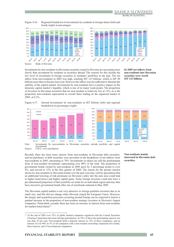BANKA SLOVENIJE BANK OF SLOVENIA



Figure 4.16: Regional breakdown of investments by residents in foreign shares (left) and bonds (right) in percentages



Investments by non-residents in Slovenian securities issued in Slovenia are increasing more slowly than investment by residents in securities abroad. The reasons for this include the low level of investment in foreign securities in residents' portfolios in the past. The net inflow from non-residents in 2005 was high, reaching SIT 123 billions, which is SIT 90 billions more than in the previous year. However the inflow was not sufficient to threaten the stability of the capital market. Investments by non-residents have a positive impact on the domestic capital market's liquidity, which is one of its major weak points. The proportion of investors in Slovenian securities that are non-resident is relatively low at 12%, as is the proportion non-residents represented in overall share trading on the organised market in 2005, at 8.3%.

**In 2005 net inflows from non-residents into Slovenian securities were worth SIT 123 billions.**







Note: Investments by non-residents in Slovenian securities include portfolio and capital investments. Source: CSCC, own calculations

Recently there has been more interest from non-residents in Slovenian debt securities, and net purchases of debt securities were prevalent in the breakdown of net inflows from non-residents in 2005, amounting to 70%. Investments in shares are still the predominant form of non-resident investment, representing over 80% of the total. The proportion of government bonds owned by non-residents in 2005 grew by 5 percentage points to over 8%, and moved to 12% in the first quarter of 2006. The reason for the greater interest shown by non-residents in Slovenian bonds over the past year may well be speculation that an additional lowering of risk premiums on Slovenia's entry into the euro area could lead to higher bond prices and higher capital gains. Some foreign investors could also have a pre-determined proportion of their portfolio set aside for an individual region and may then have moved to government bonds after one of eurobonds matured in May 2005.

The Slovenian capital market is not very attractive to foreign portfolio investors due to its small size, and this did not change when Slovenia joined the European Union. However, the merger and acquisition processes occurring around Europe can be expected to lead to a gradual increase in the proportion of non-resident strategic investors in Slovenia's largest companies. Particularly recently there has been an increase in interest from non-residents for market-listed shares<sup>39</sup>.

**Non-residents mainly interested in Slovenian debt securities.**

<sup>&</sup>lt;sup>39</sup> At the end of 2005 over 52% of public limited companies registered with the Central Securities Clearing Corporation had some foreign participation. In 78% of these the participating interest was less than 10 per cent. Non-residents held a majority interest in 12% of these companies, and an interest of over 90% in 5% of all companies with a non-resident ownership component (five banks, three insurers, and 14 non-financial companies).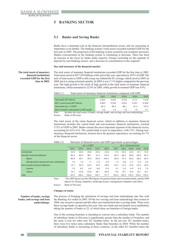

# **5 BANKING SECTOR**

# **5.1 Banks and Saving Banks**

Banks have a dominant role in the financial intermediation sector, and are increasing in importance even further. The banking system's total assets exceeded nominal GDP for the first time in 2005. The proportion of the banking system owned by non-residents increased. Market concentration in the banking system is continuing to decrease. There has been an increase in the focus by banks under majority foreign ownership on the segment of deposits by non-banking sectors, and a decrease in concentration in this segment.

## **Size and structure of the financial market**

**The total assets of monetary financial institutions exceeded GDP for the first time in 2005.**

The total assets of monetary financial institutions exceeded GDP for the first time in 2005. Total assets stood at SIT 7,018 billions at the end of the year, equivalent to 107% of GDP. The ratio of total assets to GDP is still a long way behind the EU average, which stood at 280% in 2004, but it is rising extremely quickly. In 2005 it was 17.1% higher compared to the previous year. The high growth is the result of high growth in the total assets of monetary financial institutions, which amounted to 22.9% in 2005, while growth in nominal GDP was 4.9%.

| Total assets of monetary financial institutions compared with GDP<br>Table $5.1$ : |  |
|------------------------------------------------------------------------------------|--|
|------------------------------------------------------------------------------------|--|

|                                                                                                | 2001  | 2002  | 2003  | 2004  | 2005  |  |  |  |  |  |
|------------------------------------------------------------------------------------------------|-------|-------|-------|-------|-------|--|--|--|--|--|
| Total assets (SIT billions)                                                                    | 3.954 | 4.623 | 5.123 | 5.711 | 7.018 |  |  |  |  |  |
| GDP, current prices (SIT billions)                                                             | 4.800 | 5.355 | 5.814 | 6.251 | 6.558 |  |  |  |  |  |
| Total assets (as % of GDP)                                                                     | 82.4  | 86.3  | 88.1  | 91.4  | 107.0 |  |  |  |  |  |
| Ratio of growth in total assets to GDP growth                                                  | 2.0   | 1.5   | 1.3   | 1.5   | 4.7   |  |  |  |  |  |
| Note:<br>Includes the total assets of banks, savings banks, and savings and loan undertakings. |       |       |       |       |       |  |  |  |  |  |

Source: Bank of Slovenia

The total assets of the entire financial sector, which in addition to monetary financial institutions includes the central bank and non-monetary financial institutions, reached 172% of GDP in 2005. Banks remain the most important segment of the financial sector, accounting for 62% of it. The central bank is next in importance, with 15%. Among nonmonetary financial institutions, insurers have the greatest importance, accounting for 7% of the financial sector.

| Table 5.2:                                  |      | Structure of financial sector and GDP equivalents in percentages |      |      |       |      |      |                          |      |      |  |  |  |
|---------------------------------------------|------|------------------------------------------------------------------|------|------|-------|------|------|--------------------------|------|------|--|--|--|
|                                             |      | As % of GDP                                                      |      |      |       |      |      | As % of financial sector |      |      |  |  |  |
|                                             | 2001 | 2002                                                             | 2003 | 2004 | 2005  | 2001 | 2002 | 2003                     | 2004 | 2005 |  |  |  |
| Central bank                                | 23.8 | 29.9                                                             | 28.9 | 25.9 | 25.8  | 17.3 | 20.2 | 19.3                     | 16.7 | 15.0 |  |  |  |
| Monetary financial institutions             | 82.4 | 86.3                                                             | 88.1 | 91.4 | 107.0 | 60.0 | 58.2 | 58.8                     | 58.9 | 62.3 |  |  |  |
| <b>Banks</b>                                | 80.8 | 85.1                                                             | 87.0 | 90.8 | 106.4 | 58.9 | 57.4 | 58.0                     | 58.6 | 62.0 |  |  |  |
| Savings banks/savings and loan undertakings | 1.6  | 1.2                                                              | 1.1  | 0.5  | 0.6   | 1.2  | 0.8  | 0.7                      | 0.3  | 0.3  |  |  |  |
| Non-monetary financial institutions         | 31.1 | 32.0                                                             | 32.9 | 37.9 | 38.8  | 22.7 | 21.6 | 21.9                     | 24.4 | 22.6 |  |  |  |
| <b>Insurers</b>                             | 7.0  | 8.2                                                              | 9.0  | 9.8  | 11.9  | 5.1  | 5.5  | 6.0                      | 6.3  | 7.0  |  |  |  |
|                                             |      |                                                                  |      |      |       |      |      |                          |      |      |  |  |  |

Others1 24.1 23.9 23.9 28.1 26.9 17.5 16.1 15.9 18.1 15.7 Total 137.2 148.3 149.9 155.1 171.7 100.0 100.0 100.0 100.0 100.0

Table 5.2: Structure of financial sector and GDP equivalents in percentages

Note: <sup>1</sup> The 2005 figures use the 2005 figures for pension funds and investment funds, and the 2004 figures for leasing companies, brokerage houses, management companies and others. Source: Bank of Slovenia

#### **Changes of status**

**Number of banks, savings banks, and savings and loan undertakings.**

The process of bringing the operations of savings and loan undertakings into line with the Banking Act ended in 2005. Of the two savings and loan undertakings that existed in 2004, one ceased to operate and the other was transformed into a savings bank. There were three savings banks in operation last year. One new bank and one branch were established, taking the number of banks to 22, of which three are branches of foreign banks.

One of the existing branches is intending to convert into a subsidiary bank. The number of subsidiary banks in Slovenia is significantly greater than the number of branches, and the same is true for other new EU member-states. In the ten new EU member-states, there were five times more subsidiary banks than branches in 2004. While the number of subsidiary banks is increasing in these countries, in the older EU member-states the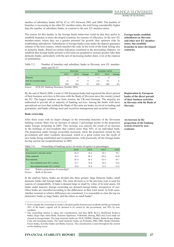number of subsidiary banks fell by 62 or 14% between 2001 and 2004. The number of branches is increasing in the older EU member-states, the total being considerably higher than the number of subsidiary banks, in contrast to the new EU member-states.

The reason for this duality in the foreign banks behaviour could be that they prefer to establish branches in more developed countries for reasons of efficiency. In the new EU member-states, where they see a greater potential for growth, they optimise risks by establishing subsidiaries. Subsidiaries of foreign banks come under the deposit guarantee scheme of the host country, which transfers the risks in the event of the bank failing also to domestic banks. Based on certain indicators examined in the proceeding chapters, we establish that foreign banks present in Slovenia are prepared to assume greater risks than domestic banks, particularly with the aim of increasing market share, even at the expense of profitability.

**Foreign banks establish subsidiaries in Slovenia and other new EU memberstates, but establish branches in more developed countries.**

Table 5.3: Number of branches and subsidiary banks in Slovenia, new EU memberstates and EU15

|                      |      | <b>Branches</b> |        | Subsidiary banks |      |        |  |
|----------------------|------|-----------------|--------|------------------|------|--------|--|
|                      | 2001 | 2004            | Change | 2001             | 2004 | Change |  |
| Slovenia             |      |                 |        | 4                | 5    |        |  |
| New EU member-states | 21   | 27              | 6      | 112              | 121  | 9      |  |
| <b>EU15</b>          | 582  | 594             | 12     | 448              | 386  | -62    |  |

Source: ECB (EU Banking Structures, October 2005)

By the end of March 2006, a total of 108 European banks had registered the direct pursuit of their business activities in Slovenia with the Bank of Slovenia since the country joined the EU. The largest numbers are from Austria, the UK and Germany. The majority are authorised to provide all or majority of banking services. Among the banks with more specialized services that notified the Bank of Slovenia are banks involved in lending and guarantees, and banks offering asset and securities management and securities issues.

**Registration by European banks of the direct pursuit of their business activities in Slovenia with the Bank of Slovenia.**

### **Bank ownership**

After three years with no major changes in the ownership structure of the Slovenian banking system, there was an increase of almost 3 percentage points in the proportion under foreign ownership in 2005. This increase was entirely the result of an increase in the holdings of non-residents that control more than 50% of an individual bank. The proportion under foreign ownership increased, while the proportion owned by the government and other residents decreased, which to a great extent was the result of new banks being established and recapitalisations, with practically all the foreign banks having carried out recapitalisations in 2005.

**An increase in the proportion of the banking system owned by nonresidents.**

| Table $5.4$ : | Ownership of banking sector (in terms of equity) in percentages |  |  |  |
|---------------|-----------------------------------------------------------------|--|--|--|
|---------------|-----------------------------------------------------------------|--|--|--|

| (%)                               | 2002 | 2003 | 2004 | 2005 |
|-----------------------------------|------|------|------|------|
| Government in narrower sense      | 20.3 | 19.4 | 19.1 | 18.1 |
| Other residents                   | 47.2 | 48.2 | 48.6 | 46.8 |
| Non-residents                     | 32.5 | .324 | 32.4 | 35.1 |
| Non-residents (over 50% control)  | 15.7 | 16.6 | 16.5 | 19.6 |
| Non-residents (under 50% control) | 16.8 | 15.8 | 15.9 | 15.5 |

Note: Relative proportions of ownership<sup>40</sup>.<br>Source: Bank of Slovenia

Bank of Slovenia

In the analysis below, banks are divided into three groups: large domestic banks, small domestic banks and foreign banks. The same division as in the previous year is used for reasons of comparability. A bank is deemed large or small by virtue of its total assets. All banks under majority foreign ownership are deemed foreign banks, irrespective of size. Other banks are classified according to the differences in their total assets. In both cases, whether nominal or relative differences are considered, it is reasonable to class the top six (domestic) banks as large banks, and the others as small banks<sup>41</sup>.



<sup>40</sup> If for example the ownership of a bank is divided equally between non-residents and the government, 50% of the bank's capital will be deemed to be owned by the government, and 50% by nonresidents.

<sup>41</sup> The controlling interest is taken into consideration, and thus SKB, Ba-Ca, Raiffeisen Krekova banka, Hypo Alpe Adria Bank, Kaertner Sparkasse, Volksbank, Bawag, BKS and Zveza bank are classed as foreign banks. The large domestic banks are NLB, NKBM, Abanka, Banka Koper, Banka Celje and Gorenjska banka. The small domestic banks are Probanka, PBS, DBS, Banka Domžale, Factor banka, Koroška banka and Banka Zasavje. This classification is used throughout the section on the banking sector.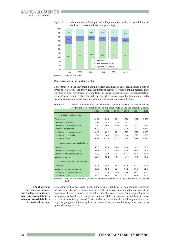





#### **Concentration in the banking sector**

Concentration in the Slovenian banking system continues to decrease, measured both in terms of total assets and individual segments of services for non-banking sectors. Thus Slovenia is also converging on conditions in the euro area in terms of concentration. Concentration remains relatively high, but the differences are rapidly diminishing, partly because concentration has been increasing in the euro area in recent years.

| aan Throemhan maen and market share of the top three/h to oamly |       |       |       |       |       |       |
|-----------------------------------------------------------------|-------|-------|-------|-------|-------|-------|
|                                                                 | 2000  | 2001  | 2002  | 2003  | 2004  | 2005  |
| Herfindahl-Hirshman index                                       |       |       |       |       |       |       |
| <b>Total assets</b>                                             | 1,265 | 1,655 | 1,664 | 1,552 | 1,472 | 1,388 |
| Total assets (euro area)                                        | 508   | 544   | 553   | 581   | 600   |       |
| Lending to non-banking sectors                                  | 1,147 | 1,500 | 1,470 | 1,393 | 1,310 | 1,273 |
| Lending to households                                           | 1,040 | 1,475 | 1.441 | 1.369 | 1.274 | 1,255 |
| Liabilities to non-banking sectors                              | 1,229 | 1,682 | 1,689 | 1,607 | 1,570 | 1,460 |
| Liabilities to households                                       | 1,211 | 1,784 | 1,829 | 1,810 | 1,725 | 1,678 |
| Liabilities to banks                                            | 2,033 | 2,130 | 1,723 | 1,379 | 1,278 | 1,290 |
| Market share of top three banks (%)                             |       |       |       |       |       |       |
| <b>Total assets</b>                                             | 46.7  | 53.6  | 55.4  | 53.3  | 51.9  | 50.3  |
| Lending to non-banking sectors                                  | 43.4  | 51.1  | 52.9  | 52.5  | 50.5  | 48.7  |
| Liabilities to non-banking sectors                              | 47.0  | 55.0  | 56.7  | 55.7  | 55.3  | 54.1  |
| Liabilities to banks                                            | 59.1  | 60.2  | 56.5  | 51.7  | 48.6  | 48.9  |
| Market share of top five banks (%)                              |       |       |       |       |       |       |
| <b>Total assets</b>                                             | 59.5  | 66.3  | 67.2  | 65.5  | 64.0  | 63.4  |
| Lending to non-banking sectors                                  | 60.0  | 66.2  | 67.1  | 66.2  | 63.7  | 62.3  |
| Liabilities to non-banking sectors                              | 63.1  | 70.9  | 71.3  | 70.6  | 68.9  | 67.3  |
| Liabilities to banks                                            | 62.0  | 64.6  | 61.8  | 60.1  | 59.8  | 62.3  |

Table 5.5: Market concentration of Slovenian banking market as measured by Herfindahl-Hirschman index and market share of the top three/five banks

Sources: Bank of Slovenia, ECB (Report on EU Banking Structure, ECB, November 2004, October 2005)

**The changes in concentration indicate that the foreign banks are refocusing from liabilities to banks toward liabilities to non-bank sectors.** 

Concentration has decreased most in the area of liabilities to non-banking sectors in the last year. The foreign banks and the small banks saw their market shares rise at the expense of the large banks. On the other side, the trend of decreasing concentration in the segment of liabilities to banks interrupted in 2005 (the majority of liabilities to banks are liabilities to foreign banks). This could be an indication that the foreign banks are no longer relying just on financing from the parent banks, and are focusing more on deposits by non-banking sectors.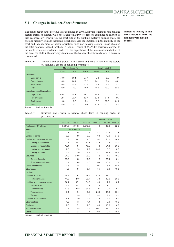# **5.2 Changes in Balance Sheet Structure**

The trends begun in the previous year continued in 2005. Last year lending to non-banking sectors increased further, while the average maturity of deposits continued to shorten as they recorded low growth. On the asset side of the banking system's balance sheet, the average maturity of loans increased, which increased the imbalance in the maturity of the asset and liability sides of banks' operations with non-banking sectors. Banks obtained the extra financing needed for the high lending growth of 24.2% by borrowing abroad. In the stable economic conditions, and given the expectation of the imminent introduction of the euro, the shift in the currency structure of the balance sheet towards foreign currency accelerated.

**Increased lending to nonbank sectors in 2005 was financed with foreign sources.**

| Table $5.6$ : | Market shares and growth in total assets and loans to non-banking sectors |
|---------------|---------------------------------------------------------------------------|
|               | by individual groups of banks in percentages                              |

|                              | ▱    | Market shares (%) | -    |      | Growth rate (%) |      |  |  |
|------------------------------|------|-------------------|------|------|-----------------|------|--|--|
|                              | 2003 | 2004              | 2005 | 2003 | 2004            | 2005 |  |  |
| <b>Total assets</b>          |      |                   |      |      |                 |      |  |  |
| Large banks                  | 70.6 | 69.1              | 67.0 | 7.8  | 9.9             | 19.1 |  |  |
| Foreign banks                | 18.9 | 20.1              | 22.7 | 24.1 | 19.4            | 39.1 |  |  |
| Small banks                  | 10.5 | 10.8              | 10.3 | 11.8 | 15.5            | 17.2 |  |  |
| Total                        | 100  | 100               | 100  | 11.0 | 12.3            | 22.9 |  |  |
| Loans to non-banking sectors |      |                   |      |      |                 |      |  |  |
| Large banks                  | 69.4 | 67.1              | 64.7 | 15.6 | 17.0            | 19.7 |  |  |
| Foreign banks                | 21.1 | 23.4              | 25.9 | 22.3 | 34.1            | 37.7 |  |  |
| Small banks                  | 9.5  | 9.5               | 9.4  | 9.2  | 20.5            | 22.6 |  |  |
| Total                        | 100  | 100               | 100  | 16.3 | 21.0            | 24.2 |  |  |

Source: Bank of Slovenia

Table 5.7: Structure and growth in balance sheet items in banking sector in percentages

|                                   |         |               |         | Growth rate(%) |         |         |  |  |
|-----------------------------------|---------|---------------|---------|----------------|---------|---------|--|--|
|                                   | Dec. 03 | Dec. 04       | Dec. 05 | Dec. 03        | Dec. 04 | Dec. 05 |  |  |
| Total assets (SIT billions)       | 5.057.5 | 5.678.5       | 6,979.9 | 11.0           | 12.3    | 22.9    |  |  |
| <b>Assets</b>                     |         | Structure (%) |         |                |         |         |  |  |
| Cash                              | 2.8     | 2.5           | 2.1     | $-1.3$         | $-0.3$  | 1.8     |  |  |
| Lending to banks                  | 6.8     | 8.9           | 9.8     | $-9.5$         | 47.0    | 34.5    |  |  |
| Lending to non-banking sectors    | 50.2    | 54.1          | 54.6    | 16.3           | 21.0    | 24.2    |  |  |
| Lending to companies              | 31.6    | 34.1          | 33.8    | 24.5           | 21.4    | 21.7    |  |  |
| Lending to households             | 12.4    | 13.4          | 13.8    | 11.8           | 21.4    | 26.0    |  |  |
| Lending to government             | 2.8     | 2.5           | 2.2     | $-34.3$        | 0.7     | 8.5     |  |  |
| Lending to others                 | 3.4     | 4.0           | 4.8     | 41.2           | 32.4    | 49.4    |  |  |
| <b>Securities</b>                 | 34.0    | 28.9          | 28.0    | 11.2           | $-4.5$  | 19.0    |  |  |
| <b>Bank of Slovenia</b>           | 20.3    | 13.5          | 12.0    | 11.7           | $-25.4$ | 9.4     |  |  |
| Government and others             | 13.7    | 15.4          | 16.0    | 10.4           | 26.5    | 27.4    |  |  |
| <b>Capital investments</b>        | 1.6     | 1.5           | 1.9     | 17.1           | 8.3     | 52.5    |  |  |
| Other assets                      | 4.6     | 4.1           | 3.7     | $-0.7$         | $-0.9$  | 10.6    |  |  |
| Liabilities                       |         |               |         |                |         |         |  |  |
| Liabilities to banks              | 16.5    | 19.7          | 28.4    | 42.9           | 33.7    | 77.3    |  |  |
| To foreign banks                  | 14.0    | 17.9          | 26.7    | 51.5           | 43.6    | 83.3    |  |  |
| Liabilities to non-banking sector | 65.1    | 62.1          | 54.9    | 4.6            | 7.0     | 8.7     |  |  |
| To companies                      | 12.3    | 11.2          | 10.7    | 2.4            | 2.7     | 17.0    |  |  |
| To households                     | 42.3    | 41.2          | 35.5    | 8.1            | 9.5     | 5.7     |  |  |
| To government                     | 3.1     | 2.4           | 3.0     | $-23.9$        | $-14.3$ | 53.4    |  |  |
| To others                         | 7.5     | 7.3           | 5.8     | 5.5            | 9.3     | $-2.1$  |  |  |
| Liabilities from securities       | 4.3     | 4.0           | 3.4     | 22.6           | 4.0     | 6.7     |  |  |
| <b>Other liabilities</b>          | 1.8     | 1.5           | 1.4     | $-11.8$        | $-8.9$  | 15.0    |  |  |
| Provisions                        | 2.0     | 2.1           | 2.0     | 10.6           | 18.8    | 16.6    |  |  |
| Subordinated debt                 | 1.9     | 2.5           | 2.4     | 40.2           | 49.7    | 18.4    |  |  |
| Capital                           | 8.3     | 8.1           | 7.4     | 10.6           | 9.5     | 12.4    |  |  |

Source: Bank of Slovenia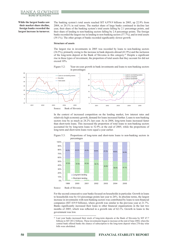**While the largest banks saw their market share decline, foreign banks recorded the largest increase in turnover.**

The banking system's total assets reached SIT 6,979.9 billions in 2005, up 22.9% from 2004, or 20.1% in real terms. The market share of large banks continued to decline last year, their share of the banking system's total assets falling by 2.1 percentage points, and their share of lending to non-banking sectors falling by 2.4 percentage points. The foreign banks recorded the largest rise in lending to non-banking sectors (37.7%), and in total assets (39.1%). The other groups of banks recorded significantly slower growth.

#### **Structure of assets**

The largest rise in investments in 2005 was recorded by loans to non-banking sectors (34.5%), primarily owing to the increase in bank deposits abroad (41.9%) and the inclusion of the long-term deposit at the Bank of Slovenia in this category.42 Despite a significant rise in these types of investment, the proportion of total assets that they account for did not exceed 10%.

Figure 5.2: Year-on-year growth in bank investments and loans to non-banking sectors in percentages



In the context of increased competition on the lending market, low interest rates and relatively high economic growth, demand for loans increased further. Loans to non-banking sectors rose by as much as 24.2% last year. As in 2004, long-term loans increased faster than short-term loans. This increased the proportion of total loans to non-banking sectors accounted for by long-term loans to 52.9% at the end of 2005, while the proportions of long-term and short-term loans were equal a year earlier.



Figure 5.3: Proportions of long-term and short-term loans to non-banking sectors in percentages

Source: Bank of Slovenia

For the second consecutive year banks focused on households in particular. Growth in loans to households rose by 4.6 percentage points last year to 26%. In absolute terms, the largest increase in investments with non-banking sectors was contributed by loans to non-financial companies (SIT 419.9 billions), where growth was similar to the previous year at 21.7%. Banks significantly increased their loans to other financial organisations in the last two months of 2005, which was reflected in a growth rate of 62.1%. Growth in loans to the government was low.

<sup>&</sup>lt;sup>42</sup> Last year banks increased their stock of long-term deposits at the Bank of Slovenia by SIT 47.7 billions to SIT 203.2 billions. These investments began to increase at the end of June 2004, when the central bank offered banks the chance of subscription to the long-term deposit when 270-day tolar bills were abolished.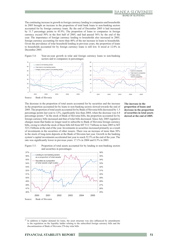The continuing increase in growth in foreign currency lending to companies and households in 2005 brought an increase in the proportion of total bank loans to non-banking sectors accounted for by foreign currency loans. By the end of December 2005 it had increased by 11.7 percentage points to 45.9%. The proportion of loans to companies in foreign currency exceed 50% in the first half of 2005, and had passed 56% by the end of the year. The importance of foreign currency lending to households also increased in 2005, foreign currency accounting for more than 40% of the net increase in loans to households. Given the prevalence of tolar household lending in previous years, the proportion of loans to households accounted for by foreign currency loans is still low. It stood at 12.0% in December 2005.



The decrease in the proportion of total assets accounted for by securities and the increase in the proportion accounted for by loans to non-banking sectors slowed towards the end of 2005. The proportion of total assets accounted for by Bank of Slovenia bills decreased by 1.5 percentage points last year to 12%, significantly less than 2004, when the decrease was 6.8 percentage points.43 In the stock of Bank of Slovenia bills, the proportion accounted for by foreign currency bills increased and that of tolar bills decreased. Since July 2005 regulative changes mean that banks no longer need to subscribe to Bank of Slovenia foreign currency bills, owing to which the stock of these bills fell from SIT 512.7 billions in June 2005 to SIT 323.2 billions at the end of the year. Investments in securities increased primarily as a result of investments in the securities of other issuers. There was an increase of more than 30% in the stock of long-term deposits at the Bank of Slovenia last year. Growth in the banking system's capital investments accelerated last year to reach 52.5% at the end of the year. The rate was significantly lower in previous years: 17.1% in 2004 and 8.3% in 2003.

**The increase in the proportion of loans and decrease in the proportion of securities in total assets slowed at the end of 2005.**

Figure 5.5: Proportion of total assets accounted for by lending to non-banking sectors and securities in percentages



<sup>&</sup>lt;sup>43</sup> In addition to higher demand for loans, the asset structure was also influenced by amendments to the regulation on the liquidity ladder relating to the subscribed foreign currency bills and the discontinuation of Bank of Slovenia 270-day tolar bills.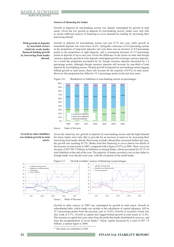

#### **Sources of financing for banks**

Growth in deposits by non-banking sectors was sharply outstripped by growth in total assets. Given the low growth in deposits by non-banking sectors, banks were only able to secure sufficient sources of financing to cover demand for lending by increasing their borrowing abroad.

**With growth in deposits by non-bank sectors relatively weak, banks financed lending growth by borrowing from banks abroad.**

Growth in deposits by non-banking sectors was just 8.7% last year, while growth in household deposits was even lower at 6%. Alongside a decrease of 0.8 percentage points in the proportion of long-term deposits, last year there was an increase of 4.8 percentage points in the proportion of sight deposits, and a consequent decrease of 3.9 percentage points in deposits of up to one year. Given the difference in the return on tolar and foreign currency deposits, growth in tolar deposits outstripped growth in foreign currency deposits. As a result the proportion accounted for by foreign currency deposits decreased by 1.4 percentage points, although foreign currency deposits still account for one-third of total deposits by non-banking sectors. Despite growth in deposits by non-banking sectors lagging behind growth in total assets, these still account for the majority (54.9%) of total assets. However this proportion has fallen by 16.3 percentage points in the last four years.







### **Growth in other liabilities was behind growth in total assets.**

Given the relatively low growth in deposits by non-banking sectors and the high demand for loans, banks were only able to provide for an increase in turnover by increasing their borrowing from banks abroad. Borrowing at banks abroad thus increased further last year, the growth rate reaching 83.3%. Banks used this financing to cover almost two-thirds of the increase in total assets in 2005, compared with a figure of 47% in 2004. There was a net increase of SIT 845.7 billions in liabilities to foreign banks, which accounted for 26.7% of total liabilities at the end of the year. The majority of banks recorded a rise in their debts to foreign banks over the previous year, with the exception of the small banks.





Growth in other sources in 2005 was outstripped by growth in total assets. Growth in subordinated debt, which banks can include in the calculation of capital adequacy, fell by 31.3 percentage points from the previous year to 18.4%. Growth in securities issued was also weak at 6.7%. Growth in capital also lagged behind growth in total assets at 12.4%. The increase in capital last year came from the profit that banks distributed to reserves, and from the recapitalisation of seven banks,<sup>44</sup> whose capital increased by a total of SIT 7.8 billions, a similar figure to 2004.

44 One bank was established in 2005.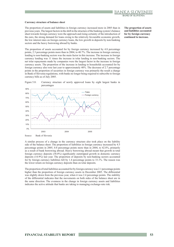#### **Currency structure of balance sheet**

The proportion of assets and liabilities in foreign currency increased more in 2005 than in previous years. The largest factors in the shift in the structure of the banking system's balance sheet towards foreign currency were the approach and rising certainty of the introduction of the euro, the strong demand for loans owing to the relatively favourable economic growth, the low interest rates on foreign currency loans, the low growth in deposits by non-banking sectors and the heavy borrowing abroad by banks.

The proportion of assets accounted for by foreign currency increased by 4.8 percentage points, 2.3 percentage points more than in 2004, to 40.7%. The increase in foreign currency lending to non-banking sectors was the main factor in this increase. The increase in foreign currency lending was 11 times the increase in tolar lending to non-banking sectors. The net tolar repayments made by companies were the largest factor in the increase in foreign currency assets. The proportion of the increase in lending to households accounted for by foreign currency also rose last year to approximately 40%. The decrease of 2.7 percentage points in the proportion of securities in foreign currency was primarily the result a change in Bank of Slovenia regulations, with banks no longer being required to subscribe to foreign currency bills as of July 2005.





A similar process of a change in the currency structure also took place on the liability side of the balance sheet. The proportion of liabilities in foreign currency increased by 4.5 percentage points in 2005, 0.8 percentage points more than in 2004, to 42.8%, primarily as a result of bank borrowing abroad. Heavy borrowing abroad meant that growth in total foreign currency deposits (38.0%) significantly outstripped growth in domestic currency deposits (14.9%) last year. The proportion of deposits by non-banking sectors accounted for by foreign currency liabilities fell by 1.4 percentage points to 33.1%. The reason was the lower return on foreign currency deposits than on tolar deposits.

The proportion of total liabilities accounted for by foreign currency was 2.1 percentage points higher than the proportion of foreign currency assets in December 2005. The differential was slightly down from the previous year, when it was 2.4 percentage points. The stability of the differential indicates that the movements on both sides of the balance sheet are in the same direction. The evenness in the change in foreign currency assets and liabilities indicates the active attitude that banks are taking to managing exchange-rate risk.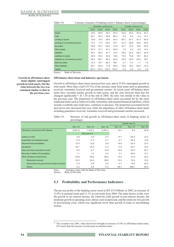BANK OF SLOVENIA

| Table $5.8$ :<br>Currency structure of banking sector's balance sheet in percentages |       |                       |       |       |      |                      |      |      |  |
|--------------------------------------------------------------------------------------|-------|-----------------------|-------|-------|------|----------------------|------|------|--|
|                                                                                      |       | Domestic currency (%) |       |       |      | Foreign currency (%) |      |      |  |
|                                                                                      | 2002  | 2003                  | 2004  | 2005  | 2002 | 2003                 | 2004 | 2005 |  |
| Assets                                                                               | 67.0  | 66.6                  | 64.1  | 59.3  | 33.0 | 33.4                 | 35.9 | 40.7 |  |
| Cash                                                                                 | 90.7  | 92.0                  | 90.6  | 89.3  | 9.3  | 8.0                  | 9.4  | 10.7 |  |
| Lending to banks                                                                     | 19.8  | 18.3                  | 38.6  | 35.2  | 80.2 | 81.7                 | 61.4 | 64.8 |  |
| Lending to non-banking sectors                                                       | 75.7  | 71.2                  | 65.2  | 54.1  | 24.3 | 28.8                 | 34.8 | 45.9 |  |
| <b>Securities</b>                                                                    | 59.3  | 62.7                  | 62.4  | 70.8  | 40.7 | 37.3                 | 37.6 | 29.2 |  |
| Other assets                                                                         | 92.5  | 91.7                  | 91.2  | 83.6  | 7.5  | 8.3                  | 8.8  | 16.4 |  |
| <b>Liabilities</b>                                                                   | 66.1  | 65.4                  | 61.7  | 57.2  | 33.9 | 34.6                 | 38.3 | 42.8 |  |
| Liabilities to banks                                                                 | 26.8  | 29.2                  | 23.9  | 19.8  | 73.2 | 70.8                 | 76.1 | 80.2 |  |
| Liabilities to non-banking sectors                                                   | 66.4  | 66.7                  | 65.4  | 66.9  | 33.6 | 33.3                 | 34.6 | 33.1 |  |
| Debt securities                                                                      | 97.3  | 97.7                  | 98.3  | 98.1  | 2.7  | 2.3                  | 1.7  | 1.9  |  |
| <b>Other liabilities</b>                                                             | 80.1  | 80.5                  | 71.8  | 69.0  | 19.9 | 19.5                 | 28.2 | 31.0 |  |
| Capital                                                                              | 100.0 | 100.0                 | 100.0 | 100.0 | 0.0  | 0.0                  | 0.0  | 0.0  |  |

Source: Bank of Slovenia

#### **Off-balance-sheet items and fiduciary operations**

**Growth in off-balance-sheet items slightly outstripped growth in total assets, but the ratio between the two was remained similar to that in the previous year.**

Growth in off-balance-sheet items increased last year, and at 25.8% outstripped growth in total assets. More than a half (55.7%) of the increase came from items such as guarantees received, warranties received and government sureties. In recent years off-balance-sheet items have recorded similar growth to total assets, and the ratio between them has not changed significantly.45 At 1.36 at the end of 2005, the ratio was similar to the value in the previous year. The proportion of off-balance-sheet items accounted for by the more traditional items such as letters of credit, warranties, and assumed financial liabilities, which include overdrafts and credit lines, continues to decrease. The proportion accounted for by derivatives also decreased last year, while the importance of other off-balance-sheet items including guarantees received, warranties received and government sureties increased.

Table 5.9: Structure of and growth in off-balance-sheet items in banking sector in percentages

|                                              | $\check{ }$ |               |         | Growth rate $(\% )$ |         |         |
|----------------------------------------------|-------------|---------------|---------|---------------------|---------|---------|
|                                              | Dec. 03     | Dec. 04       | Dec. 05 | Dec. 03             | Dec. 04 | Dec. 05 |
| Off-balance-sheet items (SIT billions)       | 6,901.8     | 7.547.2       | 9,491.4 | 13.3                | 9.4     | 25.8    |
|                                              |             | Structure (%) |         |                     |         |         |
| Letters of credit                            | 0.9         | 0.9           | 0.4     | 14.1                | $-55.4$ | 51.2    |
| Guarantees and pledged assets                | 11.9        | 11.5          | 6.7     | 9.7                 | $-36.5$ | 14.6    |
| Assumed financial liabilities                | 13.3        | 13.8          | 9.8     | 16.9                | $-22.4$ | 21.3    |
| Derivatives <sup>1</sup>                     | 23.7        | 24.6          | 11.3    | 17.3                | $-49.7$ | 37.5    |
| Depo and other securities records            | 8.3         | 8.7           | 12.9    | 18.9                | 63.3    | 30.7    |
| Records of written-off receivables           | 1.1         | 1.0           | 0.4     | 2.1                 | $-58.0$ | $-14.7$ |
| Other off-balance-sheet items                | 40.8        | 39.6          | 58.5    | 10.0                | 61.8    | 24.5    |
| Warranties received                          | 35.0        | 34.0          | 38.3    | 10.0                | 23.4    | 19.3    |
| Guarranties and government sureties received | 3.3         | 2.8           | 3.0     | $-4.7$              | 19.0    | 22.5    |
| <b>Others</b>                                | 2.5         | 2.8           | 17.2    | 28.7                | 569.1   | 36.5    |

Note:<br>Source: <sup>1</sup> Includes swaps with the Bank of Slovenia.

Bank of Slovenia

# **5.3 Profitability and Performance Indicators**

The pre-tax profits of the banking sector stood at SIT 63.9 billions in 2005, an increase of 13.9% in nominal terms and 11.1% in real terms from 2004. The main factors in this were the growth in net interest income, the relatively solid growth in non-interest income, the moderate growth in operating costs, labour costs in particular, and the relatively low growth in provisioning costs, which was significant lower than growth in loans to non-banking sectors.

<sup>&</sup>lt;sup>45</sup> The exception was 2001, when derivatives brought an increase of 54% in off-balance-sheet items, 43% more than the increase in total assets in absolute terms.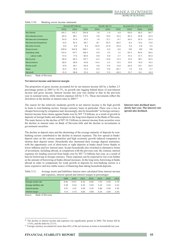# A SLOVENIJE BANK OF SLOVENIA

## Table 5.10: Banking sector income statement

|                            | Amount (SIT billions) |       |       |         | Growth rate $(\% )$ |         | As proportion of gross income (%) |      |      |
|----------------------------|-----------------------|-------|-------|---------|---------------------|---------|-----------------------------------|------|------|
|                            | 2003                  | 2004  | 2005  | 2003    | 2004                | 2005    | 2003                              | 2004 | 2005 |
| Net interest               | 145.7                 | 143.7 | 150.8 | 1.6     | $-1.4$              | 4.9     | 63.6                              | 59.2 | 56.7 |
| Non-interest income        | 83.3                  | 99.1  | 115.3 | 2.8     | 19.0                | 16.4    | 36.4                              | 40.8 | 43.3 |
| Net fees and commissions   | 54.9                  | 61.9  | 67.2  | 1.8     | 12.7                | 8.7     | 24.0                              | 25.5 | 25.3 |
| Net financial transactions | 19.5                  | 30.3  | 38.7  | $-8.1$  | 55.3                | 28.0    | 8.5                               | 12.5 | 14.6 |
| Net other income           | 8.9                   | 6.9   | 9.4   | 52.6    | $-21.8$             | 34.9    | 3.9                               | 2.9  | 3.5  |
| Gross income               | 228.9                 | 242.8 | 266.1 | 2.0     | 6.0                 | 9.6     | 100                               | 100  | 100  |
| <b>Operating costs</b>     | 143.2                 | 147.7 | 158.4 | 6.9     | 3.2                 | 7.2     | 62.5                              | 60.9 | 59.5 |
| Labour costs               | 72.0                  | 77.0  | 80.6  | 8.8     | 6.9                 | 4.7     | 31.5                              | 31.7 | 30.3 |
| Net income                 | 85.8                  | 95.0  | 107.7 | $-5.2$  | 10.8                | 13.3    | 37.5                              | 39.1 | 40.5 |
| Net provisions             | 38.0                  | 38.9  | 43.8  | $-14.5$ | 2.4                 | 12.5    | 16.6                              | 16.0 | 16.4 |
| Pre-tax profit             | 47.8                  | 56.1  | 63.9  | 3.8     | 17.5                | 13.9    | 20.9                              | 23.1 | 24.0 |
| <b>Taxes</b>               | 16.4                  | 19.4  | 12.4  | $-0.6$  | 17.9                | $-35.7$ | 7.2                               | 8.0  | 4.7  |
| Net profit                 | 31.3                  | 36.8  | 51.5  | 6.2     | 17.3                | 40.0    | 13.7                              | 15.1 | 19.3 |

Source: Bank of Slovenia

#### **Net interest income and interest margin**

The proportion of gross income accounted for by net interest income fell by a further 2.5 percentage points in 2005 to 56.7%, its growth rate lagging behind those of non-interest income and gross income. Interest income last year was similar to that in the previous year in nominal terms, while interest expenses fell by 5.1%. These movements reflect the slowdown in the decline in interest rates in 2005.<sup>46</sup>

The reason for the relatively moderate growth in net interest income is the high growth in loans to non-banking sectors, foreign currency loans in particular. There was a rise in cheaper borrowing by companies and, increasingly, also by households<sup>47</sup> in foreign currency. Interest income from claims against banks rose by SIT 7.9 billions, as a result of growth in deposits at foreign banks and subscription to the long-term deposit at the Bank of Slovenia. The main factors in the decline of SIT 10.3 billions in interest income from securities were the decline in interest rates on Bank of Slovenia bills and the decline in investments in government securities.

The decline in deposit rates and the shortening of the average maturity of deposits by nonbanking sectors contributed to the decline in interest expenses. The low spread in banks' deposit rates on the various maturities and high economic growth induced companies to shorten their deposit terms. Households also shortened their average deposit maturities, with the opportunity cost of short-term or sight deposits at banks much lower thanks to lower inflation and low interest rates. In part households also switched to alternative forms of investment, including abroad, in comparison with the previous year. By contrast, interest expenses for lending received from banks rose by SIT 7.6 billions last year, as a result of heavier borrowing in foreign currency. These expenses can be expected to rise even further as the amount of borrowing at banks abroad increases. In the long term, borrowing at banks abroad in order to compensate for weak growth in deposits by non-banking sectors is a more expensive and less stable source of financing than taking household deposits.

| Table $5.11$ : | Average assets and liabilities interest rates calculated from interest income |
|----------------|-------------------------------------------------------------------------------|
|                | and expenses, interest spread and interest margin in percentages              |

| (%)                      | 1999 | 2000  | 2001 | 2002 | 2003 | 2004 | 2005 |
|--------------------------|------|-------|------|------|------|------|------|
| Average assets rate      | 8.84 | 10.61 | 9.30 | 8.85 | 7.34 | 5.65 | 4.79 |
| Average liabilities rate | 5.26 | 6.54  | 6.24 | 5.60 | 4.43 | 3.04 | 2.42 |
| Interest spread          | 3.57 | 4.07  | 3.06 | 3.25 | 2.89 | 2.60 | 2.35 |
| Interest margin          | 4.13 | 4.72  | 3.62 | 3.69 | 3.23 | 2.84 | 2.53 |
| $  -$                    |      |       |      |      |      |      |      |

Source: Bank of Slovenia

**Interest rates declined more slowly last year. The interest rate spread also declined.**

<sup>&</sup>lt;sup>46</sup> The decline in interest income and expenses was significantly greater in 2004. The former fell by 13.6%, and the latter by 23.1%.

<sup>&</sup>lt;sup>47</sup> Foreign currency accounted for more than 46% of the net increase in loans to households last year.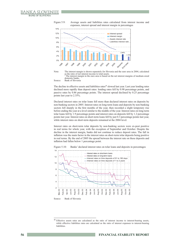





The decline in effective assets and liabilities rates<sup>48</sup> slowed last year. Last year lending rates declined more rapidly than deposit rates: lending rates fell by 0.98 percentage points, and passive rates by 0.86 percentage points. The interest spread declined by 0.25 percentage points last year to 2.35%.

Declared interest rates on tolar loans fell more than declared interest rates on deposits by non-banking sectors in 2005. Interest rates on long-term loans and deposits by non-banking sectors fell sharply in the first months of the year, then recorded a slight temporary rise before ending the year at a level similar to the middle of the year. Interest rates on long-term tolar loans fell by 1.9 percentage points and interest rates on deposits fell by 1.2 percentage points last year. Interest rates on short-term loans fell by just 0.3 percentage points last year, while interest rates on short-term deposits remained at the 2004 level.

Interest rates on short-term tolar deposits by non-banking sectors were ex-post positive in real terms for whole year, with the exception of September and October. Despite the decline in the interest margin, banks did not continue to reduce deposit rates. The fall in inflation was the main factor in the interest rates on short-term tolar deposits being positive in real terms. By the end of 2005 the spread between the interest rate on these deposits and inflation had fallen below 1 percentage point.



Figure 5.10: Banks' declared interest rates on tolar loans and deposits in percentages

<sup>48</sup> Effective assets rates are calculated as the ratio of interest income to interest-bearing assets, while effective liabilities rates are calculated as the ratio of interest expenses to interest-bearing liabilities.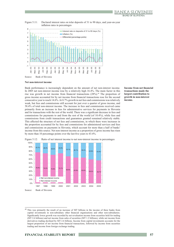SLOV BANK OF SLOVENIA



Figure 5.11: Declared interest rates on tolar deposits of 31 to 90 days, and year-on-year inflation rates in percentages

Source: Bank of Slovenia

### **Net non-interest income**

Bank performance is increasingly dependent on the amount of net non-interest income. In 2005 net non-interest income rose by a relatively high 16.4%. The main factor in this rise was growth in net income from financial transactions (28%).<sup>49</sup> The proportion of gross income accounted for by net income from financial transactions rose for the second consecutive year to reach 14.6%. At 8.7% growth in net fees and commissions was relatively weak, but fees and commissions still account for just over a quarter of gross income, and 58.4% of total non-interest income. The increase in fees and commissions received came primarily from an increase in fees for administrative services for payments in Slovenia and for transactions with the rest of the world. There was a significant decrease in fees and commissions for payments to and from the rest of the world (of 10.4%), while fees and commissions from credit transactions and guarantees granted remained relatively stable. This affected the structure of net fees and commissions, in which there were increases in the proportion accounted for by fees and commissions for administered services and fees and commissions on payments in Slovenia, which account for more than a half of banks' income from this source. Net non-interest income as a proportion of gross income has risen by more than 10 percentage points over the last five years to 43.4%.

**Income from net financial transactions made the largest contribution to growth in non-interest income.**



### <sup>49</sup> This was primarily the result of an increase of SIT billions in the income of three banks from capital investments in non-subsidiary other financial organisations and other non-subsidiaries. Significantly lower growth was recorded by net revaluation income from securities held for trading (SIT 2.6 billions) and net income from sales of securities (SIT 1.2 billions), while net income from derivatives trading declined by SIT 2.6 billions. Income from capital investments accounts for the largest proportion of net income from financial transactions, followed by income from securities trading and income from foreign exchange trading.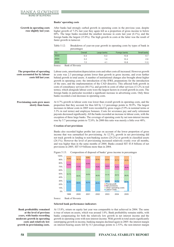

### **Banks' operating costs**

**Growth in operating costs rose slightly last year.** After banks had strongly curbed growth in operating costs in the previous year, despite higher growth of 7.2% last year they again fell as a proportion of gross income to below 60%. The large banks recorded the smallest increase in costs last year (4.1%), and the foreign banks the largest (15.8%). The high growth in costs at the latter was the result of faster growth in turnover.

Table 5.12: Breakdown of year-on-year growth in operating costs by types of bank in percentages

| (%)  | Overall | Large banks | Foreign banks | Small banks |
|------|---------|-------------|---------------|-------------|
| 2003 | 6.9     | 6.0         | 10.8          | 6.7         |
| 2004 | 3.2     | 1.4         | 10.4          | 2.6         |
| 2005 | 7.2     | 4.1         | 15.8          | 11.0        |

Source: Bank of Slovenia

**The proportion of operating costs accounted for by labour costs fell last year.** Labour costs, amortisation/depreciation costs and other costs all increased. However growth in costs was 2.3 percentage points lower than growth in gross income, and even further behind growth in total assets. A number of institutional changes also brought about higher growth in operating costs: the introduction of the IFRS, preparations for the introduction of the euro, and the implementation of the CAD directive. This affected both growth in costs of consultancy services (44.1%), and growth in costs of other services (13.2% in real terms), which alongside labour costs were the largest factors in overall growth in costs. The foreign banks in particular recorded a significant increase in advertising costs. Only three banks recorded a real decrease in operating costs.

### At 4.7% growth in labour costs was lower than overall growth in operating costs, and the proportion that they account for thus fell by 1.2 percentage points to 50.9%. The largest increases in labour costs in 2005 were recorded by gross wages (5.9% in nominal terms or 3.3% in real terms) and employee bonuses. Costs for severance pay and early retirement payouts decreased significantly. All the banks recorded an increase in labour costs, with the exception of three large banks. The coverage of operating costs by net non-interest income rose by 5.7 percentage points to 72.8%. In 2000 this ratio was merely a little over 40%. **Provisioning costs grew more slowly than loans.**

### **Creation of net provisions**

Banks also recorded higher profits last year on account of the lower proportion of gross income that was earmarked for provisioning. At 12.5%, growth in net provisioning did not track growth in lending to non-banking sectors (24.2%) or growth in classified assets (24.1%). However the level of provisioning increased relatively evenly over all months, and was higher than in the same months of 2004. Banks created SIT 43.8 billions of net provisions in 2005, SIT 4.9 billions more than in 2004.







### **Selected bank performance indicators**

**Bank profitability remained at the level of previous years, with banks recording moderate growth in operating costs and relatively low growth in provisioning costs.** At 13.8%, return on equity last year was comparable to that achieved in 2004. The same is true of return on assets, which was around 1.0%. Bank profitability remains stable, with banks compensating for both the relatively low growth in net interest income and the growth in operating costs with non-interest income. With growth in total assets significantly outstripping growth in income, banking margins declined again in 2005: the interest margin on interest-bearing assets fell by 0.3 percentage points to 2.53%, the non-interest margin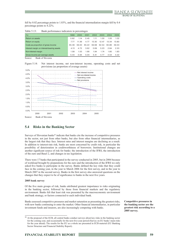fell by 0.02 percentage points to 1.83%, and the financial intermediation margin fell by 0.4 percentage points to 4.22%.

| Table 5.13: | Bank performance indicators in percentages |  |  |
|-------------|--------------------------------------------|--|--|
|             |                                            |  |  |

| (%)                                        | 1999  | 2000  | 2001  | 2002  | 2003  | 2004  | 2005  |
|--------------------------------------------|-------|-------|-------|-------|-------|-------|-------|
| Return on assets                           | 0.82  | 114   | 0.45  | 1 1 1 | 1.OO  | 1 በ5  | 1.02  |
| Return on equity                           | 7 7 7 | 11.36 | 4.77  | 13.30 | 12.47 | 13.34 | 13.80 |
| Costs as proportion of gross income        | 65.39 | 59.00 | 65.22 | 59.68 | 62.54 | 60.86 | 59.53 |
| Interest margin on interest-bearing assets | 4.13  | 4.72  | 3.62  | 3.69  | 3.23  | 2.84  | 2.53  |
| Non-interest margin                        | 1.58  | 1.53  | 1.66  | 1 94  | 1 74  | 1.85  | 1.83  |
| Gross income per average assets            | 5.44  | 5.94  | 5.04  | 5.41  | 4.77  | 4.54  | 4.22  |

Source: Bank of Slovenia

Figure 5.14: Net interest income, net non-interest income, operating costs and net provisions (as proportion of average assets)



# **5.4 Risks in the Banking Sector**

Surveys of Slovenian banks<sup>50</sup> indicate that banks cite the increase of competitive pressures in the sector, not just from other banks, but also from other financial intermediaries, as the largest risk that they face. Interest rates and interest margins are declining as a result. In addition to interest-rate risk, banks are most concerned by credit risk, in particular the possibility of deterioration in creditworthiness of borrowers. Institutional changes are another significant source of risk for banks: the introduction of the IFRS, the introduction of the euro and Basel 2, and changes in tax legislation.

There were 17 banks that participated in the survey conducted in 2005, but in 2006 because of workload brought by preparations for the euro and the introduction of the IFRS we only asked five banks to participate in the survey. Banks defined the key risks that they could face in the coming year, in the year to March 2006 for the first survey, and in the year to March 2007 in the second survey. Banks in the first survey also answered questions on the changes that they expect to be of significance to banks in the next five years.

### **2005 bank survey**

Of the five main groups of risk, banks attributed greatest importance to risks originating in the banking sector, followed by those from financial markets and the regulatory environment. Banks felt that least risk was presented by the macroeconomic environment and bank strategy, or factors connected to each individual bank.

Banks assessed competitive pressures and market saturation as presenting the greatest risks, with new banks continuing to enter the market. Other financial intermediaries, in particular investment funds and insurers, are also increasingly competing with banks.

**Competitive pressures in the banking sector are the greatest risk according to a 2005 survey.**

<sup>50</sup> At the proposal of the ECB, all central banks conduct surveys about key risks in the banking sector for the coming year, and occasionally for the next five-year period (Survey on EU banks' main risks for the year ahead). The results for the EU as a whole are presented in ECB material (EU Banking Sector Structure and Financial Stability Report).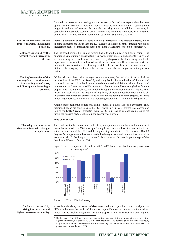| BANKA SLOVEN<br><b>BANK OF SLOVENIA</b>                                                                                 |                                                                                                                                                                                                                                                                                                                                                                                                                                                                                                                                                                                               |
|-------------------------------------------------------------------------------------------------------------------------|-----------------------------------------------------------------------------------------------------------------------------------------------------------------------------------------------------------------------------------------------------------------------------------------------------------------------------------------------------------------------------------------------------------------------------------------------------------------------------------------------------------------------------------------------------------------------------------------------|
|                                                                                                                         | Competitive pressures are making it more necessary for banks to expand their business<br>operations and also their efficiency. They are entering new markets and expanding their<br>range of products and services, but are also focusing more on individual segments, in<br>particular the household segment, which is increasing branch network costs. Banks warned<br>of a conflict of interest between commercial objectives and increasing risk.                                                                                                                                         |
| A decline in interest rates and<br>interest margins, imbalanced<br>positions.                                           | Increased competitiveness is causing declining interest rates and interest margins, which<br>in some segments are lower than the EU average. In addition, banks' interest-rate risk is<br>increasing because of imbalances in their positions with regard to the type of interest rate.                                                                                                                                                                                                                                                                                                       |
| Banks are concerned by the<br>possibility of an increase in<br>credit risk.                                             | The increased competition is also forcing banks to cut their costs and commissions. The<br>opportunities to pursue a conservative risk management strategy and accurate risk pricing<br>are diminishing. As a result banks are concerned by the possibility of increasing credit risk,<br>in particular a deterioration in the creditworthiness of borrowers. They drew attention to the<br>increase in concentration in the lending portfolio, the loss of their best customers (cherry<br>picking), the adequacy of loan collateral and rising debt in comparison with previous<br>periods. |
| The implementation of the<br>new regulatory requirements<br>is increasing banks' costs,<br>and IT support is becoming a | Of the risks associated with the regulatory environment, the majority of banks cited the<br>introduction of the IFRS and Basel 2, and many banks the introduction of the euro and<br>changes in tax legislation. Banks emphasised the necessity of defining all the changes and<br>requirements at the earliest possible juncture, so that they would have enough time for their                                                                                                                                                                                                              |

requirements at the earliest possible juncture, so that they would have enough time for their preparations. The main risks associated with the regulatory environment are rising costs and information technology. The majority of regulatory changes are realized operationally via IT departments, which are overstretched and are falling behind on other projects. Adapting to new regulatory requirements is thus increasing operational risks in the banking sector.

Among macroeconomic conditions, banks emphasised risks affecting exporters. They mentioned economic conditions in the EU, growth in oil prices, interest rates abroad and joining the EMU. Greater integration with the EU is increasing competitive pressures not just in the banking sector, but also in the economy as a whole.

### **2006 bank survey**

**2006 brings an increase in risks associated with changes in regulations.**

**problem.**

The results of the two surveys are not entirely comparable, mainly because the number of banks that responded in 2006 was significantly lower. Nevertheless, it seems that with the actual introduction of the IFRS and the approaching introduction of the euro and Basel 2 they are focusing more on risks associated with the regulatory environment. Alongside risks associated with the banking sector, banks feel that these are the most important type of risk that they will have to face in 2006.





Source: 2005 and 2006 bank surveys

**Banks are concerned by rising interest rates and higher interest-rate volatility.**

Apart from the rising importance of risks associated with regulations, there is a significant difference between the results of the two surveys with regard to interest rate fluctuations. Given that the level of integration with the European market is constantly increasing, and

<sup>51</sup> Banks ranked five different categories from which risks to their institution originate in order from 5 (most important, i.e. greatest risk) to 1 (least important). The percentage for a particular category is given by the sum of the assessments for the category divided by the sum of all assessments. The percentages thus add up to 100%.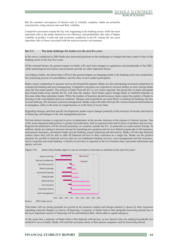that the nominal convergence of interest rates is virtually complete, banks are primarily concerned by rising interest rates and their volatility.

Competitive pressures remain the key risk originating in the banking sector, while the most important risks at the banks themselves are efficiency and profitability (the risks of higher volatility in profits). Credit risk and economic conditions in the EU remain the two most important risks of those associated with the macroeconomic environment.

### **Box 5.1: The main challenges for banks over the next five years**

In the survey conducted in 2005 banks also answered questions on the challenges or changes that they expect to face in the banking sector in the next five years.

Of the external factors, the greatest impact on banks will come from changes in regulations and membership of the EMU, while technological innovations and economic growth are other important factors.

According to banks, the factors that will have the greatest impact on changing trends in the banking sector are competition, the continuing process of consolidation, and the entry of new market participants.

Banks expect competition to increase most in the household segment. Banks are also anticipating increased competition in commercial banking and asset management. Competitive pressures are expected to increase further as more foreign banks enter the Slovenian market. The arrival of banks from the EU is very much expected, but practically no bank anticipates that foreign banks from outside the EU will enter the market. Most banks expect foreign banks to establish branches in Slovenia rather than subsidiary banks. While the number of branches should increase, banks expect the number of banks to decrease as the consolidation process continues. Mergers and acquisitions are most likely in commercial banking, but also in retail banking, life insurance and asset management. Banks expect the links between the various financial intermediaries to strengthen, either in the form of conglomerates or in the form of looser links.

Regarding strategic and firm-specific developments, banks expect changes primarily in the structure of income and sources of financing, and changes in the risk management process.

Net non-interest income is expected to grow in importance in the income structure at the expense of interest income. One of the more important bank policies is greater diversification, both in regional terms and in terms of products and services. Regional diversification will be focused primarily on countries outside the EU, in particular on south-eastern Europe. In addition, banks are aiming to increase income by launching new products and services linked in particular to life insurance and pension insurance, investment funds, private banking, project financing and derivatives. Banks will develop financial centres where they will be able to offer all financial services to their customers at a single site. Banks see the greatest potential for growth in financial services that are not traditional banking services, asset management and life insurance, and in corporate and reatil banking. A decline in activities is expected in the two business lines, payments settlements and agency services.



Figure 5.16: Areas where banks expect to see an increase or decrease in activities in the next five years<sup>1</sup>

Source: 2005 bank survey

That banks still see strong potential for growth in the domestic market and foreign markets is shown by their responses regarding expected changes in sources of financing. A majority of banks believe that alongside borrowing abroad one of the most important sources of financing will be subordinated debt, which adds to capital adequacy.

At the same time a majority of banks believe that deposits will decline, as low interest rates are making households less inclined to save at banks. Banks will seek the necessary assets at their parent companies and by borrowing abroad.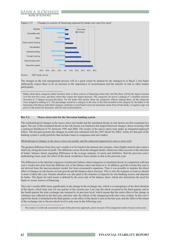### BANKA SLOVENIJE BANK OF SLOVENIA



Figure 5.17: Changes in sources of financing expected by banks over next five years<sup>1</sup>

The changes in the risk management process will to a great extent be defined by the changeover to Basel 2, but banks

additionally expect there to be an increase in the importance of securitisation and the transfer of risk to other market participants.

## **Box 5.2: Macro stress tests for the Slovenian banking system**

The methodological changes in the macro stress test model and the simulated shocks in risk factors are first examined in a paper. The size of the simulated shocks in the risk factors was limited to the largest historical changes, those occurring with a statistical likelihood of 5% between 1995 and 2004. The results of the macro stress tests under an integrated approach follow. The last part presents the changes in credit risk estimated with the 2003 Model for 2004,<sup>1</sup> solely for that part of the banking system's credit portfolio that includes loans to companies and sole traders.

### *Methodological changes in the macro stress test model, and the integrated approach to macro stress tests*

The greatest difference from last year's results is to be found in the interest rate scenario, where higher interest rates cause a relatively strong decrease in profit. The difference arises from the changed model, which now takes account of the structure of banks' balance sheets regarding differences in the average maturity of assets and liabilities. Had the previous year's methodology been used, the effect of the shock would have been similar to that in the previous year.

The differences in the absolute responses of particular balance-sheet categories to simulated shocks in comparison with last year's results also arise from the different size of the balance sheet and items in it. In addition, growth in loans this year is not derived from the macroeconomic model, but from econometric equations. Thus it was possible to monitor the direct effect of changes in risk factors on loan growth and the balance-sheet structure. This is why the response of loans to shocks is more evident this year. Greater attention was also paid to the structure of deposits by non-banking sectors and deposits by banks. The figure for total assets is defined by the asset side of the balance sheet, which also determines the need for banks to secure sources of financing.

This year's results differ more significantly in the change in the exchange rate, which is a consequence of the short duration of the shock, which lasts only for one quarter in the current year. Last year the shock occurred in the third quarter, and in the fourth quarter the tolar exchange rate returned to its previous level, which means that the entire effect of the change in valuation was reflected in the first year, and later only the effects of the changed growth rates were evident. In this year's report the shock is simulated in the final quarter, so the effect of the shock is seen in the first year, and the effect of the return of the exchange rate to the pre-shock level is only seen in the following year.

1

Banks chose three categories (three business lines or three sources of financing) where they feel that there will be the largest increase over the next five years, and three where they expect the largest decrease. The categories are given a ranking of 1 (smallest increase/ decrease) to 3 (largest increase/decrease). For the banks that merely chose the categories without ranking them, all the categories were assigned a ranking of 2. The percentage scored by a category is the ratio of the total awarded to the category by the banks to the maximum total that an individual category could have scored had it received maximum marks from all the banks. A negative sign was given to the scores for decreases, only for ease of presentation.

<sup>1</sup> The model of credit risk assessment is part of the piecewise approach, and is not part of the integrated model of macro stress tests.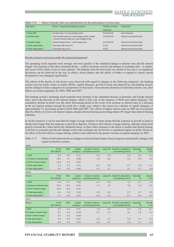# BANKA SLOVENI BANK OF SLOVENIA

| <b>Risk factor</b>    | Shock: change from baseline scenario                                                                   | Duration of shock | Post-shock                 |
|-----------------------|--------------------------------------------------------------------------------------------------------|-------------------|----------------------------|
|                       |                                                                                                        | (quarters)        |                            |
| 1) Real GDP           | Growth down 2.5 percentage points                                                                      | $IV/O5$ -III/06   | trend followed             |
| 2) Interest rates     | Tolar interest rates up 4 percentage points, foreign<br>currency interest rates up 2 percentage points | $IV/O5$ -III/06   | returns to pre-shock level |
| 3) Interest margin    | Interest margin down 1 percentage point                                                                | $IV/O5$ -III/06   | returns to pre-shock level |
| 4) Tolar appreciation | Exchange rate down 5%                                                                                  | IV/05             | returns to pre-shock level |
| 5) Tolar depreciation | Exchange rate up 5%                                                                                    | IV/05             | returns to pre-shock level |

### Table 5.14: Types of shocks, their size and duration for the performance of stress tests

### *Results of macro stress tests under the integrated approach*

The operating result responds most strongly and most quickly to the simulated change in interest rates and the interest margin. The response to the other simulated shocks – a fall in economic activity and changes in exchange rates – is smaller, and occurs with a delay of one or more quarters. The findings from the stress tests are similar to last year's; no significant deviations can be observed in the size of effects, which implies that the ability of banks to respond to shocks (shock absorption) is not changing significantly.

The effects of the shocks in risk factors were observed with regard to changes in the following categories: the banking system's pre-tax profit, return on equity (ROE), capital adequacy, growth in loans and deposits by non-banking sectors, and the changes in these categories as a proportion of total assets. Given that the durations of individual shocks vary, their effects are treated separately for 2005, 2006 and 2007.

The banking system's operating result responds most strongly to the simulated increase in domestic and foreign interest rates, and to the decrease in the interest margin, which is also true of the response of ROE and capital adequacy. The cumulative decline in profit over the entire forecasting period in the event of an increase in interest rates or a decrease in the net interest margin exceeds the profit for a single year, which is the reason for a decline in capital adequacy of approximately 0.5 percentage points in both 2006 and 2007. The effects of higher interest rates in 2006 are even greater than the effects of a lower net interest margin, despite interest-bearing assets being almost 8% larger than interest-bearing liabilities.

In all the scenarios it can be seen that the longer average maturity of loans means that the response in growth in loans to shocks lasts longer than the response in growth in deposits. Owing to their shorter average maturity, deposits return more quickly towards the values before the simulated shock, so their entire response to the shock is smaller and shorter-lasting. A decline in economic growth and changes in the tolar exchange rate do not have a significant impact on profit. However, the effect of the first shock is longer-lasting, which is also reflected in the greater increase in capital adequacy in 2007.

| 2005                        |                          |            |                     |                                           |          |                                              |                        |                 |
|-----------------------------|--------------------------|------------|---------------------|-------------------------------------------|----------|----------------------------------------------|------------------------|-----------------|
| <b>Shock</b>                | Profit<br>(SIT billions) | <b>ROE</b> | Capital<br>adequacy | Growth in loans to<br>non-banking sectors | Loans/TA | Growth in deposits by<br>non-banking sectors | Deposits/<br><b>TA</b> | Growth<br>in TA |
| $1)$ GDP                    | 0.0                      | 0.0        | 0.01                | 0.0                                       | 0.0      | 0.0                                          | 0.0                    | 0.0             |
| 2) Change in interest rates | $-19.4$                  | $-4.1$     | $-0.08$             | $-1.0$                                    | $-0.2$   | 0.0                                          | 0.3                    | $-0.6$          |
| 3) Fall in interest margin  | $-14.8$                  | $-3.2$     | $-0.06$             |                                           |          |                                              |                        |                 |
| 4) Tolar appreciation       | 0.2                      | 0.0        | 0.07                | $-0.7$                                    | 0.0      | $-0.7$                                       | 0.0                    | $-0.7$          |
| 5) Tolar depreciation       | 0.0                      | 0.0        | $-0.06$             | 0.7                                       | 0.1      | 0.7                                          | 0.1                    | 0.5             |
| 2006                        |                          |            |                     |                                           |          |                                              |                        |                 |
| <b>Shock</b>                | Profit<br>(SIT billions) | <b>ROE</b> | Capital<br>adequacy | Growth in loans to<br>non-banking sectors | Loans/TA | Growth in deposits by<br>non-banking sectors | Deposits/<br>TA        | Growth<br>in TA |
| 1) GDP                      | $-0.5$                   | 0.1        | 0.09                | $-2.4$                                    | $-0.5$   | 0.1                                          | 0.7                    | $-1.3$          |
| 2) Change in interest rates | $-67.2$                  | $-12.5$    | $-0.62$             | $-7.1$                                    | $-1.6$   | 5.6                                          | 5.2                    | $-4.0$          |
| 3) Fall in interest margin  | $-47.8$                  | $-8.9$     | $-0.44$             |                                           |          |                                              |                        |                 |
| 4) Tolar appreciation       | $-0.2$                   | 0.0        | 0.05                | 0.5                                       | 0.0      | 0.7                                          | 0.1                    | 0.5             |
| 5) Tolar depreciation       | 0.1                      | 0.0        | $-0.02$             | $-0.5$                                    | 0.0      | $-0.7$                                       | 0.0                    | $-0.4$          |
| 2007                        |                          |            |                     |                                           |          |                                              |                        |                 |
| <b>Shock</b>                | Profit<br>(SIT billions) | <b>ROE</b> | Capital<br>adequacy | Growth in loans to<br>non-banking sectors | Loans/TA | Growth in deposits by<br>non-banking sectors | Deposits/<br>TA        | Growth<br>in TA |
| 1) GDP                      | $-3.0$                   | $-0.2$     | 0.21                | $-1.5$                                    | $-0.9$   | $-0.3$                                       | 0.9                    | $-0.7$          |
| 2) Change in interest rates | $-6.1$                   | $-0.4$     | $-0.49$             | 0.7                                       | $-1.6$   | $-5.1$                                       | 2.2                    | 0.4             |
| 3) Fall in interest margin  | 0.0                      | 0.0        | $-0.48$             |                                           |          |                                              |                        |                 |
| 4) Tolar appreciation       | 0.3                      | 0.0        | $-0.02$             | 0.5                                       | 0.1      | 0.0                                          | $-0.1$                 | 0.3             |
| 5) Tolar depreciation       | $-0.2$                   | 0.0        | 0.03                | $-0.5$                                    | $-0.1$   | 0.0                                          | 0.1                    | $-0.3$          |

Table 5.15: Effect of individual shocks on changes in selected bank balance sheet categories measured by changes with regard to baseline scenario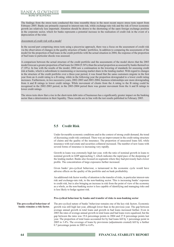### BANKA SLOVENIJ BANK OF SLOVENIA

The findings from the stress tests conducted this time resemble those in the most recent macro stress tests report from February 2005. Banks are primarily exposed to interest-rate risk, while exchange-rate risk and the risk of lower economic growth are relatively less important. Attention should be drawn to the shortening of the open foreign exchange position in the corporate sector, which for banks represents a potential increase in the realisation of credit risk in the event of a depreciation of the tolar.

### *Assessment of credit risk with a model*

In the second part comprising stress tests using a piecewise approach, there was a focus on the assessment of credit risk via the observation of changes in the quality structure of banks' portfolios. In addition to comparing the assessments of the model for the proportion of bad loans in the credit portfolio with the actual situation in 2004, the response of the proportion of bad loans to particular shocks was assessed.

A comparison between the actual structure of the credit portfolio and the assessments of the model shows that the 2003 model forecast a greater proportion of bad loans for 2004 (9.36%) than the actual proportion as assessed by banks themselves (7.18%). In line with the results of the model, 2004 saw a continuation in the lowering of standards for assessing credit risk at banks, which is subordinate to maintaining or increasing market share in the lending market. With regard to changes in the structure of the credit portfolio over a three-year period, it was found that the same customers migrate in the first year from an A credit rating to a B rating, while in the following year the proportion downgraded to a lower credit rating increases. Furthermore, in two successive years, 2002-2003 and 2003-2004, business relationships saw more downgrading from A and B ratings to lower credit ratings. While movement of clients from the A rating to the B rating could be recognised in the 2002-2003 period, in the 2003-2004 period there was greater movement from the A and B ratings to lower credit ratings.

The stress tests show that a rise in the short-term debt ratio of businesses has a significantly greater impact on the banking sector than a deterioration in their liquidity. These results are in line with the test results published in February 2005.

# **5.5 Credit Risk**

Under favourable economic conditions and in the context of strong credit demand, the trend of decreasing credit risk continued. There was an improvement in the credit rating structure of claims and the quality of the insurance. The proportion of unsecured loans fell, while insurance with real estate and securities collateral increased. The number of new loans with several forms of insurance is increasing very rapidly.

Growth in loans was extremely high last year, with the ratio of nominal growth in loans to nominal growth in GDP approaching 5, which indicates the rapid pace of the deepening of the lending market. Banks also focused on segments where they had previously had a lower profile. The concentration of large exposures further increased.

Given banks' pro-cyclical behaviour, a turnaround in the economic cycle would have adverse effects on the quality of the portfolio and on bank profitability.

An additional risk factor worthy of attention is the transfer of risks, in particular interest-rate risk and exchange-rate risk, to the non-banking sector. This is increasing banks' exposure to credit risk, but is also bringing an increase in risk from the point of view of the economy as a whole, as the non-banking sector is less capable of identifying and managing risks and is less likely to hedge against risk.

### **Pro-cyclical behaviour by banks and transfer of risks to non-banking sector**

**The pro-cyclical behaviour of banks remains a risk factor.**

The pro-cyclical nature of banks' behaviour remains one of the key risk factors. Economic growth was still high last year, although lower than in the previous year. The gap between average annual growth in total loans and growth in bad loans increased further. Even in 2003 the rates of average annual growth in total loans and bad loans were equalized, but the gap between the rates was 19.6 percentage points in 2004 and 27.8 percentage points last year. The proportion of total loans accounted for by bad loans fell by 1 percentage point in 2005 to 3.4%. The coverage of loans by provisions (adjustments created) fell by a further 0.7 percentage points in 2005 to 4.4%.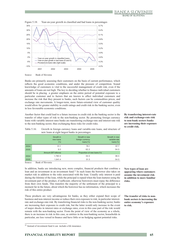

Figure 5.18: Year-on-year growth in classified and bad loans in percentages

Source: Bank of Slovenia

Banks are primarily assessing their customers on the basis of current performance, which reflects the good economic conditions, and under the pressure of competition. Sound knowledge of customers is vital to the successful management of credit risk, even if the amounts of loans are not high. The key to deciding whether to finance individual customers should be in placing a greater emphasis on the entire period of potential exposure to a particular customer and to factors that are known to affect individual customers and increase the risk that they present to banks, such factors can be commodities prices, and exchange rate movements. A longer-term, more future-oriented view of customer quality would allow for greater stability in credit ratings and credit risk in the banking sector, even in less favourable economic conditions.

Another factor that could lead to a future increase in credit risk in the banking sector is the transfer of other types of risk to the non-banking sector. By promoting foreign currency loans with variable interest rates banks are transferring exchange-rate and interest-rate risk to the non-banking sector, thus exchanging these risks for credit risks.

|      |                               | new foans at eight fargest banks in percentages    |                                                 |
|------|-------------------------------|----------------------------------------------------|-------------------------------------------------|
|      | Growth in<br>new loans<br>(%) | Growth in new<br>foreign currency<br>loans $(\% )$ | Growth in new<br>variable-rate<br>loans $(\% )$ |
| 2004 | 31.1                          | 76.1                                               | 67.7                                            |
| 2005 | 9.0                           | 62.2                                               | 54.5                                            |
|      | Amount (SIT billions)         | Proportion of new loans (%)                        |                                                 |
| 2004 | 1,780.5                       | 34.5                                               | 38.5                                            |
| 2005 | 1,941.4                       | 51.3                                               | 54.5                                            |
|      |                               |                                                    |                                                 |

Table 5.16: Growth in foreign currency loans and variable-rate loans, and structure of new loans at eight largest banks in percentages

Source: Bank of Slovenia

In addition, banks are introducing new, more complex, financial products that combine a loan and an investment in an investment fund.<sup>52</sup> In such loans the borrower also takes on market risk in addition to the risks associated with the loan. Usually only interest is paid during the lifetime of the loan, while the principal is repaid when the loan matures using the investment part of the product, if sufficient; otherwise borrowers must repay the difference from their own funds. This transfers the majority of the settlement of the principal to a moment far in the future, about which the borrower has no information, which increases the risk of this entire product.

These products are very advantageous for banks, as they either expand their scope of business and non-interest income or reduce their own exposure to risk, in particular interestrate and exchange-rate risk. By transferring financial risks to the non-banking sector, banks are increasing their exposure to credit risk, but the latter would only increase in the event of major shocks in interest rates or exchange rates, even in this case part of the risk would remain with the non-banking sector. From the point of view of the economy as a whole, there is an increase in risk in this case, as entities in the non-banking sector, households in particular, are less versed in finance and have little or no hedging against potential risks.

**By transferring interest-rate risk and exchange-rate risk to non-bank sectors banks are increasing their exposure to credit risk.**

**New types of loan are appearing where customers assume the investment risk in addition to more familiar risks.**

**The transfer of risks to nonbank sectors is increasing the entire economy's exposure to risk.**

<sup>52</sup> Instead of investment fund it can include a life insurance.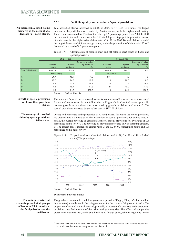### **5.5.1 Portfolio quality and creation of special provisions**

**An increase in A-rated claims primarily at the account of a decrease in B-rated claims.**

Total classified claims increased by 23.4% in 2005, to SIT 6,041.4 billions. The largest increase in the portfolio was recorded by A-rated claims, with the highest credit rating. These claims accounted for 83.4% of the total, up 1.6 percentage points from 2004. In 2004 the increase in A-rated claims was a half of this, 0.8 percentage points, primarily because of a decrease in the highest-risk claims rated C to E. In 2005 B-rated claims recorded the largest decrease of 0.9 percentage points, while the proportion of claims rated C to E decreased by a total of 0.7 percentage points.

Table 5.17: Classification of balance sheet and off-balance-sheet assets of banks and special provisions

|                      |                      | 31. Dec. 2004         |                      | 31. Dec. 2005        |                       |                      |  |  |  |
|----------------------|----------------------|-----------------------|----------------------|----------------------|-----------------------|----------------------|--|--|--|
|                      |                      |                       | Coverage of claims   |                      | Coverage of claims    |                      |  |  |  |
|                      | Classified<br>claims | Special<br>provisions | by provisions<br>(%) | Classified<br>claims | Special<br>provisions | by provisions<br>(%) |  |  |  |
|                      |                      |                       |                      |                      |                       |                      |  |  |  |
| Total (SIT billions) | 4.895.4              | 255.1                 | 5.2                  | 6.041.4              | 279.0                 | 4.6                  |  |  |  |
|                      | Structure (%)        |                       |                      | Structure (%)        |                       |                      |  |  |  |
| $\overline{A}$       | 81.7                 | 15.7                  | 1.0                  | 83.4                 | 17.6                  | 1.0                  |  |  |  |
| B                    | 12.7                 | 24.9                  | 10.2                 | 11.8                 | 26.3                  | 10.3                 |  |  |  |
| C                    | 2.5                  | 12.7                  | 26.7                 | 2.4                  | 13.5                  | 26.4                 |  |  |  |
| D                    | 1.4                  | 15.7                  | 57.5                 | 1.1                  | 13.2                  | 57.2                 |  |  |  |
| E                    | 1.6                  | 31.0                  | 100.0                | 1.3                  | 29.1                  | 100.0                |  |  |  |

Source: Bank of Slovenia

### **Growth in special provisions was lower than growth in claims.**

for A-rated customers) did not follow the rapid growth in classified assets, primarily because growth in provisions was outstripped by growth in claims rated A and C. The special provisions increased by 9.4% last year to SIT 279 billions.

The amount of special provisions (adjustments to the value of loans and provisions created

**The coverage of classified claims by special provisions fell to 4.6%.**

Owing to the increase in the proportion of A-rated claims, for which the lowest provisions are created, and the decrease in the proportion of special provisions for claims rated D and E, the overall coverage of classified assets by special provisions fell by a total of 0.6 percentage points to 4.6%. The coverage by provisions increased only in the rating category B. The largest falls experienced claims rated C and D, by 0.3 percentage points and 0.4 percentage points respectively.





### **Differences between banks**

**The ratings structure of claims improved at all groups of banks in 2005, mostly at the foreign banks and the small banks.**

The good macroeconomic conditions (economic growth still high, falling inflation, and low interest rates) are reflected in the rating structures for the claims of all groups of banks. The proportion of A-rated claims increased, primarily on account of a decrease in the proportion of claims classified into one of the riskier ratings categories. The effects of competitive pressures can also be seen, as the small banks and foreign banks, which are gaining market

<sup>53</sup> Balance sheet and off-balance-sheet claims are classified in accordance with national regulations. Securities and investments in capital are not classified.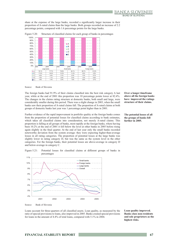share at the expense of the large banks, recorded a significantly larger increase in their proportion of A-rated claims than the large banks. Both groups recorded an increase of 2.2 percentage points, compared with 1.6 percentage points for the large banks.

| 100%           |      |       |             |       |      |       |             |      |       |      |       |               |       |  |
|----------------|------|-------|-------------|-------|------|-------|-------------|------|-------|------|-------|---------------|-------|--|
| 90%            |      |       |             |       |      |       |             |      |       |      |       |               |       |  |
| 80%            |      |       |             |       |      |       |             | ⊤A   |       |      |       |               |       |  |
| 70%            |      |       |             |       |      |       |             | B    |       |      |       |               |       |  |
| 60%            |      |       |             |       |      |       |             | С    |       |      |       |               |       |  |
| 50%            |      |       |             |       |      |       |             | D    |       |      |       |               |       |  |
| 40%            |      |       |             |       |      |       |             | ПE   |       |      |       |               |       |  |
| 30%            |      |       |             |       |      |       |             |      |       |      |       |               |       |  |
| 20%            |      |       |             |       |      |       |             |      |       |      |       |               |       |  |
| 10%            |      |       |             |       |      |       |             |      |       |      |       |               |       |  |
| 0%             | 2004 |       | 2005        |       | 2004 |       |             | 2005 |       | 2004 |       | 2005          |       |  |
|                |      |       | Large banks |       |      |       | Small banks |      |       |      |       | Foreign banks |       |  |
| $\blacksquare$ |      | 76.1% |             | 77.7% |      | 79.8% |             |      | 82.1% |      | 89.7% |               | 91.9% |  |
| $\Box$ B       |      | 17.4% |             | 16.4% |      | 12.3% |             |      | 11.4% |      | 3.9%  |               | 2.9%  |  |
| $\overline{C}$ |      | 3.3%  |             | 3.4%  |      | 3.1%  |             |      | 2.3%  |      | 1.3%  |               | 0.7%  |  |
| $\blacksquare$ |      | 1.5%  |             | 1.1%  |      | 2.8%  |             |      | 2.4%  |      | 1.4%  |               | 0.8%  |  |
| mЕ             |      | 1.6%  |             | 1.4%  |      | 2.0%  |             |      | 1.8%  |      | 3.6%  |               | 3.7%  |  |



Source: Bank of Slovenia

The foreign banks had 91.9% of their claims classified into the best risk category A last year, while at the end of 2001 this proportion was 10 percentage points lower at 82.4%. The changes in the claims rating structure at domestic banks, both small and large, were considerably smaller during this period. There was a slight change in 2003, when the small banks saw their proportion of A-rated claims fall. The proportion of A-rated claims at both groups of domestic banks last year was 1 percentage point higher than in 2001.

Further evidence of the rapid improvement in portfolio quality at the foreign banks comes from the proportion of potential losses for classified claims according to bank estimates, which takes all classified claims into consideration, not merely A-rated claims. This proportion is falling at all groups of banks, most rapidly at the foreign banks, where having been 10.2% at the end of 2001 it fell below the level at other banks in 2005 before rising again slightly in the final quarter. At the end of last year only the small banks recorded noteworthy deviation from the system average: they were expecting higher-than-average losses in all rating categories. The proportion of potential losses at the large banks was slightly lower in rating category D, but was the same as the system level in the other categories. For the foreign banks, their potential losses are above-average in category D and below-average in category C.

**Over a longer timeframe above all the foreign banks have improved the ratings structure of their claims.**

**The potential losses of all the groups of banks fell further in 2005.**





Source: Bank of Slovenia

Loans account for three-quarters of all classified assets. Loan quality, as measured by the ratio of special provisions to loans, also improved in 2005. Banks created special provisions for loans in the amount of 4.4% of total loans, compared with 5.1% in 2004.

**Loan quality improved. Banks class non-residents and sole proprietors as the highest risks.**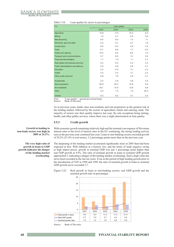BANK OF SLOVENIA

| (%)                               |      | Loan quality $1$ |      |      |
|-----------------------------------|------|------------------|------|------|
|                                   | 2002 | 2003             | 2004 | 2005 |
| Agriculture                       | 12.8 | 11.9             | 10.3 | 8.3  |
| Mining                            | 1.5  | 0.7              | 0.6  | 0.9  |
| Manufacturing                     | 8.0  | 8.0              | 7.4  | 7.1  |
| Electricity, gas and water        | 6.4  | 6.1              | 3.7  | 1.8  |
| Construction                      | 6.6  | 6.3              | 4.9  | 4.3  |
| Trade                             | 8.7  | 8.6              | 7.7  | 6.5  |
| Hotels and catering               | 10.5 | 9.5              | 8.5  | 7.0  |
| Transport and communications      | 5.7  | 6.5              | 3.1  | 3.0  |
| <b>Financial intermediation</b>   | 1.7  | 1.0              | 1.1  | 0.7  |
| Real estate and business services | 6.4  | 6.0              | 5.3  | 4.2  |
| Public administration and defence | 0.9  | 0.8              | 0.8  | 0.7  |
| Education                         | 4.2  | 6.3              | 3.1  | 2.4  |
| <b>Health</b>                     | 5.4  | 2.4              | 2.1  | 2.2  |
| Other public services             | 6.8  | 7.6              | 4.6  | 4.7  |
| Households                        | 5.3  | 4.6              | 3.9  | 3.3  |
| Sole proprietors                  | 26.8 | 24.2             | 15.6 | 9.5  |
| Non-residents                     | 25.1 | 15.9             | 12.8 | 9.8  |
| Other                             | 2.0  | 1.0              | 1.0  | 44.0 |
| Overall                           | 6.3  | 6.0              | 5.1  | 4.4  |

### Table 5.18: Loan quality by sector in percentages

Note:<br>Source:  $\text{Loan quality}$  = special provisions/loans Bank of Slovenia

 $25 -$ 

As in previous years, banks class non-residents and sole proprietors as the greatest risk in the lending market, followed by the sectors of agriculture, hotels and catering, trade. The majority of sectors saw their quality improve last year, the sole exceptions being mining, health, and other public services, where there was a slight deterioration in loan quality.

### **5.5.2 Credit growth**

**Growth in lending to non-bank sectors was high in 2005 at 24.2%.**

**The very high ratio of growth in loans to GDP growth indicates the danger of the lending market overheating.**

With economic growth remaining relatively high and the nominal convergence of Slovenian interest rates to the level of interest rates in the EU continuing, the strong lending activity seen in the previous year continued last year. Loans to non-banking sectors recorded growth of 24.2% (21.4% in real terms), 3.2 percentage points more than in the previous year.

The deepening of the lending market accelerated significantly more in 2005 than had been expected at first. With inflation at a historic low, and the terms of trade negative owing to high import prices, growth in nominal GDP was just 1 percentage point higher than real GDP growth at 4.9%. The ratio of nominal growth in loans to nominal GDP growth approached 5, indicating a danger of the lending market overheating. Such a high value has never been recorded in the last ten years. Even in the period of high lending growth prior to the introduction of VAT in 1998 and 1999, the ratio of nominal growth in loans to nominal GDP growth never exceeded 2.7.



| 20                   |      |      |      |      |      |
|----------------------|------|------|------|------|------|
| 15                   |      |      |      |      |      |
| 10                   |      |      |      |      |      |
| 5                    |      |      |      |      |      |
| $\Omega$             | 2001 | 2002 | 2003 | 2004 | 2005 |
| Real growth in loans | 9.4  | 6.4  | 11.2 | 17.2 | 21.4 |
| Real GDP growth      | 2.7  | 3.5  | 2.7  | 4.2  | 3.9  |
| Nominal growth ratio | 1.5  | 1.2  | 1.9  | 2.8  | 4.9  |

Source: Bank of Slovenia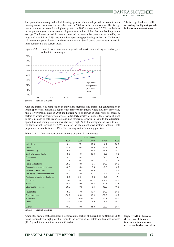# BANKA SLOVENIJE BANK OF SLOVENIA

The proportions among individual banking groups of nominal growth in loans to nonbanking sectors were more or less the same in 2005 as in the previous year. The foreign banks continued to record the highest growth: in 2005 the rate was 37.7%, similarly as in the previous year it was around 13 percentage points higher than the banking sector average. The lowest growth in loans to non-banking sectors last year was recorded by the large banks, which at 19.7% was more than 2 percentage points higher than in 2004 but still 4.5 percentage points lower than the system average. Small banks year-on-year growth in loans remained at the system level.

**The foreign banks are still recording the highest growth in loans to non-bank sectors.** 



With the increase in competition in individual segments and increasing concentration in lending portfolios, banks have begun to focus more on segments where they have previously had a lower profile. Thus in 2005 the highest rates of growth in loans were recorded by sectors to which exposure was lowest. Particularly worthy of note is the growth of close to 50% in loans to sole proprietors and non-residents. Growth in loans to the education, agriculture and mining sectors was also very high. With the exception of loans to nonresidents, which account for 4.4%, none of the aforementioned sectors, including sole proprietors, accounts for even 1% of the banking system's lending portfolio.

| Table 5.19: | Year-on-year growth in loans by sector in percentages |  |  |
|-------------|-------------------------------------------------------|--|--|
|             |                                                       |  |  |

|                                   |         |        | Growth rate (%) |         |         |
|-----------------------------------|---------|--------|-----------------|---------|---------|
|                                   | 2001    | 2002   | 2003            | 2004    | 2005    |
| Agriculture                       | 10.4    | 23.1   | 19.8            | 12.1    | 39.3    |
| Mining                            | 47.7    | $-6.3$ | 44.0            | 16.4    | 36.0    |
| Manufacturing                     | 25.8    | 14.7   | 25.3            | 18.7    | 18.0    |
| Electricity, gas and water        | $-8.6$  | $-0.7$ | $-25.9$         | $-6.8$  | 6.9     |
| Construction                      | 16.6    | 16.2   | 8.2             | 34.6    | 15.1    |
| Trade                             | 21.6    | 12.1   | 11.7            | 21.2    | 22.5    |
| Hotels and catering               | 28.2    | 18.3   | 6.5             | 21.6    | 23.9    |
| Transport and communications      | 49.5    | 5.4    | 6.3             | $-9.0$  | 9.7     |
| <b>Financial intermediation</b>   | 12.2    | $-0.7$ | $-4.0$          | 37.5    | 35.6    |
| Real estate and business services | 16.0    | 13.5   | 42.1            | 28.6    | 41.8    |
| Public administration and defence | $-9.6$  | 36.4   | $-6.8$          | $-9.8$  | 17.4    |
| Education                         | 0.1     | 17.1   | $-35.2$         | 134.9   | 105.8   |
| Health                            | 30.7    | 9.6    | 24.4            | 43.1    | 24.8    |
| Other public services             | 29.3    | 9.2    | 9.4             | 48.0    | $-10.0$ |
| <b>Households</b>                 | 8.2     | 7.9    | 10.7            |         | 25.6    |
|                                   |         |        |                 | 21.2    |         |
| Sole proprietors                  | $-32.2$ | 53.2   | 46.4            | $-26.7$ | 51.7    |
| Non-residents                     | 11.2    | 61.0   | 38.7            | 45.2    | 49.5    |
| Other                             | $-6.1$  | 38.5   | $-4.0$          | $-4.4$  | $-98.0$ |
| Overall                           | 15.7    | 10.9   | 11.9            | 22.0    | 25.4    |

Source: Bank of Slovenia

Among the sectors that account for a significant proportion of the lending portfolio, in 2005 banks recorded very high growth in loans to the sectors of real estate and business services (41.8%) and financial intermediation (35.6%).

**High growth in loans to the sectors of financial intermediation, and real estate and business services.**

# **FINANCIAL STABILITY REPORT 69**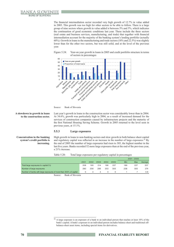BANKA SLOVENII BANK OF SLOVENIA

> The financial intermediation sector recorded very high growth of 12.7% in value added in 2005. This growth was too high for other sectors to be able to follow. There is a large group of nine sectors where growth in value added is between 3% and 5%, which indicates the continuation of good economic conditions last year. These include the three sectors (real estate and business services, manufacturing, and trade) that together with financial intermediation account for the majority of the banking system's lending portfolio (actually 60%). Growth in loans to the manufacturing and trade sectors (18% and 22.5%) was slightly lower than for the other two sectors, but was still solid, and at the level of the previous year.

> Figure 5.24: Year-on year growth in loans in 2005 and credit portfolio structure in terms of sectors in percentages



Source: Bank of Slovenia

**A slowdown in growth in loans to the construction sector.**

Last year's growth in loans to the construction sector was considerably lower than in 2004. At 34.6%, growth was particularly high in 2004, as a result of increased demand for the services of construction companies caused by infrastructure projects and the maturity of the first National Housing Saving Scheme. Growth in 2005 returned to the level seen in previous years, at 15.1%.

### **5.5.3 Large exposures**

**Concentration in the banking system's credit portfolio is increasing.**

High growth in loans to non-banking sectors and slow growth in both balance sheet capital and regulatory capital was reflected in an increase in the number of large exposures.<sup>54</sup> By the end of 2005 the number of large exposures had risen to 305, the highest number in the last five years. Banks recorded 52 more large exposures than at the end of the previous year, a 21% increase.

| Table 5.20: |  | Total large exposures per regulatory capital in percentages |  |
|-------------|--|-------------------------------------------------------------|--|
|             |  |                                                             |  |

|                                                                   |      |      |      |      |      | $2001 - 2005$ |            |         |
|-------------------------------------------------------------------|------|------|------|------|------|---------------|------------|---------|
|                                                                   | 2001 | 2002 | 2003 | 2004 | 2005 | Min           | <b>Max</b> | Average |
| Total large exposures to capital (%)                              | 208  | 195  | 214  | 196  | 227  | 189           | 227        | 207     |
| Number of large exposures                                         | 280  | 256  | 296  | 253  | 305  | 238           | 305        | 274     |
| Number of banks with large exposures of more than 300% of capital | 5    | Δ    | 4    | 3    | 5    |               |            | 3.8     |
| ___                                                               |      |      |      |      |      |               |            |         |

Source: Bank of Slovenia

<sup>54</sup> A large exposure is an exposure of a bank to an individual person that reaches at least 10% of the bank's capital. A bank's exposure to an individual person includes balance sheet and traditional offbalance-sheet asset items, including special items for derivatives.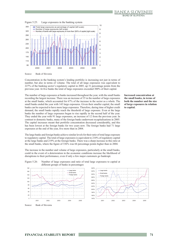

**Increased concentration at** 

### Figure 5.25: Large exposures in the banking system





Concentration in the banking system's lending portfolio is increasing not just in terms of number, but also in terms of volume. The total of all large exposures was equivalent to 227% of the banking sector's regulatory capital in 2005, up 31 percentage points from the previous year. At five banks the total of large exposures exceeded 300% of their capital.

The number of large exposures at banks increased throughout the year, with the small banks recording the largest increase. There was an increase of 35 in the number of large exposures at the small banks, which accounted for 67% of the increase in the sector as a whole. The small banks ended the year with 143 large exposures. Given their smaller capital, the small banks can be expected to have more large exposures. Therefore, during time of higher credit demand, the small banks rapidly reach the threshold of large exposure. Even at the large banks the number of large exposures began to rise rapidly in the second half of the year. They ended the year with 91 large exposures, an increase of 12 from the previous year. In contrast to domestic banks, many of the foreign banks underwent recapitalisations in 2005. The capital increases meant that portfolio concentration decreased considerably, and this has been lowest at the foreign banks for two years now. The foreign banks had 71 large exposures at the end of the year, five more than in 2004.

The large banks and foreign banks achieve similar levels for their ratio of total large exposure to regulatory capital. The total of large exposures is equivalent to 210% of regulatory capital at the large banks and 219% at the foreign banks. There was a sharp increase in this ratio at the small banks, where the figure of 336% was 66 percentage points higher than in 2004.

The increase in the number and volume of large exposures, particularly at the small banks, could in the event of a deterioration in the economic conditions increase the likelihood of disruptions to their performance, even if only a few major customers go bankrupt.



Figure 5.26: Number of large exposures and ratio of total large exposures to capital at different groups of banks in percentages

Source: Bank of Slovenia

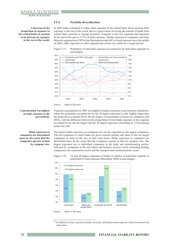. SLOVENIT BANK OF SLOVENIA

### **5.5.4 Portfolio diversification**

**A decrease in the proportion of exposure to the central bank on account of an increase in exposure to the rest of the world.**

In 2005 banks continued to reduce their exposure to the central bank and to increase their exposure to the rest of the world, this to a great extent involving the transfer of funds from central bank securities to foreign securities. Exposure to the two segments had equalised by the end of the year at 12.5% of total exposure.<sup>55</sup> Banks exposure to companies and other financial organisations (OFOs) has fluctuated around 46% of total exposure since the middle of 2004, while exposures to other segments have been very stable for a longer period.





Source: Bank of Slovenia

**Concentration was highest in bank exposure to the government.**

Exposure concentration in 2005 was highest in banks exposures to government institutions, where the proportion accounted for by the 20 largest exposures is only slightly larger than the proportion accounted for by the ten largest. Concentration is lowest for companies and OFOs, with the difference between the proportions of total banks exposure in this segment accounted for by the ten largest and the 20 largest exposures amounting to 3.9 percentage points last year.

**Bank exposures to companies are determined more by the sector that the companies operate in than by company size.** The largest banks exposures to companies are not the exposures to the largest companies. The ten companies to which banks are most exposed include only three of the ten largest companies in terms of the size of their total assets. Banks exposures to companies are determined more by the sector that the companies operate in than by company size. The largest exposures are to individual companies in the trade and manufacturing sectors, followed by companies in the real estate and business services sector (including holding companies), the construction sector and the transport and communications sector.





Source: Bank of Slovenia

55 In addition to loans, exposure includes securities, off-balance-sheet exposure, claims for interest and other items.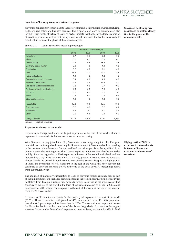### **Structure of loans by sector or customer segment**

Slovenian banks approve most loans to the sectors of financial intermediation, manufacturing, trade, and real estate and business services. The proportion of loans to households is also large. Figures for the structure of loans by sector indicate that banks have a large proportion of credit exposure to sectors that are cyclical, which increases the banks' sensitivity to credit risk in terms of the phase of the economic cycle.

**Slovenian banks approve most loans to sectors closely tied to the phase of the economic cycle.**

| Table 5.21: | Loan structure by sector in percentages |  |  |  |  |
|-------------|-----------------------------------------|--|--|--|--|
|-------------|-----------------------------------------|--|--|--|--|

|                                   |       | Proportion of total loans (%) |       |       |
|-----------------------------------|-------|-------------------------------|-------|-------|
|                                   | 2002  | 2003                          | 2004  | 2005  |
| Agriculture                       | 0.7   | 0.7                           | 0.6   | 0.7   |
| Mining                            | 0.2   | 0.3                           | 0.3   | 0.3   |
| Manufacturing                     | 17.4  | 19.5                          | 18.9  | 17.8  |
| Electricity, gas and water        | 2.0   | 1.3                           | 1.0   | 0.8   |
| Construction                      | 5.7   | 5.5                           | 6.1   | 5.6   |
| <b>Trade</b>                      | 13.2  | 13.2                          | 13.1  | 12.8  |
| Hotels and catering               | 1.9   | 1.8                           | 1.8   | 1.8   |
| Transport and communications      | 6.4   | 6.0                           | 4.5   | 3.9   |
| <b>Financial intermediation</b>   | 17.4  | 14.9                          | 16.8  | 18.2  |
| Real estate and business services | 7.2   | 9.2                           | 9.7   | 10.9  |
| Public administration and defence | 4.5   | 3.7                           | 2.8   | 2.6   |
| Education                         | 0.1   | 0.0                           | 0.1   | 0.1   |
| Health                            | 0.3   | 0.3                           | 0.4   | 0.4   |
| Other public services             | 1.0   | 1.0                           | 1.2   | 0.8   |
| <b>Households</b>                 | 18.8  | 18.6                          | 18.5  | 18.6  |
|                                   |       |                               |       |       |
| Sole proprietors                  | 0.2   | 0.3                           | 0.2   | 0.2   |
| Non-residents                     | 2.5   | 3.1                           | 3.7   | 4.4   |
| Other                             | 0.6   | 0.5                           | 0.4   | 0.0   |
| <b>Total (SIT billions)</b>       | 2,778 | 3,108                         | 3,791 | 4,752 |

Source: Bank of Slovenia

### **Exposure to the rest of the world**

Exposures to foreign banks are the largest exposures to the rest of the world, although exposures to non-residents that are not banks are also increasing.

With Slovenia having joined the EU, Slovenian banks integrating into the European financial system, foreign banks entering the Slovenian market, Slovenian banks expanding to the markets of south-eastern Europe, and bank securities portfolios being shifted from domestic securities to foreign securities, banks exposure to non-residents has begun to rise rapidly. Since the beginning of 2004 exposure to the rest of the world has doubled, and has increased by 58% in the last year alone. At 44.5%, growth in loans to non-residents was almost double the growth in total loans to non-banking sectors. Despite the high growth in loans, the proportion of total exposure to the rest of the world that they account for continued to decrease, reaching 56.5% at the end of the year, down 5.3 percentage points from the previous year.

The abolition of mandatory subscription to Bank of Slovenia foreign currency bills as part of the minimum foreign exchange requirements and the resulting restructuring of securities portfolios from foreign currency bills towards foreign securities is the main reason that exposure to the rest of the world in the form of securities increased by 135% in 2005 alone to account for 28% of total bank exposure to the rest of the world at the end of the year, up from 18.8% a year earlier.

Exposure to EU countries accounts for the majority of exposure to the rest of the world (63.5%). However, despite rapid growth of 45% in exposure to the EU, this proportion was almost 6 percentage points lower than in 2004. The second most important market for Slovenian banks are the countries of the former Yugoslavia. Exposure to this region accounts for just under 20% of total exposure to non-residents, and grew by 97% in 2005

**High growth of 58% in exposure to non-residents, in terms of loans, and even more so in terms of securities.**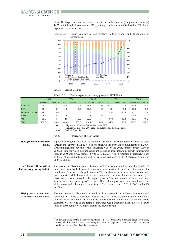. SLOVENIT BANK OF SLOVENIA

> alone. The largest increases were in exposure to the Cefta countries (Bulgaria and Romania) 167% in total, and Efta countries (101%), but together they account for less than 7% of total exposure to non-residents.

Figure 5.29: Banks exposure to non-residents in SIT billions and its structure in percentages



Source: Bank of Slovenia



|                      | 2001                                                                           |                       | 2002  |                       | 2003  |                       | 2004  |                       | 2005    |                       |
|----------------------|--------------------------------------------------------------------------------|-----------------------|-------|-----------------------|-------|-----------------------|-------|-----------------------|---------|-----------------------|
|                      |                                                                                | Amount Proportion (%) |       | Amount Proportion (%) |       | Amount Proportion (%) |       | Amount Proportion (%) |         | Amount Proportion (%) |
| EU15/25 <sup>1</sup> | 338.9                                                                          | 73.1                  | 369.7 | 76.4                  | 350.1 | 67.6                  | 448.4 | 69.3                  | 648.8   | 63.5                  |
| <b>EFTA</b>          | 26.4                                                                           | 5.7                   | 25.6  | 5.3                   | 30.9  | 6.0                   | 28.1  | 4.3                   | 56.5    | 5.5                   |
| Former Yugoslavia    | 24.5                                                                           | 5.3                   | 37.7  | 7.8                   | 65.9  | 12.7                  | 99.5  | 15.4                  | 195.7   | 19.2                  |
| CEFTA <sup>2</sup>   | 5.4                                                                            | 1.2                   | 9.5   | 2.0                   | 12.3  | 2.4                   | 4.2   | 0.7                   | 11.3    | 1.1                   |
| Other                | 68.3                                                                           | 14.7                  | 41.4  | 8.6                   | 58.9  | 11.4                  | 66.9  | 10.3                  | 109.5   | 10.7                  |
| Total                | 463.5                                                                          | 100.0                 | 484.0 | 100.0                 | 518.1 | 100.0                 | 647.2 | 100.0                 | 1.021.7 | 100.0                 |
|                      | Note <sup>.</sup><br><sup>1</sup> Figures for 2004 and 2005 relate to the EU25 |                       |       |                       |       |                       |       |                       |         |                       |

<sup>1</sup> Figures for 2004 and 2005 relate to the EU25.<br><sup>2</sup> Figures for 2004 and 2005 relate to Bulgaria and Romania only.

# Source: Bank of Slovenia

## **5.5.5 Insurance of new loans**

### **Slow growth in unsecured loans.**

A positive change in 2005 was the decline in growth in unsecured loans. In 2005 the eight largest banks approved SIT 1,941 billions of new loans, up 9% in nominal terms from 2004. Growth in loans that have no form of insurance was 1.9% in 2005, compared with 99.6% in 2004. If loans for which bills are issued are classed as unsecured, total growth in unsecured loans in 2005 was 5.7%, compared with 33% in 2004.<sup>56</sup> The proportion of total new loans at the eight largest banks accounted for by unsecured loans fell by 2 percentage points in 2005 to 61.4%.

**New loans with securities collateral are growing fastest.** The greater involvement by non-banking sectors in capital markets and the transfer of their funds from bank deposits to securities is reflected in the structure of insurance for new loans. There was a sharp decrease in 2005 in the amount of new loans insured with bank deposits, while loans with securities collateral, in particular shares and other (not classified) securities, recorded the highest growth. The total amount of new loans with securities collateral grew by 64% last year. This took the proportion of all new loans at the eight largest banks that they account for to 5.2%, having stood at 3.5% in 2004 and 3.6% in 2003.

### **High growth in new loans with real estate collateral.** The most common collateral for insured loans is real estate. Loans with real estate collateral accounted for 12.9% of total new loans in 2005. At 33.7% the growth rate of new loans with real estate collateral was among the highest Growth in new loans where real estate collateral was just one of the forms of insurance was particularly high, the total of such loans in 2005 being 49.8% higher than in the previous year.

<sup>&</sup>lt;sup>56</sup> Bills were issued for the majority of new loans (52.5%), although the bills were largely promissory notes, which meant that they were acting as a means of payment. Loans where bills are used as collateral are therefore classed as unsecured.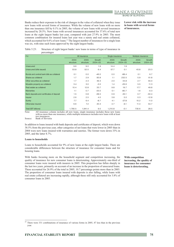Banks reduce their exposure to the risk of changes in the value of collateral when they issue new loans with several forms of insurance. While the volume of new loans with no more than one insurance fell by 0.1% in 2005, the volume of new loans with several insurances increased by 28.5%. New loans with several insurances accounted for 37.6% of total new loans at the eight largest banks last year, compared with just 27.9% in 2003. The most common combination for insured loans last year was a surety and real estate collateral, which accounted for  $0.6\%$  of new loans.<sup>57</sup> The largest number of insurances for a single loan

### **Lower risk with the increase in loans with several forms of insurances.**

BANKA SLOVENIJE

BANK OF SLOVENIA

Table 5.23: Structure of eight largest banks' new loans in terms of type of insurance in percentages

was six, with nine such loans approved by the eight largest banks.

| (%)                                        |                   | All insurance     |                       | Single insurance  |                       | Multiple insurance |                       |
|--------------------------------------------|-------------------|-------------------|-----------------------|-------------------|-----------------------|--------------------|-----------------------|
|                                            | 2004<br>structure | 2005<br>structure | Growth<br>$2004 - 05$ | 2005<br>structure | Growth<br>$2004 - 05$ | 2005<br>structure  | Growth<br>$2004 - 05$ |
| Unsecured                                  | 9.6               | 9.0               | 1.9                   | 14.4              | 1.9                   |                    |                       |
| Unsecured (bills issued)                   | 53.8              | 52.5              | 6.4                   | 57.7              | 0.1                   | 43.8               | 23.3                  |
| Bonds and central bank bills as collateral | 0.1               | 0.0               | $-46.0$               | 0.0               | $-88.4$               | 0.1                | 6.7                   |
| Shares as collateral                       | 1.7               | 2.9               | 83.8                  | 1.1               | 232.5                 | 5.9                | 61.8                  |
| Other securities as collateral             | 1.7               | 2.3               | 49.3                  | 2.0               | 44.8                  | 2.7                | 55.0                  |
| Movable property as collateral             | 3.4               | 3.0               | $-3.5$                | 1.4               | $-26.6$               | 5.5                | 11.3                  |
| Real estate as collateral                  | 10.4              | 12.8              | 33.7                  | 9.8               | 19.7                  | 17.7               | 49.8                  |
| Warranties                                 | 1.1               | 0.7               | $-33.0$               | 0.1               | $-80.7$               | 1.6                | $-0.3$                |
| Bank deposits and certificates of deposit  | 1.5               | 0.8               | $-38.5$               | 0.9               | $-30.1$               | 0.7                | $-50.4$               |
| <b>Insurer</b>                             | 2.6               | 2.5               | 4.0                   | 3.8               | 5.0                   | 0.3                | $-12.8$               |
| <b>Surety</b>                              | 7.7               | 6.4               | $-8.7$                | 4.1               | $-27.8$               | 10.2               | 11.0                  |
| Otherwise insured                          | 6.6               | 7.2               | 20.3                  | 4.7               | $-9.1$                | 11.4               | 54.7                  |
| <b>Total (SIT billions)</b>                | 1.780.5           | 1,941.4           | 9.0                   | 1,210.8           | $-0.1$                | 730.6              | 28.5                  |

Note: All insurance column includes all new loans, single insurance includes those new loans with no more than one insurance, while multiple insurances includes new loans with at least two insurances

Source: Bank of Slovenia

In addition to loans insured with bank deposits and certificates of deposit, which were down 38.5% from the previous year, other categories of net loans that were lower in 2005 than in 2004 were new loans insured with warranties and sureties. The former were down 33% in 2005, and the latter 8.7%.

### **Loans to households**

Loans to households accounted for 9% of new loans at the eight largest banks. There are considerable differences between the structure of insurance for consumer loans and for housing loans.

With banks focusing more on the household segment and competition increasing, the quality of insurance for new consumer loans is deteriorating. Approximately one-third of consumer loans were insured with insurers in 2005. This proportion has fallen sharply in the last two years, primarily on account of an increase in the proportion of unsecured loans. These accounted for 26.9% of the total in 2005, 10.7 percentage points more than in 2003. The proportion of consumer loans insured with deposits is also falling, while loans with real estate collateral are increasing rapidly, although these still only accounted for 3.8% of consumer loans in 2005.

**With competition increasing, the quality of insurance for consumer loans is deteriorating.**

<sup>&</sup>lt;sup>57</sup> There were 331 combinations of insurance of various forms in 2005, 47 less than in the previous year.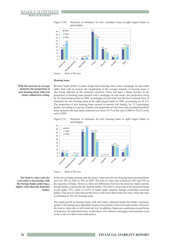A SLOVENI. BANK OF SLOVENIA



Figure 5.30: Structure of insurance for new consumer loans at eight largest banks in

### **Housing loans**

**With the increase in average maturity the proportion of new housing loans with real estate collateral is rising.**

Because banks prefer to insure longer-term housing loans with a mortgage on real estate rather than with an insurer, the lengthening of the average maturity of housing loans is also being reflected in the insurance structure. There has been a sharp increase in the proportion of housing loans insured with a mortgage on real estate, this proportion rising by 10.4 percentage points in 2005. A mortgage on real estate was the most common form of insurance for new housing loans at the eight largest banks in 2005, accounting for 42.2%. The proportion of new housing loans insured at insurers fell sharply, by 13.5 percentage points. According to a survey of banks, the proportion of total (new and existing) household loans insured with real estate collateral rose from 18.7% at the end of 2004 to 24.2% at the end of 2005.

Figure 5.31: Structure of insurance for new housing loans at eight largest banks in percentages



Source: Bank of Slovenia

**The loan to value ratio for real estate is increasing, with the foreign banks achieving a higher ratio than the domestic banks.**

In the survey banks estimate that the loan to value ratio for new housing loans increased from just over 50% in 2001 to 59% in 2005. The loan to value ratio is between 50% and 70% at the majority of banks. However, there are differences between the domestic banks and the foreign banks, in particular the Austrian banks. The loan to value ratio at the domestic banks is just under 57%, while it is 63% at banks under majority foreign ownership (Austrian banks). The loan to value ratio in Slovenia is still lower than in the euro area, where the ratio is estimated at 70% for housing loans.

The rapid growth in housing loans with real estate collateral means that banks' insurance quality is becoming more dependent on price movements on the real estate market. However the loan to value ratio is still relatively low. In addition, banks are combining several forms of insurance for individual loans, so that there is low threat to mortgage loan insurance even in the event of a fall in real estate prices.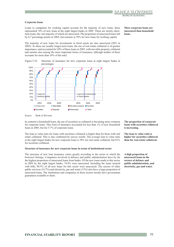# **Corporate loans**

Loans to companies for working capital account for the majority of new loans: these represented 74% of new loans at the eight largest banks in 2005. These are mostly shortterm loans, the vast majority of which are unsecured. The proportion of unsecured loans fell by 0.7 percentage points in 2005, but remains at 70% for new loans for working capital.

The majority of new loans for investments in fixed assets are also unsecured (50% in 2005). As these are usually longer-term loans, the use of real estate collateral is of greater importance, and accounted for 20% of these loans in 2005, with movable property collateral and sureties also among the more important forms of insurance, although neither of these accounts for more than 10% of the total.



**More corporate loans are unsecured than household loans.**

SLOV

BANK OF SLOVENIA

Source: Bank of Slovenia

In contrast to household loans, the use of securities as collateral is becoming more common for corporate loans. This form of insurance accounted for less than 1% of new household loans in 2005, but for 5.7% of corporate loans.

The loan to value ratio for loans with securities collateral is higher than for those with real estate collateral. This is also confirmed by survey results. The average loan to value ratio at the eight largest banks for new corporate loans is 58% for real estate collateral, but 81% for securities collateral.

### **Structure of insurance for new corporate loans in terms of institutional sector**

The structure of new loan insurance varies greatly according to the sector to which the borrower belongs. Companies involved in defence and public administration have by far the highest proportion of unsecured loans from banks. Of the new loans made to this sector in 2005 by the eight largest banks, 74.9% were unsecured. Including the loans insured with bills, 90.5% of all new loans for this sector were unsecured. The sectors of other public services (14.7%) and electricity, gas and water (13%) also have a large proportion of unsecured loans. The institutions and companies in these sectors mostly have government guarantees available to them.

**The proportion of corporate loans with securities collateral is increasing.**

**The loan to value ratio is higher for securities collateral than for real estate collateral.**

**A high proportion of unsecured loans in the sectors of defence and public administration, and electricity, gas and water.**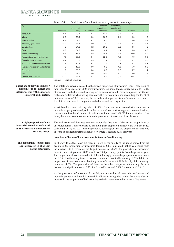# BANKA SLOVENII

BANK OF SLOVENIA

| (%)                               |                                  | <b>Unsecured</b> |                   | Movable<br>property and | Warranties.<br>deposits and |                 |       |
|-----------------------------------|----------------------------------|------------------|-------------------|-------------------------|-----------------------------|-----------------|-------|
|                                   | Unsecured                        | (bills)          | <b>Securities</b> | real estate             | insurer                     | <b>Sureties</b> | Other |
| Agriculture                       | 0.4                              | 60.4             | 8.4               | 21.5                    | 0.3                         | 7.4             | 1.6   |
| Mining                            | 8.5                              | 68.4             | 0.0               | 20.3                    | 0.1                         | 1.0             | 1.6   |
| Manufacturing                     | 4.2                              | 62.0             | 4.2               | 16.0                    | 0.7                         | 7.0             | 5.9   |
| Electricity, gas, water           | 13.0                             | 74.3             | 0.0               | 3.1                     | 0.1                         | 4.8             | 4.6   |
| Construction                      | 1.7                              | 54.8             | 1.2               | 20.8                    | 3.2                         | 6.5             | 11.8  |
| Trade                             | 3.9                              | 64.5             | 1.3               | 16.2                    | 1.4                         | 6.3             | 6.3   |
| Hotels and catering               | 0.5                              | 45.8             | 0.2               | 38.4                    | 1.3                         | 11.0            | 2.9   |
| Transport and communications      | 7.2                              | 55.6             | 0.4               | 22.5                    | 1.0                         | 7.0             | 6.2   |
| Financial intermediation          | 8.2                              | 65.5             | 6.9               | 1.2                     | 1.3                         | 1.2             | 15.8  |
| Real estate and business services | 3.5                              | 54.5             | 19.8              | 11.9                    | 0.8                         | 4.7             | 4.8   |
| Public administration and defence | 74.9                             | 15.6             | 0.0               | 0.5                     | 4.0                         | 5.0             | 0.0   |
| Education                         | 1.0                              | 70.2             | 0.0               | 8.6                     | 2.7                         | 15.7            | 1.7   |
| <b>Health</b>                     | 3.0                              | 59.0             | 0.0               | 20.5                    | 2.7                         | 7.0             | 7.8   |
| Other public services             | 14.7<br>$\sim$<br>$\mathbf{r}$ 1 | 51.4<br>0.01     | 0.4               | 9.6                     | 0.6                         | 11.5            | 11.9  |

Table 5.24: Breakdown of new loan insurance by sector in percentages

Source: Bank of Slovenia

**Banks are approving loans for companies in the hotels and catering sector with real estate collateral and sureties.**

The hotels and catering sector has the lowest proportion of unsecured loans. Only 0.5% of new loans to this sector in 2005 were unsecured. Including loans secured with bills, 46.3% of new loans to the hotels and catering sector were unsecured. These companies mostly use real estate collateral when taking new loans, this form of insurance accounting for 36.5% of their new loans in 2005. Sureties, the second-most important form of insurance, accounted for 11% of new loans to companies in the hotels and catering sector.

Apart from hotels and catering, where 38.4% of new loans were insured with real estate or movable property collateral, only in the sectors of transport, storage and communications, construction, health and mining did this proportion exceed 20%. With the exception of the latter, these are also the sectors where the proportion of unsecured loans is lowest.

 **A high proportion of new loans with securities collateral in the real estate and business services sector.**

**The proportion of unsecured loans decreased in all credit** 

**rating categories.**

The real estate and business services sector also has one of the lowest proportions of unsecured loans. This sector has by far the highest proportion of new loans with securities collateral (19.8% in 2005). The proportion is even higher than the proportion of same type of loans to financial intermediation sector, where it reached 6.9% last year.

### **Structure of forms of loan insurance in terms of credit rating**

Further evidence that banks are focusing more on the quality of insurance comes from the decline in the proportion of unsecured loans in 2005 in all credit rating categories, with those rated C to E recording the largest decline. At 51.7%, the proportion of unsecured loans in these categories in 2005 was down 13.8 percentage points from the previous year. The proportion of loans insured with bills fell sharply, while the proportion of new loans rated C to E without any form of insurance remained practically unchanged. The fall in the proportion of loans rated A without any form of insurance fell further, by 0.8 percentage points to 11.6%. The proportion of loans in the other categories without any form of insurance is significant lower: 0.1% for B-rated loans, and 0.8% for loans rated C to E.

As the proportion of unsecured loans fell, the proportion of loans with real estate and movable property collateral increased in all rating categories, while there was also an increase in the proportion of bad loans insured with sureties or other forms of insurance.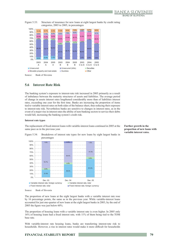NKA SLOVENI BANK OF SLOVENIA



Figure 5.33: Structure of insurance for new loans at eight largest banks by credit rating categories, 2003 to 2005, in percentages

# **5.6 Interest Rate Risk**

The banking system's exposure to interest-rate risk increased in 2005 primarily as a result of imbalance between the maturity structures of assets and liabilities. The average period of change in assets interest rates lengthened considerably more than of liabilities interest rates, exceeding one year for the first time. Banks are increasing the proportion of items tied to variable interest rates on both sides of the balance sheet, thus reducing their exposure to interest-rate risk. Nevertheless banks are sensitive to changes in interest rates, as in the event of a major rise in interest rates the ability of non-banking sectors to service their debts would fall, increasing the banking system's credit risk.

### **Interest rate types**

The replacement of fixed-interest loans with variable-interest loans continued in 2005 at the same pace as in the previous year.

Figure 5.34: Breakdown of interest rate types for new loans by eight largest banks in

**Further growth in the proportion of new loans with variable interest rates.**



Source: Bank of Slovenia

The proportion of new loans at the eight largest banks with a variable interest rate rose by 16 percentage points, the same as in the previous year. While variable-interest loans accounted for just one-quarter of new loans at the eight largest banks in 2003, by the end of 2005 the figure was just below 60%.

The proportion of housing loans with a variable interest rate is even higher. In 2005 only 16% of housing loans had a fixed interest rate, with 11% of them being tied to the TOM base rate.

With variable-interest rate housing loans, banks are transferring interest-rate risk to households. However, a rise in interest rates would make it more difficult for households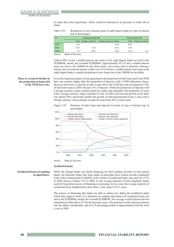BANK OF SLOVENIA

. SLOVENI

to make their loan repayments, which would be reflected in an increase in credit risk at banks.

Table 5.25: Breakdown of new housing loans at eight largest banks by type of interest rate in percentages

| (%)  |                           |      | Fixed interest rate     |       |                  |
|------|---------------------------|------|-------------------------|-------|------------------|
|      | Tolar<br>Foreign currency |      | Foreign currency clause | Tolar | Foreign currency |
| 2003 | 8.6                       |      | 44.8                    | 46.5  |                  |
| 2004 | 15.4                      | 14.0 | 33.5                    | 37.1  |                  |
| 2005 | 7.5                       | 38.0 | 38.8                    | 15.5  | 0.2              |

Source: Bank of Slovenia

Almost 90% of new variable-interest rate loans at the eight largest banks are tied to the EURIBOR, mostly the 6-month EURIBOR. Approximately 8% of new variable-interest loans are tied to the LIBOR for the Swiss franc. New loans tied to domestic reference interest rates account for merely a little over 1% of all new variable-interest rate loans at the eight largest banks, a similar proportion to new loans tied to the LIBOR for the dollar.

**There is a trend of decline in the proportion of loans tied to the TOM base rate.**

Given the long-term nature of loan agreements, the proportion of tolar loans tied to the TOM base rate remains higher than the proportion of deposits with a TOM indexation clause. However the trend is a decline in both. Loans tied to the TOM base rate accounted for 34% of total tolar loans in 2005, but just 11% of deposits. While the proportion of deposits with a foreign currency clause remains relatively stable and negligible, the proportion of loans with a foreign currency clause continues to rise. In 2005 year-on-year growth in the latter was almost 30%, practically double the growth of tolar-denominated loans. Loans with a foreign currency clause already account for more than 20% of tolar loans.

Figure 5.35: Structure of tolar loans and deposits in terms of type of interest rate in percentages



### **Syndicated loans**

### **Syndicated loans are gaining in importance.**

While the foreign banks can obtain financing for their lending activities at their parent banks, the domestic banks (the large banks in particular) have turned towards syndicated loans. After a long period of stability in the volume of syndicated loans, they grew by 137% in 2004, and by a further 57% in 2005. As the average maturity of loans lengthens, banks need for long-term sources of financing is increasing. In two years the average maturity of syndicated loans lengthened by more than 1 year, from 3.8 to 5 years.

The sources of financing that banks are able to obtain also define the conditions under which they approve loans. It is therefore no surprise that almost all syndicated loans are tied to the EURIBOR, mostly the 6-month EURIBOR. The average overall interest rate has remained at a little above 2% for the last three years. The premium on the reference interest rate has fallen considerably, and at 0.19 percentage points is approximately half the level it was in 2003.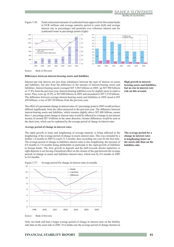# ANKA SLOVENI BANK OF SLOVENIA







Source: Bank of Slovenia

### **Differences between interest-bearing assets and liabilities**

Interest-rate risk derives not just from imbalances between the type of interest on assets and liabilities, but also from the difference in the amount of interest-bearing assets and liabilities. Interest-bearing assets averaged SIT 5,965 billions in 2005, up SIT 900 billions or 17.8% from the previous year. Interest-bearing liabilities rose by slightly more in relative terms. They were up 18.9% or SIT 880 billions in 2005 and amounted to SIT 5,534 billions. The difference between average interest-bearing assets and liabilities in 2005 stood at SIT 430 billions, a rise of SIT 20 billions from the previous year.

The effect of a permanent change in interest rates of 1 percentage point in 2005 would not have differed significantly from the effect projected in the previous year. The difference between interest-bearing assets and liabilities, which remains slightly above SIT 400 billions, means that a 1 percentage point change in interest rates would be reflected in a change in net interest income of around SIT 4 billions in the same direction. Greater differences would be seen in the short term, which can be explained by the average period of change in interest rates.

### **Average period of change in interest rates**

The rapid growth in loans and lengthening of average maturity is being reflected in the lengthening of the average period of change in assets interest rates. This was extended by a further 1.4 months in 2005 to reach 12.3 months, thus exceeding one year for the first time. The average period of change in liabilities interest rates is also lengthening, the increase of 0.9 months to 5.8 months being attributable in particular to the rapid growth of liabilities to foreign banks. The slow growth in deposits and the shift towards shorter maturities or sight deposits is not having a beneficial effect on the closure of the gap between the average periods of change in assets and liabilities interest rates, which rose by 0.6 months in 2005 to 6.6 months.

**High growth in interestbearing assets and liabilities, but no rise in interest-rate risk on this account.**

**The average period for a change in interest rates is lengthening faster on the assets side than on the liabilities side.**



Figure 5.37: Average period for change in interest rates in months

Source: Bank of Slovenia

Only one bank still had a longer average period of change in interest rates on the liability side than on the asset side in 2005. Five banks saw the average period of change shorten on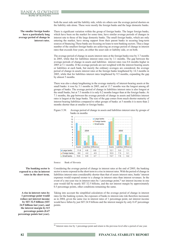

**The smaller foreign banks have a particularly long average period of change in interest rates.**

both the asset side and the liability side, while six others saw the average period shorten on the liability side alone. These were mostly the foreign banks and the large domestic banks.

There is significant variation within the group of foreign banks. The larger foreign banks, which have been on the market for some time, have similar average periods of changes in interest rate to those of the large domestic banks. The small foreign banks, which are only entering the market, have strong support from their parent banks in securing long-term sources of financing.These banks are focusing on loans to non-banking sectors. Thus a large number of the smallest foreign banks are achieving an average period of change in interest rates that exceeds four years, on either the asset side or liability side, or on both.

The average period of change in assets interest rates at the foreign banks rose by 3.7 months in 2005, while that for liabilities interest rates rose by 3.1 months. The gap between the average periods of change in assets and liabilities interest rates was 0.6 months higher in 2005 at 5.1 months. If the average periods are not weighted with the interest-bearing assets or liabilities at each bank, but merely the ordinary averages are considered, the average period of change in assets interest rates at the foreign banks lengthened by 14.3 months in 2005, while that for liabilities interest rates lengthened by 9.5 months, expanding the gap by almost 5 months.

There was also a sharp lengthening in the average maturity of interest-bearing assets at the small banks: it rose by 3.1 months in 2005, and at 13.7 months was the longest among all groups of banks. The average period of change in liabilities interest rates is also longest at the small banks, but at 7.5 months it is only 0.2 months longer than at the foreign banks. At 7.1 months, the gap between the average periods of change in assets and liabilities interest rates is largest at the large banks. The size of the gap comes from much shorter maturity of interest bearing liabilities compared to other groups of banks: at 5 months it is more than 2 months shorter than at smaller or foreign banks.

Figure 5.38: Average period of change in assets and liabilities interest rates by groups of banks in months



### Source: Bank of Slovenia

Considering the average period of change in interest rates at the end of 2005, the banking sector is more exposed in the short term to a rise in interest rates. With the period of change in liabilities interest rates considerably shorter than that of assets interest rates, banks' interest expenses would respond sooner to a change in interest rates than interest revenues. In the event of a one-year rise in interest rates by 1 percentage point,<sup>58</sup> net interest income in one year would fall by nearly SIT 32.5 billions, and the net interest margin by approximately 0.5 percentage points, other conditions remaining the same.

Taking into account the simplified calculation of the average period of change in interest rates for the banking system, the exposure of banks to interest-rate risk therefore increased, as in 2004, given the same rise in interest rates of 1 percentage point, net interest income would have fallen by just SIT 24.9 billions and the interest margin by only 0.47 percentage points.

**The banking sector is exposed to a rise in interest rates in the short term.**

**A rise in interest rates by 1 percentage point would reduce net interest income by SIT 32.5 billions (SIT 24.9 billions last year), and the interest margin by 0.5 percentage points (0.47 percentage points last year).**

<sup>58</sup> Interest rates rise by 1 percentage point and return to the previous level after a period of one year.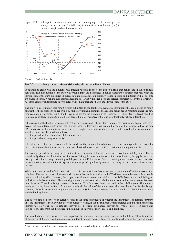



Source: Bank of Slovenia

### **Box 5.3: Change in interest-rate risk during the introduction of the euro**

In addition to credit risk and liquidity risk, interest-rate risk is one of the principal risks that banks face in their business activities. The introduction of the euro will bring significant differences in banks' exposure to interest-rate risk. With the introduction of the euro exposures in euros, in tolars with a foreign currency clause in euros and in tolars will all become exposures in euros. When the euro is introduced the SITIBOR will be replaced as a reference interest rate by the EURIBOR. All other contractual reference interest rates will remain unchanged after the introduction of the euro.

The analysis uses interest rate report figures submitted to the Bank of Slovenia by institutions that are obliged to report pursuant to the regulations on reporting by monetary financial institutions. Because banks began reporting under the new requirements in November 2005, the figures used are for the situation as at December 31, 2005. Only interest-sensitive items are considered, and instrument being deemed interest-sensitive if there is a contractually defined interest rate.

A breakdown of the banking system's interest-sensitive asset and liability items in terms of currency and type of interest is given. The time intervals into which the interest-sensitive items are classified are the same as those suggested by the new CAD directive, with an additional category of overnight.1 Two items of data are taken into consideration when interestsensitive items are classified into intervals:

- the period for the redefinition of the interest rate<sup>2</sup>,
- the period remaining to maturity<sup>3</sup>.

Interest-sensitive items are classified into the shorter of the aforementioned intervals. If there is no figure for the period for the redefinition of the interest rate, the items are classified in accordance with the period remaining to maturity.

The average period for a change in the interest rate is calculated for interest-sensitive asset and liability items. This is considerably shorter for liabilities than for assets. Taking the new time intervals into consideration, the gap between the average period for a change in lending and deposit rates is 11.8 months. Thus the banking sector is more exposed to a rise in interest rates, as banks' interest expenses would respond significantly sooner to a change in interest rates than interest income.

While more than one-half of interest-sensitive asset items are still in tolars, tolar items represent 46.6% of interest-sensitive liabilities. The amount of tolar interest-sensitive items that are index-linked to the TOM base rate on the asset side is double that on the liability side. However, the proportions of interest rates index-linked to the TOM base rate is diminishing on both sides of the balance sheet. There are slightly more interest-sensitive liability items in euros than interest-sensitive asset items in euros. There is a foreign currency clause on 15% of the asset items, but 10% of the liability items. The interestsensitive liability items in Swiss francs are two-thirds the value of the interest-sensitive asset items. Unlike the foreign currency clause in euros, the foreign currency clause in Swiss francs accounts for more than half of both the asset items and the liability items.

The interest-rate risk for foreign currency items is the same irrespective of whether the instrument is in foreign currency, or if the instrument is in tolars with a foreign currency clause, if the instruments are remunerated using the same reference interest rate. However, interest-rate risk derives not just from imbalances between the type of interest on assets and liabilities, but also from the difference in the amount of interest-sensitive assets and liabilities.

The introduction of the euro will have no impact on the amount of interest-sensitive assets and liabilities. The introduction of the euro will therefore lead to an increase in interest-rate risk deriving from the imbalances between the types of interest

<sup>&</sup>lt;sup>59</sup> Interest rates rise by 1 percentage point and return to the previous level after a period of one year.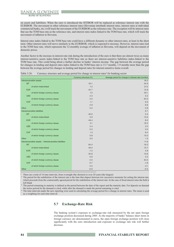BANK OF SLOVENIA

on assets and liabilities. When the euro is introduced the SITIBOR will be replaced as reference interest rate with the EURIBOR. The movement in other reference interest rates (Slovenian interbank interest rates, interest rates at individual commercial banks, etc.) will track the movement of the EURIBOR as the reference rate. The exception will be interest rates that use the TOM base rate as the reference rate, and interest rates index-linked to the TOM base rate, which will track the movement of inflation in Slovenia.

Interest rates index-linked to the TOM base rate could have a different dynamic to other interest rates, at least in the short term. Other interest rates will move similarly to the EURIBOR, which is expected to increase. However, interest rates tied to the TOM base rate, which represents the 12-monthly average of inflation in Slovenia, will depend on the movement of domestic prices.

Another factor in the increase in interest-rate risk during the introduction of the euro is that there are almost twice as many interest-sensitive assets index-linked to the TOM base rate as there are interest-sensitive liabilities index-linked to the TOM base rate. This could bring about a further decline in banks' interest income. The gap between the average period for changes in lending and deposit rates index-linked to the TOM base rate is 13.7 months, 1.9 months more than the gap between the average period for changes in lending and deposit rates for interest-sensitive items overall.

| Table 5.26: | Currency structure and average period for change in interest rates <sup>4</sup> for banking sector |  |  |
|-------------|----------------------------------------------------------------------------------------------------|--|--|
|             |                                                                                                    |  |  |

|                                                            | Currency structure (%) | Average period for change in interest rate (months) |
|------------------------------------------------------------|------------------------|-----------------------------------------------------|
| Interest-sensitive assets                                  |                        | 18.5                                                |
| <b>SIT</b>                                                 | 50.1                   | 24.9                                                |
| of which index-linked                                      | 7.2                    | 27.2                                                |
| <b>EUR</b>                                                 | 45.7                   | 12.8                                                |
| of which foreign currency clause                           | 7.0                    | 30.1                                                |
| <b>USD</b>                                                 | 2.3                    | 5.2                                                 |
| of which foreign currency clause                           | 0.0                    | 40.0                                                |
| <b>CHF</b>                                                 | 1.7                    | 6.6                                                 |
| of which foreign currency clause                           | 0.9                    | 8.9                                                 |
| Other                                                      | 0.2                    | 0.8                                                 |
| Interest-sensitive liabilities                             |                        | 6.7                                                 |
| <b>SIT</b>                                                 | 46.6                   | 5.5                                                 |
| of which index-linked                                      | 3.9                    | 13.5                                                |
| <b>EUR</b>                                                 | 49.4                   | 8.0                                                 |
| of which foreign currency clause                           | 5.1                    | 19.2                                                |
| <b>USD</b>                                                 | 2.4                    | 2.0                                                 |
| of which foreign currency clause                           | 0.0                    | 0.0                                                 |
| <b>CHF</b>                                                 | 1.3                    | 8.4                                                 |
| of which foreign currency clause                           | 0.8                    | 13.0                                                |
| Other                                                      | 0.0                    | 1.3                                                 |
| Interest-sensitive assets - Interest-sensitive liabilities |                        | 11.8                                                |
| <b>SIT</b>                                                 | 94.5                   | 19.3                                                |
| of which index-linked                                      | 49.5                   | 13.7                                                |
| <b>EUR</b>                                                 | $-1.2$                 | 4.8                                                 |
| of which foreign currency clause                           | 30.8                   | 10.8                                                |
| <b>USD</b>                                                 | 0.6                    | 3.2                                                 |
| of which foreign currency clause                           | 0.0                    | 40.0                                                |
| <b>CHF</b>                                                 | 6.7                    | $-1.8$                                              |
| of which foreign currency clause                           | 0.0                    | $-4.1$                                              |
| Other                                                      | $-0.6$                 | $-0.5$                                              |

1 There are a total of 14 time intervals, from overnight (the shortest) to over 20 years (the longest)

<sup>2</sup> The period for the redefinition of the interest rate is the time that elapses between tow successive moments for setting the interest rate, which proceeds from the contractually agreed period for the redefinition of the interest rate. In the case of fixed interest rates the field is left blank

<sup>3</sup> The period remaining to maturity is defined as the period between the date of the report and the maturity date. For deposits on demand the notice period for the demand is cited, while after the demand is made the period remaining is cited

4 The time intervals under the new reporting were used in calculating the average period for a change in interest rates. The mean is used as a weighting for each time interval

# **5.7 Exchange-Rate Risk**

The banking system's exposure to exchange-rate risk measured by the net open foreign exchange position decreased during 2005. As the majority of banks' balance sheet items in foreign currency are denominated in euros, the open foreign exchange position will close significantly with the euro introduction and exposure to exchange rate risk will further decrease.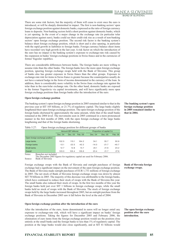There are some risk factors, but the majority of them will cease to exist once the euro is introduced, or will be sharply diminished in impact. The first is non-banking sectors' open foreign exchange position against domestic banks, expressed as the ratio of foreign currency loans to deposits. Non-banking sectors hold a short position against domestic banks, which is yet opening. In the event of a major change in the exchange rate (in particular tolar depreciation against euro), banks could see their credit risk rise as a result of non-banking sectors' open foreign exchange position. The second risk factor is the banking system's balance sheet foreign exchange position, which is short and is also opening, in particular with the rapid growth in liabilities to foreign banks. Foreign currency balance sheet items have recorded very high growth in the last year. A risk factor on which the introduction of the euro has no impact is the banking system's exposure to exchange-rate risk caused by the expansion in banks' foreign exchange positions in Swiss francs and in the currencies of former Yugoslav republics.

There are considerable differences between banks. The foreign banks are more willing to assume risks than the other banks. The foreign banks have the more open foreign exchange position, ignoring foreign exchange swaps held with the Bank of Slovenia. This group of banks also has greater exposure in Swiss francs than the other groups. Exposure to exchange-rate risk for items in Swiss francs is greater because the counterparties usually do not have a natural hedge in the form of income denominated in the currency of the loan. In addition, there is considerably more volatility in the Swiss franc exchange rate against the tolar than in the euro/tolar exchange rate. On the other hand, domestic banks are exposed to the former Yugoslavia via capital investments, and will have significantly more open foreign exchange positions than foreign banks after the introduction of the euro.

### **Open foreign exchange position**

The banking system's open foreign exchange position in 2005 remained similar to that in the previous year at SIT 105 billions, or 21.7% of regulatory capital. The large banks slightly lengthened their open foreign exchange position. The open foreign exchange position of the foreign banks shortened by approximately the same amount, while that of the small banks remained at the 2004 level. The movements seen in 2005 continued in a more pronounced manner in the first months of 2006, with the open foreign exchange of the large banks lengthening and that of the foreign banks shortening.

**The banking system's open foreign exchange position in 2005 remained similar to that in 2004.**

### Table 5.27: Open foreign exchange position for different groups of banks

|                                | Amount (SIT billions) |         |         |         | Proportion of capital (%) |         |
|--------------------------------|-----------------------|---------|---------|---------|---------------------------|---------|
|                                | Dec. 04               | Dec. 05 | Feb. 06 | Dec. 04 | Dec. 05                   | Feb. 06 |
| Open foreign exchange position |                       |         |         |         |                           |         |
| Large banks                    | 102.5                 | 115.1   | 164.2   | 34.1    | 35.7                      | 50.9    |
| Foreign banks                  | $-12.1$               | $-22.5$ | $-42.2$ | $-14.0$ | $-21.7$                   | $-40.7$ |
| Small banks                    | 12.7                  | 12.8    | 13.7    | 24.1    | 21.6                      | 23.2    |
| Overall                        | 103.0                 | 105.4   | 135.6   | 23.4    | 21.7                      | 27.9    |

Notes: Branches not included.

The December 2005 figures for regulatory capital are used for February 2006.<br>Source: Bank of Slovenia Bank of Slovenia

Foreign exchange swaps with the Bank of Slovenia and outright purchases of foreign exchange had a significant impact on the movement of the open foreign exchange position. The Bank of Slovenia made outright purchases of EUR 1,731 millions of foreign exchange in 2005. The net stock of Bank of Slovenia foreign exchange swaps was down by almost SIT 70 billions in 2005. The majority of this decrease was attributable to the foreign banks, which have continued to reduce their stock of swaps with the Bank of Slovenia this year. The small banks also reduced their stock of swaps. In the first two months of this year the foreign banks held just over SIT 1 billions in foreign exchange swaps, while the small banks held no stock of swaps with the Bank of Slovenia. The stock of foreign exchange swaps held by the large banks increased throughout 2005, but an outright purchase from the Bank of Slovenia in December 2005 saw it fall below the level at the end of 2004.

### **Open foreign exchange position after the introduction of the euro**

After the introduction of the euro, items denominated in euros will no longer entail any exposure to exchange-rate risk, which will have a significant impact on banks' foreign exchange positions. Taking the figures for December 2005 and February 2006, the elimination of euro items from the foreign exchange position would see the position close entirely at the small banks and the foreign banks to less than 1% of regulatory capital. The position at the large banks would also close significantly, and at SIT 41 billions would

**Bank of Slovenia foreign exchange swaps.**

**The open foreign exchange position after the euro introduction.**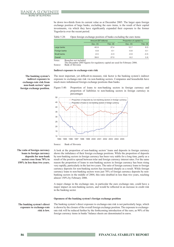BANKA SLOVENII BANK OF SLOVENIA

> be down two-thirds from its current value as at December 2005. The larger open foreign exchange position of large banks, excluding the euro items, is the result of their capital investments, via which they have significantly expanded their exposure to the former Yugoslavia over the recent period.

| $1401C$ <i>J.20.</i>                                                                         | Open foreign exchange position of banks excluding the etholitenis |         |         |                           |  |  |  |  |  |
|----------------------------------------------------------------------------------------------|-------------------------------------------------------------------|---------|---------|---------------------------|--|--|--|--|--|
|                                                                                              | Amount (SIT billions)                                             |         |         | Proportion of capital (%) |  |  |  |  |  |
|                                                                                              | Dec. 05                                                           | Feb. 06 | Dec. 05 | Feb. 06                   |  |  |  |  |  |
| Large banks                                                                                  | 40.9                                                              | 27.4    | 12.7    | 8.5                       |  |  |  |  |  |
| Foreign banks                                                                                | $-0.8$                                                            | $-0.1$  | $-0.8$  | $-0.1$                    |  |  |  |  |  |
| Small banks                                                                                  | $-0.5$                                                            | $-0.3$  | $-0.9$  | $-0.5$                    |  |  |  |  |  |
| Overall                                                                                      | 39.6                                                              | 27.0    | 8.2     | 5.6                       |  |  |  |  |  |
| Daniel J. J. J. J. J. J. J. J. J.<br>$\mathbf{X}$ $\mathbf{I}$ = $\mathbf{A}$ = $\mathbf{I}$ |                                                                   |         |         |                           |  |  |  |  |  |

Table 5.28: Open foreign exchange position of banks excluding the euro items

Notes: Branches not included. The December 2005 figures for regulatory capital are used for February 2006. Source: Bank of Slovenia

**Indirect exposure to exchange-rate risk**

### **The banking system's indirect exposure to exchange-rate risk from non-bank sectors' open foreign exchange position.**

The most important, yet difficult-to-measure, risk factor is the banking system's indirect exposure to exchange-rate risk via non-banking sectors. Companies and households have much more imbalanced foreign exchange positions than banks.

Figure 5.40: Proportion of loans to non-banking sectors in foreign currency and proportion of liabilities to non-banking sectors in foreign currency in percentages



Source: Bank of Slovenia

**The ratio of foreign currency loans to foreign currency deposits for non-bank sectors rose from 70% to 150% in less than two years.**

A look at the proportion of non-banking sectors' loans and deposits in foreign currency shows the imbalance of their foreign exchange positions. While the proportion of deposits by non-banking sectors in foreign currency has been very stable for a long time, partly as a result of the positive spread between tolar and foreign currency interest rates. For the same reason the proportion of loans to non-banking sectors in foreign currency has been rising very rapidly, particularly in the last two years. The ratio of foreign currency loans to foreign currency deposits for non-banking sectors has increased sharply as a result. While foreign currency loans to non-banking sectors were just 70% of foreign currency deposits by nonbanking sectors in the middle of 2004, this ratio doubled in less than two years, reaching almost 150% by February 2006.

A major change in the exchange rate, in particular the euro exchange rate, could have a major impact on non-banking sectors, and would be reflected in an increase in credit risk in the banking sector.

### **Openness of the banking system's foreign exchange position**

**The banking system's direct exposure to exchange-rate risk is low.**

The banking system's direct exposure to exchange-rate risk is not particularly large, which is shown by the closure of the overall foreign exchange position. The exposure to exchangerate risk will be reduced further by the forthcoming introduction of the euro, as 90% of the foreign currency items in banks' balance sheets are denominated in euros.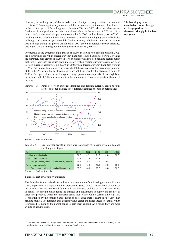### SLOV **BANK OF SLOVENIA**

However, the banking system's balance-sheet open foreign exchange position is a potential risk factor.60 This is significantly more closed than at companies, but has more than doubled in the last two years. After a long period between 2001 and 2003 when the balance-sheet foreign exchange position was relatively closed (short in the amount of 0.5% to 1% of total assets), it shortened sharply in the second half of 2004 and in the early part of 2005, reaching almost 3% of total assets in some months. In addition to high growth in liabilities to foreign banks, year-on-year growth in foreign currency liabilities to non-banking sectors was also high during this period. At the end of 2004 growth in foreign currency liabilities was higher (24.3%) than growth in foreign currency assets (20.6%).

Irrespective of the extremely high growth of 83.3% in liabilities to foreign banks in 2005, the slowdown in growth in foreign currency liabilities to non-banking sectors to 3.9% and the extremely high growth of 63.5% in foreign currency loans to non-banking sectors meant that foreign currency liabilities grew more slowly than foreign currency assets last year. Foreign currency assets were up 39.2% in 2005, while foreign currency liabilities were up 37.5%. The ratio of foreign currency assets to total assets rose by 4.7 percentage points in 2005 to 40.7%, while that for foreign currency liabilities rose by 4.5 percentage points to 42.8%. The open balance-sheet foreign exchange position consequently closed slightly in the second half of 2005, and was short in the amount of 2.1% of total assets at the end of the year.





Table 5.29: Year-on-year growth in individual categories of banking system's balance sheet in percentages

| (%)                                                 | 2001 | 2002 | 2003 | 2004 | 2005 |
|-----------------------------------------------------|------|------|------|------|------|
| Liabilities to foreign banks                        | 21.7 | 42.1 | 51.5 | 43.6 | 83.3 |
| Foreign currency liabilities                        | 25.6 | 12.8 | 13.2 | 24.3 | 37.5 |
| Foreign currency liabilities to non-banking sectors | 31.0 | 6.4  | 3.5  | 11.3 | 3.9  |
| Foreign currency assets                             | 27.5 | 12.6 | 12.6 | 20.6 | 39.2 |
| Foreign currency loans to non-banking sectors       | 25.7 | 48.3 | 37.7 | 46.5 | 63.5 |

Source: Bank of Slovenia

### **Balance sheet structure by currency**

The third risk factor is the shifts in the currency structure of the banking system's balance sheet, in particular the rapid growth in exposure in Swiss francs. The currency structure of the balance sheet also reveals differences in the business policies of the different groups of banks. The foreign banks define the changes and adjustments in supply and are first to offer new products, which the domestic banks then follow with a certain time lag. This is conditioned by the foreign banks' focus on increasing market share on the Slovenian banking market. The foreign banks generally have easier and faster access to capital, which is provided to them by the parent banks to help them expand. As a result, they are more willing to assume risks.

Source: Bank of Slovenia

 $60$  The open balance sheet foreign exchange position is the difference between foreign currency assets and foreign currency liabilities as a proportion of total assets.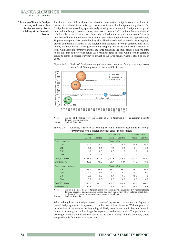# SLOVENI

BANK OF SLOVENIA

**The ratio of items in foreign currency to items with a foreign currency clause is falling at the domestic banks.**

The first indicator of the difference in behaviour between the foreign banks and the domestic banks is the ratio of items in foreign currency to items with a foreign currency clause. The foreign banks are recording approximately equal growth in items in foreign currency and items with a foreign currency clause, in excess of 40% in 2005, on both the asset side and liability side of the balance sheet. Items with a foreign currency clause account for more than 50% of items in foreign currency on the asset side at foreign banks, and approximately 10 percentage points less on the liability side. The domestic banks are only recording high growth comparable with that of the foreign banks on items in foreign currency, and this is mainly the large banks, where growth is outstripping that of the small banks. Growth in items with a foreign currency clause at the large banks and the small banks is just one-third to one-half that at the foreign banks. As a result the ratio of items with a foreign currency clause to items in foreign currency is lowest at the large banks, where it stood at 6% in 2005.





Note: The size of the sphere represents the ratio of assets items with a foreign currency clause to items in foreign currency. Source: Bank of Slovenia

|                             | December 2003 |             | December 2004 |             | December 2005 |                    |  |
|-----------------------------|---------------|-------------|---------------|-------------|---------------|--------------------|--|
|                             | <b>Assets</b> | Liabilities | <b>Assets</b> | Liabilities | <b>Assets</b> | <b>Liabilities</b> |  |
| Foreign currency            |               |             | Structure (%) |             |               |                    |  |
| <b>EUR</b>                  | 87.9          | 88.8        | 89.2          | 90.5        | 89.4          | 91.5               |  |
| <b>USD</b>                  | 8.8           | 8.5         | 7.3           | 6.8         | 6.4           | 6.0                |  |
| <b>CHF</b>                  | 1.9           | 2.0         | 2.0           | 1.5         | 1.9           | 1.2                |  |
| Other                       | 1.4           | 0.7         | 1.6           | 1.2         | 2.4           | 1.3                |  |
| <b>Total (SIT billions)</b> | 1,756.4       | 1,822.3     | 2,272.8       | 2,406.4     | 3,273.7       | 3,455.1            |  |
| Growth rate $(\%)$          | 13.3          | 13.6        | 29.4          | 32.1        | 44.0          | 43.6               |  |
| Foreign currency clause     |               |             | Structure (%) |             |               |                    |  |
| <b>EUR</b>                  | 99.6          | 99.9        | 96.6          | 96.2        | 88.0          | 88.8               |  |
| <b>USD</b>                  | 0.2           | 0.1         | 0.0           | 0.0         | 0.0           | 0.0                |  |
| <b>CHF</b>                  | 0.2           | 0.0         | 3.4           | 3.7         | 12.0          | 11.2               |  |
| Other                       | 0.0           | 0.0         | 0.0           | 0.0         | 0.0           | 0.0                |  |
| <b>Total (SIT billions)</b> | 321.3         | 267.6       | 400.8         | 347.7       | 542.8         | 440.8              |  |
| Growth rate (%)             | 39.8          | 41.9        | 24.7          | 29.9        | 35.4          | 26.8               |  |
|                             |               |             |               |             |               |                    |  |

Table 5.30: Currency structure of banking system's balance-sheet items in foreign currency and with a foreign currency clause in percentages

Note: The table includes all asset items minus expected non-payments, all liability items including deferred revenues and accrued expenses, and spot transaction of off-balance sheet items, i.e. Bank of Slovenia foreign exchange swaps are included.

Source: Bank of Slovenia

When taking loans in foreign currency, non-banking sectors have a certain degree of natural hedge against exchange-rate risk in the case of loans in euros. With the projected introduction of the euro at the beginning of 2007, loans in euros will become loans in domestic currency, and will no longer be exposed to exchange-rate risk. The perception of exchange-rate risk diminished well before, as the euro exchange rate has been very stable and predictable for almost two years now.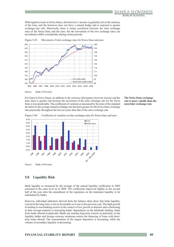With regard to loans in Swiss francs, the borrower's income is generally not in the currency of the loan, and the borrower does not have a natural hedge and is exposed to greater exchange-rate risk. Historically there is string correlation between the tolar exchange rates of the Swiss franc and the euro, but the movement of the two exchange rates can nevertheless differ considerably during certain periods.



Source: Bank of Slovenia

For loans in Swiss francs, in addition to the currency discrepancy between income and the loan, there is greater risk because the movement of the tolar exchange rate for the Swiss franc is less predictable. The coefficient of variation as measured by the ratio of the standard deviation to the average annual exchange rate has been greater for the Swiss franc exchange rate practically throughout the last ten years than that of the euro exchange rate.

**The Swiss franc exchange rate is more volatile than the euro/tolar exchange rate.**



Figure 5.44: Coefficient of variation in tolar exchange rates for Swiss franc and euro

# **5.8 Liquidity Risk**

Bank liquidity as measured by the average of the annual liquidity coefficients in 2005 remained at the same level as in 2004. The coefficients improved slightly in the second half of the year after the amendment of the regulation on the minimum liquidity to be maintained by banks.

However, individual indicators derived from the balance sheet show that bank liquidity, viewed in the long term, is not as favourable as it was in the previous year. The high growth in lending to non-banking sectors in the context of low growth in deposits and a shortening in their average maturity is increasing banks' dependence on the interbank funding, funds from banks abroad in particular. Banks are seeking long-term sources in particular, as the liquidity ladder and foreign currency minimum restrict the financing of loans with shortterm loans abroad. The concentration of the largest depositors is increasing, while the volume of secondary liquidity is decreasing.

# **FINANCIAL STABILITY REPORT 89**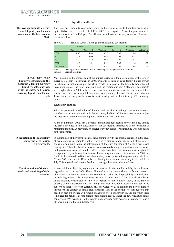**5.8.1 Liquidity coefficients**

**The average annual Category 1 and 2 liquidity coefficients remained at the level seen in 2004.**

The Category 1 liquidity coefficient, which is the ratio of assets to liabilities maturing in up to 30 days ranged from 1.09 to 1.15 in 2005. It averaged 1.12 over the year, similar to the previous year. The Category 2 coefficient, which covers maturity of up to 180 days, is at a similar level.

| Table 5.31: | Banking sector's average annual liquidity coefficients |  |
|-------------|--------------------------------------------------------|--|
|             |                                                        |  |

|              | Overall                  |      | <b>Tolar items</b>       |      |            | Foreign currency items |  |  |
|--------------|--------------------------|------|--------------------------|------|------------|------------------------|--|--|
|              | Category 2<br>Category 1 |      | Category 2<br>Category 1 |      | Category 1 | Category 2             |  |  |
| 2002         | 1.07                     | 1.06 | 0.77                     | 0.96 | 1.55       | 1.22                   |  |  |
| 2003         | 1.13                     | 1.09 | 0.82                     | 0.92 | 1.74       | 1.40                   |  |  |
| 2004         | 1.11                     | 1.10 | 0.86                     | 0.99 | 1.54       | 1.27                   |  |  |
| 2005         | 1.12                     | 1.11 | 0.91                     | 0.98 | 1.45       | 1.30                   |  |  |
| Feb. $20061$ | 1.13                     | 1.12 | 0.92                     | 0.98 | 1.44       | 1.32                   |  |  |

Note:<br>Source: <sup>1</sup> The figure for February 2006 is the average of the preceding 12 months. Bank of Slovenia

**The Category 1 tolar liquidity coefficient and the Category 2 foreign currency liquidity coefficient rose, while the Category 1 foreign currency liquidity coefficient fell.**

**The elimination of the tolar benefit and weighting of sight** 

**deposits.**

Most notable in the comparison of the annual averages is the deterioration of the foreign currency Category 1 coefficient in 2005, primarily because of considerably higher growth in liabilities, which outstripped growth in assets in this part of the liquidity ladder by 7.1 percentage points. The tolar Category 1 and the foreign currency Category 2 coefficients were higher than in 2004. In both cases growth in liquid assets was higher than in 2004, and higher than growth in liabilities, which is particularly the case for the tolar Category 1 coefficient, where growth in assets outstripped growth in liabilities by 5.9 percentage points.

### **Regulatory changes**

With the projected introduction of the euro and the aim of making it easier for banks to switch to the business conditions in the euro area, the Bank of Slovenia continued to adjust the regulation on the minimum liquidity to be maintained by banks.

At the beginning of 2005, serial domestic marketable debt securities were included among the assets included in the calculation of the coefficient, irrespective of the principle of remaining maturity. A provision on foreign currency loans for refinancing was also added at the same time.

In the first half of the year the central bank continued with the gradual reduction in the level of mandatory subscription to Bank of Slovenia foreign currency bills as part of the foreign exchange minimum. With the introduction of the euro the Bank of Slovenia will cease issuing bills. The role of central bank securities is already being assumed by other securities, both government securities and first-class foreign securities. The mandatory subscription to foreign currency bills was therefore of diminishing importance. As a result, in 2005 the Bank of Slovenia reduced the level of mandatory subscription to foreign currency bills from 35% to 20%, and then to 10%, before abolishing the requirement entirely in the middle of July. This allowed banks more freedom to manage their securities portfolios. **A reduction in the mandatory subscription to foreign currency bills.**

> A new minimum liquidity regulation was adopted in the middle of July, its application beginning on 1 January 2006. The abolition of mandatory subscription to foreign currency bills meant that the tolar benefit was also abolished. This was the possibility that banks had of including A-rated tolar investments maturing in more than 180 days in their calculation of the liquidity coefficients for the tolar segment of the liquidity ladder, in the amount of 30% of the subscribed stock of foreign currency bills for Category 1 and up to the subscribed stock of foreign currency bills for Category 2. In addition the new regulation introduces the concept of stable sight deposits. This is the portion of sight deposits that based on past experience will remain unchanged over a longer period, and for which there is no need for banks to secure corresponding liquid assets. Under the new regulation banks can give an 85% weighting to household and corporate sight deposits in Category 1 and a 60% weighting to those in Category 2.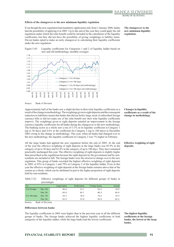### **Effects of the changeover to the new minimum liquidity regulation**

Even though the new regulation had mandatory application only from 1 January 2006, banks had the possibility of applying it in 2005. Up to the end of the year they could apply the old regulation under which the tolar benefit could be included in the calculation of the liquidity coefficients, but they did not have the possibility of giving weightings to liability items. Eleven banks opted to make an early changeover to calculating their liquidity coefficients under the new regulation.

Figure 5.45: Liquidity coefficients for Categories 1 and 2 of liquidity ladder based on

new and old methodology, monthly averages 0.95 0.97 0.99 1.01 1.03 1.05 1.07 1.09 1.11 1.13 1.15 1.17 1.19 Category 1: 0 to 30 days Category 2: 0 to 180 days Category 1: 0 to 30 days (old methodology) Category 2: 0 to 180 days (old methodology) Jan.02 Apr.02 Jul.02 Jan.03 Apr.03 Jul.03 Jan.04 Apr.04 Jul.04 Jan.05 Apr.05 Jul.05 Oct.02 Oct.03 Oct.04 Oct.05 Jan.06 **The changeover to the new minimum liquidity regulation.**

Source: Bank of Slovenia

Approximately half of the banks saw a slight decline in their tolar liquidity coefficients as a result of the change in methodology. The weightings given to sight deposits and the consequent reduction in liabilities meant that banks that did not hold a large stock of subscribed foreign currency bills or did not make use of the tolar benefit saw their tolar liquidity coefficients improve. The weightings given to sight deposits entailed an improvement in the foreign currency liquidity coefficients for all banks during the changeover to the new methodology. The banking sector as a whole saw a rise of 3.3% in its liquidity coefficient in Category 1 (up to 30 days) and 4.6% in the coefficient for Category 2 (up to 180 days) in December 2005 owing to the change in methodology. This year, when all banks had changed over to the new methodology, the liquidity coefficient in Category 2 was 7% higher in February.

All the large banks had applied the new regulation before the end of 2005. At the end of the year the effective weighting of sight deposits at the large banks was 85.9% in the category of up to 30 days and 62.4% in the category of up to 180 days. They have remained practically unchanged this year. The effective weighting of sight deposits is slightly higher than prescribed in the regulations because the sight deposits by the government and by nonresidents are included in full. The foreign banks were the slowest to change over to the new regulation. This group of banks recorded the highest effective weighting of sight deposits in 2005, at 92% in Category 1 and 79% in Category 2 of the liquidity ladder. Even in this year the effective weighting of sight deposits at the foreign banks remains above that of the system as a whole, which can be attributed in part to the higher proportion of sight deposits held by non-residents.

| Table 5.32: |             | Effective weightings of sight deposits for different groups of banks in |  |  |  |  |  |
|-------------|-------------|-------------------------------------------------------------------------|--|--|--|--|--|
|             | percentages |                                                                         |  |  |  |  |  |

| (%)           |         | Large banks | Small banks | Foreign banks | Overall |
|---------------|---------|-------------|-------------|---------------|---------|
| 0 to 30 days  | Dec. 05 | 85.9        | 91.7        | 92.2          | 87.6    |
|               | Feb. 06 | 85.9        | 85.7        | 86.3          | 85.9    |
| 0 to 180 days | Dec. 05 | 62.4        | 78.0        | 79.2          | 67.0    |
|               | Feb. 06 | 62.3        | 61.8        | 63.6          | 62.4    |

Source: Bank of Slovenia

### **Differences between banks**

The liquidity coefficients in 2005 were higher than in the previous year at all the different groups of banks. The foreign banks achieved the highest liquidity coefficients in both categories of the liquidity ladder, while the large banks had the lowest coefficients.

**Changes in liquidity coefficients as a result of the change in methodology.**

### **Effective weighting of sight deposits.**

**The highest liquidity coefficients at the foreign banks, the lowest at the large banks.** 

# **FINANCIAL STABILITY REPORT 91**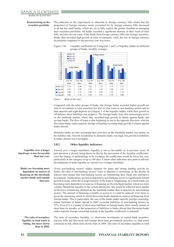BANK OF SLOVENIA

### **Restructuring in the securities portfolio.**

The reduction in the requirement to subscribe to foreign currency bills meant that the proportion of foreign currency assets accounted for by foreign currency bills decreased at all but the small banks, which are yet to fully exploit the greater freedom in managing their securities portfolios. All banks recorded a significant increase in their stock of tolar bills, and also moved some of the funds from foreign currency bills into foreign securities. Banks thus recorded high growth in tolar investments, while the rise in foreign currency investments compared to the previous year was lower.

Figure 5.46: Liquidity coefficients for Categories 1 and 2 of liquidity ladder for different groups of banks, monthly averages

| 1.30<br>1.28<br>1.26<br>1.24<br>1.22<br>1.20<br>1.18<br>1.16<br>1.14<br>1.12<br>1.10<br>1.08<br>1.06<br>1.04<br>1.02<br>1.00 | $\Box$ Dec.03<br>$\blacksquare$ Dec.04<br>$\blacksquare$ Dec.05<br>Feb.06<br>Large banks |                  | $\overline{\phantom{0}}$ | Foreign banks    |                 | Small banks      |
|------------------------------------------------------------------------------------------------------------------------------|------------------------------------------------------------------------------------------|------------------|--------------------------|------------------|-----------------|------------------|
|                                                                                                                              | 0 to 30<br>days                                                                          | 0 to 180<br>days | 0 to 30<br>days          | 0 to 180<br>days | 0 to 30<br>days | 0 to 180<br>days |
| $\blacksquare$ Dec.03                                                                                                        | 1.13                                                                                     | 1.09             | 1.22                     | 1.17             | 1.15            | 1.11             |
| $\blacksquare$ Dec.04                                                                                                        | 1.07                                                                                     | 1.08             | 1.18                     | 1.19             | 1.09            | 1.07             |
| $\blacksquare$ Dec.05                                                                                                        | 1.08                                                                                     | 1.10             | 1.28                     | 1.23             | 1.12            | 1.12             |
| Feb.06                                                                                                                       | 1.09                                                                                     | 1.10             | 1.25                     | 1.21             | 1.15            | 1.08             |

Source: Bank of Slovenia

Compared with the other groups of banks, the foreign banks recorded higher growth not only in investment in tolar securities but also in tolar loans to non-banking sectors and in time deposits and sight deposits in Category 1 of the liquidity ladder, while their growth in off-balance-sheet liabilities was negative. The foreign banks were also increasingly active on the interbank market, where they recorded high growth in claims against banks and savings banks. The flow of loans is also beginning to run in the opposite direction, with the Slovenian banks under majority foreign ownership recording high growth in claims against banks abroad.

Domestic banks are also increasing their activities on the interbank market, but mainly on the liability side. Growth in liabilities to domestic banks was high, but growth in liabilities to banks abroad was even higher.

### **5.8.2 Other liquidity indicators**

Viewed over a longer timeframe, liquidity is not as favourable as in previous years. In part attention is already being drawn to this by the movement of the liquidity coefficients: were the change of methodology to be excluded, the coefficients would be lower this year, particularly in the category of up to 180 days. Certain other indicators also point to adverse developments in bank liquidity as viewed over a longer timeframe.

Given non-banking sectors' higher demand for loans and strong lending activity by banks, the ratio of non-banking sectors' loans to deposits is increasing, as the decline in interest rates means that non-banking sectors are transferring their funds into alternative investments. Furthermore, growth in deposits by non-banking sectors is significantly behind growth in loans, while the average maturity of the loans is lengthening. As a result banks are becoming more dependent on sources of financing on the interbank market, which are more volatile. Should the liquidity in the system deteriorate, this would be reflected more rapidly in the price of financing obtained on the interbank market than in deposits by non-banking sectors. The amount of financing available or access to it could be reduced, even more so given the increasing extent to which Slovenian banks depend on sources of financing from foreign banks. This is particularly the case of the banks under majority foreign ownership, where liabilities to banks abroad in 2005 exceeded liabilities to non-banking sectors by 32%. Even if it is a matter of short-term liabilities to foreign banks, these mostly mature in more than six months, as the proportion of liabilities to banks abroad that Slovenian banks under majority foreign ownership include in the liquidity coefficients is minimal.

**The ratio of secondary liquidity to total assets is falling, but more slowly than in 2004.**

The ratio of secondary liquidity, i.e. short-term investments in central bank securities, treasury bills and Slovenian and foreign short-term government securities, to total assets continued to fall, albeit more slowly than in 2004. The ratio of secondary liquidity to total

**Liquidity over a longer timeframe is less favourable than last year.**

**Banks are becoming more dependent on sources of financing on the interbank market inside and outside Slovenia.**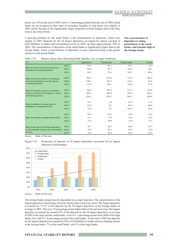assets was 14% at the end of 2005, down 1.2 percentage points from the end of 2004. Small banks are an exception as their ratio of secondary liquidity to total assets rose slightly in 2005, partly because of the significantly larger proportion of their balance sheets that they hold in the form of bills.

A growing problem for the small banks is the concentration of depositors, which rose sharply in 2005. Deposits by the 30 largest depositors accounted for almost one-half of total liabilities to banks and non-banking sectors in 2005, up from approximately 30% in 2004. The concentration of depositors at the small banks is significantly higher than at the foreign banks, where a concentration of depositors is more expected owing to the greater reliance on the parent banks.

**The concentration of depositors is rising, particularly at the small banks, and remains high at the foreign banks.**

| Table 5.33: |  |  |  | Balance sheet ratios illustrating bank liquidity over a longer time frame |
|-------------|--|--|--|---------------------------------------------------------------------------|
|-------------|--|--|--|---------------------------------------------------------------------------|

| (%)                                                                                                            |      | Large banks | Small banks | Foreign banks | Overall |
|----------------------------------------------------------------------------------------------------------------|------|-------------|-------------|---------------|---------|
|                                                                                                                | 2003 | 72.6        | 65.7        | 107.1         | 77.0    |
| Ratio of loans to non-banking sectors to<br>deposits by non-banking sectors                                    | 2004 | 80.3        | 67.7        | 135.4         | 87.1    |
|                                                                                                                | 2005 | 90.3        | 72.4        | 162.1         | 99.4    |
|                                                                                                                |      |             |             |               |         |
| Ratio of short-term loans to non-banking                                                                       | 2003 | 182.2       | 214.8       | 173.2         | 184.0   |
| sectors to deposits of up to 90 days by                                                                        | 2004 | 138.7       | 164.2       | 179.0         | 147.9   |
| non-banking sectors                                                                                            | 2005 | 171.8       | 185.1       | 163.9         | 171.6   |
|                                                                                                                |      |             |             |               |         |
| Ratio of short-term loans to non-banking<br>sectors to deposits of 90 days to 1 year by<br>non-banking sectors | 2003 | 147.6       | 167.4       | 172.4         | 153.6   |
|                                                                                                                | 2004 | 189.3       | 186.9       | 325.4         | 205.3   |
|                                                                                                                | 2005 | 204.0       | 203.2       | 393.7         | 226.6   |
|                                                                                                                |      |             |             |               |         |
| Ratio of liabilities to foreign banks to                                                                       | 2003 | 15.7        | 4.9         | 61.4          | 21.4    |
| liabilities to non-banking sectors                                                                             | 2004 | 20.9        | 6.1         | 85.3          | 28.8    |
|                                                                                                                | 2005 | 37.3        | 7.0         | 132.3         | 48.5    |
|                                                                                                                | 2003 | 20.9        | 23.5        | 24.6          | 21.9    |
| Ratio of secondary liquidity to total assets                                                                   | 2004 | 14.7        | 17.6        | 15.6          | 15.2    |
|                                                                                                                |      |             |             |               |         |
|                                                                                                                | 2005 | 13.3        | 18.8        | 13.8          | 14.0    |
| Ratio of deposits by 30 largest depositors                                                                     | 2003 | 16.7        | 32.0        | 28.6          | 20.7    |
| to total deposits by banks and non-banking                                                                     | 2004 | 15.6        | 29.5        | 28.9          | 19.9    |
| sectors                                                                                                        | 2005 | 15.2        | 48.3        | 35.0          | 23.4    |

Source: Bank of Slovenia





Source: Bank of Slovenia

The foreign banks remain heavily dependent on a single depositor. The concentration of the largest depositor is increasing, but more slowly than in previous years. The largest depositor accounted for 71.5% of the deposits by the 30 largest depositors at the foreign banks on average in 2005. This was 5.9 percentage points higher than in the previous year. The largest depositor accounted for around 19% of the deposits by the 30 largest depositors on average in 2005 at the large and the small banks: a rise of 1.1 percentage points from 2004 at the large banks, but a fall of 2.4 percentage points at the small banks. At the end of 2005 the deposits by the largest depositor accounted for 24% of all liabilities to banks and non-banking sectors at the foreign banks, 7% at the small banks, and 3% at the large banks.

# **FINANCIAL STABILITY REPORT 93**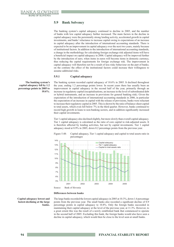# **5.9 Bank Solvency**

The banking system's capital adequacy continued to decline in 2005, and the number of banks with low capital adequacy further increased. The main factors in the decline in capital adequacy were the persistently strong lending activity, accelerated growth in capital investments, and banks' reluctance to increase capital owing to expectations of an increase in capital adequacy after the introduction of international accounting standards. There is expected to be an improvement in capital adequacy over the next two years, mainly because of institutional factors. In addition to the introduction of international accounting standards, a change in the methodology for calculating foreign exchange risk adjusted items will have a beneficial impact on capital adequacy in 2006. Capital adequacy will be improved further by the introduction of euro, when items in euros will become items in domestic currency, thus reducing the capital requirements for foreign exchange risk. The improvement in capital adequacy will therefore not be a result of less risky behaviour on the part of banks; on the contrary the effect of the institutional factors could increase their willingness to assume additional risks.

# **5.9.1 Capital adequacy**

The banking system recorded capital adequacy of 10.6% in 2005. It declined throughout the year, ending 1.2 percentage points lower. In recent years there has usually been an improvement in capital adequacy in the second half of the year, primarily through an increase in regulatory capital (recapitalisations, an increase in the level of subordinated debt or hybrid instruments, and an increase in provisions for general banking risk). Given the expectation of the introduction of international accounting standards in 2006, in particular the expectation of an increase in capital with the release of provisions, banks were reluctant to increase their regulatory capital in 2005. This is shown by the ratio of balance-sheet capital to total assets, which even fell below 7% in the third quarter. However, banks continued to record high growth in loans to non-banking sectors, and in addition significantly increased their capital investments.

Tier 1 capital adequacy also declined slightly, but more slowly than overall capital adequacy. Tier 1 capital adequacy is calculated as the ratio of core capital to risk-adjusted assets. It is therefore affected by lending activities, but not by capital investments. Tier 1 capital adequacy stood at 8.9% in 2005, down 0.2 percentage points from the previous year.





#### **Differences between banks**

#### **Capital adequacy lowest and fastest-declining at the large banks.**

The large banks recorded the lowest capital adequacy in 2005 at 10.3%, down 1.6 percentage points from the previous year. The small banks also recorded a significant decline of 0.9 percentage points in capital adequacy to 10.8%. Only the foreign banks succeeded in maintaining their capital adequacy at the level of the previous year, at 11.3%. However, to a great extent this was the result of a newly established bank that commenced to operate in the second half of 2005. Excluding this bank, the foreign banks would also have seen a decline in capital adequacy, which would then be close to the level seen at small banks.

**The banking system's capital adequacy fell by 1.2 percentage points in 2005 to 10.6%.**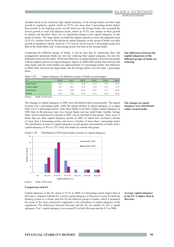Another factor in the relatively high capital adequacy of the foreign banks was their high growth in regulatory capital, which at 19.7% was more than 9 percentage points higher than growth in the banking sector overall. However, the foreign banks also recorded the lowest growth in total risk-adjusted assets, which at 19.3% was similar to their growth in capital, and therefore there was no significant change in the capital adequacy of this group of banks. The large banks recorded the highest growth in total risk-adjusted assets of 24.1%. Another factor in the decline in capital adequacy at this group of banks was their growth in regulatory capital, which at 7.2% was by far the lowest, 5 percentage points less than at the small banks and 12 percentage points less than at the foreign banks.

Comparing the different groups of banks, it can be seen that by optimising their risk management operations banks are not only reducing their capital adequacy, but also the differences between the banks. While the difference in capital adequacy between the groups with the highest and lowest capital adequacy figures in 2000-2001 (at that time between the large banks and the small banks) was approximately 4.5 percentage points, the difference in 2004-2005 (between the large banks and the foreign banks) was less than 1 percentage point.

(%) 2000 2001 2002 2003 2004 2005 Large banks 12.2 11.1 11.8 11.3 11.9 10.3 Foreign banks 14.1 12.4 11.2 11.5 11.2 11.3 Small banks 16.7 16.7 15.8 13.5 13.2 11.7 10.8 Overall 13.5 11.9 11.9 11.5 11.8 10.6

Table 5.34: Capital adequacy for different groups of banks in percentages

**The differences between the capital adequacies of the different groups of banks are reducing.**

Source: Bank of Slovenia

The changes in capital adequacy in 2005 were distributed rather asymetrically. The largest increase was 1 percentage point, while the largest decline in capital adequacy at a single bank was 4.3 percentage points. Only three banks in all had a higher capital adequacy in 2005 than in the previous year: two foreign banks and one small bank. Another foreign bank, which commenced to operate in 2005, can be included in this group. There were 15 banks that saw their capital adequacy decline in 2005, of which four recorded a decline of more than 2 percentage points, and seven a decline of more than 1 percentage point. The distribution in terms of capital adequacy reveals greater concentration of banks with a capital adequacy of 8% to 12%. Only four banks lie outside this group.

December 2004

Figure 5.49: Distribution of Slovenian banks in terms of capital adequacy

10

12

**Comparison with EU**

Capital adequacy in the EU stood at 12.3% in 2004, 0.5 percentage points higher than in Slovenia. Compared with the EU overall, capital adequacy in Slovenia is lower for both the banking system as a whole, and also for the different groups of banks, which is primarily the result of the more conservative approach to the calculation of capital adequacy in the regulations. The differences between Slovenia and the EU are smaller for Tier 1 capital adequacy. Tier 1 capital adequacy was around 9% in both Slovenia and the EU in 2004.

**The changes in capital adequacy were distributed rather asymetrically.**

**Average capital adequacy in the EU is higher than in Slovenia.**

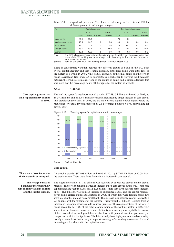| <u>university aroups of sunns in persentages</u> |             |             |                  |          |             |                         |          |          |  |  |  |
|--------------------------------------------------|-------------|-------------|------------------|----------|-------------|-------------------------|----------|----------|--|--|--|
| (%)                                              |             |             | Capital adequacy |          |             | Tier 1 capital adequacy |          |          |  |  |  |
|                                                  | 2004        |             | 2005             | 2004     |             |                         | 2005     |          |  |  |  |
|                                                  | <b>EU25</b> | <b>EU13</b> | Slovenia         | Slovenia | <b>EU25</b> | <b>EU13</b>             | Slovenia | Slovenia |  |  |  |
| Large banks                                      | 11.4        | 12.6        |                  |          | 7.9         | 8.0                     |          |          |  |  |  |
| Medium-sized banks                               | 12.5        | 14.2        | 11.9             | 10.3     | 9.0         | 10.2                    | 8.9      | 8.4      |  |  |  |
| Small banks                                      | 14.7        | 17.3        | 11.7             | 10.8     | 12.8        | 17.3                    | 10.2     | 9.0      |  |  |  |
| Foreign banks                                    | 15.6        | 16.7        | 11.2             | 11.3     | 12.4        | 12.3                    | 8.8      | 10.4     |  |  |  |
| Overall                                          | 12.3        | 13.6        | 11.8             | 10.6     | 8.9         | 9.2                     | 9.0      | 8.9      |  |  |  |

Table 5.35: Capital adequacy and Tier 1 capital adequacy in Slovenia and EU for different groups of banks in percentages

Note: The ECB classes any bank with total assets of more than 0.05% of the consolidated total assets of the EU banking system as a large bank. According to this criterion, there are no large banks in Slovenia.

Source: Bank of Slovenia, ECB: EU Banking Sector Stability, October 2005

There is considerable variation between the different groups of banks in the EU. Both overall capital adequacy and Tier 1 capital adequacy at the large banks were at the level of the system as a whole in 2004, while capital adequacy at the small banks and the foreign banks (overall and Tier 1) was 2.5 to 4 percentage points higher. In Slovenia the differences between the groups are smaller. None of the groups of banks had a capital adequacy that was more than 1.5 percentage points off the figure for the system as a whole.

# **5.9.2 Capital**

**Core capital grew faster than supplementary capital in 2005.**

The banking system's regulatory capital stood at SIT 485.3 billions at the end of 2005, up 10.3% from the end of 2004. Banks recorded a significantly larger increase in core capital than supplementary capital in 2005, and the ratio of core capital to total capital before the reductions for capital investments rose by 2.6 percentage points to 68.9% after falling for several years.



Figure 5.50: Banking system's capital structure in percentages

#### **Core capital**

**There were three factors in the increase in core capital.**

**The foreign banks in particular increased their core capital via share capital and the capital surplus.**

Core capital stood at SIT 408 billions at the end of 2005, up SIT 69.8 billions or 20.7% from the previous year. There were three factors in the increase in core capital.

The largest increase, of SIT 29 billions, was recorded by subscribed capital and the capital reserves. The foreign banks in particular increased their core capital in this way. Their core capital ended the year up 40.6% or SIT 27.5 billions. More than three-quarters of the increase, or SIT 21.1 billions, was from an increase in subscribed capital and the capital reserves. Seven banks carried out recapitalisations in 2005, of which four were foreign banks, two were large banks, and one was a small bank. The increase in subscribed capital totalled SIT 7.8 billions, with the remainder of the increase – just over SIT 21 billions – coming from an increase in the capital reserves made by share premium. The recapitalisations of the foreign banks accounted for 73% of the total recapitalisation of the banking sector in 2005. This shows that the domestic banks have more difficulty in accessing new capital both because of their diversified ownership and their weaker links with potential investors, particularly in comparison with the foreign banks. The latter usually have highly concentrated ownership: usually a parent bank that is ready to support a strategy of expanding into new markets and increasing market share with the capital increase.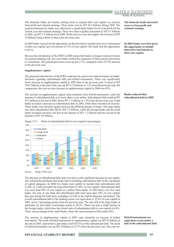# **FINANCIAL STABILITY REPORT 97**

The domestic banks are mainly seeking room to expand their core capital via reserves from profit and retained earnings. These items rose by SIT 20.5 billions during 2005. The good performance by banks was reflected in a significantly higher level of net profit for the current year and retained earnings. These two items together amounted to SIT 4.1 billions in 2005, up SIT 2.5 billions from 2004. Profit reserves were also higher, the increase of SIT 18 billions being similar to that in the previous year.

In 2005 banks were given the opportunity for the first time to include innovative instruments in their core capital, up to an amount of 15% of core capital. One bank took the opportunity to do so.

Because the introduction of the IFRS in 2006 means that banks no longer create provisions for general banking risk, last year banks curbed the expansion of their general provisions to a minimum. The general provisions were up just 2.7%, compared with a 35.5% increase in the previous year.

#### **Supplementary capital**

40%

The projected introduction of the IFRS could also be said to have had an impact on banks' decisions regarding subordinated debt and hybrid instruments. There was significantly lower increase in supplementary capital in 2005 than in the previous year. It stood at SIT 184.5 billions at the end of the year, up SIT 12.5 billions or 7.2% from the previous year. By comparison, the year-on-year increase in supplementary capital in 2004 was 42%.

The increase in supplementary capital came primarily from hybrid instruments, while the amount of subordinated debt was lower than a year earlier. Subordinated debt totalled SIT 92.2 billions at the end of 2005, down SIT 1.3 billions or 1.4% from the previous year. Eight banks recorded a decrease in subordinated debt in 2005, while three recorded an increase. These banks were divided equally between the different groups of banks. The large banks saw their subordinated debt fall by SIT 3.2 billions, while the foreign banks and the small banks recorded increases, the first in the amount of SIT 1.3 billions and the second in the amount of SIT 0.6 billions.



The decrease in subordinated debt, and even more so the significant increase in core capital, also reduced the problems that banks had in including subordinated debt in the calculation of capital adequacy. In 2004 five banks were unable to include their subordinated debt in full, as it had exceeded the prescribed limit of 50% of core capital. Subordinated debt was more than 40% of core capital at a further three banks. In 2005 there were five such banks, but only at one bank did subordinated debt total more than 50% of core capital, thus preventing the bank from including it in full in the capital adequacy calculation. The overall subordinated debt of the banking sector was equivalent to 22.6% of core capital in 2005, down 5 percentage points from the previous year. The ratio fell at the large banks in particular, by more than 6 percentage points to 28.2%. There was also a slight decline at the foreign banks, which have the lowest ratio of subordinated debt to core capital at 8.4%. There was no change at the small banks, where the ratio remained a little under 20%.

The increase in supplementary capital in 2005 came primarily on account of hybrid instruments. The stock of hybrid instruments in supplementary capital was SIT 42 billions at the end of 2005, equivalent to just under a half (45.5%) of the subordinated debt. The stock of hybrid instruments was up SIT 8 billions or 23.7% from the previous year. The year-on**innovative instruments in their core capital.**

**Banks reduced their subordinated debt in 2005.**

**Hybrid instruments are equivalent to just under a half of the subordinated debt.**

# SLOV

BANK OF SLOVENIA

**The domestic banks increased reserves from profit and retained earnings.**

**In 2005 banks were first given the opportunity to include** 

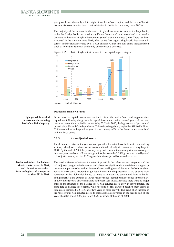

year growth was thus only a little higher than that of core capital, and the ratio of hybrid instruments to core capital thus remained similar to that in the previous year at 10.3%.

The majority of the increase in the stock of hybrid instruments came at the large banks, while the foreign banks recorded a significant decrease. Overall more banks recorded a decrease in the stock of hybrid instruments (three) than an increase (two). There has been a reversal in the situation since 2004, when banks first began using hybrid instruments in earnest and the stock increased by SIT 30.8 billions. At that time four banks increased their stock of hybrid instruments, while only one recorded a decrease.



Figure 5.52: Ratio of hybrid instruments to core capital in percentages

#### **Deductions from own funds**

**High growth in capital investments is reducing banks' capital adequacy.**

Deductions for capital investments subtracted from the total of core and supplementary capital are following the growth in capital investments. After several years of restraint, banks increased their capital investments by 52.5% in 2005, the highest end of year annual growth since Slovenia's independence. This reduced regulatory capital by SIT 107 billions, 52.8% more than in the previous year. Approximately 90% of the decrease was associated with the large banks.

#### **5.9.3 Risk-adjusted assets**

The differences between the year-on-year growth rates in total assets, loans to non-banking sectors, risk-adjusted balance-sheet assets and total risk-adjusted assets were very large in 2004. By the end of 2005 the year-on-year growth rates in these categories had converged into a very narrow band of 3 percentage points, between the 22.8% growth recorded by total risk-adjusted assets, and the 25.7% growth in risk-adjusted balance-sheet assets.

The small differences between the rates of growth in the balance-sheet categories and the risk-adjusted categories indicate that banks have not significantly altered their strategies, or made any important substitutions between lower and higher-risk items on the balance sheet. While in 2004 banks recorded a significant increase in the proportion of the balance sheet accounted for by higher-risk items, i.e. loans to non-banking sectors and loans to banks, both primarily at the expense of lower-risk securities (central bank securities in particular), in 2005 the structural shares remained at the last year levels. Because there were no major shifts in the structure of the balance sheet, risk-adjusted assets grew at approximately the same rate as balance-sheet items, while the ratio of risk-adjusted balance-sheet assets to total assets remained at 51.5% after two years of rapid growth. The trend of an increase in the ratio of total risk-adjusted assets to total assets also reversed in the second half of the year. The ratio ended 2005 just below 66%, as it was at the end of 2004.

**Banks maintained the balance sheet structure seen in 2004, and did not increase their focus on higher-risk categories as they did in 2004.**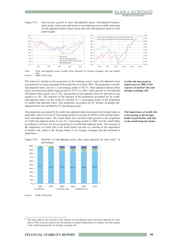



Note: Total risk-adjusted assets include items adjusted for foreign exchange risk and market risk. Source: Bank of Slovenia

The trend of a decline in the proportion of the banking sector's total risk-adjusted assets accounted for by items associated with credit risk reversed in 2005. The proportion of creditrisk-adjusted items rose by 1.4 percentage points to 86.7%. Risk-adjusted balance-sheet assets recorded particularly high growth of 25.7% in 2005, while growth in risk-adjusted off-balance-sheet assets was 17.9%, and growth in risk-adjusted items for derivatives was negative at -9%. The majority of the increase in the proportion accounted for by creditrisk-adjusted items was the result of a decline of 1.1 percentage points in the proportion of market-risk-adjusted items. The proportion accounted for by foreign exchange-riskadjusted items also declined by 0.3 percentage points.

The proportion accounted for by credit-risk-adjusted items increased at the foreign banks in particular, where it rose by 6.3 percentage points to account for 90.9% of the foreign banks' total risk-adjusted assets. The small banks also recorded high growth in the proportion of credit-risk-adjusted items. It rose by 5 percentage points in 2005, but the small banks nevertheless still have the lowest proportion of credit-risk-adjusted items. The increase in the importance of credit risk at the small banks was due to a decline in the importance of market risk, while at the foreign banks it was foreign exchange risk that declined in importance.

**Credit risk increased in importance in 2005 at the expense of market risk and foreign exchange risk.**

**The importance of credit risk is increasing at the foreign banks in particular, and also at the small domestic banks.**



Source: Bank of Slovenia

 $<sup>61</sup>$  The large shifts in the structure of the amount of risk-adjusted assets and items adjusted for other</sup> risks in 2002 were the result of the introduction of capital requirements for market risk and changes in the capital requirements for foreign exchange risk.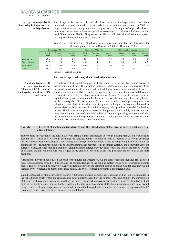BANK OF SLOVENIA

**Foreign exchange risk is increasing in importance at the large banks.** The change in the structure of total risk-adjusted assets at the large banks reflects their increased focus on new markets, particularly those in south-eastern Europe. In 2005 the large banks were the only group where the proportion of foreign exchange-risk-adjusted items rose, the increase of 2 percentage points to 6.6% making this share the largest among the different groups of banks. The proportions of both credit-risk-adjusted items and marketrisk-adjusted items fell at the large banks in 2005.

Table 5.36: Structure of risk-adjusted assets plus items adjusted for other risks, for different groups of banks, December 2004 and December 2005

|               |                 | December 2004 (%) |                 |                 | December 2005 (%) |                        |                 | Difference (percentage points) |                        |  |
|---------------|-----------------|-------------------|-----------------|-----------------|-------------------|------------------------|-----------------|--------------------------------|------------------------|--|
|               | Credit<br>risks | Currency<br>risks | Market<br>risks | Credit<br>risks | Currency<br>risks | <b>Market</b><br>risks | Credit<br>risks | Currency<br>risks              | <b>Market</b><br>risks |  |
| Large banks   | 86.7            | 4.6               | 8.6             | 86.1            | 6.6               | 7.3                    | $-0.6$          | 2.0                            | $-1.3$                 |  |
| Foreign banks | 84.6            | 12.8              | 2.6             | 90.9            | 5.9               | 3.2                    | 6.3             | $-6.9$                         | 0.6                    |  |
| Small banks   | 78.4            | 6.0               | 15.6            | 83.4            | 4.7               | 12.0                   | 5.0             | $-1.3$                         | $-3.7$                 |  |
| Overall       | 85.3            | 6.5               | 8.2             | 86.7            | 6.2               | 7.1                    | 1.4             | $-0.3$                         | $-1.2$                 |  |

Source: Bank of Slovenia

#### **Increase in capital adequacy due to institutional factors**

**Capital adequacy will increase significantly in 2006 and 2007 because of the introduction of the IFRS and the euro.** It is estimated that capital adequacy will also improve in the next two years because of the introduction of the IFRS, which is increasing banks' capital, and also because of the projected introduction of the euro and methodological changes associated with foreign exchange risk, which will decrease the foreign exchange-risk-adjusted items, and thus total risk-adjusted assets. All the above are institutional factors. The expected improvement in capital adequacy will therefore not be the result of less risk-incurring behaviour by banks; on the contrary the effect of all these factors could actually encourage changes in bank behaviour, particularly in the direction of a greater willingness to assume additional or greater risks. A large increase in capital adequacy also provides potential for lending growth. Should due to competitive pressures this potential very rapidly convert into new loans, even at the expense of a decline in the standards for approving new loans and with the introduction of new loan products that would transfer greater risk to the borrower, then this could lead to the lending market overheating.

### **Box 5.4: The effect of methodological changes and the introduction of the euro on foreign exchange-riskadjusted items**

The projected introduction of the euro in 2007 will bring a significant decrease in foreign exchange risk, as other currencies account for less than 29% of foreign exchange risk-adjusted items. The total of items associated with foreign exchange risk has already been decreasing in 2006, owing to a change in methodology, which is being brought into line with the capital directive. The new methodology no longer distinguishes between items in foreign currency and items with a foreign currency clause. Another change is that the overall position in foreign currency is no longer the total of the absolute values of all short and all long positions, but is equal to the greater of the total of all long positions and the total of all short positions.

Applying the new methodology, on the basis of the figures for December 2005 the total of foreign exchange-risk-adjusted items would decrease by SIT 67 billions, and the capital adequacy of the banking system would be 0.16 percentage points higher. The effect would be relatively evenly distributed between the different groups of banks. Capital adequacy would increase by 0.17 percentage points at the large banks, and by 0.13 percentage points at the foreign banks.

With the introduction of the euro, items in euros will become items in domestic currency, and will no longer be included in the risk-adjusted assets within the currency-risk-adjusted items. Based on the figures for the end of 2005, the introduction of the euro will have most beneficial impact on the foreign banks, which have larger positions in euros. The effect will not be even for the different groups of banks. Based on the figures for December 2005, the elimination of euro items would bring a rise of 0.56 percentage points in capital adequacy at the foreign banks, while the increase will be approximately 0.2 percentage points less at the large banks and the small banks.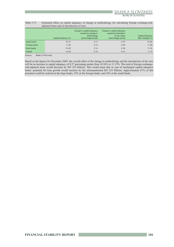# BANKA SLOVENIJE BANK OF SLOVENIA

# Table 5.37: Estimated effect on capital adequacy of change in methodology for calculating foreign exchange-riskadjusted items and of introduction of euro

|               | Capital adequacy (%) | Change in capital adequacy<br>caused by change in<br>methodology<br>(percentage points) | Change in capital adequacy<br>caused by elimination<br>of euro items<br>(percentage points) | Capital adequacy<br>after changes (%) |
|---------------|----------------------|-----------------------------------------------------------------------------------------|---------------------------------------------------------------------------------------------|---------------------------------------|
| Large banks   | 10.31                | 0.17                                                                                    | 0.37                                                                                        | 10.85                                 |
| Foreign banks | 11.29                | 0.13                                                                                    | 0.56                                                                                        | 11.98                                 |
| Small banks   | 10.82                | 0.14                                                                                    | 0.36                                                                                        | 11.32                                 |
| Overall       | 10.56                | 0.16                                                                                    | 0.41                                                                                        | 11.13                                 |

Source: Bank of Slovenia

Based on the figures for December 2005, the overall effect of the change in methodology and the introduction of the euro will be an increase in capital adequacy of 0.57 percentage points from 10.56% to 11.13%. The total of foreign exchangerisk-adjusted items would decrease by SIT 233 billions. This would mean that in case of unchanged capital adequacy banks' potential for loan growth would increase by the aforementioned SIT 233 billions. Approximately 67% of this potential would be realised at the large banks, 23% at the foreign banks, and 10% at the small banks.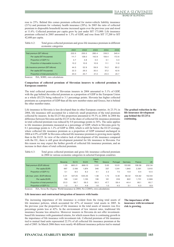rose to 25%. Behind this comes premium collected for motor-vehicle liability insurance (21%) and premium for voluntary health insurance (20%). In 2005 the ratio of collected premium to disposable household income increased again over the previous year and stood at 11.6%. Collected premium per capita grew by just under SIT 173,000. Life insurance premium collected in 2005 amounted to 1.3% of GDP, and rose from SIT 37,200 to SIT 42,600 per capita.

Table 6.2: Total gross collected premium and gross life insurance premium in different economic categories

|                                       | 2001  | 2002  | 2003  | 2004  | 2005  |
|---------------------------------------|-------|-------|-------|-------|-------|
| Total premium (SIT billions)          | 222.5 | 255.5 | 285.4 | 318.3 | 345.4 |
| Per capita (SIT thousands)            | 111.7 | 128.0 | 142.9 | 159.4 | 172.6 |
| Proportion of GDP (%)                 | 4.7   | 4.8   | 5.0   | 5.1   | 5.3   |
| Proportion of disposable income (%)   | 10.2  | 10.6  | 10.9  | 11.1  | 11.6  |
| Life insurance premium (SIT billions) | 44.5  | 52.9  | 59.9  | 74.2  | 85.2  |
| Per capita (SIT thousands)            | 22.3  | 26.5  | 30.0  | 37.2  | 42.6  |
| Proportion of total premiums (%)      | 20.0  | 20.7  | 21.0  | 23.3  | 24.7  |

Sources: ISA, SORS, own calculations

# **Comparison of collected premium of Slovenian insurers to collected premium in European countries**

The total collected premium of Slovenian insurers in 2004 amounted to 5.1% of GDP, with the gap behind the collected premium as a proportion of GDP in the European Union as a whole (EU25) being reduced to 3.1 percentage points. Slovenia has higher collected premiums as a proportion of GDP than all the new member-states and Greece, but is behind the other member-states.

Life insurance in Slovenia is less developed than in other European countries. At 23.3% in 2004, life insurance still accounted for a relatively small proportion of the total premium collected by insurers. In the EU25 this proportion amounted to 59.3% in 2004. In 2004 the difference between Slovenia and the EU25 in the share of collected life insurance premiums in total collected premium was reduced by 0.8 percentage points to 36%. The same applies to life insurance premiums measured as a percentage of GDP, which in Slovenia grew by 0.1 percentage points to 1.2% of GDP in 2004, which is still far below the EU25 average, where collected life insurance premium as a proportion of GDP remained unchanged in 2004 at 4.9% of GDP. In Slovenia collected life insurance premium is growing more rapidly than in the EU25. In view of the relative lack of development of life insurance compared with the EU, there is still great development potential for life insurance in Slovenia. For this reason we may expect the further growth of collected life insurance premium, and an increase in their share of total collected premium.

**The gradual reduction in the life insurance development gap behind the EU25 is continuing.**

| Table 6.3: | Total gross collected premium and gross life insurance collected premium |
|------------|--------------------------------------------------------------------------|
|            | in 2004 in various economic categories in selected European countries    |

|                                  |          |             |             | Czech |        |          |         |        |           |
|----------------------------------|----------|-------------|-------------|-------|--------|----------|---------|--------|-----------|
|                                  | Slovenia | <b>EU15</b> | <b>EU25</b> | Rep.  | Greece | Portugal | Germany | France | <b>UK</b> |
| Total premium (EUR billions)     | 1.33     | 883.21      | 899.13      | 3.53  | 3.63   | 10.61    | 153.80  | 158.58 | 232.34    |
| Per capita (EUR)                 | 667      | 2.199       | 1.874       | 346   | 337    | .041     | .840    | 2.591  | 3,610     |
| Proportion of GDP (%)            | 5.1      | 8.5         | 8.2         | 4.1   | 2.2    | 7.5      | 6.9     | 9.4    | 12.5      |
| Life insur. prem. (EUR billions) | 0.31     | 527.25      | 533.25      | 1.38  | 1.73   | 6.30     | 68.32   | 104.82 | 152.64    |
| Per capita (EUR)                 | 156      | 1.341       | 1.135       | 136   | 161    | 618      | 822     | 1.731  | 2,569     |
| Proportion of total premium (%)  | 23.3     | 59.7        | 59.3        | 39.3  | 47.7   | 59.4     | 44.4    | 66.1   | 65.7      |
| Proportion of GDP (%)            | 1.2      | 5.1         | 4.9         | 1.6   | 1.0    | 4.5      | 3.1     | 6.3    | 8.9       |

Sources: ISA, Swiss Re (Sigma: World insurance in 2004, No 2/2005), own calculations

#### **Life insurance and contractual integration of insurers with banks**

The increasing importance of life insurance is evident from the rising total assets of life insurance policies, which accounted for 47% of insurers' total assets in 2005. In the previous year the proportion of life insurance in the total assets of insurers was five percentage points less at 42%. In the environment of low interest rates, traditional life insurance became less attractive. Moreover insurers in Slovenia do not offer investmentbased life insurance with guaranteed returns, for which reason there is continuing growth in the importance of life insurance with investment risk. Collected premium of life insurance tied to mutual fund units represented 22.5% of all collected life insurance premium at the end of 2005. In March 2006 there were nearly 40 different insurance policies tied to mutual

**The importance of life insurance with investment risk is growing.**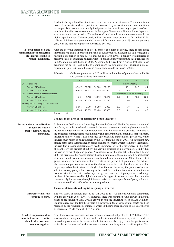# BANKA SLOVENI)

BANK OF SLOVENIA

fund units being offered by nine insurers and one non-resident insurer. The mutual funds involved in investment-based policies are dominated by non-resident and domestic funds whose portfolios comprise primarily foreign securities or an increasing proportion of such securities. For this very reason interest in this type of insurance will in the future depend to a lesser extent on the growth of Slovenian stock market indices and more on events in the global capital markets. This was partly evident last year, when despite the fall in the SBI 20, collected life insurance premium tied to mutual fund units grew by 41% over the previous year, with the number of policyholders rising by 10%.

# **The proportion of bank commission from brokering life insurance policies remains negligible.**

With the growing importance of life insurance as a form of saving, there is also rising interest among banks in brokering the sale of such products, although this still represents a negligible proportion of non-interest income. In March 2006, 12 banks were authorised to broker the sale of insurance policies, with ten banks actually performing such transactions in 2005 and nine such banks in 2004. According to figures from a survey, last year banks generated up to SIT 222 millions commissions by brokering life insurance policies, representing just 0.26% of all fees and commissions made by banks in 2005.

Table 6.4: Collected premiums in SIT millions and number of policyholders with life and pension policies from insurers

|                                              | 2002    | 2003    | 2004    | 2005    | 2002                             | 2003             | 2004 | 2005 |
|----------------------------------------------|---------|---------|---------|---------|----------------------------------|------------------|------|------|
| Life insurance total                         |         |         |         |         |                                  | Growth rates (%) |      |      |
| Premium (SIT millions)                       | 52.917  | 59.871  | 74.230  | 85.158  | $\overline{\phantom{a}}$         | 13.1             | 24.0 | 14.7 |
| Number of policyholders                      | 650.954 | 739.003 | 852.955 | 926,306 | $\overline{\phantom{a}}$         | 13.5             | 15.4 | 8.6  |
| Life insurance tied to investment fund units |         |         |         |         | Proportion of life insurance (%) |                  |      |      |
| Premium (SIT millions)                       | 251     | 4.782   | 13.576  | 19.170  | 0.5                              | 8.0              | 18.3 | 22.5 |
| Number of policyholders                      | 6.393   | 40.264  | 96.313  | 96.313  | 1.0                              | 5.4              | 11.3 | 10.4 |
| Voluntary supplementary pension insurance    |         |         |         |         |                                  |                  |      |      |
| Premium (SIT millions)                       | 2.965   | 3.544   | 3.533   | 3.632   | 5.6                              | 5.9              | 4.8  | 4.3  |
| Number of policyholders                      | 37.745  | 45.801  | 37.455  | 39.623  | 5.8                              | 6.2              | 4.4  | 4.3  |

Source: **ISA** 

#### **Changes in the area of supplementary health insurance**

**Introduction of equalization scheme system for supplementary health insurance.** In September 2005 the Act Amending the Health Care and Health Insurance Act entered into force, and this introduced changes in the area of voluntary and supplementary health insurance. Under the revised act, supplementary health insurance is provided according to the principles of intergenerational mutuality and gender mutuality among all supplementary insurance holders, while it also abolishes age-based and mathematical provisions, which insurers must return to policyholders by no later than the end of 2007. An important new feature of the act is the introduction of an equalization scheme whereby amongst themselves, insurers that provide supplementary health insurance offset the differences in the costs of health services brought about by the varying structure of policyholders at individual insurers in terms of age and gender. A consequence of the new act is that after 1 March 2006 the premiums for supplementary health insurance are the same for all policyholders at an individual insurer, and discounts are limited to a maximum of 3% in the event of group insurance or lower administrative costs in the payment of premiums. The act will also have an impact on insurers, since the claims ratio or the cost of health services will no longer depend on the structure of policyholders, thereby eliminating the problem of adverse selection among policyholders owing to the need for continual increases in premiums at insurers with the least favourable age and gender structure of policyholders. Although in view of the exceptionally high claims ratio this type of insurance is not that attractive commercially for insurers, through it insurers wish to create a portfolio of policyholders to whom they could also offer other insurance products.

#### **Financial statements and capital adequacy of insurers**

The total assets of insurers grew by 15% in 2005 to SIT 706 billions, which is comparable with the growth in 2004 (17%). As expected, there was continued rapid growth in the total assets of life insurance (24%), while growth in non-life insurance fell to 8%. As with nonlife insurance, over the last three years a slowdown in the growth of total assets has been recorded by the reinsurance companies, which in the first three quarters of last year showed an increase of 4% to stand at SIT 77 billions. **Insurers' total assets continue to grow.**

**Marked improvement in non-life insurance results, while health insurance remains negative.** After three years of decrease, last year insurers increased net profits to SIT 9 billions. This was mainly a consequence of improved results from non-life insurance, which recorded a marked improvement in the claims ratio. Life insurance also enjoyed a better performance, while the performance of health insurance remained unchanged and is still negative. Two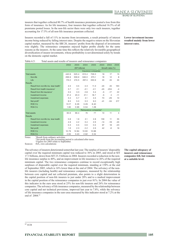**Lower investment income resulted mainly from lower** 

**interest rates.**

insurers that together collected 80.7% of health insurance premiums posted a loss from this form of insurance. As for life insurance, four insurers that together collected 16.5% of all premiums posted losses. In the non-life sector there were only two such insurers, together accounting for 17.5% of all non-life insurance premium collected.

Insurers recorded a fall of 11% in income from investments, a result primarily of interest income being reduced by falling interest rates. Despite the negative return on the Slovenian capital market, measured by the SBI 20, insurers' profits from the disposal of investments rose slightly. The reinsurance companies enjoyed higher profits chiefly for the same reasons as the insurers. At the same time this reflects the relatively favourable geographical diversification of insurer investments, whose profitability is not determined solely by trends on the domestic capital market.

#### Table 6.5: Total assets and results of insurers and reinsurance companies

|                                                    | 2002  | 2003           | 2004                               | 2005                | 2003  | 2004             | 2005           |
|----------------------------------------------------|-------|----------------|------------------------------------|---------------------|-------|------------------|----------------|
|                                                    |       | (SIT billions) |                                    |                     |       | Growth rates (%) |                |
|                                                    |       |                |                                    | Insurance companies |       |                  |                |
| <b>Total assets</b>                                | 440.9 | 525.4          | 613.4                              | 706.0               | 19    | 17               | 15             |
| Non-life                                           | 266.9 | 309.9          | 346.0                              | 375.1               | 16    | 12               | 8              |
| Life                                               | 174.0 | 215.5          | 267.4                              | 330.9               | 24    | 24               | 24             |
| <b>Results</b>                                     |       |                |                                    |                     |       |                  |                |
| Result from non-life ins. less health <sup>1</sup> | 4.5   | 3.5            | 4.3                                | 11.3                | $-24$ | 24               | 163            |
| Result from health insurance <sup>1</sup>          | 3.7   | 2.1            | $-2.1$                             | $-2.1$              | $-45$ | $-204$           | $-4$           |
| Result from life insurance <sup>1</sup>            | 3.5   | 3.3            | 2.8                                | 3.4                 | -5    | $-17$            | 22             |
| Investment income                                  | 21.4  | 20.3           | 21.1                               | 18.7                | -5    | $\overline{4}$   | $-11$          |
| Investment expenses                                | 3.4   | 5.7            | 4.1                                | 4.5                 | 70    | $-29$            | 10             |
| Net profit <sup>2</sup>                            | 8.5   | 5.0            | 3.3                                | 9.0                 | $-41$ | $-34$            | 217            |
| ROE (%)                                            | 13.17 | 6.26           | 3.29                               | 8.40                |       |                  |                |
| ROA (%)                                            | 1.95  | 0.96           | 0.54                               | 1.28                |       |                  |                |
|                                                    |       |                | Reinsurance companies <sup>3</sup> |                     |       |                  |                |
| <b>Total assets</b>                                | 60.6  | 66.4           | 74                                 | 77                  | 10    | 11               | $\overline{4}$ |
| <b>Results</b>                                     |       |                |                                    |                     |       |                  |                |
| Result from non-life ins. less health              | 0.8   | 1.9            | 2.1                                | 2.8                 | 139   | 11               | 35             |
| Investment income                                  | 4.9   | 4.2            | 3.4                                | 2.6                 | $-14$ | $-18$            | $-24$          |
| Investment expenses                                | 0.3   | 0.5            | 0.6                                | 0.5                 | 97    | 18               | $-23$          |
| Net profit                                         | 1.6   | 2.3            | 2.2                                | 2.6                 | 42    | $-6$             | 19             |
| ROE (%)                                            | 10.79 | 12.84          | 10.60                              | 10.88               |       |                  |                |
| <b>ROA (%)</b>                                     | 2.65  | 3.43           | 2.92                               | 3.34                |       |                  |                |

Notes: <sup>1</sup> Result from ordinary activities.

<sup>2</sup> Net profit from the accounting period is calculated after taxes.

<sup>3</sup> Figures for 2005 relate to September.

Sources: ISA, own calculations

The solvency of insurers deteriorated somewhat last year. The surplus of insurers' disposable capital over the required minimum capital was reduced to 36% in 2005, and stood at SIT 17.3 billions, down from SIT 23.3 billions in 2004. Insurers recorded a reduction in the nonlife insurance surplus to 40%, and an improvement in life insurance to 26% of the required minimum capital. The two reinsurance companies continue to record exceptionally high surpluses of disposable capital over the required minimum, standing at 158% at the end of September 2005, which is 16% lower than at the end of 2004. The solvency of the nonlife insurers (including health) and reinsurance companies, measured by the relationship between core capital and net collected premium, also points to a slight deterioration in the capital position of non-life insurers to just under 20% and to a marked improvement in the capital position of the reinsurance companies to just over 81%. In 2004 the value of this indicator in the euro area stood at 25% for non-life insurers and 26% for reinsurance companies. The solvency of life insurance companies, measured by the relationship between core capital and net technical provisions, improved last year to 7.8%, while the solvency of life insurance companies in the euro area measured by this indicator stood at 7.2% at the end of 2004.65

**The capital adequacy of insurers and reinsurance companies fell, but remains at a suitable level.**

 $65$  ECB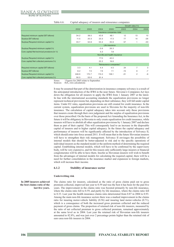# BANKA SLOVENII

BANK OF SLOVENIA

| raoit v.v.                                   |       |       |        |                                     | Capital adequacy of models and remodulate companies |                  |       |  |  |  |
|----------------------------------------------|-------|-------|--------|-------------------------------------|-----------------------------------------------------|------------------|-------|--|--|--|
|                                              |       |       |        |                                     |                                                     | Growth rates (%) |       |  |  |  |
|                                              | 2002  | 2003  | 2004   | 2005                                | 2003                                                | 2004             | 2005  |  |  |  |
|                                              |       |       |        | Insurance companies-total           |                                                     |                  |       |  |  |  |
| Required minimum capital (SIT billions)      | 34.2  | 38.5  | 43.6   | 48.1                                | 12                                                  | 13               | 10    |  |  |  |
| Surplus (SIT billions)                       | 11.5  | 20.3  | 23.3   | 17.3                                | 77                                                  | 14               | $-26$ |  |  |  |
| Surplus/Required minimum capital (%)         | 33.7  | 52.8  | 53.4   | 35.9                                | 57                                                  | 1                | $-33$ |  |  |  |
|                                              |       |       |        | Life insurance                      |                                                     |                  |       |  |  |  |
| Surplus/Required minimum capital (%)         |       |       | $-3.6$ | 26.3                                |                                                     |                  |       |  |  |  |
| Core capital/Net technical provisions (in %) |       |       | 5.3    | 7.8                                 |                                                     |                  |       |  |  |  |
|                                              |       |       |        | Non-life and health insurance       |                                                     |                  |       |  |  |  |
| Surplus/Required minimum capital (%)         |       |       | 77.0   | 40.0                                |                                                     |                  |       |  |  |  |
| Core capital/Net collected premiums (%)      |       |       | 22.2   | 19.6                                |                                                     |                  |       |  |  |  |
|                                              |       |       |        | Reinsurance companies <sup>1)</sup> |                                                     |                  |       |  |  |  |
| Required minimum capital (SIT billions)      | 3.3   | 4.1   | 4.4    | 4.5                                 | 24                                                  | 7                | 3     |  |  |  |
| Surplus (SIT billions)                       | 8.2   | 7.0   | 7.6    | 7.1                                 | $-15$                                               | 9                | $-7$  |  |  |  |
| Surplus/Required minimum capital (%)         | 248.6 | 170.7 | 174.0  | 158.1                               | $-31$                                               | $\overline{c}$   | $-9$  |  |  |  |
| Core capital/Net collected premiums (%)      | 56.5  | 55.6  | 81.4   |                                     |                                                     |                  |       |  |  |  |
|                                              |       |       |        |                                     |                                                     |                  |       |  |  |  |

Table 6.6: Capital adequacy of insurers and reinsurance companies

Notes: <sup>1</sup> Figures for 2005 relate to September.<br>Sources: ISA own calculations

 $ISA$ , own calculations

It may be assumed that part of the deterioration in insurance company solvency is a result of the anticipated introduction of the IFRS in the near future. Slovenia's Companies Act lays down the obligation for all insurers to apply the IFRS from 1 January 2007 at the latest. In line with the international accounting standards the equalization provisions no longer represent technical provisions but, depending on their substance, they will fall under capital items. Under EU rules, equalization provisions are still created for credit insurance. In the current system, equalization provisions are used in Slovenia for the majority of non-life insurance. The calculation of capital adequacy takes into account only those provisions that insurers create through their own judgement and the surplus of equalization provisions over those prescribed. On the basis of the proposed Act Amending the Insurance Act, in the future it will be obligatory in Slovenia to only create equalization for credit insurance, while insurers will have to abolish all other equalization provisions by 1 January 2007 and declare them as part of their capital. This will consequently lead to an increase in the disposable capital of insurers and to higher capital adequacy. In the future the capital adequacy and performance of insurers will be significantly affected by the introduction of Solvency II, which should enter into force around 2011. It will mean that in the future Slovenian insurers will have to strengthen their risk management. Solvency II envisages the possibility of internal models that should be better-adjusted to risk and to the specific operations of individual insurers as the standard model or the uniform method of determining the required capital. Establishing internal models, which will have to be confirmed by the supervisory body, will be very expensive, and for this reason only sufficiently large insurers or financial conglomerates will be able to have them. Insofar as Slovenian insurers will wish to benefit from the advantages of internal models for calculating the required capital, there will be a need for further consolidation in the insurance market and expansion to foreign markets, which will increase their income.

#### **6.1.2 Stability of insurance sector**

#### **Underwriting risk**

**In 2005 insurers achieved the best claims ratio of the last five years.**

The claims ratio for insurers, calculated as the ratio of gross claims paid out to gross premium collected, improved last year to 0.59 and was the best it has been for the past five years. The improvement in the claims ratio was boosted primarily by non-life insurance, where the claims ratio fell to 0.59, and partly by life insurance, where the claims ratio fell to 0.33. Last year the health insurance claims ratio deteriorated from 0.87 in 2004 to 0.93. Among the main non-life insurance sectors there was a marked improvement in the claims ratio for insuring motor-vehicle liability (0.56) and insuring land motor-vehicles (0.71), which is a consequence of both the increased gross premium collected and the reduced payment of gross claims. The proportion of retained risk of non-life insurers, measured by the ratio of net collected premium to gross collected premium, remained approximately at the same level as in 2004. Last year the retained risk of Slovenian non-life insurers amounted to 82.8%, and was just over 2 percentage points higher than the retained risk of euro area non-life insurers in 2004.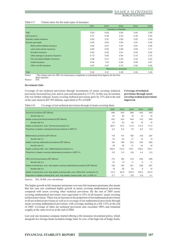# BANKA SLOVENIJE BANK OF SLOVENIA

### Table 6.7: Claims ratios for the main types of insurance

|                                     | 2001                  | 2002 | 2003                | 2004 | 2005 |  |  |
|-------------------------------------|-----------------------|------|---------------------|------|------|--|--|
|                                     |                       |      | Insurance companies |      |      |  |  |
| Total                               | 0.64                  | 0.63 | 0.64                | 0.64 | 0.59 |  |  |
| Life insurance                      | 0.31                  | 0.38 | 0.42                | 0.36 | 0.33 |  |  |
| Voluntary health insurance          | 0.83                  | 0.81 | 0.83                | 0.87 | 0.93 |  |  |
| Non-life less health                | 0.66                  | 0.62 | 0.64                | 0.67 | 0.59 |  |  |
| Motor-vehicle liability insurance   | 0.62                  | 0.57 | 0.57                | 0.64 | 0.56 |  |  |
| Land motor-vehicle insurance        | 0.85                  | 0.80 | 0.80                | 0.83 | 0.71 |  |  |
| Accident insurance                  | 0.62                  | 0.62 | 0.61                | 0.62 | 0.52 |  |  |
| Other damage to property insurance  | 0.73                  | 0.65 | 0.64                | 0.72 | 0.70 |  |  |
| Fire and natural disaster insurance | 0.38                  | 0.31 | 0.55                | 0.52 | 0.43 |  |  |
| Credit insurance                    | 0.94                  | 1.03 | 0.85                | 0.66 | 0.61 |  |  |
| Other non-life insurance            | 0.67                  | 0.67 | 0.70                | 0.65 | 0.63 |  |  |
|                                     | Reinsurance companies |      |                     |      |      |  |  |
| Total <sup>1</sup>                  | 0.64                  | 0.51 | 0.49                | 0.55 | 0.49 |  |  |

Notes: <sup>1</sup> The claims ratio for 2001 for reinsurance companies is calculated from figures for the first three quarters.<br>ISA Source:

#### **Investment risks**

Coverage of net technical provisions through investments of assets covering technical provisions increased last year, and at year-end amounted to 117.5%. In this way investment risk was further reduced. Assets covering technical provisions grew by 15% and at the end of the year stood at SIT 593 billions, equivalent to 9% of GDP.

**Coverage of technical provisions through assets covering technical provisions improved.**

| Table 6.8: | Coverage of net technical provisions through of assets covering them |  |
|------------|----------------------------------------------------------------------|--|
|            |                                                                      |  |
|            |                                                                      |  |

|                                                                                         | 2001  | 2002  | 2003  | 2004  | 2005  |
|-----------------------------------------------------------------------------------------|-------|-------|-------|-------|-------|
| Technical provisions (SIT billions)                                                     | 286   | 343   | 396   | 450   | 505   |
| Growth rate $(\% )$                                                                     | 27    | 20    | 15    | 14    | 12    |
| Assets covering technical provisions (SIT billions)                                     | 252   | 334   | 443   | 515   | 593   |
| Growth rate $(\% )$                                                                     | 27    | 33    | 33    | 16    | 15    |
| Assets covering tech. prov./Technical provisions (%)                                    | 88.0  | 97.5  | 111.9 | 114.4 | 117.5 |
| Proportion of assets covering technical provisions in GDP (%)                           | 5.2   | 6.2   | 7.6   | 8.2   | 9.0   |
|                                                                                         |       |       |       |       |       |
| Mathematical provisions (SIT billions)                                                  | 116   | 151   | 183   | 218   | 247   |
| Growth rate $(\% )$                                                                     | 34    | 30    | 21    | 19    | 13    |
| Assets covering mathematical provisions (SIT billions)                                  | 124   | 169   | 222   | 276   | 326   |
| Growth rate $(\% )$                                                                     | 36    | 36    | 31    | 24    | 18    |
| Assets covering math. prov./Mathematical provisions (%)                                 | 106.6 | 112.5 | 119.1 | 126.5 | 132.1 |
| Proportion of assets covering mathematical provisions in GDP (%)                        | 2.6   | 3.2   | 3.8   | 4.4   | 5.0   |
|                                                                                         |       |       |       |       |       |
| Other technical provisions (SIT billions)                                               | 170   | 192   | 213   | 232   | 258   |
| Growth rate $(\% )$                                                                     | 22    | 13    | 11    | 9     | 11    |
| Assets covering tech. prov. less assets covering mathematical provisions (SIT billions) | 128   | 165   | 221   | 239   | 267   |
| Growth rate (%)                                                                         | 19    | 29    | 34    | 8     | 12    |
| Assets covering tech. prov. less assets covering math. prov./Other tech. provisions (%) | 75.3  | 85.9  | 103.9 | 103.0 | 103.5 |
| Proportion of assets covering tech. prov. less assets covering math. prov. in GDP (%)   | 2.7   | 3.1   | 3.8   | 3.8   | 4.1   |

Sources: ISA, SURS, own calculations

The higher growth in life insurance premiums over non-life insurance premiums also meant that last year saw continued higher growth in assets covering mathematical provisions compared with assets covering other technical provisions. By the end of 2005 assets covering mathematical provisions were equivalent to 55% of all insurers' assets covering technical provisions. There was an increase in the proportion of net mathematical provisions in all net technical provisions as well as in coverage of net mathematical provisions through assets covering mathematical provisions, with coverage standing at a full 132% at the end of 2005. Coverage of other net technical provisions also exceeded 100% and remained roughly at the same level as at the end of 2004.

Last year one insurance company started offering a life insurance investment policy, which alongside five foreign funds included a hedge fund. In view of the high risk of hedge funds,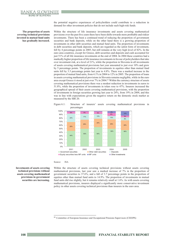

**The proportion of assets covering technical provisions invested in mutual fund units has gradually increased.** the potential negative experiences of policyholders could contribute to a reduction in demand for other investment policies that do not include such high-risk funds.

Within the structure of life insurance investments and assets covering mathematical provisions over the past five years there have been shifts towards more profitable and riskier investments. There has been a continued trend of reducing the proportion of government securities and bank deposits, while on the other hand there is a growing proportion of investments in other debt securities and mutual fund units. The proportion of investments in debt securities and bank deposits, which are regarded as the safest form of investment, fell by 4 percentage points in 2005, but still remains at the very high level of 82%. In the euro area countries, except for Greece, debt securities and deposits and cash accounted for just 51% of all life insurance investments at the end of 2004. In 2004 these countries had a markedly higher proportion of life insurance investments in favour of policyholders that take over investment risk, at a level of 21%, while the proportion in Slovenia in all investments of assets covering mathematical provisions last year amounted to just over 10% and grew by 5 percentage points. The proportion of investments in equities other than mutual fund units fell by 3.5 percentage points last year to 4.8%. There was a marked increase in the proportion of mutual fund units, from 4.1% in 2004 to 12% in 2005. The proportion of loans in assets covering mathematical provisions in Slovenia remains negligible, while in the euro area except Greece it stood at just over 7% in 2004.<sup>66</sup> Within the currency structure of assets covering mathematical provisions there was a modest reduction in investments in euros to 51.8%, while the proportion of investments in tolars rose to 47%. Insurers increased the geographical spread of their assets covering mathematical provisions, with the proportion of investments in foreign securities growing last year to 24%, from 19% in 2004, and this was in line with expectations given the negative return on the domestic stock market as measured by the SBI 20.

Figure 6.1: Structure of insurers' assets covering mathematical provisions in percentages

| 100% |                                                                   |                      |  |      |  |                       |  | 4%            |  |          |  |
|------|-------------------------------------------------------------------|----------------------|--|------|--|-----------------------|--|---------------|--|----------|--|
| 90%  |                                                                   | 5%                   |  | 6%   |  | 6%                    |  | 8%            |  | 12%      |  |
| 80%  |                                                                   | 24%                  |  | 17%  |  | 13%                   |  | 10%           |  | 5%<br>8% |  |
| 70%  |                                                                   |                      |  |      |  | 24%                   |  |               |  |          |  |
| 60%  |                                                                   | 25%                  |  | 26%  |  |                       |  | 26%           |  | 28%      |  |
| 50%  |                                                                   |                      |  |      |  |                       |  |               |  |          |  |
| 40%  |                                                                   |                      |  | 50%  |  | 54%                   |  | 50%           |  | 46%      |  |
| 30%  |                                                                   | 44%                  |  |      |  |                       |  |               |  |          |  |
| 20%  |                                                                   |                      |  |      |  |                       |  |               |  |          |  |
| 10%  |                                                                   |                      |  |      |  |                       |  |               |  |          |  |
| 0%   |                                                                   |                      |  |      |  |                       |  |               |  |          |  |
|      |                                                                   | 2001                 |  | 2002 |  | 2003                  |  | 2004          |  | 2005     |  |
|      |                                                                   | Goverment securities |  |      |  | Other debt securities |  | Deposits<br>× |  |          |  |
|      | Other investments<br>■ Equity securities less MF units ■ MF units |                      |  |      |  |                       |  |               |  |          |  |

#### Source: ISA

**Investments of assets covering technical provisions without assets covering mathematical provisions in government securities are increasing.**

Within the structure of assets covering technical provisions without assets covering mathematical provisions, last year saw a marked increase of 7% in the proportion of government securities to 37.6%, and a fall of 3.7 percentage points in the proportion of equities other than mutual fund units to 14.9%. The proportion of investments in mutual fund units did rise slightly, but it remains relatively small at 1.6%. As with assets covering mathematical provisions, insurers displayed a significantly more conservative investment policy in other assets covering technical provisions than insurers in the euro area.

<sup>66</sup> Committee of European Insurance and Occupational Pensions Supervisors (CEIOPS)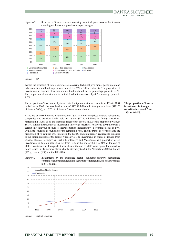A SLOVENIJE BANK OF SLOVENIA



Figure 6.2: Structure of insurers' assets covering technical provisions without assets covering mathematical provisions in percentages

Source: ISA

Within the structure of total insurer assets covering technical provisions, government and debt securities and bank deposits accounted for 76% of all investments. The proportion of investments in equities other than mutual fund units fell by 3.7 percentage points to 9.3%. The proportion of investments in mutual fund units increased by 4.7 percentage points to 7.3%.

The proportion of investments by insurers in foreign securities increased from 13% in 2004 to 16.5% in 2005. Insurers held a total of SIT 98 billions in foreign securities (SIT 70 billions in 2004), and SIT 14 billions in Slovenian eurobonds.

At the end of 2005 the entire insurance sector (S.125), which comprises insurers, reinsurance companies and pension funds, held just under SIT 139 billions in foreign securities, representing 14.3% of all the financial assets of the sector. In 2004 this proportion was just 10.1%. Within the structure of investments in foreign securities, relative to 2004 there was a certain shift in favour of equities, their proportion increasing by 7 percentage points to 24%, with debt securities accounting for the remaining 76%. The insurance sector increased the proportion of its equities investments in the EU15, and significantly reduced its exposure to the capital markets of the former Yugoslavia. The investments in shares of issuers from Croatia, Bosnia-Herzegovina, Serbia-Montenegro and Macedonia as a proportion of all investments in foreign securities fell from 33% at the end of 2004 to 21% at the end of 2005. Investments in foreign debt securities at the end of 2005 were again dominated by bonds issued in EU member-states, chiefly Germany (26%), the Netherlands (10%), France (10%), Ireland (8%) and the UK (8%).

Figure 6.3: Investments by the insurance sector (including insurers, reinsurance companies and pension funds) in securities of foreign issuers and eurobonds in SIT billions



Source: Bank of Slovenia

**The proportion of insurer investments in foreign securities increased from 13% to 16.5%.**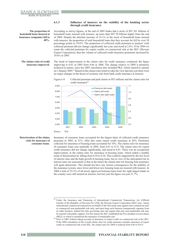

# **6.1.3 Influence of insurers on the stability of the banking sector through credit insurance**

**The proportion of household loans insured at insurance companies fell to 40%.**

**The claims ratio of credit insurance improved.**

According to survey figures, at the end of 2005 banks had a stock of SIT 361 billions of household loans insured with insurers, up more than SIT 50 billions higher from the end of 2004. Despite the absolute increase of 16.1% in the stock of household loans insured with insurers, the proportion of total household loans that they account for fell by over 20 percentage points to 39.6%. The proportion of collected credit premium in insurers' total collected premium did not change significantly last year, and stood at 2.6%. If for 2004 we count the collected premium for export credits on commercial risk at the SEC (Slovene Export Corporation), then the volume of collected credit insurance premiums increased by 10.6% in 2005.

The trend of improvement in the claims ratio for credit insurance continued, the figure improving to 0.61 in 2005 from 0.66 in 2004. The change relative to 2004 is primarily technical in nature, since the 2005 calculation also included PKZ, which started to operate on 1 January 2005.67 Based on the claims ratio trend we take the view that last year there were no major changes in the threat of systemic risk from bank credit insurance at insurers.



Source: ISA

### **Deterioration of the claims ratio for insurance of consumer loans.**

Insurance of consumer loans accounted for the largest share of collected credit insurance premium in 2005, at 51%. After this came export credit insurance at 26%. Premiums collected for insurance of housing loans accounted for 10%. The claims ratio for insurance of consumer loans rose markedly in 2005, from 0.61 to 0.72. The claims ratio for export credit insurance did not change significantly, and stood at 0.41. There was an exceptional improvement, in the claims ratio for insurance of housing loans, which ended a notable trend of deterioration by falling from 0.54 to 0.26. This could be supported by the low level of interest rates and the high growth in housing loans, but in view of the anticipated rise in interest rates our assessment is that in the future the claims ratio for housing loan insurance will again deteriorate. This should not have any serious consequences for the stability of the insurance system, since fewer and fewer new housing loans are insured with insurers. In 2004 a total of 35.2% of all newly approved housing loans from the eight largest banks in the country were still insured at insurers, but last year the figure was just 21.7%.

<sup>67</sup> Under the Insurance and Financing of International Commercial Transactions Act (Official Gazette of the Republic of Slovenia No 2/04), the Slovene Export Corporation (SEC) may insure international commercial transactions on behalf of the Slovenian state against non-commercial and/ or commercial non-marketable risk only, and must keep such business transparently separate from its other business. Indeed the rules governing state aid require that only non-marketable risk may be insured with public support. For this reason the SEC established the Prva kreditna zavarovalnica<br>(PKZ), to which it transferred the insurance of marketable risk.

 $68$  Prior to 2005 without taking account of insurance of export credit on commercial risk at the SEC. If the 2004 calculation of the overall claims ratio for credit insurance includes insurance of export credit on commercial risk at the SEC, the claims ratio for 2004 is reduced from 0.66 to 0.615.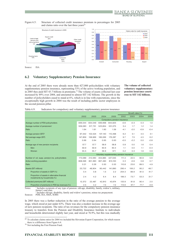BANKA SLOVENIJE BANK OF SLOVENIA

#### Figure 6.5: Structure of collected credit insurance premium in percentages for 2005 and claims ratio over the last three years<sup>69</sup>



Source: ISA

# **6.2 Voluntary Supplementary Pension Insurance**

At the end of 2005 there were already more than 427,000 policyholders with voluntary supplementary pension insurance, representing 53% of the active working population, and in 2005 they paid SIT 43.7 billions in premiums.70 The volume of assets collected last year increased by 49% over 2004, and amounted to almost SIT 142 billions. The growth in the number of policyholders eased to stand at 6%, which is in line with expectations, since the exceptionally high growth in 2004 was the result of including public sector employees in the second pension pillar.

**The volume of collected voluntary supplementary pension insurance assets rose to SIT 142 billions.**

|                                                                                |         |         |         |                                           |        | Growth rates (%) |        |        |
|--------------------------------------------------------------------------------|---------|---------|---------|-------------------------------------------|--------|------------------|--------|--------|
|                                                                                | 2002    | 2003    | 2004    | 2005                                      | 2002   | 2003             | 2004   | 2005   |
|                                                                                |         |         |         | Compulsory pension insurance              |        |                  |        |        |
| Average number of PDII policyholders                                           | 836.544 | 834.049 | 836.668 | 844.825                                   | $-0.6$ | $-0.3$           | 0.3    | 1.0    |
| Average number of pensioners <sup>1</sup>                                      | 509.083 | 517,751 | 523,854 | 531,075                                   | 3.4    | 1.7              | 1.2    | 1.4    |
| Ratio                                                                          | 1.64    | 1.61    | 1.60    | 1.59                                      | $-4.1$ | $-2.0$           | $-0.9$ | $-0.4$ |
| Average pension (SIT) <sup>2</sup>                                             | 97.542  | 102,524 | 107.140 | 110,498                                   | 9.2    | 5.1              | 4.5    | 3.1    |
| Net average wage (SIT)                                                         | 147.859 | 158.966 | 166,066 | 176,287                                   | 9.7    | 7.5              | 4.5    | 6.2    |
| Ratio                                                                          | 0.66    | 0.64    | 0.65    | 0.63                                      | $-0.5$ | $-2.2$           | 0.0    | $-2.8$ |
| Average age of new pension recipients                                          | 57.7    | 57.7    | 58.6    | 58.8                                      | 0.9    | 0.0              | 1.6    | 0.4    |
| Men                                                                            | 59.9    | 59.9    | 60.6    | 60.4                                      | 1.1    | 0.0              | 1.1    | $-0.3$ |
| Women                                                                          | 55.5    | 55.7    | 56.6    | 57.1                                      | 0.2    | 0.3              | 1.6    | 0.9    |
|                                                                                |         |         |         | Voluntary supplementary pension insurance |        |                  |        |        |
| Number of vol. supp. pension ins. policyholders                                | 173,089 | 212.060 | 404.885 | 427,645                                   | 111.4  | 22.5             | 90.9   | 5.6    |
| Active working population                                                      | 808,596 | 801.383 | 807,490 | 813,100                                   | 0.3    | $-0.9$           | 0.8    | 0.7    |
| Ratio                                                                          | 0.21    | 0.26    | 0.50    | 0.53                                      | 110.8  | 23.6             | 89.5   | 4.9    |
| Assets (SIT millions)                                                          | 23,722  | 48,904  | 95,442  | 141,890                                   | 295.4  | 106.2            | 95.2   | 48.7   |
| Proportion of assets in GDP (%)                                                | 0.4     | 0.8     | 1.5     | 2.2                                       | 254.3  | 89.9             | 81.5   | 41.7   |
| Proportion of assets in alternative financial<br>investments by households (%) | 2.4     | 4.2     | 6.4     | 8.4                                       | 199.3  | 73.7             | 53.3   | 31.7   |
| Collected premiums (SIT millions)                                              | 12,372  | 22,487  | 42,810  | 43,674                                    | 133.9  | 81.8             | 90.4   | 2.0    |
| Proportion of premiums in PDII tax revenues (%)                                | 2.5     | 4.2     | 7.4     | 7.2                                       | 113.6  | 67.7             | 77.7   | $-3.9$ |

Table 6.9: Indicators for compulsory and voluntary supplementary pension insurance

Notes: <sup>1</sup> Includes recipients of any type of pension: old-age, disability, family, widow's, military, farmer's and state.

2 Includes old-age, disability, family and widow's pensions, minus tax prepayment. Sources: PDII, ISA, SMA, SORS

In 2005 there was a further reduction in the ratio of the average pension to the average wage, which stood at just under 63%. There was also a modest increase in the average age of new pension recipients. The ratio of tax revenues for the compulsory pension insurance treasury to transfers from the Pension and Disability Insurance Institute to individuals and households deteriorated slightly last year, and stood at 76.9%, but this was markedly

<sup>69</sup> To calculate claims ratios for 2004 we included the Slovenian Export Corporation, for which reason

there is a difference from Figure 6.4. 70 Not including the First Pension Fund.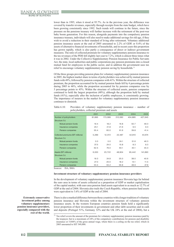lower than in 1995, when it stood at 95.7%. As in the previous year, the difference was covered by transfer revenues, especially through receipts from the state budget, which have been growing consistently since 1992. Such trends will continue in the future, since the pressure on the pensions treasury will further increase with the retirement of the post-war baby boom generation. For this reason, alongside payments into the compulsory pension insurance treasury, individuals will also need to make additional savings for old age, if they wish to avoid a reduction in their standard of living after retirement. Voluntary additional pension insurance assets at the end of 2005 amounted to 2.2% of GDP, or 8.4% of the assets of alternative financial investments of households, and in recent years this proportion has grown rapidly, which is also partly a consequence of direct or indirect government measures. The ratio of collected premium for voluntary supplementary pension insurance to the tax revenues of the PDII fell slightly last year to 7.2%, which is almost three times what it was in 2002. Under the Collective Supplementary Pension Insurance for Public Servants Act, the state, local authorities and public corporations pay pension premiums into a closed mutual fund for employees in the public sector, and in addition the government uses tax relief to encourage voluntary supplementary pension saving by households.<sup>71</sup>

Of the three groups providing pension plans for voluntary supplementary pension insurance in 2005, the highest market share in terms of policyholders was achieved by mutual pension funds with 49%, followed by pension companies with 41%. Within the structure of collected premium, the proportion accounted for by mutual pension funds fell by 6 percentage points during 2005 to 46%, while the proportion accounted for by pension companies rose by 5 percentage points to 45%. Within the structure of collected assets, pension companies continued to hold the largest proportion (48%), although the proportion held by mutual funds (41%), especially after the inclusion of public employees, is consistently growing. The importance of insurers in the market for voluntary supplementary pension insurance continues to diminish.

|                                   | 2001   | 2002    | 2003    | 2004    | 2005    |
|-----------------------------------|--------|---------|---------|---------|---------|
| Number of policyholders           | 81,895 | 173.089 | 212,060 | 404.885 | 427.645 |
| Structure (%)                     |        |         |         |         |         |
| Mutual pension funds              | 19.4   | 18.2    | 16.8    | 50.7    | 49.3    |
| Insurance companies               | 25.1   | 21.8    | 21.6    | 9.5     | 9.3     |
| Pension companies                 | 55.4   | 60.0    | 61.6    | 39.8    | 41.4    |
| Collected premiums (SIT millions) | 5,289  | 12,372  | 22,487  | 42,810  | 43,674  |
| Structure (%)                     |        |         |         |         |         |
| Mutual pension funds              | 0.0    | 0.0     | 24.1    | 51.6    | 46.3    |
| Insurance companies               | 37.5   | 24.0    | 15.8    | 8.3     | 8.3     |
| Pension companies                 | 62.5   | 76.0    | 60.1    | 40.1    | 45.3    |
| Assets (SIT millions)             | 6,000  | 23,722  | 48,904  | 95,442  | 141,890 |
| Structure (%)                     |        |         |         |         |         |
| Mutual pension funds              | 19.3   | 24.8    | 25.0    | 38.0    | 40.6    |
| Insurance companies               | 27.3   | 20.0    | 18.2    | 13.1    | 11.5    |
| Pension companies                 | 53.4   | 55.2    | 56.8    | 48.9    | 47.8    |

Table 6.10: Providers of voluntary supplementary pension insurance – number of policyholders, collected premium and assets

Sources: ISA, SMA

#### **Investment structure of voluntary supplementary pension insurance providers**

In the development of voluntary supplementary pension insurance Slovenia lags far behind the euro area in terms of assets collected as a proportion of GDP or market capitalisation of the capital market, with euro area pension fund assets equivalent to as much as 12.7% of GDP at the end of 2004. Slovenia also trails the Czech Republic, where pension fund assets were equivalent to 3.6% of GDP at the end of 2004.

**Extremely conservative investment policy among voluntary supplementary pension insurance providers, especially compared with the rest of the world.**

There is also a marked difference between those countries with a longer tradition of voluntary pension insurance and Slovenia within the investment structure of voluntary pension insurance assets. In the western European countries pension funds hold a significantly lower proportion of their investments in government and other debt securities and in cash and deposits (Portugal 51%, Germany 32% and the UK 24% at the end of 2004), but a

 $71$  Tax relief covers the amount of the premium for voluntary supplementary pension insurance paid by the taxpayer, but to a maximum of 24% of the compulsory contributions for pension and disability insurance or 5.844% of the gross annual wage, where there is a ceiling on the tax relief, which in 2005 amounted to SIT 549,000.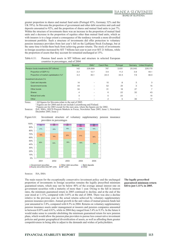greater proportion in shares and mutual fund units (Portugal 45%, Germany 32% and the UK 59%). In Slovenia the proportion of government and other debt securities and cash and deposits amounted to 92%, and the proportion of shares and mutual fund units to just 7%. Within the structure of investments there was an increase in the proportion of mutual fund units and a decrease in the proportion of equities other than mutual fund units, which as with insurers is to a large extent a consequence of the tendency towards a more diversified investment portfolio. Such a structure of investments did offer protection to voluntary pension insurance providers from last year's fall on the Ljubljana Stock Exchange, but at the same time it holds them back from achieving greater returns. The stock of investments in foreign securities increased by SIT 7 billions last year to just over SIT 21 billions, while the proportion of assets that they account for remained unchanged at 15%.

| Table $6.11$ : |                                       |  |  |  |  | Pension fund assets in SIT billions and structure in selected European |
|----------------|---------------------------------------|--|--|--|--|------------------------------------------------------------------------|
|                | countries in percentages, end of 2004 |  |  |  |  |                                                                        |

|                                                      | Slovenia <sup>1</sup> | EMU <sup>2</sup>         | Czech Rep. | Portugal | Germany | <b>United Kingdom</b> |
|------------------------------------------------------|-----------------------|--------------------------|------------|----------|---------|-----------------------|
| Pension funds investments (SIT billions)             | 142                   | 228,899                  | 747        | 3,631    | 20.045  | 226,179               |
| Proportion of GDP (%)                                | 2.2                   | 12.7                     | 3.6        | 11.2     | 3.8     | 65.1                  |
| Proportion of market capitalisation (%) <sup>3</sup> | 4.4                   | 30.1                     | 22.3       | 42.3     | 7.9     | 48.0                  |
| Investment structure (%)                             |                       |                          |            |          |         |                       |
| Cash and deposits                                    | 14                    | $\overline{\phantom{a}}$ | 10         | 8        | 3       | 3                     |
| Government bonds                                     | 44                    | $\overline{\phantom{a}}$ | 52         | 24       | 3       | 15                    |
| Other bonds                                          | 34                    | $\overline{\phantom{a}}$ | 31         | 18       | 27      | 7                     |
| <b>Shares</b>                                        | 4                     | ۰                        | 6          | 22       | 32      | 43                    |
| Mutual fund units                                    | 3                     | ۰                        | 0          | 22       |         | 15                    |
| Other                                                |                       |                          | 2          | 5        | 36      | 17                    |

Notes: All figures for Slovenia relate to the end of 2005.

<sup>2</sup> Figures are for 2004 and do not include Luxembourg and Finland.

<sup>3</sup> Figures are for 2003 except for the euro area, where the figures are for 2002.

Sources: ISA, SMA, OECD Pension Markets in Focus, Newsletter June 2005, Issue 1; Newsletter December 2005, Issue 2



| 100%  | 0%                                                       | 3%   | 1%                                | $\frac{2\%}{5\%}$ |                      | $\frac{3\%}{4\%}$ |  |
|-------|----------------------------------------------------------|------|-----------------------------------|-------------------|----------------------|-------------------|--|
| 90%   | 21%                                                      |      | 18%                               | 10%               |                      | 14%               |  |
| 80%   |                                                          | 23%  |                                   |                   |                      |                   |  |
| 70%   | 13%                                                      |      | 22%                               | 31%               |                      |                   |  |
| 60%   |                                                          | 19%  |                                   |                   |                      | 34%               |  |
| 50%   |                                                          |      | 55%                               |                   |                      |                   |  |
| 40%   | 62%                                                      | 53%  |                                   | 50%               |                      | 44%               |  |
| 30%   |                                                          |      |                                   |                   |                      |                   |  |
| 20%   |                                                          |      |                                   |                   |                      |                   |  |
| 10%   |                                                          |      |                                   |                   |                      |                   |  |
| $0\%$ |                                                          |      |                                   |                   |                      |                   |  |
|       | 2001                                                     | 2002 | 2003                              | 2004              |                      | 2005              |  |
|       | Government securities<br>Equity securities less MF units |      | Other debt securities<br>MF units | <b>Other</b>      | <b>Bank deposits</b> |                   |  |

Sources: ISA, SMA

The main reason for the exceptionally conservative investment policy and the unchanged proportion of investments in foreign securities remains the legally prescribed minimum guaranteed return, which may not be below 40% of the average annual interest rate on government securities with a maturity of more than 1 year. Owing to the fall in interest rates, the minimum guaranteed return in 2005 continued to decline, and at the end of the year stood at 1.11%, compared with 3.65% at the end of 2004. There was also a decline relative to the previous year in the actual returns achieved by voluntary supplementary pension insurance providers. Annual growth in the unit values of mutual pension funds last year amounted to 3.8%, compared with 8.5% in 2004. Returns on voluntary supplementary pension insurance assets under management at insurers and pension companies amounted to between 0.05% and 4.81%, while in 2004 they ranged from 5.4% to 9.3%. In the future it would make sense to consider abolishing the minimum guaranteed return for new pension plans, which would allow the pension plan providers to pursue less conservative investment policies and greater geographical diversification of assets, as well as affording them greater competitiveness in being able to adjust to the demands and wishes of policyholders.

**The legally prescribed guaranteed minimum return fell to just 1.11% in 2005.**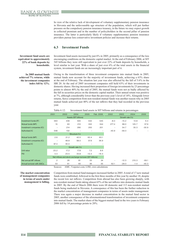In view of the relative lack of development of voluntary supplementary pension insurance in Slovenia and the unfavourable age structure of the population, which will put further pressure on the compulsory pension insurance treasury, in the future we may expect growth in collected premium and in the number of policyholders in the second pillar of pension insurance. The latter is particularly likely if voluntary supplementary pension insurance providers pursue less conservative investment policies and increase their returns.

# **6.3 Investment Funds**

**Investment fund assets are equivalent to approximately 22% of bank deposits by households.**

**In 2005 mutual funds achieved 7% returns, while the investment companies index fell by 12%.** Investment fund assets increased by just 6% in 2005, primarily as a consequence of the less encouraging conditions on the domestic capital market. At the end of February 2006, at SIT 545 billions they were still equivalent to just over 22% of bank deposits by households, a level similar to last year. With a share of just over 6% of the total assets in the financial system, investment funds are an increasingly important part of it.

Owing to the transformation of three investment companies into mutual funds in 2005, mutual funds now account for the majority of investment funds, achieving a 63% share at the end of February. The situation last year was also affected by the fall of 5.6% in the SBI 20. At the end of 2005 investment companies still held 63% of their investments in domestic shares. Having increased their proportion of foreign investments by 23 percentage points to almost 40% by the end of 2005, the mutual funds were not as badly affected by the fall in securities prices on the domestic capital market. Their annual return was positive at 7%, although considerably lower than the previous year's level of 18%. Alongside lower returns, fierce competition from non-resident mutual funds was another reason why in 2005 mutual funds achieved just 40% of the net inflows that they had recorded in the previous year.

| Investment fund assets in SIT billions and returns in percentages | Table 6.12: |  |  |  |  |  |  |
|-------------------------------------------------------------------|-------------|--|--|--|--|--|--|
|-------------------------------------------------------------------|-------------|--|--|--|--|--|--|

|                             | 2001           | 2003                                                   | 2004                  | 2005    | Feb. 2006           | 2002                     | 2003    | 2004   | 2005    |
|-----------------------------|----------------|--------------------------------------------------------|-----------------------|---------|---------------------|--------------------------|---------|--------|---------|
|                             |                |                                                        | Assets (SIT billions) |         | Growth rate $(\% )$ |                          |         |        |         |
| Investment funds (IF)       | 563            | 439                                                    | 500                   | 532     | 545                 | $-8.0$                   | $-15.2$ | 13.8   | 6.4     |
| Mutual funds (MF)           | 15             | 93                                                     | 210                   | 332     | 344                 | 277.4                    | 68.0    | 125.7  | 57.9    |
| Investment companies (IC)   | ٠              | 214                                                    | 290                   | 200     | 201                 | $\overline{\phantom{a}}$ | 54.7    | 35.3   | $-30.9$ |
| <b>Authorised IC</b>        | 548            | 132                                                    |                       |         |                     | $-40.9$                  | $-59.3$ |        |         |
|                             |                |                                                        | Structure (%)         |         |                     |                          |         |        |         |
| Mutual funds (MF)           | 2.6            | 21.2                                                   | 42.0                  | 62.4    | 63.1                |                          |         |        |         |
| Investment companies (IC)   |                | 48.8                                                   | 58.0                  | 37.6    | 36.9                |                          |         |        |         |
| Authorised IC               | 97.4           | 30.0                                                   |                       |         |                     |                          |         |        |         |
|                             |                |                                                        | Growth rate $(\% )$   |         |                     |                          |         |        |         |
| Unit value                  | 23.2           | 17.2                                                   | 17.8                  | 7.2     | 8.6                 |                          |         |        |         |
| <b>PIX</b>                  | 4.4            | 23.5                                                   | 33.8                  | $-12.2$ | $-16.3$             |                          |         |        |         |
|                             |                | Net inflows and stock exchange turnover (SIT billions) |                       |         |                     |                          |         |        |         |
| Net annual MF inflows       | $\overline{c}$ | 26                                                     | 81                    | 33      | 24                  | $\overline{\phantom{a}}$ | $-12.3$ | 215.3  | $-59.1$ |
| Annual turnover with (A)ICs | 53             | 61                                                     | 60                    | 36      | 35                  | 62.1                     | $-29.0$ | $-1.4$ | $-40.3$ |

Sources: AMC, Vzajemci.com, LJSE, own calculations

**The market concentration of management companies in terms of assets under management is falling.**

Competition from mutual fund managers increased further in 2005. A total of 17 new mutual funds were established, followed in the first three months of this year by another 18, despite the recent low net inflows. Competition from abroad has also been growing sharply, with non-resident mutual funds taking almost 65% of the net inflows into domestic mutual funds in 2005. By the end of March 2006 there were 68 domestic and 113 non-resident mutual funds being marketed in Slovenia. A consequence of this has been the further reduction in the market concentration of management companies in terms of assets under management. There was again a major decrease in market concentration in the mutual fund sector in 2005, another consequence of the aforementioned transformation of investment companies into mutual funds. The market share of the biggest mutual fund in the two years to February 2006 fell by 14 percentage points to 20%.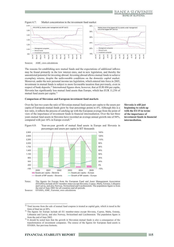SLOVEN BANK OF SLOVENIA





Sources: AMC, own calculations

The reasons for establishing new mutual funds and the expectations of additional inflows may be found primarily in the low interest rates, and in new legislation, and thereby the unrestricted potential for investing abroad. Investing abroad allows mutual funds to achieve exemplary returns, despite the unfavourable conditions on the domestic capital market. Moreover, under the new personal income tax legislation, which entered into force in 2005, investment in mutual funds is subject to more favourable taxation than previously, even in respect of bank deposits.72 International figures show, however, that at EUR 694 per capita, Slovenia has significantly less mutual fund assets than Europe, which has EUR 11,256 of mutual fund assets per capita.73

#### **Comparison of Slovenian and European investment fund markets**

Over the last two years the ratio of Slovenian mutual fund assets per capita to the assets per capita of European mutual funds grew by four percentage points to 6%. Although this is a low ratio, it reflects the process of catching up with the European average from the point of view of the importance of investment funds in financial intermediation. Over the last three years mutual fund assets in Slovenia have recorded an average annual growth rate of 84%, compared with just 16% in Europe overall.<sup>74</sup>

**Slovenia is still just beginning to catch up with the EU15 in terms of the importance of investment funds in financial intermediation.**



Figure 6.8: Year-on-year growth of mutual fund assets in Europe and Slovenia in percentages and assets per capita in SIT thousands

Notes: The figures for Europe from the European Fund and Asset Management Association (EFAMA) include all EU member-states except Slovenia, Cyprus, Malta, Estonia, Lithuania and Latvia, and also Norway, Switzerland and Lie the end of June 2002 for all countries and all periods. Sources: EFAMA, AMC, Eurostat, own calculations

 $72$  Total income from the sale of mutual fund coupons is treated as capital gain, which is taxed in the

form of final tax at 20%. 73 The figures for Europe include all EU member-states except Slovenia, Cyprus, Malta, Estonia, Lithuania and Latvia, and also Norway, Switzerland and Liechtenstein. The population figure is

from the end of June 2002.<br>
<sup>74</sup> It should be noted here that the growth in Slovenian mutual funds is also a consequence of the transformation of investment companies. The source of the figures for European fund assets is EFAMA. See previous footnote.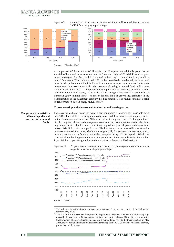. SLOVENIJ BANK OF SLOVENIA



Figure 6.9: Comparison of the structure of mutual funds in Slovenia (left) and Europe UCITS funds (right) in percentages



A comparison of the structure of Slovenian and European mutual funds points to the shortfall of bond and money-market funds in Slovenia. Only in 2005 did Slovenia acquire its first money-market fund, which at the end of February accounted for barely 0.3% of mutual fund assets. This could mean that Slovenian households are relatively more inclined towards risk, or that mutual funds in Slovenia are not yet accepted as an alternative for safer investments. Our assessment is that the structure of saving in mutual funds will change further in the future. In 2005 the proportion of equity mutual funds in Slovenia exceeded half of all mutual fund assets, and was also 15 percentage points above the proportion of European equity mutual funds. The reason for this kind of growth lies primarily in the transformation of the investment company holding almost 30% of mutual fund assets prior to transformation into an equity mutual fund.75

#### **Cross-ownership in the investment fund sector and banking sector**

### **Complementary activities of bank deposits and investments in mutual funds.**

The cross-ownership of banks and management companies is intensifying. Banks hold more than 50% of six of the 15 management companies, and they manage over a quarter of all mutual fund assets and more than 60% of investment company assets.76 Although in terms of collecting assets banks and management companies are in competition, on the other hand they complement each other, since their financial products (bank deposits and mutual fund units) satisfy different investor preferences. The low interest rates are an additional stimulus to invest in mutual fund units, which are ideal primarily for long-term investments, which in turn spurs the trend of the decline in the average maturity of bank deposits. Within the structure of non-banking sector deposits, the proportion of long-term deposits of more than 1 year fell by 2.1 percentage points in the two years to the end of 2005 to 6.8%.





<sup>75</sup> This refers to transformation of the investment company Triglav steber I with SIT 64 billions in assets in May 2005.

 $\frac{4}{16}$  The proportion of investment companies managed by management companies that are majorityowned by banks grew by 16 percentage points in the year to February 2006, chiefly owing to the transformation of an investment company into a mutual fund. Prior to the transformation, in May 2005, the proportion of mutual fund assets under management by MCs owned by banks had already grown to more than 30%.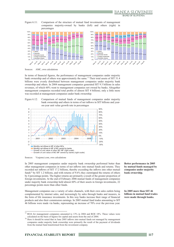Figure 6.11: Comparison of the structure of mutual fund investments of management companies majority-owned by banks (left) and others (right) in percentages



Sources: AMC, own calculations

In terms of financial figures, the performance of management companies under majority bank ownership and of others was approximately the same.77 Their total assets of SIT 31.4 billions were evenly distributed between management companies under majority bank ownership and others. In 2004 management companies generated SIT 9.3 billions in sales revenues, of which 60% went to management companies not owned by banks. Altogether management companies recorded total profits of almost SIT 4 billions; only a little more was recorded at management companies under bank ownership.

Figure 6.12: Comparison of mutual funds of management companies under majority bank ownership and others in terms of net inflows in SIT billions and yearon-year unit value growth rate in percentages



Sources: Vzajemci.com, own calculations

In 2005 management companies under majority bank ownership performed better than other management companies in terms of net inflows into mutual funds and returns. They recorded net inflows of SIT 17.2 billions, thereby exceeding the inflows into other mutual funds<sup>78</sup> by SIT 1.2 billions, and with returns of 9.6% they outstripped the returns of others by 4 percentage points. The higher returns are primarily a result of the greater proportion of foreign investments. At the end of February 2006 mutual funds of management companies under majority bank ownership held almost 60% of their assets in foreign investments, 22 percentage points more than other funds.

Management companies use a variety of sales channels, with their own sales outlets being complemented by internet sales, and increasingly by sales through banks and insurers, in the form of life insurance investments. In this way banks increase their range of financial products and also their commission earnings. In 2005 mutual fund trades amounting to SIT 46 billions were made via banks, representing an increase of 70% over the previous year. **Better performance in 2005 by mutual funds managed by companies under majority bank ownership.**

**In 2005 more than SIT 46 billions in mutual fund trades were made through banks.**

 $^{77}$  ROA for management companies amounted to 13% in 2004 and ROE 18%. These values were calculated on the basis of figures for capital and assets from the end of 2004.

 $\frac{78}{2}$  Here it should be noted that in June 2005 inflows into mutual funds not managed by management companies under majority bank ownership were primarily the result of the payment of dividends from the mutual fund transformed from the investment company.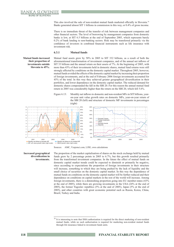BANKA SLOVENII BANK OF SLOVENIA

> This also involved the sale of non-resident mutual funds marketed officially in Slovenia.<sup>79</sup> Banks generated almost SIT 1 billions in commission in this way, or 0.4% of gross income.

> There is no immediate threat of the transfer of risk between management companies and other financial sectors. The level of borrowing by management companies from domestic banks is low, at SIT 6.5 billions at the end of September 2005, which represents barely 0.2% of bank lending to non-banking sectors. Risk may be transferred primarily via the confidence of investors in combined financial instruments such as life insurance with investment risk.

### **6.3.1 Mutual funds**

**Mutual funds increased their proportion of investments outside Slovenia to 45%.**

Mutual fund assets grew by 58% in 2005 to SIT 332 billions, as a result of both the aforementioned transformation of investment companies, and of the annual net inflows of SIT 33 billions and the annual return on their assets of 7%. At the beginning of 2005, with more than 43% of their investments held in domestic shares, mutual fund returns were still strongly affected by conditions on the domestic capital market. Throughout 2005, however, mutual funds avoided the effects of the domestic capital market by increasing their proportion of foreign investments, and at the end of February 2006 foreign investments accounted for 45% of the total. In this way they achieved greater geographical diversification in their portfolios, and lower dependence on the domestic capital market. The reduced demand for domestic shares compounded the fall in the SBI 20. For this reason the annual mutual fund return in 2005 was considerably higher than the return on the SBI 20, which fell 5.6%.









# **Increased geographical diversification in investments.**

The proportion of the market capitalisation of shares on the stock exchange held by mutual funds grew by 2 percentage points in 2005 to 6.7%, but this growth resulted primarily from the transformed investment companies. In the future the effect of mutual funds on domestic capital market trends could be expected to diminish or primarily be negative, since according to expectations the proportion of foreign investments in their structure will increase, something to which they are being pushed by the lack of liquidity and the small choice of securities on the domestic capital market. In this way the dependence of mutual funds on conditions on the domestic capital market will be further reduced and their dependence on conditions on capital markets in the rest of the world will increase. Among foreign investments, there is a diminishing proportion going into EU member-states (43% at the end of 2005), while there are growing investments in the USA (24% at the end of 2005), the former Yugoslav republics (5% at the and of 2005), Japan (5% at the end of 2005), and other countries with great economic potential such as Russia, Korea, China, Brazil, Turkey and India.

It is interesting to note that SMA authorisation is required for the direct marketing of non-resident mutual funds, while no such authorisation is required for marketing non-resident mutual funds through life insurance linked to investment funds units.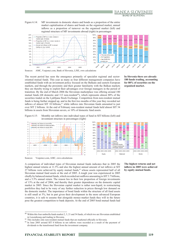



76% 67%

0% 10% 20% 30% 40% 50% 60% 70% 80%  $00<sup>9</sup>$ 100%

16%

10% 5% 7% 7%

52% 44%

24% 40% 7%

**Others** Deposits Domestic bonds Domestic shares

Foregn investments

23%

36%

32%

42% 60% 62%

2002 2003 2004 2005 2002 2003 2004 2005 2002 2003 2004 2005 Equity **Balanced** Bonds

13%

22% 22%

24%

The recent period has seen the emergence primarily of specialist regional and sectororiented mutual funds. This year as many as four different management companies have established funds with an investment policy focused on the Balkans and eastern European markets, and through the proximity and their greater familiarity with the Balkan markets they are thereby trying to exploit their advantages over foreign managers in the period of transition. By the end of March 2006 the Slovenian marketplace was offering around 180 mutual funds (68 domestic and 113 non-resident<sup>80</sup>), which represents almost 80% of the securities traded on the Ljubljana Stock Exchange. Competition from non-resident mutual funds is being further stepped up, and in the first two months of this year they recorded net inflows of almost SIT 10 billions,<sup>81</sup> while inflows into Slovenian funds amounted to just over SIT 2 billions. At the end of February non-resident mutual funds held almost SIT 34 billions in assets from Slovenian savers, or 10% of domestic fund assets.

**In Slovenia there are already 180 funds trading, accounting for 80% of securities on the organised market.**

BANKA SLOVENIJE

BANK OF SLOVENIA







A comparison of individual types of Slovenian mutual funds indicates that in 2005 the highest annual returns at 11.5% and also the highest annual amount of net inflows at SIT 27 billions were achieved by equity mutual funds, $82$  whose assets represented half of all Slovenian mutual fund assets at the end of 2005. A tough year was experienced in 2005 chiefly by balanced mutual funds, which recorded net outflows amounting to SIT 3.7 billions, and a 5.5% annual return. The reason lies in their low proportion of foreign investments of 13% at the end of 2004, and thereby their greater dependence on the domestic capital market in 2005. Since the Slovenian capital market is rather non-liquid, in restructuring portfolios they had to be wary of any further reduction in prices through low demand on the domestic market. The importance of bond funds within the structure of all fund assets is still small at 5%, but in part given their development in the more advanced European countries, it is safe to assume that alongside money-market funds they will in the future pose the greatest competition to bank deposits. At the end of 2005 bond mutual funds had **The highest returns and net inflows in 2005 were achieved by equity mutual funds.**

20% 45%

45%

84% 83% 53%

<sup>&</sup>lt;sup>80</sup> Within this four umbrella funds market 2, 5, 21 and 54 funds, of which two are Slovenian established

in Luxembourg and trading in Slovenia. 81 This includes only non-resident mutual funds that are marketed officially in Slovenia.

<sup>82</sup> In June 2005 around SIT 8 billions in net inflows were recorded as a result of the payment of dividends to the transformed fund from the investment company.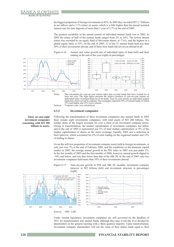the biggest proportion of foreign investments at 45%. In 2005 they recorded SIT 2.7 billions in net inflows and a 3.1% return on assets, which is a little higher than the annual nominal interest rate for time deposits of more than 1 year of 2.7% at the end of 2005.

The greatest variability in the annual returns of individual mutual funds was in 2002. In 2005 the return of half of the mutual funds ranged from 2% to 10%. The lowest annual return was recorded by an equity fund of Slovenian shares, at -7.6%, and the highest in a global equity fund, at 35%. At the end of 2005, 12 of the 51 mutual funds held less than 20% of their investments abroad, and of these four funds did not invest abroad at all.

Figure 6.16: Annual unit value growth rate of individual types of fund (left) and their ranking at the end of the year (right) in percentages



Notes: The calculation for year-on-year returns takes into account funds that have existed for at least one year. The right figure presents the relative position of year-on-year returns on individual types of mutual fund out of all funds. Year-on-year returns on individual mutual funds have been set out by ranking. The rectangles represent 50% of mutual funds of which 25% had higher and 25% lower returns. Sources: Vzajemci.com, own calculations

### **6.3.2 Investment companies**

**There are just eight investment companies remaining, with SIT 200 billions in assets.**

Following the transformation of three investment companies into mutual funds in 2005 there remain eight investments companies, with total assets of SIT 200 billions. The market share of the largest accounts for over a third of all investment company assets. Owing to transformation, the market capitalisation of investment companies has fallen, and at the end of 2005 it represented just 5% of total market capitalisation or 9% of the market capitalisation of shares on the stock exchange. Equally, 2005 saw a reduction in their turnover, which accounted for 6% of total trading on the organised market and 12% of trading in shares.

Given the still-low proportion of investment company assets held in foreign investments, at only just over 7% at the end of February 2006, and the conditions on the domestic capital market in 2005, the average annual growth in the PIX index in 2005 was just under 2%. In the last months of 2005 and the first months of 2006, however, annual growth dipped to -10% and below, and was thus lower than that of the SBI 20. At the end of 2005 only two investment companies held more than 10% of their investments abroad.





Under current legislation, investment companies are still governed by the deadline of 2011 for transformation into mutual funds, although they may avoid this if so decided by shareholders at the general meeting with a three-quarters majority. Upon transformation, investment company shareholders will see the value of their shares made equal to their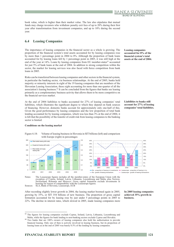book value, which is higher than their market value. The law also stipulates that mutual funds may charge investors who withdraw penalty exit fees of up to 20% during their first year after transformation from investment companies, and up to 10% during the second year.

# **6.4 Leasing Companies**

The importance of leasing companies in the financial sector as a whole is growing. The proportion of the financial system's total assets accounted for by leasing companies rose by more than 1 percentage point in 2004 to 8%. Although the proportion of bank loans accounted for by leasing loans fell by 1 percentage point in 2005, it was still high at the end of the year at 14%. Loans by leasing companies from EU member-states<sup>83</sup> accounted for just 5% of bank loans at the end of 2004. In addition to strong competition within the sector, the market for leasing services was also faced with fierce competition from bank loans in 2005.

Risks can be transferred between leasing companies and other sectors in the financial system, in particular the banking sector, via business relationships. At the end of 2005, banks held majority or minority interests in eight of the 19 leasing companies that are members of the Slovenian Leasing Association, these eight accounting for more than one-quarter of all the association's leasing business.<sup>84</sup> It can be concluded from the figures that banks see leasing primarily as a complementary business activity that allows them to be more competitive on the financial services market.

At the end of 2004 liabilities to banks accounted for 27% of leasing companies' total liabilities, which illustrates the significant degree to which they depend on bank sources of financing. However, domestic banks account for approximately only one-half of this. Given the good performance by leasing companies and the low proportion of total bank lending accounted for by leasing companies, which was less than 3% at the end of 2004, it is felt that the possibility of the transfer of credit risk from leasing companies to the banking sector is limited.

#### **Conditions on the leasing market**



#### Figure 6.18: Volume of leasing business in Slovenia in SIT billions (left) and comparison with Europe (right) in percentages

Notes: The Leaseurope figures includes all the member-states of the European Union with the exception of Cyprus, Ireland, Latvia, Lithuania, Luxembourg and Malta, plus Norway, Switzerland, Romania and Morocco. Gross capital formation exclude investments in housing for reason of comparability with the Leaseurope figures. Sources: SLA, Bank of Slovenia, Leaseurope, ECB

After recording slightly lower growth in 2004, the leasing market boomed again in 2005, growing by 35%, or SIT 354 billions of new business. The proportion of gross capital formation accounted for by leasing rose by just under 5 percentage points in 2005 to 22%. The decline in interest rates, which slowed in 2005, made leasing companies more

**In 2005 leasing companies achieved 35% growth in business.**

**Leasing companies accounted for 8% of the financial system's total assets at the end of 2004.**

BANKA SLOVENIJE

BANK OF SLOVENIA

**Liabilities to banks still account for 27% of leasing companies' total liabilities.**

 $83$  The figures for leasing companies exclude Cyprus, Ireland, Latvia, Lithuania, Luxembourg and Malta, while the figures for bank lending to non-banking sectors exclude Cyprus and Slovakia.

<sup>&</sup>lt;sup>84</sup> Two banks that are 100% owners of leasing companies also hold the authorisation to provide financial leasing. Only one of then is actively involved in leasing business, but its proportion of leasing loans as at the end of 2005 was barely 0.5% of the lending by leasing companies.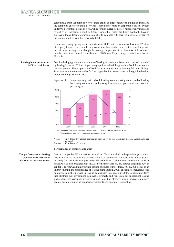# . SLOVENI BANK OF SLOVENIA

competitive from the point of view of their ability to attract resources, but it also increased the competitiveness of banking services. Tolar interest rates on corporate loans fell by just under  $0.5$  percentage points to  $5.9\%$ , while foreign currency interest rates actually increased by just over 1 percentage point to 3.7%. Despite the greater flexibility that banks have in approving loans, leasing companies are able to compete with them in a certain segment of the lending market with their own adaptability.

Real estate leasing again grew in importance in 2005, with its volume of business 50% that of property leasing. Slovenian leasing companies believe that there is still room for growth in real estate leasing, even though the average proportion of the business of Leaseurope members that it accounted for at the end of 2004 was 13 percentage points lower than in Slovenia.

# **Leasing loans account for 14% of bank loans.**

Despite the high growth in the volume of leasing business, the 16% annual growth recorded by leasing loans in 2005 was 8 percentage points behind the growth in bank loans to nonbanking sectors. The proportion of bank loans accounted for by leasing fell to a still-high 14%, equivalent to more than half of the largest bank's market share with regard to lending to non-banking sectors in 2005.



Figure 6.19: Year-on-year growth in bank lending to non-banking sectors and of lending by leasing companies, and leasing loans as a proportion of bank loans in



**Proportion of leasing in bank loans (right scale)** — Growth of leasing loans (left scale) Growth of bank loans to non-banking sectors (left scale)

Notes: Only loans by leasing companies that report to the Slovenian Leasing Association are included. Sources: SLA, Bank of Slovenia

# **Performance of leasing companies**

**The performance of leasing companies was worse in 2004 than in previous years.**

Leasing companies did not perform as well in 2004 as they had in the previous year, which was primarily the result of the smaller volume of business in that year. With annual growth of barely 2%, profit reached just under SIT 10 billions. A significant deterioration in ROA and ROE was also brought about in 2004 by the increases of 34% in total assets and 52% in capital. The renewed high growth in leasing business of more than 35% in 2005 points to an improvement in the performance of leasing companies in 2005. The same conclusion could be drawn from the increase in leasing companies' total assets in 2004, in particular items that illustrate their investment in movable property and real estate for subsequent leasing such as tangible assets and inventories, and items that already show an increase in claims against customers such as financial investments and operating receivables.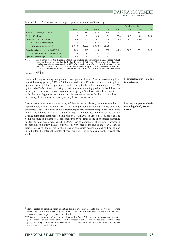# A SLOVENIJE BANK OF SLOVENIA

# Table 6.13: Performance of leasing companies and sources of financing

|                                                    |       |       |       |       |      | Growth rates $(\%)$ |      |      |
|----------------------------------------------------|-------|-------|-------|-------|------|---------------------|------|------|
|                                                    | 2001  | 2002  | 2003  | 2004  | 2001 | 2002                | 2003 | 2004 |
| Balance sheet total (SIT billions)                 | 316   | 387   | 485   | 648   | 30.8 | 22.7                | 25.1 | 33.7 |
| Capital (SIT billions)                             | 27    | 31    | 36    | 54    | 27.8 | 15.0                | 16.0 | 52.2 |
| Total profit or loss (SIT billions)                | 4.9   | 5.2   | 9.7   | 9.9   | 28.5 | 6.3                 | 88.0 | 2.0  |
| ROA - return on assets (%)                         | 1.75  | 1.47  | 2.23  | 1.76  |      |                     |      |      |
| $ROE$ - return on capital $(\% )$                  | 20.43 | 18.00 | 29.28 | 22.05 |      |                     |      |      |
| Financial and operating liabilities (SIT billions) | 260   | 348   | 443   | 588   | 35.6 | 33.8                | 27.2 | 32.7 |
| Liabilities to the rest of the world (%)           | 76    | 76    | 81    | 80    |      |                     |      |      |
| Open foreign exchange position/Assets (%)          | $-62$ | $-69$ | $-74$ | $-72$ |      |                     |      |      |

Notes: The figures from the financial statements include all companies classed under J65.21 (financial leasing) in the Standard Classification of Activities. Members of the Slovenian Leasing Association accounted for 89% of the total assets of the companies classed under J65.21 as at the end of 2004. Four companies accounting for 8% of the association's total assets were members of the association at the end of 2004 but were not included under J65.21.

Source: APLRRS

Financial leasing is gaining in importance over operating leasing. Asset items resulting from financial leasing grew by 38% in 2004, compared with a 17% rise in those resulting from operating leasing.85 The proportion accounted for by the latter had fallen to just over 32% by the end of 2004. Financial leasing in particular is a competing product for bank loans, as the subject of the lease contract becomes the property of the lessee after the contract ends. As by their very legal nature claims against lessees are insured with a lien on the subject of the leasing, the insurance costs are generally lower than at banks.

Leasing companies obtain the majority of their financing abroad, the figure standing at approximately 80% at the end of 2004, while foreign capital accounted for 44% of leasing companies' capital at the end of 2004. Borrowing abroad at parent companies rose by more than SIT 77 billions in 2004, to account for 62% of all liabilities to the rest of the world.<sup>86</sup> Leasing companies' liabilities to banks rose by 34% in 2004 to almost SIT 160 billions. The rising exposure to exchange-rate risk measured by the ratio of the open foreign exchange position to total assets was halted in 2004. Leasing companies' short foreign exchange position closed slightly in 2004, but was still very high at the end of the year at 72% of their assets. Given the degree to which leasing companies depend on lending from abroad in particular, the potential transfer of their realised risks to domestic banks is relatively small.

**Financial leasing is gaining importance.**

**Leasing companies obtain financing chiefly from abroad.**

<sup>&</sup>lt;sup>85</sup> Items treated as resulting from operating leasing are tangible assets and short-term operating receivables, while those resulting from financial leasing are long-term and short-term financial

investments and long-term operating receivables. 86 With the entry into force of the Corporate Income Tax Act in 2005, interest on loans made by related parties is taxed on the portion of the loan that exceeds four times the invested capital of the related party (it was eight times the invested capital in 2005 pursuant to the transitional provisions), unless the borrower is a bank or insurer.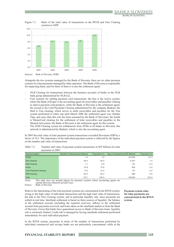SLOV **BANK OF SLOVENI** 



Figure 7.1: Ratio of the total value of transactions in the RTGS and Giro Clearing systems to GDP



Alongside the two systems managed by the Bank of Slovenia, there are six other payment systems for tolar payments managed by other operators. The Bank of Slovenia is responsible for inspecting them, and for three of them it is also the settlement agent:

- NLB Clearing for transactions between the business accounts of banks in the NLB bank group administered by NLB d.d.,
- Four systems for settling payment card transactions: the first is the Activa system, where the Bank of Koper is the accounting agent for receivables and payables relating to Aktiva payment card products, while the Bank of Slovenia is the settlement agent; the second is the Card Payments Clearing administered by the company Bankart; the third is Visa clearing, which serves to settle receivables and payables for the Visa system performed in tolars (up until March 2006 the settlement agent was Abanka Vipa, and since then this role has been assumed by the Bank of Slovenia); the fourth is MasterCard clearing for the settlement of tolar receivables and payables in the MasterCard system; the Bank of Slovenia is the settlement agent for this system,
- The ATM Clearing system for withdrawals from ATMs at all banks in Slovenia; this network is administered by Bankart, which is also the accounting agent.

In 2005 the total value of tolar payment system transactions exceeded Slovenian GDP by a factor of 10.5. The importance of the individual payment system is reflected by the figures on the number and value of transactions:

| Payment system                | Number of transactions (millions) | Proportion (%) | Value of transactions (SIT billions) | Proportion (%) |
|-------------------------------|-----------------------------------|----------------|--------------------------------------|----------------|
| <b>RTGS</b>                   | 1.4                               | 1.0            | 62.694                               | 91.3           |
| <b>Giro Clearing</b>          | 49.4                              | 36.0           | 5.027                                | 7.3            |
| <b>NLB Clearing</b>           | 1.1                               | 0.8            | 161                                  | $0.2^{\circ}$  |
| Activa                        | 37.8                              | 27.6           | 263                                  | 0.4            |
| <b>Card Payments Clearing</b> | 17.0                              | 12.4           | 121                                  | $0.2^{\circ}$  |
| <b>ATM Clearing</b>           | 30.4                              | 22.2           | 389                                  | 0.6            |
| Total                         | 137.1                             | 100.0          | 68.655                               | 100.0          |

Table 7.2: Number and value of payment system transactions in SIT billions for tolar payments in 2005

Notes: This table does not include figures for payment systems whose accounting agents are outside Slovenia (MasterCard and Visa).

Source: Bank of Slovenia

Risks to the functioning of the tolar payment systems are concentrated in the RTGS system, owing to the high value of individual transactions and the high total value of transactions, the link to the Giro Clearing system, and in particular liquidity risk, since payments are settled in real time. Interbank settlement is based on three sources of liquidity: the balance in the settlement account (including the required reserves), inflows to the settlement account from payments received, and loans taken on the interbank market or from the Bank of Slovenia. Given that banks have guaranteed access to Bank of Slovenia loans, liquidity risk is extremely limited. Credit risk is managed by having interbank settlement performed immediately for each individual payment.

**Payment system risks for tolar payments are concentrated in the RTGS system.**

In the RTGS system, payments in terms of the number of transactions performed by individual commercial and savings banks are not particularly concentrated, while at the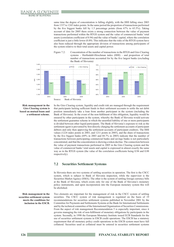same time the degree of concentration is falling slightly, with the HHI falling since 2003 from 1337 to 1243 index points. In the same period the proportion of transactions performed by the five biggest banks fell by 1.5 percentage points (from 67% to 65.5%). Taking account of data for 2005 there exists a strong connection between the value of payment transactions performed within the RTGS system and the value of commercial banks' total assets (correlation coefficient of 0.94) and the value of banks' capital, where the correlation coefficient is just a little lower (0.89). This indicates that the risks of the RTGS system have also been reduced through the appropriate division of transactions among participants of the system relative to their total assets and capital power.





**Risk management in the Giro Clearing system is based on mutual loans and a settlement scheme.**

In the Giro Clearing system, liquidity and credit risk are managed through the requirement that participants lacking sufficient funds in their settlement accounts to settle the net debit position immediately take a loan from another participant in the system (including the Bank of Slovenia). In the event of the non-fulfilment of this obligation, liquidity would be ensured by other participants in the system, whereby the Bank of Slovenia would activate the settlement guarantee scheme in which the unsettled liability of one or more participants is divided between other liquid participants. The Bank of Slovenia's exposure to risk as the settlement agent is prevented by first directly charging the settlement accounts of participant debtors and only then approving the settlement accounts of participant creditors. The HHI values (1224 index points in 2003, and 1211 points in 2005), and the share of transactions by the five biggest banks (69% in 2003 and 68.7% in 2005) indicate that the number of transactions between participating commercial banks and savings banks is not particularly concentrated, and that the concentration is showing a token decline. The connection between the value of payment transactions performed in 2005 in the Giro Clearing system and the value of commercial banks' total assets and capital is expressed in almost exactly the same way as in the RTGS system (the value of the correlation coefficients being 0.94 and 0.88 respectively).

# **7.2 Securities Settlement Systems**

In Slovenia there are two systems of settling securities in operation. The first is the CSCC system, which is subject to Bank of Slovenia inspection, while the supervisor is the Securities Market Agency (SMA). The other is the system of settling foreign currency bills at the Bank of Slovenia, which exists only for one of the Bank of Slovenia's monetary policy instruments, and upon incorporation into the European monetary system this will be abolished.

Two elements are important for the management of risk in the CSCC system of settling securities. The CSCC system of risk management is regulated on the basis of 19 recommendations for securities settlement systems published in November 2001 by the Committee for Payments and Settlements Systems at the Bank for International Settlements and by the technical committee of the International Organisation of Securities Commissions. From the aspect of risk management Recommendation 5 is especially important, since it governs managing the risk of non-fulfilment of monetary obligations by participants in the system. Secondly, in 1998 the European Monetary Institute issued ECB Standards for the use of securities settlement systems in ESCB credit operations. The ESCB has a statutory requirement that all monetary policy credit operations in the ESCB system must have full collateral. Securities used as collateral must be entered in securities settlement systems

**Risk management in the securities settlement system meets the conditions for inclusion in the ESCB.**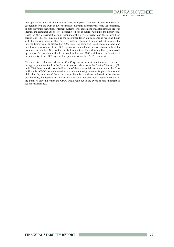that operate in line with the aforementioned European Monetary Institute standards. In cooperation with the ECB, in 2003 the Bank of Slovenia informally assessed the conformity of both Slovenian securities settlement systems to the aforementioned standards, in order to identify and eliminate any possible deficiencies prior to incorporation into the Eurosystem. Based on this assessment certain recommendations were issued, and these have been carried out. The one exception is the recommendation on harmonising working hours with the working hours of the TARGET system, which will be carried out before entry into the Eurosystem. In September 2005 using the same ECB methodology a new, and now formal, assessment of the CSCC system was started, and this will serve as a basis for deciding whether the CSCC system meets the conditions for performing Eurosystem credit operations. The assessment should be concluded in June 2006 with formal confirmation of the suitability of the CSCC system for operation within the ESCB framework.

Collateral for settlement risk in the CSCC system of securities settlement is provided through a guarantee fund in the form of two tolar deposits at the Bank of Slovenia. (Up until 2004 these deposits were held at one of the commercial banks and not at the Bank of Slovenia.) CSCC members use this to provide mutual guarantees for possible unsettled obligations by any one of them. In order to be able to activate collateral in the shortest possible time, the deposits are envisaged as collateral for short-term liquidity loans from the Bank of Slovenia which the CSCC would take out in the event of non-fulfilment of settlement liabilities.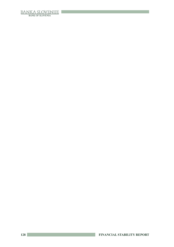

٠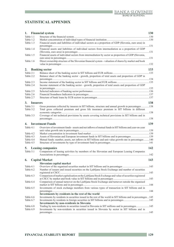# **STATISTICAL APPENDIX**

|           |                 | 1. Financial system                                                                                                                     | 130 |
|-----------|-----------------|-----------------------------------------------------------------------------------------------------------------------------------------|-----|
| Table 1.1 |                 |                                                                                                                                         |     |
| Table 1.2 |                 |                                                                                                                                         |     |
| Table 1.3 |                 | Financial assets and liabilities of individual sectors as a proportion of GDP (Slovenia, euro area) in                                  |     |
| Table 1.4 |                 | Financial assets and liabilities of individual sectors from intermediation as a proportion of GDP                                       |     |
| Table 1.5 |                 | Financial assets of individual sectors from intermediation by sector as proportion of GDP (Slovenia,                                    |     |
| Table 1.6 |                 | Direct ownership structure of the Slovenian financial system - valuation of shares by market and book                                   |     |
| 2.        |                 | <b>Banking sector</b>                                                                                                                   | 133 |
| Table 2.1 |                 |                                                                                                                                         |     |
| Table 2.2 |                 | Balance sheet of the banking sector - growth, proportion of total assets and proportion of GDP in                                       |     |
| Table 2.3 |                 |                                                                                                                                         |     |
| Table 2.4 |                 | Income statement of the banking sector - growth, proportion of total assets and proportion of GDP                                       |     |
| Table 2.5 |                 |                                                                                                                                         |     |
| Table 2.6 |                 |                                                                                                                                         |     |
| Table 2.7 |                 |                                                                                                                                         |     |
| 3.        | <b>Insurers</b> |                                                                                                                                         | 138 |
| Table 3.1 |                 | Gross premium collected by insurers in SIT billions, structure and annual growth in percentages 138                                     |     |
| Table 3.2 |                 | Total gross collected premium and gross life insurance premium in SIT billions in different                                             |     |
| Table 3.3 |                 | Coverage of net technical provisions by assets covering technical provisions in SIT billions and in                                     |     |
| 4.        |                 | <b>Investment Funds</b>                                                                                                                 | 139 |
| Table 4.1 |                 | Overview of investment funds - assets and net inflows of mutual funds in SIT billions and year-on-year                                  |     |
|           |                 |                                                                                                                                         |     |
| Table 4.2 |                 |                                                                                                                                         |     |
| Table 4.3 |                 | Assets of Slovenian and European investment funds in SIT billions and in percentages139                                                 |     |
| Table 4.4 |                 | Mutual funds: number, assets, net inflows in SIT billions and unit value growth rate in percentages 140                                 |     |
| Table 4.5 |                 |                                                                                                                                         |     |
| 5.        |                 | <b>Leasing companies</b>                                                                                                                | 142 |
| Table 5.1 |                 | Comparison of leasing activities by members of the Slovenian and European Leasing Companies                                             |     |
| 6.        |                 | <b>Capital Market</b>                                                                                                                   | 143 |
|           |                 | Slovenian capital market                                                                                                                |     |
| Table 6.1 |                 |                                                                                                                                         |     |
| Table 6.2 |                 | Number of issuers and issued securities on the Ljubljana Stock Exchange and number of securities                                        |     |
| Table 6.3 |                 | Comparison of market capitalisation on the Ljubljana Stock Exchange and value of securities registered                                  |     |
| Table 6.4 |                 | Comparison of annual turnover on the Ljubljana Stock Exchange and turnover outside the organised                                        |     |
| Table 6.5 |                 | Investments of stock exchange members from various types of transaction in SIT billions and in                                          |     |
|           |                 | Investments by residents in the rest of the world                                                                                       |     |
| Table 6.6 |                 | Investments by residents in securities issued in the rest of the world in SIT billions and in percentages145                            |     |
| Table 6.7 |                 | Investments by residents in foreign securities in SIT billions and in percentages145<br><b>Investments by non-residents in Slovenia</b> |     |
| Table 6.8 |                 | Trading by non-residents in securities issued in Slovenia in SIT millions and in percentages145                                         |     |
| Table 6.9 |                 | Investments by non-residents in securities issued in Slovenia by sector in SIT billions and in                                          |     |
|           |                 |                                                                                                                                         |     |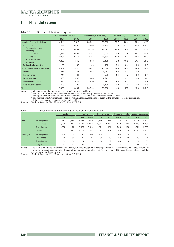BANK OF SLOVENIA

## **1. Financial system**

| Table 1.1 |  | Structure of the financial system |
|-----------|--|-----------------------------------|
|-----------|--|-----------------------------------|

|                                              | Total assets (SIT billions) |       | Total assets (EUR millions) |        | Structure (%) |      | As % of GDP |       |
|----------------------------------------------|-----------------------------|-------|-----------------------------|--------|---------------|------|-------------|-------|
|                                              | 2004                        | 2005  | 2004                        | 2005   | 2004          | 2005 | 2004        | 2005  |
| Monetary financial institutions <sup>1</sup> | 5,711                       | 7,018 | 23,822                      | 29,293 | 70.7          | 73.4 | 91.4        | 107.0 |
| Banks, total <sup>2</sup>                    | 5,678                       | 6,980 | 23,686                      | 29,135 | 70.3          | 73.0 | 90.8        | 106.4 |
| Banks under private<br>ownership             | 4,358                       | 5,432 | 18,178                      | 22,672 | 53.9          | 56.8 | 69.7        | 82.8  |
| - domestic                                   | 2,257                       | 2,657 | 9,414                       | 11,090 | 27.9          | 27.8 | 36.1        | 40.5  |
| - foreign                                    | 2,101                       | 2,775 | 8,764                       | 11,581 | 26.0          | 29.0 | 33.6        | 42.3  |
| Banks under state<br>ownership               | 1,320                       | 1,548 | 5,508                       | 6,463  | 16.3          | 16.2 | 21.1        | 23.6  |
| Savings banks and SLUs                       | 33                          | 38    | 136                         | 159    | 0.4           | 0.4  | 0.5         | 0.6   |
| Non-monetary financial institutions          | 2,369                       | 2,546 | 9,882                       | 10,628 | 29.3          | 26.6 | 37.9        | 38.8  |
| Insurers <sup>3</sup>                        | 684                         | 783   | 2,855                       | 3,267  | 8.5           | 8.2  | 10.9        | 11.9  |
| Pension funds                                | 114                         | 161   | 475                         | 670    | 1.4           | 1.7  | 1.8         | 2.4   |
| Investment funds                             | 500                         | 532   | 2,085                       | 2,221  | 6.2           | 5.6  | 8.0         | 8.1   |
| Leasing companies $4,5$                      | 642                         | 642   | 2,680                       | 2,681  | 8.0           | 6.7  | 10.3        | 9.8   |
| BHs, MCs and others <sup>5</sup>             | 428                         | 428   | 1,787                       | 1,788  | 5.3           | 4.5  | 6.9         | 6.5   |
| Total                                        | 8,080                       | 9,564 | 33,704                      | 39,922 | 100           | 100  | 129.3       | 145.8 |

Notes:

Notes:<br>
<sup>1</sup> Monetary financial institutions do not include the central bank.<br>
<sup>2</sup> The division of banks takes into account the share of ownership relative to total assets.<br>
<sup>3</sup> The figure for total assets of reinsurance co

### Table 1.2 Market concentration of individual types of financial institution

|               |                     |       | <b>Banks</b> |       | <i><u><b>Insurers</b></u></i> |       | Pension funds | Investment funds |      | Leasing companies |       |
|---------------|---------------------|-------|--------------|-------|-------------------------------|-------|---------------|------------------|------|-------------------|-------|
|               |                     | 2004  | 2005         | 2004  | 2005                          | 2004  | 2005          | 2004             | 2005 | 2004              | 2005  |
| <b>HHI</b>    | All companies       | 1.451 | .389         | 2,605 | 2.650                         | 1.635 | 1,677         | 715              | 612  | 1.797             | 1,992 |
|               | Five largest        | 1.286 | .214         | 2,536 | 2.599                         | 1.587 | 1,632         | 573              | 481  | 1.663             | 1,852 |
|               | Three largest       | 1.239 | 1.170        | 2.479 | 2.516                         | 1.051 | 1.181         | 506              | 428  | 1.614             | 1.798 |
|               | Largest             | 1.053 | 991          | 2.228 | 2.282                         | 441   | 507           | 185              | 164  | 1.434             | 1.600 |
| Share $(\% )$ | All companies       | 100   | 100          | 100   | 100                           | 100   | 100           | 100              | 100  | 100               | 100   |
|               | <b>Five largest</b> | 65    | 63           | 80    | 81                            | 89    | 89            | 50               | 46   | 70                | 74    |
|               | Three largest       | 52    | 50           | 74    | 74                            | 56    | 59            | 39               | 36   | 57                | 60    |
|               | Largest             | 32    | 31           | 47    | 48                            | 21    | 23            | 14               | 13   | 38                | 40    |

Notes: The HHI is calculated in terms of total assets, with the exception of leasing companies, for which it is calculated in terms of volume of transactions concluded. Pension funds do not include the First Pension Fund ( envisages no additional inflows. Sources: Bank of Slovenia, ISA, SMA, AMC, SLA, APLRRS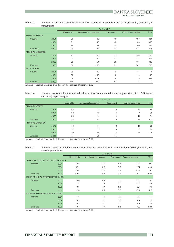|                              | Porcommodo |                   |                         |                |                            |             |
|------------------------------|------------|-------------------|-------------------------|----------------|----------------------------|-------------|
|                              |            |                   |                         | As % of GDP    |                            |             |
|                              |            | <b>Households</b> | Non-financial companies | Government     | <b>Financial companies</b> | Total       |
| <b>FINANCIAL ASSETS</b>      |            |                   |                         |                |                            |             |
| Slovenia                     | 2001       | 83                | 45                      | 46             | 108                        | 284         |
|                              | 2004       | 91                | 48                      | 43             | 125                        | 308         |
|                              | 2005       | 94                | 52                      | 40             | 140                        | 326         |
| Euro area                    | 2000       | 212               | 146                     | 31             | 371                        | 761         |
| <b>FINANCIAL LIABILITIES</b> |            |                   |                         |                |                            |             |
| Slovenia                     | 2001       | 21                | 135                     | 37             | 94                         | 288         |
|                              | 2004       | 22                | 149                     | 37             | 115                        | 324         |
|                              | 2005       | 25                | 154                     | 36             | 131                        | 345         |
| Euro area                    | 2000       | 56                | 256                     | 81             | 367                        | 760         |
| <b>NET POSITION</b>          |            |                   |                         |                |                            |             |
| Slovenia                     | 2001       | 62                | $-90$                   | 9              | 14                         | $-4$        |
|                              | 2004       | 69                | $-102$                  | 6              | 10                         | $-16$       |
|                              | 2005       | 69                | $-101$                  | $\overline{4}$ | 9                          | $-19$       |
| Euro area                    | 2000       | 156               | $-110$                  | $-51$          | 5                          | $\mathbf 0$ |

#### Table 1.3 Financial assets and liabilities of individual sectors as a proportion of GDP (Slovenia, euro area) in percentages

Sources: Bank of Slovenia, ECB (Report on Financial Structures, 2002)

### Table 1.4 Financial assets and liabilities of individual sectors from intermediation as a proportion of GDP (Slovenia, euro area) in percentages

|                              |      |            |                         | As % of GDP |                            |       |
|------------------------------|------|------------|-------------------------|-------------|----------------------------|-------|
|                              |      | Households | Non-financial companies | Government  | <b>Financial companies</b> | Total |
| <b>FINANCIAL ASSETS</b>      |      |            |                         |             |                            |       |
| Slovenia                     | 2001 | 48         | 13                      | 5           | 17                         | 84    |
|                              | 2004 | 52         | 13                      | 6           | $\overline{7}$             | 78    |
|                              | 2005 | 55         | 14                      | 4           | 11                         | 84    |
| Euro area                    | 2000 | 134        | 20                      | 8           | 91                         | 253   |
| <b>FINANCIAL LIABILITIES</b> |      |            |                         |             |                            |       |
| Slovenia                     | 2001 | 16         | 44                      | 6           | 11                         | 78    |
|                              | 2004 | 17         | 53                      | 5           | 23                         | 98    |
|                              | 2005 | 20         | 59                      | 4           | 32                         | 116   |
| Euro area                    | 2000 | 51         | 66                      | 15          |                            |       |

Sources: Bank of Slovenia, ECB (Report on Financial Structures, 2002)

Table 1.5 Financial assets of individual sectors from intermediation by sector as proportion of GDP (Slovenia, euro area) in percentages

|                                                |      |                   |                         | As % of GDP |                            |       |
|------------------------------------------------|------|-------------------|-------------------------|-------------|----------------------------|-------|
|                                                |      | <b>Households</b> | Non-financial companies | Government  | <b>Financial companies</b> | Total |
| <b>MONETARY FINANCIAL INSTITUTIONS (S.122)</b> |      |                   |                         |             |                            |       |
| Slovenia                                       | 2001 | 40.2              | 11.3                    | 4.8         | 17.2                       | 74.1  |
|                                                | 2004 | 40.1              | 10.6                    | 5.5         | 7.1                        | 64.0  |
|                                                | 2005 | 40.8              | 11.6                    | 4.4         | 10.3                       | 67.1  |
| Euro area                                      | 2000 | 62.8              | 15.4                    | 6.8         | 74.2                       | 159.2 |
| OTHER FINANCIAL INTERMEDIARIS (S.123)          |      |                   |                         |             |                            |       |
| Slovenia                                       | 2001 | 3.0               | 0.7                     | 0.0         | 0.0                        | 3.7   |
|                                                | 2004 | 4.8               | 1.6                     | 0.0         | 0.2                        | 6.5   |
|                                                | 2005 | 6.6               | 1.1                     | 0.1         | 0.7                        | 8.5   |
| Euro area                                      | 2000 | 22.3              | 3.2                     | 0.8         | 15.4                       | 41.7  |
| <b>INSURERS AND PENSION FUNDS (S.125)</b>      |      |                   |                         |             |                            |       |
| Slovenia                                       | 2001 | 4.5               | 1.2                     | 0.0         | 0.0                        | 5.7   |
|                                                | 2004 | 6.7               | 1.1                     | 0.0         | 0.1                        | 7.9   |
|                                                | 2005 | 7.7               | 1.1                     | 0.0         | 0.1                        | 8.8   |
| Euro area                                      | 2000 | 49.4              | 1.4                     | 0.1         | 1.2                        | 52.0  |

Sources: Bank of Slovenia, ECB (Report on Financial Structures, 2002)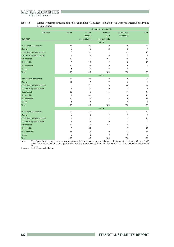BANK OF SLOVENIA

### Table 1.6 Direct ownership structure of the Slovenian financial system - valuation of shares by market and book value in percentages

|                                | Ownership structure (%) |                |                 |                |                |  |  |  |  |  |  |  |  |
|--------------------------------|-------------------------|----------------|-----------------|----------------|----------------|--|--|--|--|--|--|--|--|
| <b>ISSUERS</b>                 | <b>Banks</b>            | Other          | <b>Insurers</b> | Non-financial  | Total          |  |  |  |  |  |  |  |  |
|                                |                         | financial      | and             | companies      |                |  |  |  |  |  |  |  |  |
| <b>OWNERS</b>                  |                         | intermediaries | pension funds   |                |                |  |  |  |  |  |  |  |  |
|                                |                         | 2003           |                 |                |                |  |  |  |  |  |  |  |  |
| Non-financial companies        | 26                      | 27             | 10              | 30             | 29             |  |  |  |  |  |  |  |  |
| <b>Banks</b>                   | 9                       | 10             | 2               | $\overline{2}$ | $\overline{4}$ |  |  |  |  |  |  |  |  |
| Other financial intermediaries | 6                       | 11             | $\overline{7}$  | 21             | 18             |  |  |  |  |  |  |  |  |
| Insurers and pension funds     | 3                       | $\overline{c}$ | 6               | $\overline{2}$ | 2              |  |  |  |  |  |  |  |  |
| Government                     | 23                      | $\circ$        | 64              | 18             | 19             |  |  |  |  |  |  |  |  |
| Households                     | $\overline{c}$          | 45             | 2               | 18             | 18             |  |  |  |  |  |  |  |  |
| Non-residents                  | 30                      | $\overline{c}$ | 9               | 6              | 8              |  |  |  |  |  |  |  |  |
| <b>Others</b>                  | $\mathbf{1}$            | 3              | $\circ$         | 3              | 3              |  |  |  |  |  |  |  |  |
| Total                          | 100                     | 100            | 100             | 100            | 100            |  |  |  |  |  |  |  |  |
|                                |                         |                | 2004            |                |                |  |  |  |  |  |  |  |  |
| Non-financial companies        | 25                      | 23             | 12              | 26             | 25             |  |  |  |  |  |  |  |  |
| <b>Banks</b>                   | 10                      | $\overline{7}$ | $\overline{7}$  | $\overline{c}$ | $\overline{4}$ |  |  |  |  |  |  |  |  |
| Other financial intermediaries | 5                       | 12             | 16              | 20             | 17             |  |  |  |  |  |  |  |  |
| Insurers and pension funds     | 3                       | 7              | 10              | $\overline{c}$ | 3              |  |  |  |  |  |  |  |  |
| Government                     | 23                      | $\circ$        | 44              | 17             | 17             |  |  |  |  |  |  |  |  |
| Households                     | $\overline{c}$          | 43             | $\mathbf{1}$    | 18             | 18             |  |  |  |  |  |  |  |  |
| Non-residents                  | 30                      | 3              | 8               | 10             | 12             |  |  |  |  |  |  |  |  |
| <b>Others</b>                  | $\mathbf{1}$            | $\overline{4}$ | 1               | 5              | 5              |  |  |  |  |  |  |  |  |
| Total                          | 100                     | 100            | 100             | 100            | 100            |  |  |  |  |  |  |  |  |
|                                |                         |                | 2005            |                |                |  |  |  |  |  |  |  |  |
| Non-financial companies        | 24                      | 30             | 14              | 31             | 29             |  |  |  |  |  |  |  |  |
| <b>Banks</b>                   | 8                       | 8              | $\overline{7}$  | 3              | $\overline{4}$ |  |  |  |  |  |  |  |  |
| Other financial intermediaries | $\overline{c}$          | 9              | $\mathbf{1}$    | 11             | 10             |  |  |  |  |  |  |  |  |
| Insurers and pension funds     | 3                       | 8              | 10              | 1              | 2              |  |  |  |  |  |  |  |  |
| Government                     | 23                      | 8              | 54              | 23             | 23             |  |  |  |  |  |  |  |  |
| Households                     | $\overline{c}$          | 34             | $\mathbf{1}$    | 17             | 16             |  |  |  |  |  |  |  |  |
| Non-residents                  | 36                      | $\mathbf{2}$   | 10              | 11             | 13             |  |  |  |  |  |  |  |  |
| Others                         | $\overline{c}$          | $\overline{c}$ | $\circ$         | 3              | $\overline{c}$ |  |  |  |  |  |  |  |  |
| <b>Total</b>                   | 100                     | 100            | 100             | 100            | 100            |  |  |  |  |  |  |  |  |

Notes: The figure for the proportion of government-owned shares is not comparable between the two periods, since in October 2005<br>there was a reclassification of Capital Fund from the other financial intermediaries sector (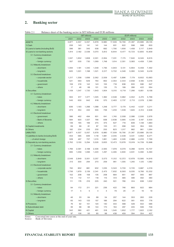# **2. Banking sector**

| Table 2.1 | Balance sheet of the banking sector in SIT billions and EUR millions |  |  |  |  |
|-----------|----------------------------------------------------------------------|--|--|--|--|
|-----------|----------------------------------------------------------------------|--|--|--|--|

|                                         |       |       | (SIT billions) |                |       | (EUR millions) |        |        |        |        |  |
|-----------------------------------------|-------|-------|----------------|----------------|-------|----------------|--------|--------|--------|--------|--|
|                                         | 2001  | 2002  | 2003           | 2004           | 2005  | 2001           | 2002   | 2003   | 2004   | 2005   |  |
| <b>ASSETS</b>                           | 3,877 | 4,557 | 5,057          | 5,678          | 6,980 | 17,509         | 19,790 | 21,367 | 23,686 | 29,135 |  |
| 1) Cash                                 | 206   | 143   | 141            | 141            | 144   | 931            | 622    | 598    | 588    | 600    |  |
| 2) Loans to banks (including BoS)       | 396   | 381   | 345            | 508            | 682   | 1,790          | 1,656  | 1,458  | 2,117  | 2,849  |  |
| 3) Loans to non-banking sectors         | 1,914 | 2,182 | 2,538          | 3,070          | 3,812 | 8,644          | 9,477  | 10,723 | 12,805 | 15,909 |  |
| 3.1 Currency breakdown                  |       |       |                |                |       |                |        |        |        |        |  |
| - tolars                                | 1,557 | 1,652 | 1,808          | 2,001          | 2,064 | 7,031          | 7,175  | 7,640  | 8,345  | 8,615  |  |
| - foreign currency                      | 357   | 530   | 730            | 1,069          | 1,748 | 1,614          | 2,301  | 3,083  | 4,459  | 7,295  |  |
| 3.2 Maturity breakdown                  |       |       |                |                |       |                |        |        |        |        |  |
| - short-term                            | 1,094 | 1,181 | 1,340          | 1,549          | 1,795 | 4,943          | 5,131  | 5,664  | 6,459  | 7,492  |  |
| - long-term                             | 820   | 1,001 | 1,198          | 1,521          | 2,017 | 3,702          | 4,346  | 5,060  | 6,345  | 8,418  |  |
| 3.3 Sectoral breakdown                  |       |       |                |                |       |                |        |        |        |        |  |
| - corporate sector                      | 1,217 | 1,358 | 1,699          | 2,062          | 2,559 | 5,497          | 5,896  | 7,179  | 8,602  | 10,683 |  |
| - households                            | 521   | 563   | 629            | 764            | 962   | 2,354          | 2,444  | 2,658  | 3,185  | 4,016  |  |
| - government                            | 159   | 216   | 142            | 143            | 155   | 718            | 938    | 600    | 596    | 647    |  |
| - others                                | 17    | 46    | 68             | 101            | 135   | 75             | 199    | 286    | 422    | 564    |  |
| 4) Securities                           | 1,109 | 1,547 | 1,720          | 1,643          | 1,954 | 5,010          | 6,719  | 7,266  | 6,851  | 8,158  |  |
| 4.1 Currency breakdown                  |       |       |                |                |       |                |        |        |        |        |  |
| - tolars                                | 564   | 917   | 1,077          | 1,025          | 1,382 | 2,548          | 3,982  | 4,552  | 4,274  | 5,768  |  |
| - foreign currency                      | 545   | 630   | 642            | 618            | 570   | 2,463          | 2,737  | 2,713  | 2,578  | 2,380  |  |
| 4.2 Maturity breakdown                  |       |       |                |                |       |                |        |        |        |        |  |
| - short-term                            | 836   | 1,193 | 1,288          | 1,088          | 1,248 | 3,777          | 5,179  | 5,442  | 4,537  | 5,211  |  |
| - long-term                             | 273   | 354   | 432            | 555            | 706   | 1,233          | 1,539  | 1,824  | 2,314  | 2,948  |  |
| 4.3 Sectoral breakdown                  |       |       |                |                |       |                |        |        |        |        |  |
| - government                            | 386   | 462   | 494            | 601            | 641   | 1,745          | 2,008  | 2,086  | 2,506  | 2,676  |  |
| - Bank of Slovenia                      | 584   | 920   | 1,027          | 766            | 838   | 2,638          | 3,995  | 4,340  | 3,197  | 3,500  |  |
| - others                                | 139   | 165   | 199            | 275            | 475   | 627            | 716    | 839    | 1,148  | 1,983  |  |
| 5) Capital investments                  | 69    | 69    | 81             | 87             | 133   | 311            | 298    | 340    | 364    | 555    |  |
| 6) Others                               | 182   | 234   | 233            | 230            | 255   | 823            | 1,017  | 982    | 961    | 1,064  |  |
| <b>LIABILITIES</b>                      | 3,877 | 4,557 | 5,057          | 5,678          | 6,980 | 17,509         | 19,790 | 21,367 | 23,686 | 29,135 |  |
| 1) Liabilities to banks (including BoS) | 453   | 585   | 836            | 1,118          | 1,981 | 2,045          | 2,539  | 3,531  | 4,662  | 8,271  |  |
| - of which foreign                      | 328   | 467   | 707            | 1,015          | 1,861 | 1,483          | 2,026  | 2,986  | 4,233  | 7,766  |  |
| 2) Deposits by non-banking sectors      | 2,762 | 3,150 | 3,294          | 3,526          | 3,833 | 12,473         | 13,678 | 13,919 | 14,709 | 15,998 |  |
| 2.1 Currency breakdown                  |       |       |                |                |       |                |        |        |        |        |  |
| - tolars                                | 1,766 | 2,091 | 2,198          | 2,306          | 2,565 | 7,978          | 9,079  | 9,288  | 9,619  | 10,707 |  |
| - foreign currency                      | 995   | 1,059 | 1,096          | 1,220          | 1,267 | 4,495          | 4,600  | 4,631  | 5,090  | 5,290  |  |
| 2.2 Maturity breakdown                  |       |       |                |                |       |                |        |        |        |        |  |
| - short-term                            | 2,549 | 2,849 | 3,001          | 3,257          | 3,573 | 11,512         | 12,372 | 12,678 | 13,585 | 14,916 |  |
| - long-term                             | 213   | 300   | 294            | 270            | 259   | 961            | 1,305  | 1,240  | 1,125  | 1,082  |  |
| 2.3 Sectoral breakdown                  |       |       |                |                |       |                |        |        |        |        |  |
| - corporate sector                      | 740   | 852   | 881            | 932            | 1,035 | 3,343          | 3,700  | 3,720  | 3,887  | 4,319  |  |
| - households                            | 1,756 | 1,979 | 2,139          | 2,341          | 2,475 | 7,932          | 8,593  | 9,035  | 9,766  | 10,332 |  |
| - government                            | 152   | 208   | 158            | 135            | 208   | 684            | 901    | 667    | 565    | 867    |  |
| - others                                | 114   | 112   | 117            | 118            | 115   | 513            | 485    | 496    | 492    | 480    |  |
| 3) Securities                           | 111   | 176   | 216            | 225            | 240   | 501            | 766    | 914    | 938    | 1,002  |  |
| 3.1 Currency breakdown                  |       |       |                |                |       |                |        |        |        |        |  |
| - tolars                                | 94    | 172   | 211            | 221            | 236   | 422            | 746    | 893    | 922    | 984    |  |
| - foreign currency                      | 17    | 5     | 5              | $\overline{4}$ | 4     | 79             | 20     | 21     | 16     | 19     |  |
| 3.2 Maturity breakdown                  |       |       |                |                |       |                |        |        |        |        |  |
| - short-term                            | 46    | 33    | 84             | 68             | 54    | 207            | 144    | 353    | 283    | 226    |  |
| - long-term                             | 65    | 143   | 133            | 157            | 186   | 294            | 622    | 561    | 655    | 776    |  |
| 4) Provisions                           | 76    | 92    | 101            | 120            | 140   | 344            | 398    | 428    | 502    | 586    |  |
| 5) Subordinated debt                    | 36    | 68    | 96             | 144            | 170   | 164            | 297    | 405    | 599    | 709    |  |
| 6) Capital                              | 342   | 380   | 421            | 461            | 518   | 1,545          | 1,652  | 1,777  | 1,922  | 2,162  |  |
| 7) Others                               | 97    | 106   | 93             | 85             | 98    | 438            | 459    | 394    | 354    | 407    |  |

Notes: Converted into euros at the end of year rate. Source: Bank of Slovenia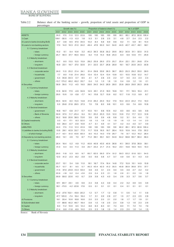BANK OF SLOVENIA

Table 2.2 Balance sheet of the banking sector - growth, proportion of total assets and proportion of GDP in percentages

| 2001<br>2002 2003 2004 2005<br>2002<br>2003<br>2004<br>2001<br>2002 2003 2004<br>2005<br>2001<br>2005<br><b>ASSETS</b><br>24.0<br>17.5<br>11.0<br>12.3<br>22.9<br>100<br>100<br>100<br>100<br>100<br>90.1<br>85.1<br>87.0<br>90.8<br>106.4<br>1) Cash<br>5.3<br>2.8<br>2.5<br>2.7<br>2.4<br>2.3<br>2.2<br>109.1<br>$-30.5$<br>$-1.3$<br>$-0.3$<br>1.8<br>3.1<br>2.1<br>4.8<br>6.8<br>2) Loans to banks (including BoS)<br>8.7<br>$-3.8$<br>$-9.5$<br>47.0<br>34.5<br>10.2<br>8.4<br>8.9<br>9.8<br>9.2<br>7.1<br>5.9<br>8.1<br>10.4<br>49.4<br>3) Loans to non-banking sectors<br>17.0<br>14.0<br>16.3<br>21.0<br>24.2<br>47.9<br>50.2<br>54.1<br>54.6<br>44.5<br>40.7<br>43.7<br>49.1<br>58.1<br>3.1 Currency breakdown<br>- tolars<br>15.2<br>6.1<br>9.4<br>10.6<br>3.2<br>40.2<br>36.3<br>35.8<br>35.2<br>29.6<br>36.2<br>30.9<br>31.1<br>32.0<br>31.5<br>9.2<br>- foreign currency<br>25.7<br>48.3<br>37.7<br>46.5<br>63.5<br>11.6<br>18.8<br>25.0<br>8.3<br>9.9<br>12.6<br>26.6<br>14.4<br>17.1<br>3.2 Maturity breakdown<br>- short-term<br>15.7<br>15.9<br>28.2<br>25.9<br>26.5<br>25.7<br>22.1<br>27.4<br>8.0<br>13.5<br>15.5<br>27.3<br>25.4<br>23.1<br>24.8<br>- long-term<br>18.9<br>22.1<br>19.7<br>27.0<br>32.6<br>21.1<br>22.0<br>23.7<br>26.8<br>28.9<br>19.1<br>18.7<br>20.6<br>24.3<br>30.8<br>3.3 Sectoral breakdown<br>- corporate sector<br>24.0<br>11.5<br>25.2<br>21.4<br>24.1<br>31.4<br>29.8<br>33.6<br>36.3<br>36.7<br>28.3<br>25.3<br>29.2<br>33.0<br>39.0<br>- households<br>8.0<br>11.8<br>26.0<br>12.4<br>12.4<br>13.4<br>13.8<br>12.1<br>14.7<br>7.7<br>21.4<br>13.4<br>10.5<br>10.8<br>12.2<br>- government<br>$35.8 - 34.3$<br>0.7<br>8.5<br>4.1<br>4.7<br>2.8<br>2.5<br>2.2<br>3.7<br>4.0<br>2.4<br>2.3<br>2.4<br>5.4<br>$-13.7$ $175.2$<br>48.2<br>49.2<br>33.7<br>0.9<br>1.2<br>- others<br>0.4<br>1.0<br>1.3<br>1.8<br>1.9<br>0.4<br>1.6<br>2.1<br>4) Securities<br>39.9<br>39.5<br>11.2<br>$-4.5$<br>19.0<br>28.6<br>34.0<br>34.0<br>28.9<br>28.0<br>25.8<br>28.9<br>29.6<br>26.3<br>29.8<br>4.1 Currency breakdown<br>- tolars<br>51.6<br>62.6<br>17.5<br>$-4.9$<br>34.9<br>14.5<br>20.1<br>21.3<br>18.0<br>19.8<br>13.1<br>18.5<br>16.4<br>21.1<br>17.1<br>1.9<br>8.2<br>- foreign currency<br>29.5<br>15.6<br>$-3.8$<br>$-7.7$<br>14.1<br>13.8<br>12.7<br>10.9<br>12.7<br>11.8<br>11.0<br>9.9<br>8.7<br>4.2 Maturity breakdown<br>- short-term<br>56.5<br>42.6<br>$-15.5$<br>14.8<br>21.6<br>26.2<br>25.5<br>19.2<br>17.9<br>19.4<br>22.3<br>22.2<br>17.4<br>19.0<br>8.0<br>10.8<br>- long-term<br>29.8<br>21.8 28.5<br>27.3<br>7.0<br>7.8<br>8.5<br>9.8<br>10.1<br>6.3<br>6.6<br>7.4<br>8.9<br>5.5<br>4.3 Sectoral breakdown<br>- government<br>18.8<br>19.7<br>6.8<br>21.7<br>6.7<br>10.0<br>10.1<br>9.8<br>10.6<br>9.2<br>9.0<br>8.6<br>8.5<br>9.6<br>9.8<br>- Bank of Slovenia<br>59.9<br>57.5<br>$11.7 - 25.4$<br>9.4<br>20.2<br>20.3<br>13.5<br>12.0<br>13.6<br>17.2<br>17.7<br>12.3<br>12.8<br>15.1<br>7.2<br>$-$ others<br>35.2<br>18.8<br>20.6<br>38.5<br>72.6<br>3.6<br>3.6<br>3.9<br>4.8<br>6.8<br>3.2<br>3.1<br>3.4<br>4.4<br>5) Capital investments<br>3.3<br>$-0.1$<br>17.1<br>8.3<br>52.5<br>1.8<br>1.5<br>1.6<br>1.5<br>1.6<br>1.3<br>1.4<br>1.4<br>2.0<br>1.9<br>6) Others<br>9.0<br>28.4<br>$-0.7$<br>$-0.9$<br>4.7<br>5.1<br>4.6<br>3.7<br>4.2<br>4.4<br>4.0<br>3.7<br>3.9<br>10.6<br>4.1<br><b>LIABILITIES</b><br>24.0<br>17.5<br>11.0<br>12.3<br>22.9<br>100<br>100<br>100<br>100<br>100<br>90.2<br>85.1<br>87.0<br>90.8<br>106.4<br>29.1<br>42.9<br>33.7<br>12.8<br>1) Liabilities to banks (including BoS)<br>13.6<br>77.3<br>11.7<br>16.5<br>19.7<br>28.4<br>10.5<br>10.9<br>14.4<br>17.9<br>30.2<br>51.5<br>- of which foreign<br>21.7<br>42.1<br>43.6<br>83.3<br>8.5<br>10.2<br>14.0<br>17.9<br>26.7<br>7.6<br>8.7<br>12.2<br>16.2<br>28.4<br>2) Deposits by non-banking sectors<br>28.0<br>14.1<br>4.6<br>7.0<br>8.7<br>71.2<br>69.1<br>65.1<br>62.1<br>54.9<br>64.2<br>58.8<br>56.7<br>56.4<br>58.4<br>2.1 Currency breakdown<br>18.4<br>5.2<br>45.9<br>- tolars<br>26.4<br>4.9<br>11.2<br>45.6<br>43.5<br>40.6<br>36.8<br>41.1<br>39.0<br>37.8<br>36.9<br>39.1<br>- foreign currency<br>31.0<br>6.4<br>3.5<br>11.3<br>3.9<br>25.7<br>23.2<br>21.7<br>21.5<br>18.2<br>23.1<br>19.8<br>19.5<br>19.3<br>18.9<br>2.2 Maturity breakdown<br>- short-term<br>29.5<br>5.3<br>8.5<br>9.7<br>62.5<br>59.3<br>51.2<br>59.3<br>53.2<br>11.8<br>65.7<br>57.4<br>51.6<br>52.1<br>54.5<br>12.0<br>41.2<br>$-2.3$<br>$-8.2$<br>$-3.9$<br>5.5<br>6.6<br>5.8<br>4.7<br>3.7<br>4.9<br>5.6<br>5.1<br>4.3<br>4.0<br>- long-term<br>2.3 Sectoral breakdown<br>3.4<br>5.8<br>18.7<br>14.8<br>- corporate sector<br>23.7<br>15.1<br>11.0<br>19.1<br>17.4<br>16.4<br>17.2<br>15.9<br>15.1<br>14.9<br>15.8<br>- households<br>35.7<br>12.7<br>8.1<br>9.5<br>5.7<br>45.3<br>43.4<br>42.3<br>41.2<br>35.5<br>40.8<br>36.9<br>36.8<br>37.7<br>37.5<br>- government<br>$-11.5$<br>37.0 -23.9 -14.3<br>53.4<br>3.9<br>4.6<br>3.1<br>2.4<br>3.0<br>3.5<br>3.9<br>2.7<br>2.2<br>3.2<br>- others<br>20.9<br>$-1.8$<br>5.2<br>$-2.6$<br>2.9<br>2.3<br>2.1<br>2.0<br>0.4<br>2.4<br>2.1<br>1.6<br>2.6<br>1.9<br>1.8<br>3) Securities<br>59.0 22.6<br>4.3<br>3.7<br>3.7<br>59.9<br>4.0<br>6.7<br>2.9<br>3.9<br>4.0<br>3.4<br>2.6<br>3.3<br>3.6<br>3.1 Currency breakdown<br>- tolars<br>67.1<br>83.7<br>23.1<br>4.6<br>6.6<br>2.4<br>3.8<br>4.2<br>3.9<br>3.4<br>2.2<br>3.2<br>3.6<br>3.5<br>3.6<br>30.1 -73.0<br>$4.2 -22.8$<br>0.4<br>0.1<br>0.1<br>- foreign currency<br>17.6<br>0.5<br>0.1<br>0.1<br>0.1<br>0.1<br>0.1<br>0.1<br>3.2 Maturity breakdown<br>- short-term<br>81.2 -27.6 152.1 -18.9 -20.2<br>1.2<br>0.7<br>1.7<br>1.2<br>0.8<br>1.1<br>0.6<br>1.4<br>1.1<br>0.8<br>- long-term<br>47.7 120.0<br>$-7.4$ 18.4<br>18.4<br>1.7<br>3.1<br>2.6<br>2.8<br>2.7<br>1.5<br>2.7<br>2.3<br>2.5<br>2.8<br>4) Provisions<br>18.8<br>19.1<br>20.4<br>10.6<br>16.6<br>2.0<br>2.0<br>2.0<br>2.1<br>2.0<br>1.8<br>1.7<br>1.7<br>1.9<br>2.1<br>5) Subordinated debt<br>88.8<br>40.2 49.7<br>2.4<br>$-7.7$<br>18.4<br>0.9<br>1.5<br>1.9<br>2.5<br>0.8<br>1.3<br>1.6<br>2.3<br>2.6<br>6) Capital<br>8.0<br>11.2<br>10.6<br>9.5<br>12.4<br>7.1<br>8.8<br>8.3<br>8.3<br>8.1<br>7.4<br>8.0<br>7.2<br>7.4<br>7.9<br>$8.9 - 11.8$ |           |      | Growth rate (%) |        |      |     | Proportion of balance sheet (%) |     |     |     | As % of GDP |     |     |     |     |
|----------------------------------------------------------------------------------------------------------------------------------------------------------------------------------------------------------------------------------------------------------------------------------------------------------------------------------------------------------------------------------------------------------------------------------------------------------------------------------------------------------------------------------------------------------------------------------------------------------------------------------------------------------------------------------------------------------------------------------------------------------------------------------------------------------------------------------------------------------------------------------------------------------------------------------------------------------------------------------------------------------------------------------------------------------------------------------------------------------------------------------------------------------------------------------------------------------------------------------------------------------------------------------------------------------------------------------------------------------------------------------------------------------------------------------------------------------------------------------------------------------------------------------------------------------------------------------------------------------------------------------------------------------------------------------------------------------------------------------------------------------------------------------------------------------------------------------------------------------------------------------------------------------------------------------------------------------------------------------------------------------------------------------------------------------------------------------------------------------------------------------------------------------------------------------------------------------------------------------------------------------------------------------------------------------------------------------------------------------------------------------------------------------------------------------------------------------------------------------------------------------------------------------------------------------------------------------------------------------------------------------------------------------------------------------------------------------------------------------------------------------------------------------------------------------------------------------------------------------------------------------------------------------------------------------------------------------------------------------------------------------------------------------------------------------------------------------------------------------------------------------------------------------------------------------------------------------------------------------------------------------------------------------------------------------------------------------------------------------------------------------------------------------------------------------------------------------------------------------------------------------------------------------------------------------------------------------------------------------------------------------------------------------------------------------------------------------------------------------------------------------------------------------------------------------------------------------------------------------------------------------------------------------------------------------------------------------------------------------------------------------------------------------------------------------------------------------------------------------------------------------------------------------------------------------------------------------------------------------------------------------------------------------------------------------------------------------------------------------------------------------------------------------------------------------------------------------------------------------------------------------------------------------------------------------------------------------------------------------------------------------------------------------------------------------------------------------------------------------------------------------------------------------------------------------------------------------------------------------------------------------------------------------------------------------------------------------------------------------------------------------------------------------------------------------------------------------------------------------------------------------------------------------------------------------------------------------------------------------------------------------------------------------------------------------------------------------------------------------------------------------------------------------------------------------------------------------------------------------------------------------------------------------------------------------------------------------------------------------------------------------------------------------------------------------------------------------------------------------------------------------------------------------------------------------------------------------------------------------------------------------------------------------------------------------------------------------------------------------------------------------------------------------------------------------------------------------------------------------------------------------------------------------------------------------------------------------------------------------------------------------|-----------|------|-----------------|--------|------|-----|---------------------------------|-----|-----|-----|-------------|-----|-----|-----|-----|
|                                                                                                                                                                                                                                                                                                                                                                                                                                                                                                                                                                                                                                                                                                                                                                                                                                                                                                                                                                                                                                                                                                                                                                                                                                                                                                                                                                                                                                                                                                                                                                                                                                                                                                                                                                                                                                                                                                                                                                                                                                                                                                                                                                                                                                                                                                                                                                                                                                                                                                                                                                                                                                                                                                                                                                                                                                                                                                                                                                                                                                                                                                                                                                                                                                                                                                                                                                                                                                                                                                                                                                                                                                                                                                                                                                                                                                                                                                                                                                                                                                                                                                                                                                                                                                                                                                                                                                                                                                                                                                                                                                                                                                                                                                                                                                                                                                                                                                                                                                                                                                                                                                                                                                                                                                                                                                                                                                                                                                                                                                                                                                                                                                                                                                                                                                                                                                                                                                                                                                                                                                                                                                                                                                                                                                                          |           |      |                 |        |      |     |                                 |     |     |     |             |     |     |     |     |
|                                                                                                                                                                                                                                                                                                                                                                                                                                                                                                                                                                                                                                                                                                                                                                                                                                                                                                                                                                                                                                                                                                                                                                                                                                                                                                                                                                                                                                                                                                                                                                                                                                                                                                                                                                                                                                                                                                                                                                                                                                                                                                                                                                                                                                                                                                                                                                                                                                                                                                                                                                                                                                                                                                                                                                                                                                                                                                                                                                                                                                                                                                                                                                                                                                                                                                                                                                                                                                                                                                                                                                                                                                                                                                                                                                                                                                                                                                                                                                                                                                                                                                                                                                                                                                                                                                                                                                                                                                                                                                                                                                                                                                                                                                                                                                                                                                                                                                                                                                                                                                                                                                                                                                                                                                                                                                                                                                                                                                                                                                                                                                                                                                                                                                                                                                                                                                                                                                                                                                                                                                                                                                                                                                                                                                                          |           |      |                 |        |      |     |                                 |     |     |     |             |     |     |     |     |
|                                                                                                                                                                                                                                                                                                                                                                                                                                                                                                                                                                                                                                                                                                                                                                                                                                                                                                                                                                                                                                                                                                                                                                                                                                                                                                                                                                                                                                                                                                                                                                                                                                                                                                                                                                                                                                                                                                                                                                                                                                                                                                                                                                                                                                                                                                                                                                                                                                                                                                                                                                                                                                                                                                                                                                                                                                                                                                                                                                                                                                                                                                                                                                                                                                                                                                                                                                                                                                                                                                                                                                                                                                                                                                                                                                                                                                                                                                                                                                                                                                                                                                                                                                                                                                                                                                                                                                                                                                                                                                                                                                                                                                                                                                                                                                                                                                                                                                                                                                                                                                                                                                                                                                                                                                                                                                                                                                                                                                                                                                                                                                                                                                                                                                                                                                                                                                                                                                                                                                                                                                                                                                                                                                                                                                                          |           |      |                 |        |      |     |                                 |     |     |     |             |     |     |     |     |
|                                                                                                                                                                                                                                                                                                                                                                                                                                                                                                                                                                                                                                                                                                                                                                                                                                                                                                                                                                                                                                                                                                                                                                                                                                                                                                                                                                                                                                                                                                                                                                                                                                                                                                                                                                                                                                                                                                                                                                                                                                                                                                                                                                                                                                                                                                                                                                                                                                                                                                                                                                                                                                                                                                                                                                                                                                                                                                                                                                                                                                                                                                                                                                                                                                                                                                                                                                                                                                                                                                                                                                                                                                                                                                                                                                                                                                                                                                                                                                                                                                                                                                                                                                                                                                                                                                                                                                                                                                                                                                                                                                                                                                                                                                                                                                                                                                                                                                                                                                                                                                                                                                                                                                                                                                                                                                                                                                                                                                                                                                                                                                                                                                                                                                                                                                                                                                                                                                                                                                                                                                                                                                                                                                                                                                                          |           |      |                 |        |      |     |                                 |     |     |     |             |     |     |     |     |
|                                                                                                                                                                                                                                                                                                                                                                                                                                                                                                                                                                                                                                                                                                                                                                                                                                                                                                                                                                                                                                                                                                                                                                                                                                                                                                                                                                                                                                                                                                                                                                                                                                                                                                                                                                                                                                                                                                                                                                                                                                                                                                                                                                                                                                                                                                                                                                                                                                                                                                                                                                                                                                                                                                                                                                                                                                                                                                                                                                                                                                                                                                                                                                                                                                                                                                                                                                                                                                                                                                                                                                                                                                                                                                                                                                                                                                                                                                                                                                                                                                                                                                                                                                                                                                                                                                                                                                                                                                                                                                                                                                                                                                                                                                                                                                                                                                                                                                                                                                                                                                                                                                                                                                                                                                                                                                                                                                                                                                                                                                                                                                                                                                                                                                                                                                                                                                                                                                                                                                                                                                                                                                                                                                                                                                                          |           |      |                 |        |      |     |                                 |     |     |     |             |     |     |     |     |
|                                                                                                                                                                                                                                                                                                                                                                                                                                                                                                                                                                                                                                                                                                                                                                                                                                                                                                                                                                                                                                                                                                                                                                                                                                                                                                                                                                                                                                                                                                                                                                                                                                                                                                                                                                                                                                                                                                                                                                                                                                                                                                                                                                                                                                                                                                                                                                                                                                                                                                                                                                                                                                                                                                                                                                                                                                                                                                                                                                                                                                                                                                                                                                                                                                                                                                                                                                                                                                                                                                                                                                                                                                                                                                                                                                                                                                                                                                                                                                                                                                                                                                                                                                                                                                                                                                                                                                                                                                                                                                                                                                                                                                                                                                                                                                                                                                                                                                                                                                                                                                                                                                                                                                                                                                                                                                                                                                                                                                                                                                                                                                                                                                                                                                                                                                                                                                                                                                                                                                                                                                                                                                                                                                                                                                                          |           |      |                 |        |      |     |                                 |     |     |     |             |     |     |     |     |
|                                                                                                                                                                                                                                                                                                                                                                                                                                                                                                                                                                                                                                                                                                                                                                                                                                                                                                                                                                                                                                                                                                                                                                                                                                                                                                                                                                                                                                                                                                                                                                                                                                                                                                                                                                                                                                                                                                                                                                                                                                                                                                                                                                                                                                                                                                                                                                                                                                                                                                                                                                                                                                                                                                                                                                                                                                                                                                                                                                                                                                                                                                                                                                                                                                                                                                                                                                                                                                                                                                                                                                                                                                                                                                                                                                                                                                                                                                                                                                                                                                                                                                                                                                                                                                                                                                                                                                                                                                                                                                                                                                                                                                                                                                                                                                                                                                                                                                                                                                                                                                                                                                                                                                                                                                                                                                                                                                                                                                                                                                                                                                                                                                                                                                                                                                                                                                                                                                                                                                                                                                                                                                                                                                                                                                                          |           |      |                 |        |      |     |                                 |     |     |     |             |     |     |     |     |
|                                                                                                                                                                                                                                                                                                                                                                                                                                                                                                                                                                                                                                                                                                                                                                                                                                                                                                                                                                                                                                                                                                                                                                                                                                                                                                                                                                                                                                                                                                                                                                                                                                                                                                                                                                                                                                                                                                                                                                                                                                                                                                                                                                                                                                                                                                                                                                                                                                                                                                                                                                                                                                                                                                                                                                                                                                                                                                                                                                                                                                                                                                                                                                                                                                                                                                                                                                                                                                                                                                                                                                                                                                                                                                                                                                                                                                                                                                                                                                                                                                                                                                                                                                                                                                                                                                                                                                                                                                                                                                                                                                                                                                                                                                                                                                                                                                                                                                                                                                                                                                                                                                                                                                                                                                                                                                                                                                                                                                                                                                                                                                                                                                                                                                                                                                                                                                                                                                                                                                                                                                                                                                                                                                                                                                                          |           |      |                 |        |      |     |                                 |     |     |     |             |     |     |     |     |
|                                                                                                                                                                                                                                                                                                                                                                                                                                                                                                                                                                                                                                                                                                                                                                                                                                                                                                                                                                                                                                                                                                                                                                                                                                                                                                                                                                                                                                                                                                                                                                                                                                                                                                                                                                                                                                                                                                                                                                                                                                                                                                                                                                                                                                                                                                                                                                                                                                                                                                                                                                                                                                                                                                                                                                                                                                                                                                                                                                                                                                                                                                                                                                                                                                                                                                                                                                                                                                                                                                                                                                                                                                                                                                                                                                                                                                                                                                                                                                                                                                                                                                                                                                                                                                                                                                                                                                                                                                                                                                                                                                                                                                                                                                                                                                                                                                                                                                                                                                                                                                                                                                                                                                                                                                                                                                                                                                                                                                                                                                                                                                                                                                                                                                                                                                                                                                                                                                                                                                                                                                                                                                                                                                                                                                                          |           |      |                 |        |      |     |                                 |     |     |     |             |     |     |     |     |
|                                                                                                                                                                                                                                                                                                                                                                                                                                                                                                                                                                                                                                                                                                                                                                                                                                                                                                                                                                                                                                                                                                                                                                                                                                                                                                                                                                                                                                                                                                                                                                                                                                                                                                                                                                                                                                                                                                                                                                                                                                                                                                                                                                                                                                                                                                                                                                                                                                                                                                                                                                                                                                                                                                                                                                                                                                                                                                                                                                                                                                                                                                                                                                                                                                                                                                                                                                                                                                                                                                                                                                                                                                                                                                                                                                                                                                                                                                                                                                                                                                                                                                                                                                                                                                                                                                                                                                                                                                                                                                                                                                                                                                                                                                                                                                                                                                                                                                                                                                                                                                                                                                                                                                                                                                                                                                                                                                                                                                                                                                                                                                                                                                                                                                                                                                                                                                                                                                                                                                                                                                                                                                                                                                                                                                                          |           |      |                 |        |      |     |                                 |     |     |     |             |     |     |     |     |
|                                                                                                                                                                                                                                                                                                                                                                                                                                                                                                                                                                                                                                                                                                                                                                                                                                                                                                                                                                                                                                                                                                                                                                                                                                                                                                                                                                                                                                                                                                                                                                                                                                                                                                                                                                                                                                                                                                                                                                                                                                                                                                                                                                                                                                                                                                                                                                                                                                                                                                                                                                                                                                                                                                                                                                                                                                                                                                                                                                                                                                                                                                                                                                                                                                                                                                                                                                                                                                                                                                                                                                                                                                                                                                                                                                                                                                                                                                                                                                                                                                                                                                                                                                                                                                                                                                                                                                                                                                                                                                                                                                                                                                                                                                                                                                                                                                                                                                                                                                                                                                                                                                                                                                                                                                                                                                                                                                                                                                                                                                                                                                                                                                                                                                                                                                                                                                                                                                                                                                                                                                                                                                                                                                                                                                                          |           |      |                 |        |      |     |                                 |     |     |     |             |     |     |     |     |
|                                                                                                                                                                                                                                                                                                                                                                                                                                                                                                                                                                                                                                                                                                                                                                                                                                                                                                                                                                                                                                                                                                                                                                                                                                                                                                                                                                                                                                                                                                                                                                                                                                                                                                                                                                                                                                                                                                                                                                                                                                                                                                                                                                                                                                                                                                                                                                                                                                                                                                                                                                                                                                                                                                                                                                                                                                                                                                                                                                                                                                                                                                                                                                                                                                                                                                                                                                                                                                                                                                                                                                                                                                                                                                                                                                                                                                                                                                                                                                                                                                                                                                                                                                                                                                                                                                                                                                                                                                                                                                                                                                                                                                                                                                                                                                                                                                                                                                                                                                                                                                                                                                                                                                                                                                                                                                                                                                                                                                                                                                                                                                                                                                                                                                                                                                                                                                                                                                                                                                                                                                                                                                                                                                                                                                                          |           |      |                 |        |      |     |                                 |     |     |     |             |     |     |     |     |
|                                                                                                                                                                                                                                                                                                                                                                                                                                                                                                                                                                                                                                                                                                                                                                                                                                                                                                                                                                                                                                                                                                                                                                                                                                                                                                                                                                                                                                                                                                                                                                                                                                                                                                                                                                                                                                                                                                                                                                                                                                                                                                                                                                                                                                                                                                                                                                                                                                                                                                                                                                                                                                                                                                                                                                                                                                                                                                                                                                                                                                                                                                                                                                                                                                                                                                                                                                                                                                                                                                                                                                                                                                                                                                                                                                                                                                                                                                                                                                                                                                                                                                                                                                                                                                                                                                                                                                                                                                                                                                                                                                                                                                                                                                                                                                                                                                                                                                                                                                                                                                                                                                                                                                                                                                                                                                                                                                                                                                                                                                                                                                                                                                                                                                                                                                                                                                                                                                                                                                                                                                                                                                                                                                                                                                                          |           |      |                 |        |      |     |                                 |     |     |     |             |     |     |     |     |
|                                                                                                                                                                                                                                                                                                                                                                                                                                                                                                                                                                                                                                                                                                                                                                                                                                                                                                                                                                                                                                                                                                                                                                                                                                                                                                                                                                                                                                                                                                                                                                                                                                                                                                                                                                                                                                                                                                                                                                                                                                                                                                                                                                                                                                                                                                                                                                                                                                                                                                                                                                                                                                                                                                                                                                                                                                                                                                                                                                                                                                                                                                                                                                                                                                                                                                                                                                                                                                                                                                                                                                                                                                                                                                                                                                                                                                                                                                                                                                                                                                                                                                                                                                                                                                                                                                                                                                                                                                                                                                                                                                                                                                                                                                                                                                                                                                                                                                                                                                                                                                                                                                                                                                                                                                                                                                                                                                                                                                                                                                                                                                                                                                                                                                                                                                                                                                                                                                                                                                                                                                                                                                                                                                                                                                                          |           |      |                 |        |      |     |                                 |     |     |     |             |     |     |     |     |
|                                                                                                                                                                                                                                                                                                                                                                                                                                                                                                                                                                                                                                                                                                                                                                                                                                                                                                                                                                                                                                                                                                                                                                                                                                                                                                                                                                                                                                                                                                                                                                                                                                                                                                                                                                                                                                                                                                                                                                                                                                                                                                                                                                                                                                                                                                                                                                                                                                                                                                                                                                                                                                                                                                                                                                                                                                                                                                                                                                                                                                                                                                                                                                                                                                                                                                                                                                                                                                                                                                                                                                                                                                                                                                                                                                                                                                                                                                                                                                                                                                                                                                                                                                                                                                                                                                                                                                                                                                                                                                                                                                                                                                                                                                                                                                                                                                                                                                                                                                                                                                                                                                                                                                                                                                                                                                                                                                                                                                                                                                                                                                                                                                                                                                                                                                                                                                                                                                                                                                                                                                                                                                                                                                                                                                                          |           |      |                 |        |      |     |                                 |     |     |     |             |     |     |     |     |
|                                                                                                                                                                                                                                                                                                                                                                                                                                                                                                                                                                                                                                                                                                                                                                                                                                                                                                                                                                                                                                                                                                                                                                                                                                                                                                                                                                                                                                                                                                                                                                                                                                                                                                                                                                                                                                                                                                                                                                                                                                                                                                                                                                                                                                                                                                                                                                                                                                                                                                                                                                                                                                                                                                                                                                                                                                                                                                                                                                                                                                                                                                                                                                                                                                                                                                                                                                                                                                                                                                                                                                                                                                                                                                                                                                                                                                                                                                                                                                                                                                                                                                                                                                                                                                                                                                                                                                                                                                                                                                                                                                                                                                                                                                                                                                                                                                                                                                                                                                                                                                                                                                                                                                                                                                                                                                                                                                                                                                                                                                                                                                                                                                                                                                                                                                                                                                                                                                                                                                                                                                                                                                                                                                                                                                                          |           |      |                 |        |      |     |                                 |     |     |     |             |     |     |     |     |
|                                                                                                                                                                                                                                                                                                                                                                                                                                                                                                                                                                                                                                                                                                                                                                                                                                                                                                                                                                                                                                                                                                                                                                                                                                                                                                                                                                                                                                                                                                                                                                                                                                                                                                                                                                                                                                                                                                                                                                                                                                                                                                                                                                                                                                                                                                                                                                                                                                                                                                                                                                                                                                                                                                                                                                                                                                                                                                                                                                                                                                                                                                                                                                                                                                                                                                                                                                                                                                                                                                                                                                                                                                                                                                                                                                                                                                                                                                                                                                                                                                                                                                                                                                                                                                                                                                                                                                                                                                                                                                                                                                                                                                                                                                                                                                                                                                                                                                                                                                                                                                                                                                                                                                                                                                                                                                                                                                                                                                                                                                                                                                                                                                                                                                                                                                                                                                                                                                                                                                                                                                                                                                                                                                                                                                                          |           |      |                 |        |      |     |                                 |     |     |     |             |     |     |     |     |
|                                                                                                                                                                                                                                                                                                                                                                                                                                                                                                                                                                                                                                                                                                                                                                                                                                                                                                                                                                                                                                                                                                                                                                                                                                                                                                                                                                                                                                                                                                                                                                                                                                                                                                                                                                                                                                                                                                                                                                                                                                                                                                                                                                                                                                                                                                                                                                                                                                                                                                                                                                                                                                                                                                                                                                                                                                                                                                                                                                                                                                                                                                                                                                                                                                                                                                                                                                                                                                                                                                                                                                                                                                                                                                                                                                                                                                                                                                                                                                                                                                                                                                                                                                                                                                                                                                                                                                                                                                                                                                                                                                                                                                                                                                                                                                                                                                                                                                                                                                                                                                                                                                                                                                                                                                                                                                                                                                                                                                                                                                                                                                                                                                                                                                                                                                                                                                                                                                                                                                                                                                                                                                                                                                                                                                                          |           |      |                 |        |      |     |                                 |     |     |     |             |     |     |     |     |
|                                                                                                                                                                                                                                                                                                                                                                                                                                                                                                                                                                                                                                                                                                                                                                                                                                                                                                                                                                                                                                                                                                                                                                                                                                                                                                                                                                                                                                                                                                                                                                                                                                                                                                                                                                                                                                                                                                                                                                                                                                                                                                                                                                                                                                                                                                                                                                                                                                                                                                                                                                                                                                                                                                                                                                                                                                                                                                                                                                                                                                                                                                                                                                                                                                                                                                                                                                                                                                                                                                                                                                                                                                                                                                                                                                                                                                                                                                                                                                                                                                                                                                                                                                                                                                                                                                                                                                                                                                                                                                                                                                                                                                                                                                                                                                                                                                                                                                                                                                                                                                                                                                                                                                                                                                                                                                                                                                                                                                                                                                                                                                                                                                                                                                                                                                                                                                                                                                                                                                                                                                                                                                                                                                                                                                                          |           |      |                 |        |      |     |                                 |     |     |     |             |     |     |     |     |
|                                                                                                                                                                                                                                                                                                                                                                                                                                                                                                                                                                                                                                                                                                                                                                                                                                                                                                                                                                                                                                                                                                                                                                                                                                                                                                                                                                                                                                                                                                                                                                                                                                                                                                                                                                                                                                                                                                                                                                                                                                                                                                                                                                                                                                                                                                                                                                                                                                                                                                                                                                                                                                                                                                                                                                                                                                                                                                                                                                                                                                                                                                                                                                                                                                                                                                                                                                                                                                                                                                                                                                                                                                                                                                                                                                                                                                                                                                                                                                                                                                                                                                                                                                                                                                                                                                                                                                                                                                                                                                                                                                                                                                                                                                                                                                                                                                                                                                                                                                                                                                                                                                                                                                                                                                                                                                                                                                                                                                                                                                                                                                                                                                                                                                                                                                                                                                                                                                                                                                                                                                                                                                                                                                                                                                                          |           |      |                 |        |      |     |                                 |     |     |     |             |     |     |     |     |
|                                                                                                                                                                                                                                                                                                                                                                                                                                                                                                                                                                                                                                                                                                                                                                                                                                                                                                                                                                                                                                                                                                                                                                                                                                                                                                                                                                                                                                                                                                                                                                                                                                                                                                                                                                                                                                                                                                                                                                                                                                                                                                                                                                                                                                                                                                                                                                                                                                                                                                                                                                                                                                                                                                                                                                                                                                                                                                                                                                                                                                                                                                                                                                                                                                                                                                                                                                                                                                                                                                                                                                                                                                                                                                                                                                                                                                                                                                                                                                                                                                                                                                                                                                                                                                                                                                                                                                                                                                                                                                                                                                                                                                                                                                                                                                                                                                                                                                                                                                                                                                                                                                                                                                                                                                                                                                                                                                                                                                                                                                                                                                                                                                                                                                                                                                                                                                                                                                                                                                                                                                                                                                                                                                                                                                                          |           |      |                 |        |      |     |                                 |     |     |     |             |     |     |     |     |
|                                                                                                                                                                                                                                                                                                                                                                                                                                                                                                                                                                                                                                                                                                                                                                                                                                                                                                                                                                                                                                                                                                                                                                                                                                                                                                                                                                                                                                                                                                                                                                                                                                                                                                                                                                                                                                                                                                                                                                                                                                                                                                                                                                                                                                                                                                                                                                                                                                                                                                                                                                                                                                                                                                                                                                                                                                                                                                                                                                                                                                                                                                                                                                                                                                                                                                                                                                                                                                                                                                                                                                                                                                                                                                                                                                                                                                                                                                                                                                                                                                                                                                                                                                                                                                                                                                                                                                                                                                                                                                                                                                                                                                                                                                                                                                                                                                                                                                                                                                                                                                                                                                                                                                                                                                                                                                                                                                                                                                                                                                                                                                                                                                                                                                                                                                                                                                                                                                                                                                                                                                                                                                                                                                                                                                                          |           |      |                 |        |      |     |                                 |     |     |     |             |     |     |     |     |
|                                                                                                                                                                                                                                                                                                                                                                                                                                                                                                                                                                                                                                                                                                                                                                                                                                                                                                                                                                                                                                                                                                                                                                                                                                                                                                                                                                                                                                                                                                                                                                                                                                                                                                                                                                                                                                                                                                                                                                                                                                                                                                                                                                                                                                                                                                                                                                                                                                                                                                                                                                                                                                                                                                                                                                                                                                                                                                                                                                                                                                                                                                                                                                                                                                                                                                                                                                                                                                                                                                                                                                                                                                                                                                                                                                                                                                                                                                                                                                                                                                                                                                                                                                                                                                                                                                                                                                                                                                                                                                                                                                                                                                                                                                                                                                                                                                                                                                                                                                                                                                                                                                                                                                                                                                                                                                                                                                                                                                                                                                                                                                                                                                                                                                                                                                                                                                                                                                                                                                                                                                                                                                                                                                                                                                                          |           |      |                 |        |      |     |                                 |     |     |     |             |     |     |     |     |
|                                                                                                                                                                                                                                                                                                                                                                                                                                                                                                                                                                                                                                                                                                                                                                                                                                                                                                                                                                                                                                                                                                                                                                                                                                                                                                                                                                                                                                                                                                                                                                                                                                                                                                                                                                                                                                                                                                                                                                                                                                                                                                                                                                                                                                                                                                                                                                                                                                                                                                                                                                                                                                                                                                                                                                                                                                                                                                                                                                                                                                                                                                                                                                                                                                                                                                                                                                                                                                                                                                                                                                                                                                                                                                                                                                                                                                                                                                                                                                                                                                                                                                                                                                                                                                                                                                                                                                                                                                                                                                                                                                                                                                                                                                                                                                                                                                                                                                                                                                                                                                                                                                                                                                                                                                                                                                                                                                                                                                                                                                                                                                                                                                                                                                                                                                                                                                                                                                                                                                                                                                                                                                                                                                                                                                                          |           |      |                 |        |      |     |                                 |     |     |     |             |     |     |     |     |
|                                                                                                                                                                                                                                                                                                                                                                                                                                                                                                                                                                                                                                                                                                                                                                                                                                                                                                                                                                                                                                                                                                                                                                                                                                                                                                                                                                                                                                                                                                                                                                                                                                                                                                                                                                                                                                                                                                                                                                                                                                                                                                                                                                                                                                                                                                                                                                                                                                                                                                                                                                                                                                                                                                                                                                                                                                                                                                                                                                                                                                                                                                                                                                                                                                                                                                                                                                                                                                                                                                                                                                                                                                                                                                                                                                                                                                                                                                                                                                                                                                                                                                                                                                                                                                                                                                                                                                                                                                                                                                                                                                                                                                                                                                                                                                                                                                                                                                                                                                                                                                                                                                                                                                                                                                                                                                                                                                                                                                                                                                                                                                                                                                                                                                                                                                                                                                                                                                                                                                                                                                                                                                                                                                                                                                                          |           |      |                 |        |      |     |                                 |     |     |     |             |     |     |     |     |
|                                                                                                                                                                                                                                                                                                                                                                                                                                                                                                                                                                                                                                                                                                                                                                                                                                                                                                                                                                                                                                                                                                                                                                                                                                                                                                                                                                                                                                                                                                                                                                                                                                                                                                                                                                                                                                                                                                                                                                                                                                                                                                                                                                                                                                                                                                                                                                                                                                                                                                                                                                                                                                                                                                                                                                                                                                                                                                                                                                                                                                                                                                                                                                                                                                                                                                                                                                                                                                                                                                                                                                                                                                                                                                                                                                                                                                                                                                                                                                                                                                                                                                                                                                                                                                                                                                                                                                                                                                                                                                                                                                                                                                                                                                                                                                                                                                                                                                                                                                                                                                                                                                                                                                                                                                                                                                                                                                                                                                                                                                                                                                                                                                                                                                                                                                                                                                                                                                                                                                                                                                                                                                                                                                                                                                                          |           |      |                 |        |      |     |                                 |     |     |     |             |     |     |     |     |
|                                                                                                                                                                                                                                                                                                                                                                                                                                                                                                                                                                                                                                                                                                                                                                                                                                                                                                                                                                                                                                                                                                                                                                                                                                                                                                                                                                                                                                                                                                                                                                                                                                                                                                                                                                                                                                                                                                                                                                                                                                                                                                                                                                                                                                                                                                                                                                                                                                                                                                                                                                                                                                                                                                                                                                                                                                                                                                                                                                                                                                                                                                                                                                                                                                                                                                                                                                                                                                                                                                                                                                                                                                                                                                                                                                                                                                                                                                                                                                                                                                                                                                                                                                                                                                                                                                                                                                                                                                                                                                                                                                                                                                                                                                                                                                                                                                                                                                                                                                                                                                                                                                                                                                                                                                                                                                                                                                                                                                                                                                                                                                                                                                                                                                                                                                                                                                                                                                                                                                                                                                                                                                                                                                                                                                                          |           |      |                 |        |      |     |                                 |     |     |     |             |     |     |     |     |
|                                                                                                                                                                                                                                                                                                                                                                                                                                                                                                                                                                                                                                                                                                                                                                                                                                                                                                                                                                                                                                                                                                                                                                                                                                                                                                                                                                                                                                                                                                                                                                                                                                                                                                                                                                                                                                                                                                                                                                                                                                                                                                                                                                                                                                                                                                                                                                                                                                                                                                                                                                                                                                                                                                                                                                                                                                                                                                                                                                                                                                                                                                                                                                                                                                                                                                                                                                                                                                                                                                                                                                                                                                                                                                                                                                                                                                                                                                                                                                                                                                                                                                                                                                                                                                                                                                                                                                                                                                                                                                                                                                                                                                                                                                                                                                                                                                                                                                                                                                                                                                                                                                                                                                                                                                                                                                                                                                                                                                                                                                                                                                                                                                                                                                                                                                                                                                                                                                                                                                                                                                                                                                                                                                                                                                                          |           |      |                 |        |      |     |                                 |     |     |     |             |     |     |     |     |
|                                                                                                                                                                                                                                                                                                                                                                                                                                                                                                                                                                                                                                                                                                                                                                                                                                                                                                                                                                                                                                                                                                                                                                                                                                                                                                                                                                                                                                                                                                                                                                                                                                                                                                                                                                                                                                                                                                                                                                                                                                                                                                                                                                                                                                                                                                                                                                                                                                                                                                                                                                                                                                                                                                                                                                                                                                                                                                                                                                                                                                                                                                                                                                                                                                                                                                                                                                                                                                                                                                                                                                                                                                                                                                                                                                                                                                                                                                                                                                                                                                                                                                                                                                                                                                                                                                                                                                                                                                                                                                                                                                                                                                                                                                                                                                                                                                                                                                                                                                                                                                                                                                                                                                                                                                                                                                                                                                                                                                                                                                                                                                                                                                                                                                                                                                                                                                                                                                                                                                                                                                                                                                                                                                                                                                                          |           |      |                 |        |      |     |                                 |     |     |     |             |     |     |     |     |
|                                                                                                                                                                                                                                                                                                                                                                                                                                                                                                                                                                                                                                                                                                                                                                                                                                                                                                                                                                                                                                                                                                                                                                                                                                                                                                                                                                                                                                                                                                                                                                                                                                                                                                                                                                                                                                                                                                                                                                                                                                                                                                                                                                                                                                                                                                                                                                                                                                                                                                                                                                                                                                                                                                                                                                                                                                                                                                                                                                                                                                                                                                                                                                                                                                                                                                                                                                                                                                                                                                                                                                                                                                                                                                                                                                                                                                                                                                                                                                                                                                                                                                                                                                                                                                                                                                                                                                                                                                                                                                                                                                                                                                                                                                                                                                                                                                                                                                                                                                                                                                                                                                                                                                                                                                                                                                                                                                                                                                                                                                                                                                                                                                                                                                                                                                                                                                                                                                                                                                                                                                                                                                                                                                                                                                                          |           |      |                 |        |      |     |                                 |     |     |     |             |     |     |     |     |
|                                                                                                                                                                                                                                                                                                                                                                                                                                                                                                                                                                                                                                                                                                                                                                                                                                                                                                                                                                                                                                                                                                                                                                                                                                                                                                                                                                                                                                                                                                                                                                                                                                                                                                                                                                                                                                                                                                                                                                                                                                                                                                                                                                                                                                                                                                                                                                                                                                                                                                                                                                                                                                                                                                                                                                                                                                                                                                                                                                                                                                                                                                                                                                                                                                                                                                                                                                                                                                                                                                                                                                                                                                                                                                                                                                                                                                                                                                                                                                                                                                                                                                                                                                                                                                                                                                                                                                                                                                                                                                                                                                                                                                                                                                                                                                                                                                                                                                                                                                                                                                                                                                                                                                                                                                                                                                                                                                                                                                                                                                                                                                                                                                                                                                                                                                                                                                                                                                                                                                                                                                                                                                                                                                                                                                                          |           |      |                 |        |      |     |                                 |     |     |     |             |     |     |     |     |
|                                                                                                                                                                                                                                                                                                                                                                                                                                                                                                                                                                                                                                                                                                                                                                                                                                                                                                                                                                                                                                                                                                                                                                                                                                                                                                                                                                                                                                                                                                                                                                                                                                                                                                                                                                                                                                                                                                                                                                                                                                                                                                                                                                                                                                                                                                                                                                                                                                                                                                                                                                                                                                                                                                                                                                                                                                                                                                                                                                                                                                                                                                                                                                                                                                                                                                                                                                                                                                                                                                                                                                                                                                                                                                                                                                                                                                                                                                                                                                                                                                                                                                                                                                                                                                                                                                                                                                                                                                                                                                                                                                                                                                                                                                                                                                                                                                                                                                                                                                                                                                                                                                                                                                                                                                                                                                                                                                                                                                                                                                                                                                                                                                                                                                                                                                                                                                                                                                                                                                                                                                                                                                                                                                                                                                                          |           |      |                 |        |      |     |                                 |     |     |     |             |     |     |     |     |
|                                                                                                                                                                                                                                                                                                                                                                                                                                                                                                                                                                                                                                                                                                                                                                                                                                                                                                                                                                                                                                                                                                                                                                                                                                                                                                                                                                                                                                                                                                                                                                                                                                                                                                                                                                                                                                                                                                                                                                                                                                                                                                                                                                                                                                                                                                                                                                                                                                                                                                                                                                                                                                                                                                                                                                                                                                                                                                                                                                                                                                                                                                                                                                                                                                                                                                                                                                                                                                                                                                                                                                                                                                                                                                                                                                                                                                                                                                                                                                                                                                                                                                                                                                                                                                                                                                                                                                                                                                                                                                                                                                                                                                                                                                                                                                                                                                                                                                                                                                                                                                                                                                                                                                                                                                                                                                                                                                                                                                                                                                                                                                                                                                                                                                                                                                                                                                                                                                                                                                                                                                                                                                                                                                                                                                                          |           |      |                 |        |      |     |                                 |     |     |     |             |     |     |     |     |
|                                                                                                                                                                                                                                                                                                                                                                                                                                                                                                                                                                                                                                                                                                                                                                                                                                                                                                                                                                                                                                                                                                                                                                                                                                                                                                                                                                                                                                                                                                                                                                                                                                                                                                                                                                                                                                                                                                                                                                                                                                                                                                                                                                                                                                                                                                                                                                                                                                                                                                                                                                                                                                                                                                                                                                                                                                                                                                                                                                                                                                                                                                                                                                                                                                                                                                                                                                                                                                                                                                                                                                                                                                                                                                                                                                                                                                                                                                                                                                                                                                                                                                                                                                                                                                                                                                                                                                                                                                                                                                                                                                                                                                                                                                                                                                                                                                                                                                                                                                                                                                                                                                                                                                                                                                                                                                                                                                                                                                                                                                                                                                                                                                                                                                                                                                                                                                                                                                                                                                                                                                                                                                                                                                                                                                                          |           |      |                 |        |      |     |                                 |     |     |     |             |     |     |     |     |
|                                                                                                                                                                                                                                                                                                                                                                                                                                                                                                                                                                                                                                                                                                                                                                                                                                                                                                                                                                                                                                                                                                                                                                                                                                                                                                                                                                                                                                                                                                                                                                                                                                                                                                                                                                                                                                                                                                                                                                                                                                                                                                                                                                                                                                                                                                                                                                                                                                                                                                                                                                                                                                                                                                                                                                                                                                                                                                                                                                                                                                                                                                                                                                                                                                                                                                                                                                                                                                                                                                                                                                                                                                                                                                                                                                                                                                                                                                                                                                                                                                                                                                                                                                                                                                                                                                                                                                                                                                                                                                                                                                                                                                                                                                                                                                                                                                                                                                                                                                                                                                                                                                                                                                                                                                                                                                                                                                                                                                                                                                                                                                                                                                                                                                                                                                                                                                                                                                                                                                                                                                                                                                                                                                                                                                                          |           |      |                 |        |      |     |                                 |     |     |     |             |     |     |     |     |
|                                                                                                                                                                                                                                                                                                                                                                                                                                                                                                                                                                                                                                                                                                                                                                                                                                                                                                                                                                                                                                                                                                                                                                                                                                                                                                                                                                                                                                                                                                                                                                                                                                                                                                                                                                                                                                                                                                                                                                                                                                                                                                                                                                                                                                                                                                                                                                                                                                                                                                                                                                                                                                                                                                                                                                                                                                                                                                                                                                                                                                                                                                                                                                                                                                                                                                                                                                                                                                                                                                                                                                                                                                                                                                                                                                                                                                                                                                                                                                                                                                                                                                                                                                                                                                                                                                                                                                                                                                                                                                                                                                                                                                                                                                                                                                                                                                                                                                                                                                                                                                                                                                                                                                                                                                                                                                                                                                                                                                                                                                                                                                                                                                                                                                                                                                                                                                                                                                                                                                                                                                                                                                                                                                                                                                                          |           |      |                 |        |      |     |                                 |     |     |     |             |     |     |     |     |
|                                                                                                                                                                                                                                                                                                                                                                                                                                                                                                                                                                                                                                                                                                                                                                                                                                                                                                                                                                                                                                                                                                                                                                                                                                                                                                                                                                                                                                                                                                                                                                                                                                                                                                                                                                                                                                                                                                                                                                                                                                                                                                                                                                                                                                                                                                                                                                                                                                                                                                                                                                                                                                                                                                                                                                                                                                                                                                                                                                                                                                                                                                                                                                                                                                                                                                                                                                                                                                                                                                                                                                                                                                                                                                                                                                                                                                                                                                                                                                                                                                                                                                                                                                                                                                                                                                                                                                                                                                                                                                                                                                                                                                                                                                                                                                                                                                                                                                                                                                                                                                                                                                                                                                                                                                                                                                                                                                                                                                                                                                                                                                                                                                                                                                                                                                                                                                                                                                                                                                                                                                                                                                                                                                                                                                                          |           |      |                 |        |      |     |                                 |     |     |     |             |     |     |     |     |
|                                                                                                                                                                                                                                                                                                                                                                                                                                                                                                                                                                                                                                                                                                                                                                                                                                                                                                                                                                                                                                                                                                                                                                                                                                                                                                                                                                                                                                                                                                                                                                                                                                                                                                                                                                                                                                                                                                                                                                                                                                                                                                                                                                                                                                                                                                                                                                                                                                                                                                                                                                                                                                                                                                                                                                                                                                                                                                                                                                                                                                                                                                                                                                                                                                                                                                                                                                                                                                                                                                                                                                                                                                                                                                                                                                                                                                                                                                                                                                                                                                                                                                                                                                                                                                                                                                                                                                                                                                                                                                                                                                                                                                                                                                                                                                                                                                                                                                                                                                                                                                                                                                                                                                                                                                                                                                                                                                                                                                                                                                                                                                                                                                                                                                                                                                                                                                                                                                                                                                                                                                                                                                                                                                                                                                                          |           |      |                 |        |      |     |                                 |     |     |     |             |     |     |     |     |
|                                                                                                                                                                                                                                                                                                                                                                                                                                                                                                                                                                                                                                                                                                                                                                                                                                                                                                                                                                                                                                                                                                                                                                                                                                                                                                                                                                                                                                                                                                                                                                                                                                                                                                                                                                                                                                                                                                                                                                                                                                                                                                                                                                                                                                                                                                                                                                                                                                                                                                                                                                                                                                                                                                                                                                                                                                                                                                                                                                                                                                                                                                                                                                                                                                                                                                                                                                                                                                                                                                                                                                                                                                                                                                                                                                                                                                                                                                                                                                                                                                                                                                                                                                                                                                                                                                                                                                                                                                                                                                                                                                                                                                                                                                                                                                                                                                                                                                                                                                                                                                                                                                                                                                                                                                                                                                                                                                                                                                                                                                                                                                                                                                                                                                                                                                                                                                                                                                                                                                                                                                                                                                                                                                                                                                                          |           |      |                 |        |      |     |                                 |     |     |     |             |     |     |     |     |
|                                                                                                                                                                                                                                                                                                                                                                                                                                                                                                                                                                                                                                                                                                                                                                                                                                                                                                                                                                                                                                                                                                                                                                                                                                                                                                                                                                                                                                                                                                                                                                                                                                                                                                                                                                                                                                                                                                                                                                                                                                                                                                                                                                                                                                                                                                                                                                                                                                                                                                                                                                                                                                                                                                                                                                                                                                                                                                                                                                                                                                                                                                                                                                                                                                                                                                                                                                                                                                                                                                                                                                                                                                                                                                                                                                                                                                                                                                                                                                                                                                                                                                                                                                                                                                                                                                                                                                                                                                                                                                                                                                                                                                                                                                                                                                                                                                                                                                                                                                                                                                                                                                                                                                                                                                                                                                                                                                                                                                                                                                                                                                                                                                                                                                                                                                                                                                                                                                                                                                                                                                                                                                                                                                                                                                                          |           |      |                 |        |      |     |                                 |     |     |     |             |     |     |     |     |
|                                                                                                                                                                                                                                                                                                                                                                                                                                                                                                                                                                                                                                                                                                                                                                                                                                                                                                                                                                                                                                                                                                                                                                                                                                                                                                                                                                                                                                                                                                                                                                                                                                                                                                                                                                                                                                                                                                                                                                                                                                                                                                                                                                                                                                                                                                                                                                                                                                                                                                                                                                                                                                                                                                                                                                                                                                                                                                                                                                                                                                                                                                                                                                                                                                                                                                                                                                                                                                                                                                                                                                                                                                                                                                                                                                                                                                                                                                                                                                                                                                                                                                                                                                                                                                                                                                                                                                                                                                                                                                                                                                                                                                                                                                                                                                                                                                                                                                                                                                                                                                                                                                                                                                                                                                                                                                                                                                                                                                                                                                                                                                                                                                                                                                                                                                                                                                                                                                                                                                                                                                                                                                                                                                                                                                                          |           |      |                 |        |      |     |                                 |     |     |     |             |     |     |     |     |
|                                                                                                                                                                                                                                                                                                                                                                                                                                                                                                                                                                                                                                                                                                                                                                                                                                                                                                                                                                                                                                                                                                                                                                                                                                                                                                                                                                                                                                                                                                                                                                                                                                                                                                                                                                                                                                                                                                                                                                                                                                                                                                                                                                                                                                                                                                                                                                                                                                                                                                                                                                                                                                                                                                                                                                                                                                                                                                                                                                                                                                                                                                                                                                                                                                                                                                                                                                                                                                                                                                                                                                                                                                                                                                                                                                                                                                                                                                                                                                                                                                                                                                                                                                                                                                                                                                                                                                                                                                                                                                                                                                                                                                                                                                                                                                                                                                                                                                                                                                                                                                                                                                                                                                                                                                                                                                                                                                                                                                                                                                                                                                                                                                                                                                                                                                                                                                                                                                                                                                                                                                                                                                                                                                                                                                                          |           |      |                 |        |      |     |                                 |     |     |     |             |     |     |     |     |
|                                                                                                                                                                                                                                                                                                                                                                                                                                                                                                                                                                                                                                                                                                                                                                                                                                                                                                                                                                                                                                                                                                                                                                                                                                                                                                                                                                                                                                                                                                                                                                                                                                                                                                                                                                                                                                                                                                                                                                                                                                                                                                                                                                                                                                                                                                                                                                                                                                                                                                                                                                                                                                                                                                                                                                                                                                                                                                                                                                                                                                                                                                                                                                                                                                                                                                                                                                                                                                                                                                                                                                                                                                                                                                                                                                                                                                                                                                                                                                                                                                                                                                                                                                                                                                                                                                                                                                                                                                                                                                                                                                                                                                                                                                                                                                                                                                                                                                                                                                                                                                                                                                                                                                                                                                                                                                                                                                                                                                                                                                                                                                                                                                                                                                                                                                                                                                                                                                                                                                                                                                                                                                                                                                                                                                                          |           |      |                 |        |      |     |                                 |     |     |     |             |     |     |     |     |
|                                                                                                                                                                                                                                                                                                                                                                                                                                                                                                                                                                                                                                                                                                                                                                                                                                                                                                                                                                                                                                                                                                                                                                                                                                                                                                                                                                                                                                                                                                                                                                                                                                                                                                                                                                                                                                                                                                                                                                                                                                                                                                                                                                                                                                                                                                                                                                                                                                                                                                                                                                                                                                                                                                                                                                                                                                                                                                                                                                                                                                                                                                                                                                                                                                                                                                                                                                                                                                                                                                                                                                                                                                                                                                                                                                                                                                                                                                                                                                                                                                                                                                                                                                                                                                                                                                                                                                                                                                                                                                                                                                                                                                                                                                                                                                                                                                                                                                                                                                                                                                                                                                                                                                                                                                                                                                                                                                                                                                                                                                                                                                                                                                                                                                                                                                                                                                                                                                                                                                                                                                                                                                                                                                                                                                                          |           |      |                 |        |      |     |                                 |     |     |     |             |     |     |     |     |
|                                                                                                                                                                                                                                                                                                                                                                                                                                                                                                                                                                                                                                                                                                                                                                                                                                                                                                                                                                                                                                                                                                                                                                                                                                                                                                                                                                                                                                                                                                                                                                                                                                                                                                                                                                                                                                                                                                                                                                                                                                                                                                                                                                                                                                                                                                                                                                                                                                                                                                                                                                                                                                                                                                                                                                                                                                                                                                                                                                                                                                                                                                                                                                                                                                                                                                                                                                                                                                                                                                                                                                                                                                                                                                                                                                                                                                                                                                                                                                                                                                                                                                                                                                                                                                                                                                                                                                                                                                                                                                                                                                                                                                                                                                                                                                                                                                                                                                                                                                                                                                                                                                                                                                                                                                                                                                                                                                                                                                                                                                                                                                                                                                                                                                                                                                                                                                                                                                                                                                                                                                                                                                                                                                                                                                                          |           |      |                 |        |      |     |                                 |     |     |     |             |     |     |     |     |
|                                                                                                                                                                                                                                                                                                                                                                                                                                                                                                                                                                                                                                                                                                                                                                                                                                                                                                                                                                                                                                                                                                                                                                                                                                                                                                                                                                                                                                                                                                                                                                                                                                                                                                                                                                                                                                                                                                                                                                                                                                                                                                                                                                                                                                                                                                                                                                                                                                                                                                                                                                                                                                                                                                                                                                                                                                                                                                                                                                                                                                                                                                                                                                                                                                                                                                                                                                                                                                                                                                                                                                                                                                                                                                                                                                                                                                                                                                                                                                                                                                                                                                                                                                                                                                                                                                                                                                                                                                                                                                                                                                                                                                                                                                                                                                                                                                                                                                                                                                                                                                                                                                                                                                                                                                                                                                                                                                                                                                                                                                                                                                                                                                                                                                                                                                                                                                                                                                                                                                                                                                                                                                                                                                                                                                                          |           |      |                 |        |      |     |                                 |     |     |     |             |     |     |     |     |
|                                                                                                                                                                                                                                                                                                                                                                                                                                                                                                                                                                                                                                                                                                                                                                                                                                                                                                                                                                                                                                                                                                                                                                                                                                                                                                                                                                                                                                                                                                                                                                                                                                                                                                                                                                                                                                                                                                                                                                                                                                                                                                                                                                                                                                                                                                                                                                                                                                                                                                                                                                                                                                                                                                                                                                                                                                                                                                                                                                                                                                                                                                                                                                                                                                                                                                                                                                                                                                                                                                                                                                                                                                                                                                                                                                                                                                                                                                                                                                                                                                                                                                                                                                                                                                                                                                                                                                                                                                                                                                                                                                                                                                                                                                                                                                                                                                                                                                                                                                                                                                                                                                                                                                                                                                                                                                                                                                                                                                                                                                                                                                                                                                                                                                                                                                                                                                                                                                                                                                                                                                                                                                                                                                                                                                                          |           |      |                 |        |      |     |                                 |     |     |     |             |     |     |     |     |
|                                                                                                                                                                                                                                                                                                                                                                                                                                                                                                                                                                                                                                                                                                                                                                                                                                                                                                                                                                                                                                                                                                                                                                                                                                                                                                                                                                                                                                                                                                                                                                                                                                                                                                                                                                                                                                                                                                                                                                                                                                                                                                                                                                                                                                                                                                                                                                                                                                                                                                                                                                                                                                                                                                                                                                                                                                                                                                                                                                                                                                                                                                                                                                                                                                                                                                                                                                                                                                                                                                                                                                                                                                                                                                                                                                                                                                                                                                                                                                                                                                                                                                                                                                                                                                                                                                                                                                                                                                                                                                                                                                                                                                                                                                                                                                                                                                                                                                                                                                                                                                                                                                                                                                                                                                                                                                                                                                                                                                                                                                                                                                                                                                                                                                                                                                                                                                                                                                                                                                                                                                                                                                                                                                                                                                                          |           |      |                 |        |      |     |                                 |     |     |     |             |     |     |     |     |
|                                                                                                                                                                                                                                                                                                                                                                                                                                                                                                                                                                                                                                                                                                                                                                                                                                                                                                                                                                                                                                                                                                                                                                                                                                                                                                                                                                                                                                                                                                                                                                                                                                                                                                                                                                                                                                                                                                                                                                                                                                                                                                                                                                                                                                                                                                                                                                                                                                                                                                                                                                                                                                                                                                                                                                                                                                                                                                                                                                                                                                                                                                                                                                                                                                                                                                                                                                                                                                                                                                                                                                                                                                                                                                                                                                                                                                                                                                                                                                                                                                                                                                                                                                                                                                                                                                                                                                                                                                                                                                                                                                                                                                                                                                                                                                                                                                                                                                                                                                                                                                                                                                                                                                                                                                                                                                                                                                                                                                                                                                                                                                                                                                                                                                                                                                                                                                                                                                                                                                                                                                                                                                                                                                                                                                                          |           |      |                 |        |      |     |                                 |     |     |     |             |     |     |     |     |
|                                                                                                                                                                                                                                                                                                                                                                                                                                                                                                                                                                                                                                                                                                                                                                                                                                                                                                                                                                                                                                                                                                                                                                                                                                                                                                                                                                                                                                                                                                                                                                                                                                                                                                                                                                                                                                                                                                                                                                                                                                                                                                                                                                                                                                                                                                                                                                                                                                                                                                                                                                                                                                                                                                                                                                                                                                                                                                                                                                                                                                                                                                                                                                                                                                                                                                                                                                                                                                                                                                                                                                                                                                                                                                                                                                                                                                                                                                                                                                                                                                                                                                                                                                                                                                                                                                                                                                                                                                                                                                                                                                                                                                                                                                                                                                                                                                                                                                                                                                                                                                                                                                                                                                                                                                                                                                                                                                                                                                                                                                                                                                                                                                                                                                                                                                                                                                                                                                                                                                                                                                                                                                                                                                                                                                                          |           |      |                 |        |      |     |                                 |     |     |     |             |     |     |     |     |
|                                                                                                                                                                                                                                                                                                                                                                                                                                                                                                                                                                                                                                                                                                                                                                                                                                                                                                                                                                                                                                                                                                                                                                                                                                                                                                                                                                                                                                                                                                                                                                                                                                                                                                                                                                                                                                                                                                                                                                                                                                                                                                                                                                                                                                                                                                                                                                                                                                                                                                                                                                                                                                                                                                                                                                                                                                                                                                                                                                                                                                                                                                                                                                                                                                                                                                                                                                                                                                                                                                                                                                                                                                                                                                                                                                                                                                                                                                                                                                                                                                                                                                                                                                                                                                                                                                                                                                                                                                                                                                                                                                                                                                                                                                                                                                                                                                                                                                                                                                                                                                                                                                                                                                                                                                                                                                                                                                                                                                                                                                                                                                                                                                                                                                                                                                                                                                                                                                                                                                                                                                                                                                                                                                                                                                                          |           |      |                 |        |      |     |                                 |     |     |     |             |     |     |     |     |
|                                                                                                                                                                                                                                                                                                                                                                                                                                                                                                                                                                                                                                                                                                                                                                                                                                                                                                                                                                                                                                                                                                                                                                                                                                                                                                                                                                                                                                                                                                                                                                                                                                                                                                                                                                                                                                                                                                                                                                                                                                                                                                                                                                                                                                                                                                                                                                                                                                                                                                                                                                                                                                                                                                                                                                                                                                                                                                                                                                                                                                                                                                                                                                                                                                                                                                                                                                                                                                                                                                                                                                                                                                                                                                                                                                                                                                                                                                                                                                                                                                                                                                                                                                                                                                                                                                                                                                                                                                                                                                                                                                                                                                                                                                                                                                                                                                                                                                                                                                                                                                                                                                                                                                                                                                                                                                                                                                                                                                                                                                                                                                                                                                                                                                                                                                                                                                                                                                                                                                                                                                                                                                                                                                                                                                                          |           |      |                 |        |      |     |                                 |     |     |     |             |     |     |     |     |
|                                                                                                                                                                                                                                                                                                                                                                                                                                                                                                                                                                                                                                                                                                                                                                                                                                                                                                                                                                                                                                                                                                                                                                                                                                                                                                                                                                                                                                                                                                                                                                                                                                                                                                                                                                                                                                                                                                                                                                                                                                                                                                                                                                                                                                                                                                                                                                                                                                                                                                                                                                                                                                                                                                                                                                                                                                                                                                                                                                                                                                                                                                                                                                                                                                                                                                                                                                                                                                                                                                                                                                                                                                                                                                                                                                                                                                                                                                                                                                                                                                                                                                                                                                                                                                                                                                                                                                                                                                                                                                                                                                                                                                                                                                                                                                                                                                                                                                                                                                                                                                                                                                                                                                                                                                                                                                                                                                                                                                                                                                                                                                                                                                                                                                                                                                                                                                                                                                                                                                                                                                                                                                                                                                                                                                                          | 7) Others | 21.4 |                 | $-8.9$ | 15.0 | 2.5 | 2.3                             | 1.8 | 1.5 | 1.4 | 2.3         | 2.0 | 1.6 | 1.4 | 1.5 |

Source: Bank of Slovenia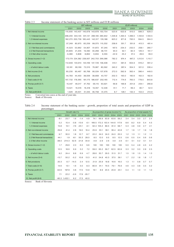### BANKA SLOVENIJE BANK OF SLOVENIA

| Table 2.3<br>Income statement of the banking sector in SIT millions and EUR millions |  |
|--------------------------------------------------------------------------------------|--|
|--------------------------------------------------------------------------------------|--|

|                                |          |                                         | (SIT millions) |                         |                |         |         | (EUR millions) |         |         |  |  |  |  |
|--------------------------------|----------|-----------------------------------------|----------------|-------------------------|----------------|---------|---------|----------------|---------|---------|--|--|--|--|
|                                | 2001     | 2002                                    | 2003           | 2004                    | 2005           | 2001    | 2002    | 2003           | 2004    | 2005    |  |  |  |  |
| 1. Net interest income         |          | 115,930 143,407 145,678 143,678 150,754 |                |                         |                | 523.6   | 622.8   | 615.5          | 599.3   | 629.3   |  |  |  |  |
| 1.1 Interest income            |          | 298.200 344.145 331.121 286.195 285.942 |                |                         |                | 1.346.8 | 1.494.5 | 1.399.0        | 1.193.8 | 1,193.5 |  |  |  |  |
| 1.2 Interest expenses          |          | 182,270 200,739 185,443 142,517 135,188 |                |                         |                | 823.2   | 871.8   | 783.5          | 594.5   | 564.3   |  |  |  |  |
| 2. Net non-interest income     | 57.249   |                                         | 80,975 83,259  |                         | 99,075 115,332 | 258.6   | 351.7   | 351.8          | 413.3   | 481.4   |  |  |  |  |
| 2.1 Net fees and commissions   | 41.523   | 53.962                                  | 54.907         | 61.872                  | 67.245         | 187.5   | 234.3   | 232.0          | 258.1   | 280.7   |  |  |  |  |
| 2.2 Net financial transactions | 20,805   | 21,205                                  | 19,490         | 30,268                  | 38,731         | 94.0    | 92.1    | 82.3           | 126.3   | 161.7   |  |  |  |  |
| 2.3 Net other income           | $-5.080$ | 5.808                                   | 8,862          | 6,934                   | 9,355          | $-22.9$ | 25.2    | 37.4           | 28.9    | 39.0    |  |  |  |  |
| 3. Gross income $(1+2)$        |          | 173,179 224,382 228,937 242,753 266,086 |                |                         |                | 782.2   | 974.4   | 967.2          | 1,012.6 | 1,110.7 |  |  |  |  |
| 4. Operating costs             |          | 112.949 133.914 143.169 147.729 158.408 |                |                         |                | 510.1   | 581.6   | 604.9          | 616.2   | 661.2   |  |  |  |  |
| - of which labour costs        | 53.181   | 66.169                                  | 72.015         | 76.967                  | 80.592         | 240.2   | 287.4   | 304.3          | 321.0   | 336.4   |  |  |  |  |
| 5. Net income (3-4)            | 60.230   | 90.467                                  | 85,768         |                         | 95.024 107.678 | 272.0   | 392.9   | 362.4          | 396.4   | 449.5   |  |  |  |  |
| 6. Net provisions              | 44.783   | 44.450                                  | 38,006         |                         | 38.908 43.757  | 202.3   | 193.0   | 160.6          | 162.3   | 182.6   |  |  |  |  |
| 7. Total costs $(4+6)$         |          | 157,732 178,365                         |                | 181,175 186,637 202,165 |                | 712.4   | 774.6   | 765.5          | 778.5   | 843.8   |  |  |  |  |
| 8. Pre-tax profit (3-7)        | 15.447   | 46.017                                  | 47.762         | 56.115                  | 63.921         | 69.8    | 199.8   | 201.8          | 234.1   | 266.8   |  |  |  |  |
| 9. Taxes                       | 13,521   | 16,516                                  | 16,418         | 19,357                  | 12,446         | 61.1    | 71.7    | 69.4           | 80.7    | 52.0    |  |  |  |  |
| 10. Net profit (8-9)           | 1.926    | 29,501                                  | 31,345         | 36,758                  | 51.475         | 8.7     | 128.1   | 132.4          | 153.3   | 214.9   |  |  |  |  |

Notes: Converted into euros at the end of year rate. Source: Bank of Slovenia

Table 2.4 Income statement of the banking sector - growth, proportion of total assets and proportion of GDP in percentages

|                                |         | Growth rate (%) |         |         |         |        |                         | As proportion of gross income (%) |      |       |        | As proportion of total assets (%) |                     |     |     |
|--------------------------------|---------|-----------------|---------|---------|---------|--------|-------------------------|-----------------------------------|------|-------|--------|-----------------------------------|---------------------|-----|-----|
|                                | 2001    | 2002            | 2003    | 2004    | 2005    | 2001   | 2002                    | 2003                              | 2004 | 2005  | 2001   |                                   | 2002 2003 2004 2005 |     |     |
| 1. Net interest income         | $-8.1$  | 23.7            | 1.6     | $-1.4$  | 4.9     | 74.1   | 66.9                    | 63.9                              | 63.6 | 59.2  | 3.4    | 3.4                               | 3.0                 | 2.7 | 2.4 |
| 1.1 Interest income            | 5.2     | 15.4            | $-3.8$  | $-13.6$ | $-0.1$  |        | 166.5 172.2 153.4 144.6 |                                   |      | 117.9 | 8.6    | 8.2                               | 6.9                 | 5.4 | 4.5 |
| 1.2 Interest expenses          | 15.8    | 10.1            | $-7.6$  | $-23.1$ | $-5.1$  |        | 92.4 105.2              | 89.5                              | 81.0 | 58.7  | 5.3    | 4.8                               | 3.9                 | 2.7 | 2.1 |
| 2. Net non-interest income     | 29.8    | 41.4            | 2.8     | 19.0    | 16.4    | 25.9   | 33.1                    | 36.1                              | 36.4 | 40.8  | 1.7    | 1.9                               | 1.7                 | 1.9 | 1.8 |
| 2.1 Net fees and commissions   | 9.7     | 30.0            | 1.8     | 12.7    | 8.7     | 22.2   | 24.0                    | 24.0                              | 24.0 | 25.5  | 1.2    | 1.3                               | 1.1                 | 1.2 | 1.1 |
| 2.2 Net financial transactions | 44.1    | 1.9             | $-8.1$  | 55.3    | 28.0    | 8.5    | 12.0                    | 9.5                               | 8.5  | 12.5  | 0.6    | 0.5                               | 0.4                 | 0.6 | 0.6 |
| 2.3 Net other income           | $-38.0$ | $-214.3$        | 52.6    | $-21.8$ | 34.9    | $-4.8$ | $-2.9$                  | 2.6                               | 3.9  | 2.9   | $-0.1$ | 0.1                               | 0.2                 | 0.1 | 0.1 |
| 3. Gross income $(1+2)$        | 1.7     | 29.6            | 2.0     | 6.0     | 9.6     | 100    | 100                     | 100                               | 100  | 100   | 5.0    | 5.4                               | 4.8                 | 4.5 | 4.2 |
| 4. Operating costs             | 12.5    | 18.6            | 6.9     | 3.2     | 7.2     | 59.0   | 65.2                    | 59.7                              | 62.5 | 60.9  | 3.3    | 3.2                               | 3.0                 | 2.8 | 2.5 |
| - of which labour costs        | 9.2     | 24.4            | 8.8     | 6.9     | 4.7     | 28.6   | 30.7                    | 29.5                              | 31.5 | 31.7  | 1.5    | 1.6                               | 1.5                 | 1.4 | 1.3 |
| 5. Net income (3-4)            | $-13.7$ | 50.2            | $-5.2$  | 10.8    | 13.3    | 41.0   | 34.8                    | 40.3                              | 37.5 | 39.1  | 1.7    | 2.2                               | 1.8                 | 1.8 | 1.7 |
| 6. Net provisions              | 20.3    | $-0.7$          | $-14.5$ | 2.4     | 12.5    | 21.9   | 25.9                    | 19.8                              | 16.6 | 16.0  | 1.3    | 1.1                               | 0.8                 | 0.7 | 0.7 |
| 7. Total costs $(4+6)$         | 14.6    | 13.1            | 1.6     | 3.0     | 8.3     | 80.9   | 91.1                    | 79.5                              | 79.1 | 76.9  | 4.6    | 4.3                               | 3.8                 | 3.5 | 3.2 |
| 8. Pre-tax profit (3-7)        | $-52.6$ | 197.9           | 3.8     | 17.5    | 13.9    | 19.1   | 8.9                     | 20.5                              | 20.9 | 23.1  | 0.4    | 1.1                               | 1.0                 | 1.1 | 1.0 |
| 9. Taxes                       | 7.1     | 22.2            | $-0.6$  | 17.9    | $-35.7$ |        |                         |                                   |      |       |        |                                   |                     |     |     |
| 10. Net profit (8-9)           |         | $-90.3$ 1.432.1 | 6.2     | 17.3    | 40.0    |        |                         |                                   |      |       |        |                                   |                     |     |     |

Source: Bank of Slovenia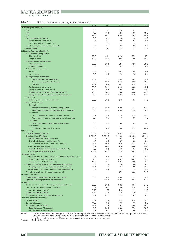BANK OF SLOVENIA

### Table 2.5 Selected indicators of banking sector performance

| 1) Profitability and margins (%)<br>$-$ ROA<br>0.5<br>1.1<br>1.0<br>1.1<br>1.0<br>$-$ ROE<br>4.8<br>13.3<br>12.5<br>13.3<br>13.8<br>$- CIR$<br>65.2<br>59.7<br>62.5<br>60.8<br>59.5<br>5.0<br>5.4<br>4.5<br>4.2<br>- Financial intermediation margin<br>4.8<br>3.4<br>2.7<br>2.4<br>3.4<br>3.0<br>- Interest margin (per total assets)<br>1.7<br>1.9<br>1.7<br>1.9<br>1.8<br>- Non-interest margin (per total assets)<br>- Net interest margin (per interest-bearing assets)<br>3.6<br>3.7<br>3.2<br>2.8<br>2.5<br>$-$ Interest spread <sup>1</sup><br>5.0<br>5.1<br>4.5<br>4.3<br>3.8<br>2) Structure of assets and liabilities (%)<br>2.1 Loans to non-banking sectors<br>- Short-term loans<br>57.2<br>52.8<br>54.1<br>50.1<br>47.1<br>42.8<br>45.9<br>47.2<br>49.9<br>52.9<br>- Long-term loans<br>2.2 Deposits by non-banking sectors<br>- Short-term deposits<br>92.3<br>90.5<br>91.1<br>92.3<br>93.2<br>7.7<br>9.5<br>8.9<br>7.7<br>6.8<br>- Long-term deposits<br>2.3 Regional breakdown of loans<br>- Residents<br>99.2<br>98.0<br>97.4<br>97.5<br>96.6<br>- Non-residents<br>0.8<br>2.0<br>2.6<br>2.5<br>3.4<br>2.4 Foreign currency sub-balance<br>33.4<br>- Foreign currency assets/Total assets<br>34.4<br>33.0<br>35.9<br>40.7<br>- Foreign currency liabilities/Total assets<br>35.3<br>33.9<br>34.6<br>38.3<br>42.8<br>- Difference<br>$-0.9$<br>$-0.9$<br>$-1.1$<br>$-2.4$<br>$-2.1$<br>- Foreign currency loans/Loans<br>29.8<br>32.4<br>34.9<br>38.0<br>48.7<br>- Foreign currency deposits/Deposits<br>41.0<br>39.5<br>40.5<br>44.1<br>49.1<br>- Foreign currency loans/Loans (non-banking sectors)<br>18.7<br>24.3<br>28.8<br>34.8<br>45.9<br>- Foreign currency deposits/Deposits (non-banking sectors)<br>36.0<br>33.6<br>33.3<br>34.6<br>33.1<br>2.5 Securities<br>- Securities/Loans to non-banking sectors<br>58.0<br>70.9<br>67.8<br>53.5<br>51.3<br>2.6 Breakdown by sector<br>- Companies<br>- Loans to companies/Loans to non-banking sectors<br>61.0<br>58.8<br>62.9<br>63.1<br>61.9<br>26.5<br>32.4<br>36.9<br>44.0<br>56.5<br>- Foreign currency loans to companies/Loans to companies<br>- Households<br>- Loans to households/Loans to non-banking sectors<br>27.2<br>25.8<br>24.8<br>24.9<br>25.2<br>- Foreign currency loans to households/Loans to households<br>0.7<br>0.7<br>1.0<br>3.0<br>11.9<br>- Government<br>- Loans to government/Loans to non-banking sectors<br>8.3<br>9.9<br>5.6<br>4.7<br>4.1<br>- Non-residents<br>- Liabilities to foreign banks/Total assets<br>8.5<br>10.2<br>17.9<br>26.7<br>14.0<br>3) Assets quality<br>- Special provisions (SIT billions)<br>211.3<br>227.4<br>243.3<br>255.1<br>279.0<br>6,041.4<br>- Classified claims (SIT billions)<br>3,314.8<br>3,634.7<br>4,110.0<br>4,895.4<br>- Special provisions/Classified claims (%)<br>6.4<br>5.9<br>5.2<br>4.6<br>6.3<br>- D- and E-rated claims/Classified claims (%)<br>4.3<br>3.9<br>3.7<br>3.0<br>2.4<br>85.4<br>80.5<br>81.0<br>80.1<br>- D and E special provisions/D- and E-rated claims (%)<br>81.0<br>- D- and E-rated claims/Capital (%)<br>50.4<br>44.0<br>41.4<br>33.8<br>30.1<br>- D- and E-rated claims minus provisions created/Capital (%)<br>7.3<br>8.6<br>7.9<br>6.7<br>5.7<br>227.0<br>- Sum of large exposures/Capital (%)<br>208.3<br>195.3<br>212.8<br>196.2<br>4) Interest-rate risk<br>- Difference between interest-bearing assets and liabilities (percentage points)<br>7.4<br>6.6<br>6.9<br>7.2<br>6.2<br>- Interest-bearing assets/Assets (%)<br>82.7<br>85.3<br>89.2<br>89.2<br>85.5<br>- Interest-bearing liabilities/Liabilities (%)<br>78.7<br>82.0<br>79.3<br>75.3<br>82.4<br>- Difference in average period of change in interest rates (months)<br>4.7<br>2.4<br>4.0<br>6.0<br>6.6<br>- Average period for change in assets interest rates (months)<br>10.1<br>7.3<br>8.7<br>10.9<br>12.3<br>- Average period for change in liabilities interest rates (months)<br>5.3<br>4.9<br>4.7<br>4.9<br>5.8<br>- Proportion of new loans with variable interest rate $\left(\frac{9}{6}\right)^2$<br>30.1<br>38.5<br>54.5<br>5) Exchange-rate risk (%)<br>- Foreign exchange-risk-adjusted items/Regulatory capital<br>33.9<br>51.6<br>58.6<br>55.1<br>58.9<br>- Open foreign exchange position/Regulatory capital<br>142.5<br>122.5<br>23.4<br>21.7<br>6) Liquidity<br>- Average short-term investments/Average short-term liabilities (%)<br>89.3<br>90.6<br>93.2<br>88.4<br>84.8<br>- Average liquid assets/Average sight deposits (%)<br>27.5<br>30.0<br>22.0<br>21.9<br>23.6<br>- Category 1 liquidity coefficient $3$<br>0.97<br>1.07<br>1.13<br>1.11<br>1.12<br>- Category 2 liquidity coefficient $3$<br>1.09<br>1.02<br>1.06<br>1.10<br>1.11<br>- Secondary liquidity as proportion of total assets (%)<br>21.9<br>14.0<br>18.1<br>22.7<br>15.2 |                                       | 2001 | 2002 | 2003 | 2004 | 2005 |
|----------------------------------------------------------------------------------------------------------------------------------------------------------------------------------------------------------------------------------------------------------------------------------------------------------------------------------------------------------------------------------------------------------------------------------------------------------------------------------------------------------------------------------------------------------------------------------------------------------------------------------------------------------------------------------------------------------------------------------------------------------------------------------------------------------------------------------------------------------------------------------------------------------------------------------------------------------------------------------------------------------------------------------------------------------------------------------------------------------------------------------------------------------------------------------------------------------------------------------------------------------------------------------------------------------------------------------------------------------------------------------------------------------------------------------------------------------------------------------------------------------------------------------------------------------------------------------------------------------------------------------------------------------------------------------------------------------------------------------------------------------------------------------------------------------------------------------------------------------------------------------------------------------------------------------------------------------------------------------------------------------------------------------------------------------------------------------------------------------------------------------------------------------------------------------------------------------------------------------------------------------------------------------------------------------------------------------------------------------------------------------------------------------------------------------------------------------------------------------------------------------------------------------------------------------------------------------------------------------------------------------------------------------------------------------------------------------------------------------------------------------------------------------------------------------------------------------------------------------------------------------------------------------------------------------------------------------------------------------------------------------------------------------------------------------------------------------------------------------------------------------------------------------------------------------------------------------------------------------------------------------------------------------------------------------------------------------------------------------------------------------------------------------------------------------------------------------------------------------------------------------------------------------------------------------------------------------------------------------------------------------------------------------------------------------------------------------------------------------------------------------------------------------------------------------------------------------------------------------------------------------------------------------------------------------------------------------------------------------------------------------------------------------------------------------------------------------------------------------------------------------------------------------------------------------------------------------------------------------------------------------------------------------------------------------------------------------------------------------------------------------------------------------------------------------------------------------------------------------------------------------------------------------------------------------------------------------------------------------------------------------------------------------------------------------------------------------------------------------------------------------------------------------------------------------------|---------------------------------------|------|------|------|------|------|
|                                                                                                                                                                                                                                                                                                                                                                                                                                                                                                                                                                                                                                                                                                                                                                                                                                                                                                                                                                                                                                                                                                                                                                                                                                                                                                                                                                                                                                                                                                                                                                                                                                                                                                                                                                                                                                                                                                                                                                                                                                                                                                                                                                                                                                                                                                                                                                                                                                                                                                                                                                                                                                                                                                                                                                                                                                                                                                                                                                                                                                                                                                                                                                                                                                                                                                                                                                                                                                                                                                                                                                                                                                                                                                                                                                                                                                                                                                                                                                                                                                                                                                                                                                                                                                                                                                                                                                                                                                                                                                                                                                                                                                                                                                                                                                                                                |                                       |      |      |      |      |      |
|                                                                                                                                                                                                                                                                                                                                                                                                                                                                                                                                                                                                                                                                                                                                                                                                                                                                                                                                                                                                                                                                                                                                                                                                                                                                                                                                                                                                                                                                                                                                                                                                                                                                                                                                                                                                                                                                                                                                                                                                                                                                                                                                                                                                                                                                                                                                                                                                                                                                                                                                                                                                                                                                                                                                                                                                                                                                                                                                                                                                                                                                                                                                                                                                                                                                                                                                                                                                                                                                                                                                                                                                                                                                                                                                                                                                                                                                                                                                                                                                                                                                                                                                                                                                                                                                                                                                                                                                                                                                                                                                                                                                                                                                                                                                                                                                                |                                       |      |      |      |      |      |
|                                                                                                                                                                                                                                                                                                                                                                                                                                                                                                                                                                                                                                                                                                                                                                                                                                                                                                                                                                                                                                                                                                                                                                                                                                                                                                                                                                                                                                                                                                                                                                                                                                                                                                                                                                                                                                                                                                                                                                                                                                                                                                                                                                                                                                                                                                                                                                                                                                                                                                                                                                                                                                                                                                                                                                                                                                                                                                                                                                                                                                                                                                                                                                                                                                                                                                                                                                                                                                                                                                                                                                                                                                                                                                                                                                                                                                                                                                                                                                                                                                                                                                                                                                                                                                                                                                                                                                                                                                                                                                                                                                                                                                                                                                                                                                                                                |                                       |      |      |      |      |      |
|                                                                                                                                                                                                                                                                                                                                                                                                                                                                                                                                                                                                                                                                                                                                                                                                                                                                                                                                                                                                                                                                                                                                                                                                                                                                                                                                                                                                                                                                                                                                                                                                                                                                                                                                                                                                                                                                                                                                                                                                                                                                                                                                                                                                                                                                                                                                                                                                                                                                                                                                                                                                                                                                                                                                                                                                                                                                                                                                                                                                                                                                                                                                                                                                                                                                                                                                                                                                                                                                                                                                                                                                                                                                                                                                                                                                                                                                                                                                                                                                                                                                                                                                                                                                                                                                                                                                                                                                                                                                                                                                                                                                                                                                                                                                                                                                                |                                       |      |      |      |      |      |
|                                                                                                                                                                                                                                                                                                                                                                                                                                                                                                                                                                                                                                                                                                                                                                                                                                                                                                                                                                                                                                                                                                                                                                                                                                                                                                                                                                                                                                                                                                                                                                                                                                                                                                                                                                                                                                                                                                                                                                                                                                                                                                                                                                                                                                                                                                                                                                                                                                                                                                                                                                                                                                                                                                                                                                                                                                                                                                                                                                                                                                                                                                                                                                                                                                                                                                                                                                                                                                                                                                                                                                                                                                                                                                                                                                                                                                                                                                                                                                                                                                                                                                                                                                                                                                                                                                                                                                                                                                                                                                                                                                                                                                                                                                                                                                                                                |                                       |      |      |      |      |      |
|                                                                                                                                                                                                                                                                                                                                                                                                                                                                                                                                                                                                                                                                                                                                                                                                                                                                                                                                                                                                                                                                                                                                                                                                                                                                                                                                                                                                                                                                                                                                                                                                                                                                                                                                                                                                                                                                                                                                                                                                                                                                                                                                                                                                                                                                                                                                                                                                                                                                                                                                                                                                                                                                                                                                                                                                                                                                                                                                                                                                                                                                                                                                                                                                                                                                                                                                                                                                                                                                                                                                                                                                                                                                                                                                                                                                                                                                                                                                                                                                                                                                                                                                                                                                                                                                                                                                                                                                                                                                                                                                                                                                                                                                                                                                                                                                                |                                       |      |      |      |      |      |
|                                                                                                                                                                                                                                                                                                                                                                                                                                                                                                                                                                                                                                                                                                                                                                                                                                                                                                                                                                                                                                                                                                                                                                                                                                                                                                                                                                                                                                                                                                                                                                                                                                                                                                                                                                                                                                                                                                                                                                                                                                                                                                                                                                                                                                                                                                                                                                                                                                                                                                                                                                                                                                                                                                                                                                                                                                                                                                                                                                                                                                                                                                                                                                                                                                                                                                                                                                                                                                                                                                                                                                                                                                                                                                                                                                                                                                                                                                                                                                                                                                                                                                                                                                                                                                                                                                                                                                                                                                                                                                                                                                                                                                                                                                                                                                                                                |                                       |      |      |      |      |      |
|                                                                                                                                                                                                                                                                                                                                                                                                                                                                                                                                                                                                                                                                                                                                                                                                                                                                                                                                                                                                                                                                                                                                                                                                                                                                                                                                                                                                                                                                                                                                                                                                                                                                                                                                                                                                                                                                                                                                                                                                                                                                                                                                                                                                                                                                                                                                                                                                                                                                                                                                                                                                                                                                                                                                                                                                                                                                                                                                                                                                                                                                                                                                                                                                                                                                                                                                                                                                                                                                                                                                                                                                                                                                                                                                                                                                                                                                                                                                                                                                                                                                                                                                                                                                                                                                                                                                                                                                                                                                                                                                                                                                                                                                                                                                                                                                                |                                       |      |      |      |      |      |
|                                                                                                                                                                                                                                                                                                                                                                                                                                                                                                                                                                                                                                                                                                                                                                                                                                                                                                                                                                                                                                                                                                                                                                                                                                                                                                                                                                                                                                                                                                                                                                                                                                                                                                                                                                                                                                                                                                                                                                                                                                                                                                                                                                                                                                                                                                                                                                                                                                                                                                                                                                                                                                                                                                                                                                                                                                                                                                                                                                                                                                                                                                                                                                                                                                                                                                                                                                                                                                                                                                                                                                                                                                                                                                                                                                                                                                                                                                                                                                                                                                                                                                                                                                                                                                                                                                                                                                                                                                                                                                                                                                                                                                                                                                                                                                                                                |                                       |      |      |      |      |      |
|                                                                                                                                                                                                                                                                                                                                                                                                                                                                                                                                                                                                                                                                                                                                                                                                                                                                                                                                                                                                                                                                                                                                                                                                                                                                                                                                                                                                                                                                                                                                                                                                                                                                                                                                                                                                                                                                                                                                                                                                                                                                                                                                                                                                                                                                                                                                                                                                                                                                                                                                                                                                                                                                                                                                                                                                                                                                                                                                                                                                                                                                                                                                                                                                                                                                                                                                                                                                                                                                                                                                                                                                                                                                                                                                                                                                                                                                                                                                                                                                                                                                                                                                                                                                                                                                                                                                                                                                                                                                                                                                                                                                                                                                                                                                                                                                                |                                       |      |      |      |      |      |
|                                                                                                                                                                                                                                                                                                                                                                                                                                                                                                                                                                                                                                                                                                                                                                                                                                                                                                                                                                                                                                                                                                                                                                                                                                                                                                                                                                                                                                                                                                                                                                                                                                                                                                                                                                                                                                                                                                                                                                                                                                                                                                                                                                                                                                                                                                                                                                                                                                                                                                                                                                                                                                                                                                                                                                                                                                                                                                                                                                                                                                                                                                                                                                                                                                                                                                                                                                                                                                                                                                                                                                                                                                                                                                                                                                                                                                                                                                                                                                                                                                                                                                                                                                                                                                                                                                                                                                                                                                                                                                                                                                                                                                                                                                                                                                                                                |                                       |      |      |      |      |      |
|                                                                                                                                                                                                                                                                                                                                                                                                                                                                                                                                                                                                                                                                                                                                                                                                                                                                                                                                                                                                                                                                                                                                                                                                                                                                                                                                                                                                                                                                                                                                                                                                                                                                                                                                                                                                                                                                                                                                                                                                                                                                                                                                                                                                                                                                                                                                                                                                                                                                                                                                                                                                                                                                                                                                                                                                                                                                                                                                                                                                                                                                                                                                                                                                                                                                                                                                                                                                                                                                                                                                                                                                                                                                                                                                                                                                                                                                                                                                                                                                                                                                                                                                                                                                                                                                                                                                                                                                                                                                                                                                                                                                                                                                                                                                                                                                                |                                       |      |      |      |      |      |
|                                                                                                                                                                                                                                                                                                                                                                                                                                                                                                                                                                                                                                                                                                                                                                                                                                                                                                                                                                                                                                                                                                                                                                                                                                                                                                                                                                                                                                                                                                                                                                                                                                                                                                                                                                                                                                                                                                                                                                                                                                                                                                                                                                                                                                                                                                                                                                                                                                                                                                                                                                                                                                                                                                                                                                                                                                                                                                                                                                                                                                                                                                                                                                                                                                                                                                                                                                                                                                                                                                                                                                                                                                                                                                                                                                                                                                                                                                                                                                                                                                                                                                                                                                                                                                                                                                                                                                                                                                                                                                                                                                                                                                                                                                                                                                                                                |                                       |      |      |      |      |      |
|                                                                                                                                                                                                                                                                                                                                                                                                                                                                                                                                                                                                                                                                                                                                                                                                                                                                                                                                                                                                                                                                                                                                                                                                                                                                                                                                                                                                                                                                                                                                                                                                                                                                                                                                                                                                                                                                                                                                                                                                                                                                                                                                                                                                                                                                                                                                                                                                                                                                                                                                                                                                                                                                                                                                                                                                                                                                                                                                                                                                                                                                                                                                                                                                                                                                                                                                                                                                                                                                                                                                                                                                                                                                                                                                                                                                                                                                                                                                                                                                                                                                                                                                                                                                                                                                                                                                                                                                                                                                                                                                                                                                                                                                                                                                                                                                                |                                       |      |      |      |      |      |
|                                                                                                                                                                                                                                                                                                                                                                                                                                                                                                                                                                                                                                                                                                                                                                                                                                                                                                                                                                                                                                                                                                                                                                                                                                                                                                                                                                                                                                                                                                                                                                                                                                                                                                                                                                                                                                                                                                                                                                                                                                                                                                                                                                                                                                                                                                                                                                                                                                                                                                                                                                                                                                                                                                                                                                                                                                                                                                                                                                                                                                                                                                                                                                                                                                                                                                                                                                                                                                                                                                                                                                                                                                                                                                                                                                                                                                                                                                                                                                                                                                                                                                                                                                                                                                                                                                                                                                                                                                                                                                                                                                                                                                                                                                                                                                                                                |                                       |      |      |      |      |      |
|                                                                                                                                                                                                                                                                                                                                                                                                                                                                                                                                                                                                                                                                                                                                                                                                                                                                                                                                                                                                                                                                                                                                                                                                                                                                                                                                                                                                                                                                                                                                                                                                                                                                                                                                                                                                                                                                                                                                                                                                                                                                                                                                                                                                                                                                                                                                                                                                                                                                                                                                                                                                                                                                                                                                                                                                                                                                                                                                                                                                                                                                                                                                                                                                                                                                                                                                                                                                                                                                                                                                                                                                                                                                                                                                                                                                                                                                                                                                                                                                                                                                                                                                                                                                                                                                                                                                                                                                                                                                                                                                                                                                                                                                                                                                                                                                                |                                       |      |      |      |      |      |
|                                                                                                                                                                                                                                                                                                                                                                                                                                                                                                                                                                                                                                                                                                                                                                                                                                                                                                                                                                                                                                                                                                                                                                                                                                                                                                                                                                                                                                                                                                                                                                                                                                                                                                                                                                                                                                                                                                                                                                                                                                                                                                                                                                                                                                                                                                                                                                                                                                                                                                                                                                                                                                                                                                                                                                                                                                                                                                                                                                                                                                                                                                                                                                                                                                                                                                                                                                                                                                                                                                                                                                                                                                                                                                                                                                                                                                                                                                                                                                                                                                                                                                                                                                                                                                                                                                                                                                                                                                                                                                                                                                                                                                                                                                                                                                                                                |                                       |      |      |      |      |      |
|                                                                                                                                                                                                                                                                                                                                                                                                                                                                                                                                                                                                                                                                                                                                                                                                                                                                                                                                                                                                                                                                                                                                                                                                                                                                                                                                                                                                                                                                                                                                                                                                                                                                                                                                                                                                                                                                                                                                                                                                                                                                                                                                                                                                                                                                                                                                                                                                                                                                                                                                                                                                                                                                                                                                                                                                                                                                                                                                                                                                                                                                                                                                                                                                                                                                                                                                                                                                                                                                                                                                                                                                                                                                                                                                                                                                                                                                                                                                                                                                                                                                                                                                                                                                                                                                                                                                                                                                                                                                                                                                                                                                                                                                                                                                                                                                                |                                       |      |      |      |      |      |
|                                                                                                                                                                                                                                                                                                                                                                                                                                                                                                                                                                                                                                                                                                                                                                                                                                                                                                                                                                                                                                                                                                                                                                                                                                                                                                                                                                                                                                                                                                                                                                                                                                                                                                                                                                                                                                                                                                                                                                                                                                                                                                                                                                                                                                                                                                                                                                                                                                                                                                                                                                                                                                                                                                                                                                                                                                                                                                                                                                                                                                                                                                                                                                                                                                                                                                                                                                                                                                                                                                                                                                                                                                                                                                                                                                                                                                                                                                                                                                                                                                                                                                                                                                                                                                                                                                                                                                                                                                                                                                                                                                                                                                                                                                                                                                                                                |                                       |      |      |      |      |      |
|                                                                                                                                                                                                                                                                                                                                                                                                                                                                                                                                                                                                                                                                                                                                                                                                                                                                                                                                                                                                                                                                                                                                                                                                                                                                                                                                                                                                                                                                                                                                                                                                                                                                                                                                                                                                                                                                                                                                                                                                                                                                                                                                                                                                                                                                                                                                                                                                                                                                                                                                                                                                                                                                                                                                                                                                                                                                                                                                                                                                                                                                                                                                                                                                                                                                                                                                                                                                                                                                                                                                                                                                                                                                                                                                                                                                                                                                                                                                                                                                                                                                                                                                                                                                                                                                                                                                                                                                                                                                                                                                                                                                                                                                                                                                                                                                                |                                       |      |      |      |      |      |
|                                                                                                                                                                                                                                                                                                                                                                                                                                                                                                                                                                                                                                                                                                                                                                                                                                                                                                                                                                                                                                                                                                                                                                                                                                                                                                                                                                                                                                                                                                                                                                                                                                                                                                                                                                                                                                                                                                                                                                                                                                                                                                                                                                                                                                                                                                                                                                                                                                                                                                                                                                                                                                                                                                                                                                                                                                                                                                                                                                                                                                                                                                                                                                                                                                                                                                                                                                                                                                                                                                                                                                                                                                                                                                                                                                                                                                                                                                                                                                                                                                                                                                                                                                                                                                                                                                                                                                                                                                                                                                                                                                                                                                                                                                                                                                                                                |                                       |      |      |      |      |      |
|                                                                                                                                                                                                                                                                                                                                                                                                                                                                                                                                                                                                                                                                                                                                                                                                                                                                                                                                                                                                                                                                                                                                                                                                                                                                                                                                                                                                                                                                                                                                                                                                                                                                                                                                                                                                                                                                                                                                                                                                                                                                                                                                                                                                                                                                                                                                                                                                                                                                                                                                                                                                                                                                                                                                                                                                                                                                                                                                                                                                                                                                                                                                                                                                                                                                                                                                                                                                                                                                                                                                                                                                                                                                                                                                                                                                                                                                                                                                                                                                                                                                                                                                                                                                                                                                                                                                                                                                                                                                                                                                                                                                                                                                                                                                                                                                                |                                       |      |      |      |      |      |
|                                                                                                                                                                                                                                                                                                                                                                                                                                                                                                                                                                                                                                                                                                                                                                                                                                                                                                                                                                                                                                                                                                                                                                                                                                                                                                                                                                                                                                                                                                                                                                                                                                                                                                                                                                                                                                                                                                                                                                                                                                                                                                                                                                                                                                                                                                                                                                                                                                                                                                                                                                                                                                                                                                                                                                                                                                                                                                                                                                                                                                                                                                                                                                                                                                                                                                                                                                                                                                                                                                                                                                                                                                                                                                                                                                                                                                                                                                                                                                                                                                                                                                                                                                                                                                                                                                                                                                                                                                                                                                                                                                                                                                                                                                                                                                                                                |                                       |      |      |      |      |      |
|                                                                                                                                                                                                                                                                                                                                                                                                                                                                                                                                                                                                                                                                                                                                                                                                                                                                                                                                                                                                                                                                                                                                                                                                                                                                                                                                                                                                                                                                                                                                                                                                                                                                                                                                                                                                                                                                                                                                                                                                                                                                                                                                                                                                                                                                                                                                                                                                                                                                                                                                                                                                                                                                                                                                                                                                                                                                                                                                                                                                                                                                                                                                                                                                                                                                                                                                                                                                                                                                                                                                                                                                                                                                                                                                                                                                                                                                                                                                                                                                                                                                                                                                                                                                                                                                                                                                                                                                                                                                                                                                                                                                                                                                                                                                                                                                                |                                       |      |      |      |      |      |
|                                                                                                                                                                                                                                                                                                                                                                                                                                                                                                                                                                                                                                                                                                                                                                                                                                                                                                                                                                                                                                                                                                                                                                                                                                                                                                                                                                                                                                                                                                                                                                                                                                                                                                                                                                                                                                                                                                                                                                                                                                                                                                                                                                                                                                                                                                                                                                                                                                                                                                                                                                                                                                                                                                                                                                                                                                                                                                                                                                                                                                                                                                                                                                                                                                                                                                                                                                                                                                                                                                                                                                                                                                                                                                                                                                                                                                                                                                                                                                                                                                                                                                                                                                                                                                                                                                                                                                                                                                                                                                                                                                                                                                                                                                                                                                                                                |                                       |      |      |      |      |      |
|                                                                                                                                                                                                                                                                                                                                                                                                                                                                                                                                                                                                                                                                                                                                                                                                                                                                                                                                                                                                                                                                                                                                                                                                                                                                                                                                                                                                                                                                                                                                                                                                                                                                                                                                                                                                                                                                                                                                                                                                                                                                                                                                                                                                                                                                                                                                                                                                                                                                                                                                                                                                                                                                                                                                                                                                                                                                                                                                                                                                                                                                                                                                                                                                                                                                                                                                                                                                                                                                                                                                                                                                                                                                                                                                                                                                                                                                                                                                                                                                                                                                                                                                                                                                                                                                                                                                                                                                                                                                                                                                                                                                                                                                                                                                                                                                                |                                       |      |      |      |      |      |
|                                                                                                                                                                                                                                                                                                                                                                                                                                                                                                                                                                                                                                                                                                                                                                                                                                                                                                                                                                                                                                                                                                                                                                                                                                                                                                                                                                                                                                                                                                                                                                                                                                                                                                                                                                                                                                                                                                                                                                                                                                                                                                                                                                                                                                                                                                                                                                                                                                                                                                                                                                                                                                                                                                                                                                                                                                                                                                                                                                                                                                                                                                                                                                                                                                                                                                                                                                                                                                                                                                                                                                                                                                                                                                                                                                                                                                                                                                                                                                                                                                                                                                                                                                                                                                                                                                                                                                                                                                                                                                                                                                                                                                                                                                                                                                                                                |                                       |      |      |      |      |      |
|                                                                                                                                                                                                                                                                                                                                                                                                                                                                                                                                                                                                                                                                                                                                                                                                                                                                                                                                                                                                                                                                                                                                                                                                                                                                                                                                                                                                                                                                                                                                                                                                                                                                                                                                                                                                                                                                                                                                                                                                                                                                                                                                                                                                                                                                                                                                                                                                                                                                                                                                                                                                                                                                                                                                                                                                                                                                                                                                                                                                                                                                                                                                                                                                                                                                                                                                                                                                                                                                                                                                                                                                                                                                                                                                                                                                                                                                                                                                                                                                                                                                                                                                                                                                                                                                                                                                                                                                                                                                                                                                                                                                                                                                                                                                                                                                                |                                       |      |      |      |      |      |
|                                                                                                                                                                                                                                                                                                                                                                                                                                                                                                                                                                                                                                                                                                                                                                                                                                                                                                                                                                                                                                                                                                                                                                                                                                                                                                                                                                                                                                                                                                                                                                                                                                                                                                                                                                                                                                                                                                                                                                                                                                                                                                                                                                                                                                                                                                                                                                                                                                                                                                                                                                                                                                                                                                                                                                                                                                                                                                                                                                                                                                                                                                                                                                                                                                                                                                                                                                                                                                                                                                                                                                                                                                                                                                                                                                                                                                                                                                                                                                                                                                                                                                                                                                                                                                                                                                                                                                                                                                                                                                                                                                                                                                                                                                                                                                                                                |                                       |      |      |      |      |      |
|                                                                                                                                                                                                                                                                                                                                                                                                                                                                                                                                                                                                                                                                                                                                                                                                                                                                                                                                                                                                                                                                                                                                                                                                                                                                                                                                                                                                                                                                                                                                                                                                                                                                                                                                                                                                                                                                                                                                                                                                                                                                                                                                                                                                                                                                                                                                                                                                                                                                                                                                                                                                                                                                                                                                                                                                                                                                                                                                                                                                                                                                                                                                                                                                                                                                                                                                                                                                                                                                                                                                                                                                                                                                                                                                                                                                                                                                                                                                                                                                                                                                                                                                                                                                                                                                                                                                                                                                                                                                                                                                                                                                                                                                                                                                                                                                                |                                       |      |      |      |      |      |
|                                                                                                                                                                                                                                                                                                                                                                                                                                                                                                                                                                                                                                                                                                                                                                                                                                                                                                                                                                                                                                                                                                                                                                                                                                                                                                                                                                                                                                                                                                                                                                                                                                                                                                                                                                                                                                                                                                                                                                                                                                                                                                                                                                                                                                                                                                                                                                                                                                                                                                                                                                                                                                                                                                                                                                                                                                                                                                                                                                                                                                                                                                                                                                                                                                                                                                                                                                                                                                                                                                                                                                                                                                                                                                                                                                                                                                                                                                                                                                                                                                                                                                                                                                                                                                                                                                                                                                                                                                                                                                                                                                                                                                                                                                                                                                                                                |                                       |      |      |      |      |      |
|                                                                                                                                                                                                                                                                                                                                                                                                                                                                                                                                                                                                                                                                                                                                                                                                                                                                                                                                                                                                                                                                                                                                                                                                                                                                                                                                                                                                                                                                                                                                                                                                                                                                                                                                                                                                                                                                                                                                                                                                                                                                                                                                                                                                                                                                                                                                                                                                                                                                                                                                                                                                                                                                                                                                                                                                                                                                                                                                                                                                                                                                                                                                                                                                                                                                                                                                                                                                                                                                                                                                                                                                                                                                                                                                                                                                                                                                                                                                                                                                                                                                                                                                                                                                                                                                                                                                                                                                                                                                                                                                                                                                                                                                                                                                                                                                                |                                       |      |      |      |      |      |
|                                                                                                                                                                                                                                                                                                                                                                                                                                                                                                                                                                                                                                                                                                                                                                                                                                                                                                                                                                                                                                                                                                                                                                                                                                                                                                                                                                                                                                                                                                                                                                                                                                                                                                                                                                                                                                                                                                                                                                                                                                                                                                                                                                                                                                                                                                                                                                                                                                                                                                                                                                                                                                                                                                                                                                                                                                                                                                                                                                                                                                                                                                                                                                                                                                                                                                                                                                                                                                                                                                                                                                                                                                                                                                                                                                                                                                                                                                                                                                                                                                                                                                                                                                                                                                                                                                                                                                                                                                                                                                                                                                                                                                                                                                                                                                                                                |                                       |      |      |      |      |      |
|                                                                                                                                                                                                                                                                                                                                                                                                                                                                                                                                                                                                                                                                                                                                                                                                                                                                                                                                                                                                                                                                                                                                                                                                                                                                                                                                                                                                                                                                                                                                                                                                                                                                                                                                                                                                                                                                                                                                                                                                                                                                                                                                                                                                                                                                                                                                                                                                                                                                                                                                                                                                                                                                                                                                                                                                                                                                                                                                                                                                                                                                                                                                                                                                                                                                                                                                                                                                                                                                                                                                                                                                                                                                                                                                                                                                                                                                                                                                                                                                                                                                                                                                                                                                                                                                                                                                                                                                                                                                                                                                                                                                                                                                                                                                                                                                                |                                       |      |      |      |      |      |
|                                                                                                                                                                                                                                                                                                                                                                                                                                                                                                                                                                                                                                                                                                                                                                                                                                                                                                                                                                                                                                                                                                                                                                                                                                                                                                                                                                                                                                                                                                                                                                                                                                                                                                                                                                                                                                                                                                                                                                                                                                                                                                                                                                                                                                                                                                                                                                                                                                                                                                                                                                                                                                                                                                                                                                                                                                                                                                                                                                                                                                                                                                                                                                                                                                                                                                                                                                                                                                                                                                                                                                                                                                                                                                                                                                                                                                                                                                                                                                                                                                                                                                                                                                                                                                                                                                                                                                                                                                                                                                                                                                                                                                                                                                                                                                                                                |                                       |      |      |      |      |      |
|                                                                                                                                                                                                                                                                                                                                                                                                                                                                                                                                                                                                                                                                                                                                                                                                                                                                                                                                                                                                                                                                                                                                                                                                                                                                                                                                                                                                                                                                                                                                                                                                                                                                                                                                                                                                                                                                                                                                                                                                                                                                                                                                                                                                                                                                                                                                                                                                                                                                                                                                                                                                                                                                                                                                                                                                                                                                                                                                                                                                                                                                                                                                                                                                                                                                                                                                                                                                                                                                                                                                                                                                                                                                                                                                                                                                                                                                                                                                                                                                                                                                                                                                                                                                                                                                                                                                                                                                                                                                                                                                                                                                                                                                                                                                                                                                                |                                       |      |      |      |      |      |
|                                                                                                                                                                                                                                                                                                                                                                                                                                                                                                                                                                                                                                                                                                                                                                                                                                                                                                                                                                                                                                                                                                                                                                                                                                                                                                                                                                                                                                                                                                                                                                                                                                                                                                                                                                                                                                                                                                                                                                                                                                                                                                                                                                                                                                                                                                                                                                                                                                                                                                                                                                                                                                                                                                                                                                                                                                                                                                                                                                                                                                                                                                                                                                                                                                                                                                                                                                                                                                                                                                                                                                                                                                                                                                                                                                                                                                                                                                                                                                                                                                                                                                                                                                                                                                                                                                                                                                                                                                                                                                                                                                                                                                                                                                                                                                                                                |                                       |      |      |      |      |      |
|                                                                                                                                                                                                                                                                                                                                                                                                                                                                                                                                                                                                                                                                                                                                                                                                                                                                                                                                                                                                                                                                                                                                                                                                                                                                                                                                                                                                                                                                                                                                                                                                                                                                                                                                                                                                                                                                                                                                                                                                                                                                                                                                                                                                                                                                                                                                                                                                                                                                                                                                                                                                                                                                                                                                                                                                                                                                                                                                                                                                                                                                                                                                                                                                                                                                                                                                                                                                                                                                                                                                                                                                                                                                                                                                                                                                                                                                                                                                                                                                                                                                                                                                                                                                                                                                                                                                                                                                                                                                                                                                                                                                                                                                                                                                                                                                                |                                       |      |      |      |      |      |
|                                                                                                                                                                                                                                                                                                                                                                                                                                                                                                                                                                                                                                                                                                                                                                                                                                                                                                                                                                                                                                                                                                                                                                                                                                                                                                                                                                                                                                                                                                                                                                                                                                                                                                                                                                                                                                                                                                                                                                                                                                                                                                                                                                                                                                                                                                                                                                                                                                                                                                                                                                                                                                                                                                                                                                                                                                                                                                                                                                                                                                                                                                                                                                                                                                                                                                                                                                                                                                                                                                                                                                                                                                                                                                                                                                                                                                                                                                                                                                                                                                                                                                                                                                                                                                                                                                                                                                                                                                                                                                                                                                                                                                                                                                                                                                                                                |                                       |      |      |      |      |      |
|                                                                                                                                                                                                                                                                                                                                                                                                                                                                                                                                                                                                                                                                                                                                                                                                                                                                                                                                                                                                                                                                                                                                                                                                                                                                                                                                                                                                                                                                                                                                                                                                                                                                                                                                                                                                                                                                                                                                                                                                                                                                                                                                                                                                                                                                                                                                                                                                                                                                                                                                                                                                                                                                                                                                                                                                                                                                                                                                                                                                                                                                                                                                                                                                                                                                                                                                                                                                                                                                                                                                                                                                                                                                                                                                                                                                                                                                                                                                                                                                                                                                                                                                                                                                                                                                                                                                                                                                                                                                                                                                                                                                                                                                                                                                                                                                                |                                       |      |      |      |      |      |
|                                                                                                                                                                                                                                                                                                                                                                                                                                                                                                                                                                                                                                                                                                                                                                                                                                                                                                                                                                                                                                                                                                                                                                                                                                                                                                                                                                                                                                                                                                                                                                                                                                                                                                                                                                                                                                                                                                                                                                                                                                                                                                                                                                                                                                                                                                                                                                                                                                                                                                                                                                                                                                                                                                                                                                                                                                                                                                                                                                                                                                                                                                                                                                                                                                                                                                                                                                                                                                                                                                                                                                                                                                                                                                                                                                                                                                                                                                                                                                                                                                                                                                                                                                                                                                                                                                                                                                                                                                                                                                                                                                                                                                                                                                                                                                                                                |                                       |      |      |      |      |      |
|                                                                                                                                                                                                                                                                                                                                                                                                                                                                                                                                                                                                                                                                                                                                                                                                                                                                                                                                                                                                                                                                                                                                                                                                                                                                                                                                                                                                                                                                                                                                                                                                                                                                                                                                                                                                                                                                                                                                                                                                                                                                                                                                                                                                                                                                                                                                                                                                                                                                                                                                                                                                                                                                                                                                                                                                                                                                                                                                                                                                                                                                                                                                                                                                                                                                                                                                                                                                                                                                                                                                                                                                                                                                                                                                                                                                                                                                                                                                                                                                                                                                                                                                                                                                                                                                                                                                                                                                                                                                                                                                                                                                                                                                                                                                                                                                                |                                       |      |      |      |      |      |
|                                                                                                                                                                                                                                                                                                                                                                                                                                                                                                                                                                                                                                                                                                                                                                                                                                                                                                                                                                                                                                                                                                                                                                                                                                                                                                                                                                                                                                                                                                                                                                                                                                                                                                                                                                                                                                                                                                                                                                                                                                                                                                                                                                                                                                                                                                                                                                                                                                                                                                                                                                                                                                                                                                                                                                                                                                                                                                                                                                                                                                                                                                                                                                                                                                                                                                                                                                                                                                                                                                                                                                                                                                                                                                                                                                                                                                                                                                                                                                                                                                                                                                                                                                                                                                                                                                                                                                                                                                                                                                                                                                                                                                                                                                                                                                                                                |                                       |      |      |      |      |      |
|                                                                                                                                                                                                                                                                                                                                                                                                                                                                                                                                                                                                                                                                                                                                                                                                                                                                                                                                                                                                                                                                                                                                                                                                                                                                                                                                                                                                                                                                                                                                                                                                                                                                                                                                                                                                                                                                                                                                                                                                                                                                                                                                                                                                                                                                                                                                                                                                                                                                                                                                                                                                                                                                                                                                                                                                                                                                                                                                                                                                                                                                                                                                                                                                                                                                                                                                                                                                                                                                                                                                                                                                                                                                                                                                                                                                                                                                                                                                                                                                                                                                                                                                                                                                                                                                                                                                                                                                                                                                                                                                                                                                                                                                                                                                                                                                                |                                       |      |      |      |      |      |
|                                                                                                                                                                                                                                                                                                                                                                                                                                                                                                                                                                                                                                                                                                                                                                                                                                                                                                                                                                                                                                                                                                                                                                                                                                                                                                                                                                                                                                                                                                                                                                                                                                                                                                                                                                                                                                                                                                                                                                                                                                                                                                                                                                                                                                                                                                                                                                                                                                                                                                                                                                                                                                                                                                                                                                                                                                                                                                                                                                                                                                                                                                                                                                                                                                                                                                                                                                                                                                                                                                                                                                                                                                                                                                                                                                                                                                                                                                                                                                                                                                                                                                                                                                                                                                                                                                                                                                                                                                                                                                                                                                                                                                                                                                                                                                                                                |                                       |      |      |      |      |      |
|                                                                                                                                                                                                                                                                                                                                                                                                                                                                                                                                                                                                                                                                                                                                                                                                                                                                                                                                                                                                                                                                                                                                                                                                                                                                                                                                                                                                                                                                                                                                                                                                                                                                                                                                                                                                                                                                                                                                                                                                                                                                                                                                                                                                                                                                                                                                                                                                                                                                                                                                                                                                                                                                                                                                                                                                                                                                                                                                                                                                                                                                                                                                                                                                                                                                                                                                                                                                                                                                                                                                                                                                                                                                                                                                                                                                                                                                                                                                                                                                                                                                                                                                                                                                                                                                                                                                                                                                                                                                                                                                                                                                                                                                                                                                                                                                                |                                       |      |      |      |      |      |
|                                                                                                                                                                                                                                                                                                                                                                                                                                                                                                                                                                                                                                                                                                                                                                                                                                                                                                                                                                                                                                                                                                                                                                                                                                                                                                                                                                                                                                                                                                                                                                                                                                                                                                                                                                                                                                                                                                                                                                                                                                                                                                                                                                                                                                                                                                                                                                                                                                                                                                                                                                                                                                                                                                                                                                                                                                                                                                                                                                                                                                                                                                                                                                                                                                                                                                                                                                                                                                                                                                                                                                                                                                                                                                                                                                                                                                                                                                                                                                                                                                                                                                                                                                                                                                                                                                                                                                                                                                                                                                                                                                                                                                                                                                                                                                                                                |                                       |      |      |      |      |      |
|                                                                                                                                                                                                                                                                                                                                                                                                                                                                                                                                                                                                                                                                                                                                                                                                                                                                                                                                                                                                                                                                                                                                                                                                                                                                                                                                                                                                                                                                                                                                                                                                                                                                                                                                                                                                                                                                                                                                                                                                                                                                                                                                                                                                                                                                                                                                                                                                                                                                                                                                                                                                                                                                                                                                                                                                                                                                                                                                                                                                                                                                                                                                                                                                                                                                                                                                                                                                                                                                                                                                                                                                                                                                                                                                                                                                                                                                                                                                                                                                                                                                                                                                                                                                                                                                                                                                                                                                                                                                                                                                                                                                                                                                                                                                                                                                                |                                       |      |      |      |      |      |
|                                                                                                                                                                                                                                                                                                                                                                                                                                                                                                                                                                                                                                                                                                                                                                                                                                                                                                                                                                                                                                                                                                                                                                                                                                                                                                                                                                                                                                                                                                                                                                                                                                                                                                                                                                                                                                                                                                                                                                                                                                                                                                                                                                                                                                                                                                                                                                                                                                                                                                                                                                                                                                                                                                                                                                                                                                                                                                                                                                                                                                                                                                                                                                                                                                                                                                                                                                                                                                                                                                                                                                                                                                                                                                                                                                                                                                                                                                                                                                                                                                                                                                                                                                                                                                                                                                                                                                                                                                                                                                                                                                                                                                                                                                                                                                                                                |                                       |      |      |      |      |      |
|                                                                                                                                                                                                                                                                                                                                                                                                                                                                                                                                                                                                                                                                                                                                                                                                                                                                                                                                                                                                                                                                                                                                                                                                                                                                                                                                                                                                                                                                                                                                                                                                                                                                                                                                                                                                                                                                                                                                                                                                                                                                                                                                                                                                                                                                                                                                                                                                                                                                                                                                                                                                                                                                                                                                                                                                                                                                                                                                                                                                                                                                                                                                                                                                                                                                                                                                                                                                                                                                                                                                                                                                                                                                                                                                                                                                                                                                                                                                                                                                                                                                                                                                                                                                                                                                                                                                                                                                                                                                                                                                                                                                                                                                                                                                                                                                                |                                       |      |      |      |      |      |
|                                                                                                                                                                                                                                                                                                                                                                                                                                                                                                                                                                                                                                                                                                                                                                                                                                                                                                                                                                                                                                                                                                                                                                                                                                                                                                                                                                                                                                                                                                                                                                                                                                                                                                                                                                                                                                                                                                                                                                                                                                                                                                                                                                                                                                                                                                                                                                                                                                                                                                                                                                                                                                                                                                                                                                                                                                                                                                                                                                                                                                                                                                                                                                                                                                                                                                                                                                                                                                                                                                                                                                                                                                                                                                                                                                                                                                                                                                                                                                                                                                                                                                                                                                                                                                                                                                                                                                                                                                                                                                                                                                                                                                                                                                                                                                                                                |                                       |      |      |      |      |      |
|                                                                                                                                                                                                                                                                                                                                                                                                                                                                                                                                                                                                                                                                                                                                                                                                                                                                                                                                                                                                                                                                                                                                                                                                                                                                                                                                                                                                                                                                                                                                                                                                                                                                                                                                                                                                                                                                                                                                                                                                                                                                                                                                                                                                                                                                                                                                                                                                                                                                                                                                                                                                                                                                                                                                                                                                                                                                                                                                                                                                                                                                                                                                                                                                                                                                                                                                                                                                                                                                                                                                                                                                                                                                                                                                                                                                                                                                                                                                                                                                                                                                                                                                                                                                                                                                                                                                                                                                                                                                                                                                                                                                                                                                                                                                                                                                                |                                       |      |      |      |      |      |
|                                                                                                                                                                                                                                                                                                                                                                                                                                                                                                                                                                                                                                                                                                                                                                                                                                                                                                                                                                                                                                                                                                                                                                                                                                                                                                                                                                                                                                                                                                                                                                                                                                                                                                                                                                                                                                                                                                                                                                                                                                                                                                                                                                                                                                                                                                                                                                                                                                                                                                                                                                                                                                                                                                                                                                                                                                                                                                                                                                                                                                                                                                                                                                                                                                                                                                                                                                                                                                                                                                                                                                                                                                                                                                                                                                                                                                                                                                                                                                                                                                                                                                                                                                                                                                                                                                                                                                                                                                                                                                                                                                                                                                                                                                                                                                                                                |                                       |      |      |      |      |      |
|                                                                                                                                                                                                                                                                                                                                                                                                                                                                                                                                                                                                                                                                                                                                                                                                                                                                                                                                                                                                                                                                                                                                                                                                                                                                                                                                                                                                                                                                                                                                                                                                                                                                                                                                                                                                                                                                                                                                                                                                                                                                                                                                                                                                                                                                                                                                                                                                                                                                                                                                                                                                                                                                                                                                                                                                                                                                                                                                                                                                                                                                                                                                                                                                                                                                                                                                                                                                                                                                                                                                                                                                                                                                                                                                                                                                                                                                                                                                                                                                                                                                                                                                                                                                                                                                                                                                                                                                                                                                                                                                                                                                                                                                                                                                                                                                                |                                       |      |      |      |      |      |
|                                                                                                                                                                                                                                                                                                                                                                                                                                                                                                                                                                                                                                                                                                                                                                                                                                                                                                                                                                                                                                                                                                                                                                                                                                                                                                                                                                                                                                                                                                                                                                                                                                                                                                                                                                                                                                                                                                                                                                                                                                                                                                                                                                                                                                                                                                                                                                                                                                                                                                                                                                                                                                                                                                                                                                                                                                                                                                                                                                                                                                                                                                                                                                                                                                                                                                                                                                                                                                                                                                                                                                                                                                                                                                                                                                                                                                                                                                                                                                                                                                                                                                                                                                                                                                                                                                                                                                                                                                                                                                                                                                                                                                                                                                                                                                                                                |                                       |      |      |      |      |      |
|                                                                                                                                                                                                                                                                                                                                                                                                                                                                                                                                                                                                                                                                                                                                                                                                                                                                                                                                                                                                                                                                                                                                                                                                                                                                                                                                                                                                                                                                                                                                                                                                                                                                                                                                                                                                                                                                                                                                                                                                                                                                                                                                                                                                                                                                                                                                                                                                                                                                                                                                                                                                                                                                                                                                                                                                                                                                                                                                                                                                                                                                                                                                                                                                                                                                                                                                                                                                                                                                                                                                                                                                                                                                                                                                                                                                                                                                                                                                                                                                                                                                                                                                                                                                                                                                                                                                                                                                                                                                                                                                                                                                                                                                                                                                                                                                                |                                       |      |      |      |      |      |
|                                                                                                                                                                                                                                                                                                                                                                                                                                                                                                                                                                                                                                                                                                                                                                                                                                                                                                                                                                                                                                                                                                                                                                                                                                                                                                                                                                                                                                                                                                                                                                                                                                                                                                                                                                                                                                                                                                                                                                                                                                                                                                                                                                                                                                                                                                                                                                                                                                                                                                                                                                                                                                                                                                                                                                                                                                                                                                                                                                                                                                                                                                                                                                                                                                                                                                                                                                                                                                                                                                                                                                                                                                                                                                                                                                                                                                                                                                                                                                                                                                                                                                                                                                                                                                                                                                                                                                                                                                                                                                                                                                                                                                                                                                                                                                                                                |                                       |      |      |      |      |      |
|                                                                                                                                                                                                                                                                                                                                                                                                                                                                                                                                                                                                                                                                                                                                                                                                                                                                                                                                                                                                                                                                                                                                                                                                                                                                                                                                                                                                                                                                                                                                                                                                                                                                                                                                                                                                                                                                                                                                                                                                                                                                                                                                                                                                                                                                                                                                                                                                                                                                                                                                                                                                                                                                                                                                                                                                                                                                                                                                                                                                                                                                                                                                                                                                                                                                                                                                                                                                                                                                                                                                                                                                                                                                                                                                                                                                                                                                                                                                                                                                                                                                                                                                                                                                                                                                                                                                                                                                                                                                                                                                                                                                                                                                                                                                                                                                                |                                       |      |      |      |      |      |
|                                                                                                                                                                                                                                                                                                                                                                                                                                                                                                                                                                                                                                                                                                                                                                                                                                                                                                                                                                                                                                                                                                                                                                                                                                                                                                                                                                                                                                                                                                                                                                                                                                                                                                                                                                                                                                                                                                                                                                                                                                                                                                                                                                                                                                                                                                                                                                                                                                                                                                                                                                                                                                                                                                                                                                                                                                                                                                                                                                                                                                                                                                                                                                                                                                                                                                                                                                                                                                                                                                                                                                                                                                                                                                                                                                                                                                                                                                                                                                                                                                                                                                                                                                                                                                                                                                                                                                                                                                                                                                                                                                                                                                                                                                                                                                                                                |                                       |      |      |      |      |      |
|                                                                                                                                                                                                                                                                                                                                                                                                                                                                                                                                                                                                                                                                                                                                                                                                                                                                                                                                                                                                                                                                                                                                                                                                                                                                                                                                                                                                                                                                                                                                                                                                                                                                                                                                                                                                                                                                                                                                                                                                                                                                                                                                                                                                                                                                                                                                                                                                                                                                                                                                                                                                                                                                                                                                                                                                                                                                                                                                                                                                                                                                                                                                                                                                                                                                                                                                                                                                                                                                                                                                                                                                                                                                                                                                                                                                                                                                                                                                                                                                                                                                                                                                                                                                                                                                                                                                                                                                                                                                                                                                                                                                                                                                                                                                                                                                                |                                       |      |      |      |      |      |
|                                                                                                                                                                                                                                                                                                                                                                                                                                                                                                                                                                                                                                                                                                                                                                                                                                                                                                                                                                                                                                                                                                                                                                                                                                                                                                                                                                                                                                                                                                                                                                                                                                                                                                                                                                                                                                                                                                                                                                                                                                                                                                                                                                                                                                                                                                                                                                                                                                                                                                                                                                                                                                                                                                                                                                                                                                                                                                                                                                                                                                                                                                                                                                                                                                                                                                                                                                                                                                                                                                                                                                                                                                                                                                                                                                                                                                                                                                                                                                                                                                                                                                                                                                                                                                                                                                                                                                                                                                                                                                                                                                                                                                                                                                                                                                                                                |                                       |      |      |      |      |      |
|                                                                                                                                                                                                                                                                                                                                                                                                                                                                                                                                                                                                                                                                                                                                                                                                                                                                                                                                                                                                                                                                                                                                                                                                                                                                                                                                                                                                                                                                                                                                                                                                                                                                                                                                                                                                                                                                                                                                                                                                                                                                                                                                                                                                                                                                                                                                                                                                                                                                                                                                                                                                                                                                                                                                                                                                                                                                                                                                                                                                                                                                                                                                                                                                                                                                                                                                                                                                                                                                                                                                                                                                                                                                                                                                                                                                                                                                                                                                                                                                                                                                                                                                                                                                                                                                                                                                                                                                                                                                                                                                                                                                                                                                                                                                                                                                                |                                       |      |      |      |      |      |
|                                                                                                                                                                                                                                                                                                                                                                                                                                                                                                                                                                                                                                                                                                                                                                                                                                                                                                                                                                                                                                                                                                                                                                                                                                                                                                                                                                                                                                                                                                                                                                                                                                                                                                                                                                                                                                                                                                                                                                                                                                                                                                                                                                                                                                                                                                                                                                                                                                                                                                                                                                                                                                                                                                                                                                                                                                                                                                                                                                                                                                                                                                                                                                                                                                                                                                                                                                                                                                                                                                                                                                                                                                                                                                                                                                                                                                                                                                                                                                                                                                                                                                                                                                                                                                                                                                                                                                                                                                                                                                                                                                                                                                                                                                                                                                                                                |                                       |      |      |      |      |      |
|                                                                                                                                                                                                                                                                                                                                                                                                                                                                                                                                                                                                                                                                                                                                                                                                                                                                                                                                                                                                                                                                                                                                                                                                                                                                                                                                                                                                                                                                                                                                                                                                                                                                                                                                                                                                                                                                                                                                                                                                                                                                                                                                                                                                                                                                                                                                                                                                                                                                                                                                                                                                                                                                                                                                                                                                                                                                                                                                                                                                                                                                                                                                                                                                                                                                                                                                                                                                                                                                                                                                                                                                                                                                                                                                                                                                                                                                                                                                                                                                                                                                                                                                                                                                                                                                                                                                                                                                                                                                                                                                                                                                                                                                                                                                                                                                                |                                       |      |      |      |      |      |
|                                                                                                                                                                                                                                                                                                                                                                                                                                                                                                                                                                                                                                                                                                                                                                                                                                                                                                                                                                                                                                                                                                                                                                                                                                                                                                                                                                                                                                                                                                                                                                                                                                                                                                                                                                                                                                                                                                                                                                                                                                                                                                                                                                                                                                                                                                                                                                                                                                                                                                                                                                                                                                                                                                                                                                                                                                                                                                                                                                                                                                                                                                                                                                                                                                                                                                                                                                                                                                                                                                                                                                                                                                                                                                                                                                                                                                                                                                                                                                                                                                                                                                                                                                                                                                                                                                                                                                                                                                                                                                                                                                                                                                                                                                                                                                                                                |                                       |      |      |      |      |      |
|                                                                                                                                                                                                                                                                                                                                                                                                                                                                                                                                                                                                                                                                                                                                                                                                                                                                                                                                                                                                                                                                                                                                                                                                                                                                                                                                                                                                                                                                                                                                                                                                                                                                                                                                                                                                                                                                                                                                                                                                                                                                                                                                                                                                                                                                                                                                                                                                                                                                                                                                                                                                                                                                                                                                                                                                                                                                                                                                                                                                                                                                                                                                                                                                                                                                                                                                                                                                                                                                                                                                                                                                                                                                                                                                                                                                                                                                                                                                                                                                                                                                                                                                                                                                                                                                                                                                                                                                                                                                                                                                                                                                                                                                                                                                                                                                                |                                       |      |      |      |      |      |
|                                                                                                                                                                                                                                                                                                                                                                                                                                                                                                                                                                                                                                                                                                                                                                                                                                                                                                                                                                                                                                                                                                                                                                                                                                                                                                                                                                                                                                                                                                                                                                                                                                                                                                                                                                                                                                                                                                                                                                                                                                                                                                                                                                                                                                                                                                                                                                                                                                                                                                                                                                                                                                                                                                                                                                                                                                                                                                                                                                                                                                                                                                                                                                                                                                                                                                                                                                                                                                                                                                                                                                                                                                                                                                                                                                                                                                                                                                                                                                                                                                                                                                                                                                                                                                                                                                                                                                                                                                                                                                                                                                                                                                                                                                                                                                                                                |                                       |      |      |      |      |      |
|                                                                                                                                                                                                                                                                                                                                                                                                                                                                                                                                                                                                                                                                                                                                                                                                                                                                                                                                                                                                                                                                                                                                                                                                                                                                                                                                                                                                                                                                                                                                                                                                                                                                                                                                                                                                                                                                                                                                                                                                                                                                                                                                                                                                                                                                                                                                                                                                                                                                                                                                                                                                                                                                                                                                                                                                                                                                                                                                                                                                                                                                                                                                                                                                                                                                                                                                                                                                                                                                                                                                                                                                                                                                                                                                                                                                                                                                                                                                                                                                                                                                                                                                                                                                                                                                                                                                                                                                                                                                                                                                                                                                                                                                                                                                                                                                                | 7) Solvency and capital structure (%) |      |      |      |      |      |
| - Capital adequacy<br>10.6<br>11.9<br>11.9<br>11.5<br>11.8                                                                                                                                                                                                                                                                                                                                                                                                                                                                                                                                                                                                                                                                                                                                                                                                                                                                                                                                                                                                                                                                                                                                                                                                                                                                                                                                                                                                                                                                                                                                                                                                                                                                                                                                                                                                                                                                                                                                                                                                                                                                                                                                                                                                                                                                                                                                                                                                                                                                                                                                                                                                                                                                                                                                                                                                                                                                                                                                                                                                                                                                                                                                                                                                                                                                                                                                                                                                                                                                                                                                                                                                                                                                                                                                                                                                                                                                                                                                                                                                                                                                                                                                                                                                                                                                                                                                                                                                                                                                                                                                                                                                                                                                                                                                                     |                                       |      |      |      |      |      |
| - Core capital adequacy<br>11.3<br>9.9<br>9.8<br>9.0<br>8.9                                                                                                                                                                                                                                                                                                                                                                                                                                                                                                                                                                                                                                                                                                                                                                                                                                                                                                                                                                                                                                                                                                                                                                                                                                                                                                                                                                                                                                                                                                                                                                                                                                                                                                                                                                                                                                                                                                                                                                                                                                                                                                                                                                                                                                                                                                                                                                                                                                                                                                                                                                                                                                                                                                                                                                                                                                                                                                                                                                                                                                                                                                                                                                                                                                                                                                                                                                                                                                                                                                                                                                                                                                                                                                                                                                                                                                                                                                                                                                                                                                                                                                                                                                                                                                                                                                                                                                                                                                                                                                                                                                                                                                                                                                                                                    |                                       |      |      |      |      |      |
| - Supplementary to core capital<br>23.5<br>38.5<br>39.4<br>45.2<br>50.9                                                                                                                                                                                                                                                                                                                                                                                                                                                                                                                                                                                                                                                                                                                                                                                                                                                                                                                                                                                                                                                                                                                                                                                                                                                                                                                                                                                                                                                                                                                                                                                                                                                                                                                                                                                                                                                                                                                                                                                                                                                                                                                                                                                                                                                                                                                                                                                                                                                                                                                                                                                                                                                                                                                                                                                                                                                                                                                                                                                                                                                                                                                                                                                                                                                                                                                                                                                                                                                                                                                                                                                                                                                                                                                                                                                                                                                                                                                                                                                                                                                                                                                                                                                                                                                                                                                                                                                                                                                                                                                                                                                                                                                                                                                                        |                                       |      |      |      |      |      |
| - Subordinated debt / Core capital<br>9.2<br>20.0<br>23.8<br>27.6<br>22.6                                                                                                                                                                                                                                                                                                                                                                                                                                                                                                                                                                                                                                                                                                                                                                                                                                                                                                                                                                                                                                                                                                                                                                                                                                                                                                                                                                                                                                                                                                                                                                                                                                                                                                                                                                                                                                                                                                                                                                                                                                                                                                                                                                                                                                                                                                                                                                                                                                                                                                                                                                                                                                                                                                                                                                                                                                                                                                                                                                                                                                                                                                                                                                                                                                                                                                                                                                                                                                                                                                                                                                                                                                                                                                                                                                                                                                                                                                                                                                                                                                                                                                                                                                                                                                                                                                                                                                                                                                                                                                                                                                                                                                                                                                                                      |                                       |      |      |      |      |      |
| - Hybrid instruments / Core capital<br>0.8<br>0.7<br>1.0<br>10.0<br>10.3                                                                                                                                                                                                                                                                                                                                                                                                                                                                                                                                                                                                                                                                                                                                                                                                                                                                                                                                                                                                                                                                                                                                                                                                                                                                                                                                                                                                                                                                                                                                                                                                                                                                                                                                                                                                                                                                                                                                                                                                                                                                                                                                                                                                                                                                                                                                                                                                                                                                                                                                                                                                                                                                                                                                                                                                                                                                                                                                                                                                                                                                                                                                                                                                                                                                                                                                                                                                                                                                                                                                                                                                                                                                                                                                                                                                                                                                                                                                                                                                                                                                                                                                                                                                                                                                                                                                                                                                                                                                                                                                                                                                                                                                                                                                       |                                       |      |      |      |      |      |

Notes: Notes: <sup>1</sup> Difference between the average effective tolar lending rate and non-banking sector deposits in the final quarter of the year.<br><sup>2</sup> Calculated on the basis of reporting by the eight largest banks, year-on-year ave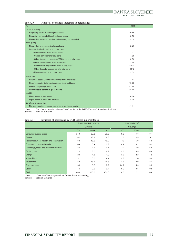### BANKA SLOVENIJE BANK OF SLOVENIA

| (%)                                                          | 2005  |
|--------------------------------------------------------------|-------|
| Capital adequacy                                             |       |
| Regulatory capital to risk-weighted assets                   | 10.56 |
| Regulatory core capital to risk-weighted assets              | 8.88  |
| Non-performing loans net of provisions to regulatory capital | 5.09  |
| Asset quality                                                |       |
| Non-performing loans to total gross loans                    | 2.90  |
| Sectoral distribution of loans to total loans                |       |
| - Deposit-takers loans to total loans                        | 2.37  |
| - Central bank loans to total loans                          | 4.28  |
| - Other financial corporations (OFCs) loans to total loans   | 3.32  |
| - General government loans to total loans                    | 3.69  |
| - Non-financial corporations loans to total loans            | 53.13 |
| - Other domestic sectors loans to total loans                | 21.12 |
| - Non-residents loans to total loans                         | 12.09 |
| Profitability                                                |       |
| Return on assets (before extraordinary items and taxes)      | 1.01  |
| Return on equity (before extraordinary items and taxes)      | 13.78 |
| Interest margin to gross income                              | 52.84 |
| Non-interest expenses to gross income                        | 62.40 |
| Liquidity                                                    |       |
| Liquid assets to total assets                                | 4.84  |
| Liquid assets to short-term liabilities                      | 8.79  |
| Sensitivity to market risk                                   |       |
| Net open position in foreign exchange to regulatory capital  | 21.71 |

Notes: The table shows the values of the Core Set of the IMF's Financial Soundness Indicators. Source: Bank of Slovenia

### Table 2.7 Structure of bank loans by ECB sectors in percentages

|                                              |       | Proportion of all loans (%) |       |      | Loan quality $(\%)^1$ |      |  |  |
|----------------------------------------------|-------|-----------------------------|-------|------|-----------------------|------|--|--|
|                                              |       | Slovenija                   |       |      | Slovenija             |      |  |  |
|                                              | 2003  | 2004                        | 2005  | 2003 | 2004                  | 2005 |  |  |
| Consumer cyclical goods                      | 24.6  | 23.3                        | 23.5  | 9.0  | 7.6                   | 6.4  |  |  |
| Finance                                      | 16.2  | 18.2                        | 19.8  | 1.6  | 1.5                   | 1.1  |  |  |
| Natural resources, industry and construction | 16.0  | 16.6                        | 15.2  | 7.3  | 5.9                   | 5.0  |  |  |
| Consumer non-cyclical goods                  | 8.4   | 8.4                         | 8.9   | 6.2  | 6.2                   | 5.9  |  |  |
| Technology, media and telecommunications     | 3.2   | 3.1                         | 2.1   | 7.2  | 5.9                   | 6.8  |  |  |
| Capital goods                                | 2.9   | 3.0                         | 2.9   | 3.6  | 3.5                   | 4.6  |  |  |
| Energy                                       | 2.5   | 1.8                         | 1.8   | 3.6  | $2.2^{\circ}$         | 1.2  |  |  |
| Non-residents                                | 3.1   | 3.7                         | 4.4   | 15.9 | 12.8                  | 9.8  |  |  |
| Households                                   | 18.6  | 18.5                        | 18.6  | 4.6  | 3.9                   | 3.3  |  |  |
| Sole proprietors                             | 0.3   | 0.2                         | 0.2   | 24.2 | 15.6                  | 9.5  |  |  |
| <b>Others</b>                                | 4.3   | 3.2                         | 2.7   | 0.9  | 0.8                   | 0.8  |  |  |
| Total                                        | 100.0 | 100.0                       | 100.0 | 6.0  | 5.1                   | 4.4  |  |  |

Notes:<br>Source: Notes: <sup>1</sup> Quality of loans = provisions formed/loans outstanding.<br>Source: Bank of Slovenia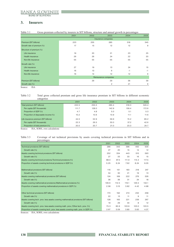BANK OF SLOVENIA

## **3. Insurers**

|                            | 2001                  | 2002 | 2003                | 2004 | 2005 |  |  |  |  |  |
|----------------------------|-----------------------|------|---------------------|------|------|--|--|--|--|--|
|                            |                       |      | Insurance companies |      |      |  |  |  |  |  |
| Premium (SIT billions)     | 223                   | 255  | 285                 | 318  | 345  |  |  |  |  |  |
| Growth rate of premium (%) | 17                    | 15   | 12                  | 12   | 9    |  |  |  |  |  |
| Structure of premium (%)   |                       |      |                     |      |      |  |  |  |  |  |
| Life insurance             | 19                    | 20   | 21                  | 23   | 25   |  |  |  |  |  |
| Health insurance           | 26                    | 26   | 24                  | 22   | 20   |  |  |  |  |  |
| Non-life insurance         | 55                    | 55   | 55                  | 55   | 55   |  |  |  |  |  |
| Growth rate (%)            |                       |      |                     |      |      |  |  |  |  |  |
| Life insurance             | 27                    | 19   | 13                  | 24   | 15   |  |  |  |  |  |
| Health insurance           | 16                    | 13   | 6                   | $-1$ | $-1$ |  |  |  |  |  |
| Non-life insurance         | 16                    | 14   | 12                  | 12   | 9    |  |  |  |  |  |
|                            | Reinsurance companies |      |                     |      |      |  |  |  |  |  |
| Premium (SIT billions)     |                       | 29   | 29                  | 36   | 39   |  |  |  |  |  |
| Growth rate (%)            |                       |      | 2                   | 21   | 9    |  |  |  |  |  |

### Table 3.1 Gross premium collected by insurers in SIT billions, structure and annual growth in percentages

Source: ISA

Table 3.2 Total gross collected premium and gross life insurance premium in SIT billions in different economic categories

| $\tilde{\phantom{a}}$                 | 2001  | 2002  | 2003  | 2004  | 2005  |
|---------------------------------------|-------|-------|-------|-------|-------|
| Total premium (SIT billions)          | 222.5 | 255.5 | 285.4 | 318.3 | 345.4 |
| Per capita (SIT thousands)            | 111.7 | 128.0 | 142.9 | 159.4 | 172.6 |
| Proportion of GDP (%)                 | 4.7   | 4.8   | 5.0   | 5.1   | 5.3   |
| Proportion of disposable income (%)   | 10.2  | 10.6  | 10.9  | 11.1  | 11.6  |
| Life insurance premium (SIT billions) | 44.5  | 52.9  | 59.9  | 74.2  | 85.2  |
| Per capita (SIT thousands)            | 22.3  | 26.5  | 30.0  | 37.2  | 42.6  |
| Proportion of total premium (%)       | 20.0  | 20.7  | 21.0  | 23.3  | 24.7  |

Source: ISA, SORS, own calculations

#### Table 3.3 Coverage of net technical provisions by assets covering technical provisions in SIT billions and in percentages

| <b>Technical provisions (SIT billions)</b><br>286<br>343<br>396<br>450<br>505<br>12<br>Growth rate $(\% )$<br>27<br>20<br>15<br>14<br>Assets covering technical provisions (SIT billions)<br>252<br>443<br>515<br>593<br>334<br>27<br>33<br>33<br>16<br>Growth rate $(\% )$<br>15<br>88.0<br>97.5<br>111.9<br>Assets covering technical provisions/Technical provisions (%)<br>114.4<br>117.5<br>7.62<br>Proportion of assets covering technical provisions in GDP (%)<br>5.25<br>6.24<br>8.24<br>9.05<br>Mathematical provisions (SIT billions)<br>116<br>183<br>218<br>151<br>247<br>Growth rate $(\% )$<br>34<br>30<br>21<br>19<br>13<br>222<br>276<br>326<br>Assets covering mathematical provisions (SIT billions)<br>124<br>169<br>36<br>36<br>31<br>24<br>Growth rate $(\% )$<br>18<br>Assets covering mathematical provisions/Mathematical provisions (%)<br>112.5<br>126.5<br>106.6<br>119.1<br>132.1 |
|----------------------------------------------------------------------------------------------------------------------------------------------------------------------------------------------------------------------------------------------------------------------------------------------------------------------------------------------------------------------------------------------------------------------------------------------------------------------------------------------------------------------------------------------------------------------------------------------------------------------------------------------------------------------------------------------------------------------------------------------------------------------------------------------------------------------------------------------------------------------------------------------------------------|
|                                                                                                                                                                                                                                                                                                                                                                                                                                                                                                                                                                                                                                                                                                                                                                                                                                                                                                                |
|                                                                                                                                                                                                                                                                                                                                                                                                                                                                                                                                                                                                                                                                                                                                                                                                                                                                                                                |
|                                                                                                                                                                                                                                                                                                                                                                                                                                                                                                                                                                                                                                                                                                                                                                                                                                                                                                                |
|                                                                                                                                                                                                                                                                                                                                                                                                                                                                                                                                                                                                                                                                                                                                                                                                                                                                                                                |
|                                                                                                                                                                                                                                                                                                                                                                                                                                                                                                                                                                                                                                                                                                                                                                                                                                                                                                                |
|                                                                                                                                                                                                                                                                                                                                                                                                                                                                                                                                                                                                                                                                                                                                                                                                                                                                                                                |
|                                                                                                                                                                                                                                                                                                                                                                                                                                                                                                                                                                                                                                                                                                                                                                                                                                                                                                                |
|                                                                                                                                                                                                                                                                                                                                                                                                                                                                                                                                                                                                                                                                                                                                                                                                                                                                                                                |
|                                                                                                                                                                                                                                                                                                                                                                                                                                                                                                                                                                                                                                                                                                                                                                                                                                                                                                                |
|                                                                                                                                                                                                                                                                                                                                                                                                                                                                                                                                                                                                                                                                                                                                                                                                                                                                                                                |
|                                                                                                                                                                                                                                                                                                                                                                                                                                                                                                                                                                                                                                                                                                                                                                                                                                                                                                                |
|                                                                                                                                                                                                                                                                                                                                                                                                                                                                                                                                                                                                                                                                                                                                                                                                                                                                                                                |
| Proportion of assets covering mathematical provisions in GDP (%)<br>2.58<br>3.15<br>3.82<br>4.42<br>4.98                                                                                                                                                                                                                                                                                                                                                                                                                                                                                                                                                                                                                                                                                                                                                                                                       |
|                                                                                                                                                                                                                                                                                                                                                                                                                                                                                                                                                                                                                                                                                                                                                                                                                                                                                                                |
| Other technical provisions (SIT billions)<br>170<br>213<br>232<br>192<br>258                                                                                                                                                                                                                                                                                                                                                                                                                                                                                                                                                                                                                                                                                                                                                                                                                                   |
| 22<br>13<br>9<br>Growth rate $(\% )$<br>11<br>11                                                                                                                                                                                                                                                                                                                                                                                                                                                                                                                                                                                                                                                                                                                                                                                                                                                               |
| 239<br>Assets covering tech. prov. less assets covering mathematical provisions (SIT billions)<br>128<br>165<br>221<br>267                                                                                                                                                                                                                                                                                                                                                                                                                                                                                                                                                                                                                                                                                                                                                                                     |
| 19<br>29<br>8<br>12<br>Growth rate $(\% )$<br>34                                                                                                                                                                                                                                                                                                                                                                                                                                                                                                                                                                                                                                                                                                                                                                                                                                                               |
| Assets covering tech. prov. less assets covering math. prov. (Other tech. prov. (%)<br>85.9<br>103.9<br>103.0<br>103.5<br>75.3                                                                                                                                                                                                                                                                                                                                                                                                                                                                                                                                                                                                                                                                                                                                                                                 |
| Proportion of assets covering tech. prov. less assets covering math. prov. in GDP (%)<br>2.67<br>3.09<br>3.80<br>3.83<br>4.07                                                                                                                                                                                                                                                                                                                                                                                                                                                                                                                                                                                                                                                                                                                                                                                  |

Sources: ISA, SORS, own calculations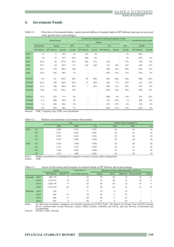## **4. Investment Funds**

|        |                | $5.000$ and $1000$ m percentages |        |            |                | Investment companies (including privatisation funds) |                | Investment funds overall |            |                |        |
|--------|----------------|----------------------------------|--------|------------|----------------|------------------------------------------------------|----------------|--------------------------|------------|----------------|--------|
|        |                | <b>Mutual funds</b>              |        |            |                |                                                      | Assets         |                          |            |                |        |
|        | Net inflows    | <b>Assets</b>                    |        | <b>VEP</b> | <b>PFs</b>     |                                                      | ICs            |                          | <b>PIX</b> | <b>Assets</b>  |        |
|        | (SIT billions) | (SIT billions)                   | Growth | Growth     | (SIT billions) | Growth                                               | (SIT billions) | Growth                   | Growth     | (SIT billions) | Growth |
| 2000   | 1.2            | 11                               | 22%    | 4%         | 574            | $-4%$                                                |                | $\overline{\phantom{a}}$ | 3%         | 584            |        |
| 2001   | 1.8            | 15                               | 37%    | 23%        | 548            | $-4%$                                                |                | $\overline{\phantom{a}}$ | 4%         | 563            | $-4%$  |
| 2002   | 29.3           | 55                               | 277%   | 54%        | 324            | $-41%$                                               | 138            | $\overline{\phantom{a}}$ | 72%        | 518            | $-8%$  |
| 2003   | 25.7           | 93                               | 68%    | 17%        | 132            | $-59%$                                               | 214            | 55%                      | 24%        | 439            | $-15%$ |
| 2004   | 81.2           | 210                              | 126%   | 18%        |                | $\overline{\phantom{a}}$                             | 290            | 35%                      | 39%        | 500            | 14%    |
| 2005   | 33.2           | 332                              | 58%    | 7%         |                |                                                      | 200            | $-31%$                   | $-12%$     | 532            | 6%     |
| 2004Q1 | 17.5           | 131                              | 120%   | 30%        | 34             | $-89%$                                               | 256            | 89%                      | 48%        | 388            | $-23%$ |
| 2004Q2 | 22.5           | 156                              | 153%   | 32%        | 27             | $-90%$                                               | 259            | 71%                      | 55%        | 414            | $-15%$ |
| 2004Q3 | 21.4           | 189                              | 159%   | 24%        | $\overline{7}$ | $-97%$                                               | 286            | 51%                      | 49%        | 475            | $-8%$  |
| 2004Q4 | 19.8           | 210                              | 126%   | 18%        |                | ۰                                                    | 290            | 35%                      | 39%        | 500            | 14%    |
|        |                |                                  |        |            |                |                                                      |                |                          |            |                |        |
| 2005Q1 | 14.2           | 225                              | 71%    | 8%         |                |                                                      | 289            | $-0%$                    | 10%        | 514            | 22%    |
| 2005Q2 | 11.4           | 286                              | 84%    | 5%         |                |                                                      | 212            | $-26%$                   | $1\%$      | 498            | 13%    |
| 2005Q3 | 1.4            | 300                              | 59%    | 3%         |                | ۰                                                    | 212            | $-27%$                   | $-6%$      | 513            | 6%     |
| 2005Q4 | 6.2            | 332                              | 58%    | 7%         |                | ۰                                                    | 200            | $-31%$                   | $-12%$     | 532            | 6%     |

Table 4.1 Overview of investment funds - assets and net inflows of mutual funds in SIT billions and year-on-year unit value growth rate in percentages

Sources: AMC, Vzajemci.com, LJSE, own calculations

Table 4.2 Market concentration in investment fund market

|      |                |            | <b>HHI</b> |            | Market share of largest (%) |            |                 |  |  |  |
|------|----------------|------------|------------|------------|-----------------------------|------------|-----------------|--|--|--|
|      |                | <b>MCs</b> | <b>MFs</b> | <b>ICs</b> | <b>MCs</b>                  | <b>MFs</b> | IC <sub>s</sub> |  |  |  |
| 2004 | Q <sub>1</sub> | 1,286      | 1,615      | 1,501      | 24                          | 34         | 23              |  |  |  |
|      | Q <sub>2</sub> | 1,271      | 1,502      | 1,497      | 25                          | 33         | 23              |  |  |  |
|      | Q <sub>3</sub> | 1,255      | 1,429      | 1,450      | 25                          | 32         | 23              |  |  |  |
|      | Q <sub>4</sub> | 1,237      | 1,260      | 1,464      | 25                          | 29         | 23              |  |  |  |
| 2005 | Q <sub>1</sub> | 1,226      | 1,198      | 1,469      | 25                          | 28         | 24              |  |  |  |
|      | Q <sub>2</sub> | 1,211      | 1,120      | 1,583      | 25                          | 22         | 30              |  |  |  |
|      | Q <sub>3</sub> | 1,199      | 1,042      | 1,588      | 24                          | 21         | 30              |  |  |  |
|      | Q <sub>4</sub> | 1,163      | 886        | 1,885      | 23                          | 20         | 34              |  |  |  |

Notes: Market concentration of management companies in terms of assets under management. Source:

Table 4.3 Assets of Slovenian and European investment funds in SIT billions and in percentages

|           |      |                |                |                     |        |                                              |          | $\sim$       |               |  |  |
|-----------|------|----------------|----------------|---------------------|--------|----------------------------------------------|----------|--------------|---------------|--|--|
|           |      | <b>Assets</b>  |                | Proportion of       |        | Structure of open investment funds-UCITS (%) |          |              |               |  |  |
|           |      | (SIT billions) | Growth $(\% )$ | non-UCITS funds (%) | Equity | <b>Bond</b>                                  | Balanced | Money-market | <b>Others</b> |  |  |
| European  | 2002 | 985,774        | $-7$           | 22                  | 30     | 29                                           | 13       | 18           | 10            |  |  |
|           | 2003 | 1,140,137      | 13             | 22                  | 31     | 28                                           | 12       | 18           | 11            |  |  |
|           | 2004 | 1,282,178      | 11             | 22                  | 32     | 25                                           | 12       | 19           | 11            |  |  |
|           | 2005 | 1,573,012      | 23             | 21                  | 35     | 23                                           | 12       | 16           | 13            |  |  |
| Slovenian | 2002 | 518            |                | 71                  | 23     | 3                                            | 74       |              |               |  |  |
|           | 2003 | 439            | $-15$          | 70                  | 25     | 5                                            | 70       |              |               |  |  |
|           | 2004 | 500            | 14             | 58                  | 28     | 5                                            | 67       |              |               |  |  |
|           | 2005 | 532            | 6              | 38                  | 51     | 4                                            | 43       | $\Omega$     | 2             |  |  |

Notes: For Slovenia investment companies are included among non-UCITS funds. The figures for Europe from EFAMA include<br>all EU member-states except Slovenia, Cyprus, Malta, Estonia, Lithuania and Latvia, and also Norway, Sw Liechtenstein. Sources: EFAMA, AMC, Eurostat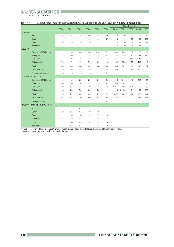BANK OF SLOVENIA

|               |                                      |                          |                          |                |                          |                |                | Growth rate (%) |             |             |      |        |
|---------------|--------------------------------------|--------------------------|--------------------------|----------------|--------------------------|----------------|----------------|-----------------|-------------|-------------|------|--------|
|               |                                      | 2000                     | 2001                     | 2002           | 2003                     | 2004           | 2005           | 2001            | 2002        | 2003        | 2004 | 2005   |
| <b>NUMBER</b> |                                      |                          |                          |                |                          |                |                |                 |             |             |      |        |
|               | <b>Total</b>                         | 18                       | 18                       | 18             | 20                       | 33             | 50             | 0               | 0           | 11          | 65   | 52     |
|               | Equity                               | $\overline{4}$           | $\overline{4}$           | $\overline{4}$ | 6                        | 12             | 27             | $\mathsf O$     | $\circ$     | 50          | 100  | 125    |
|               | <b>Bond</b>                          | 3                        | 3                        | 3              | 3                        | $\overline{7}$ | 9              | 0               | $\mathsf O$ | $\mathbf 0$ | 133  | 29     |
|               | <b>Balanced</b>                      | 11                       | 11                       | 11             | 11                       | 14             | 14             | 0               | 0           | 0           | 27   | 0      |
| <b>ASSETS</b> |                                      |                          |                          |                |                          |                |                |                 |             |             |      |        |
|               | Domestic (SIT billions)              | 11                       | 15                       | 56             | 93                       | 210            | 332            | 38              | 279         | 67          | 126  | 58     |
|               | Equity (%)                           | 21                       | 20                       | 23             | 25                       | 28             | 51             | 34              | 325         | 83          | 159  | 181    |
|               | Bond (%)                             | $\overline{4}$           | 6                        | 3              | 5                        | 5              | $\overline{4}$ | 135             | 115         | 143         | 130  | 29     |
|               | Balanced (%)                         | 76                       | 74                       | 74             | 70                       | 67             | 43             | 34              | 280         | 59          | 114  | 2      |
|               | Bank (%)                             | 25                       | 26                       | 28             | 25                       | 28             | 25             | 45              | 301         | 53          | 155  | 37     |
|               | Non-bank (%)                         | 75                       | 74                       | 72             | 75                       | 72             | 75             | 35              | 271         | 72          | 116  | 66     |
|               | Foreign (SIT billions)               | $\overline{\phantom{a}}$ | $\overline{\phantom{a}}$ | L,             | $\centerdot$             | 2              | 31             |                 |             |             |      |        |
|               | <b>NET ANNUAL INFLOWS</b>            |                          |                          |                |                          |                |                |                 |             |             |      |        |
|               | Domestic (SIT billions)              | $\overline{c}$           | $\overline{c}$           | 29             | 26                       | 81             | 33             | $-5$            | 1,814       | $-10$       | 212  | $-59$  |
|               | Equity (%)                           | 50                       | 18                       | 24             | 29                       | 35             | 81             | $-65$           | 2,387       | 11          | 273  | $-5$   |
|               | Bond (%)                             | $\overline{c}$           | 27                       | 3              | 9                        | 8              | 8              | 1,015           | 102         | 189         | 159  | $-56$  |
|               | Balanced (%)                         | 48                       | 55                       | 73             | 62                       | 58             | $-11$          | 9               | 2,460       | $-24$       | 191  | $-108$ |
|               | Bank (%)                             | 9                        | 42                       | 30             | 20                       | 37             | 52             | 342             | 1,242       | $-40$       | 475  | $-42$  |
|               | Non-bank (%)                         | 91                       | 58                       | 70             | 80                       | 63             | 48             | $-40$           | 2,234       | 3           | 147  | $-69$  |
|               | Foreign (SIT billions)               | $\overline{\phantom{a}}$ |                          | L,             | $\overline{\phantom{a}}$ | $\mathbf{1}$   | 21             |                 |             |             |      |        |
|               | <b>GROWTH RATE OF UNIT VALUE (%)</b> |                          |                          |                |                          |                |                |                 |             |             |      |        |
|               | Total                                | $\overline{4}$           | 23                       | 54             | 17                       | 18             | $\overline{7}$ |                 |             |             |      |        |
|               | Equity                               | $\overline{c}$           | 21                       | 57             | 19                       | 19             | 11             |                 |             |             |      |        |
|               | <b>Bond</b>                          | 11                       | 13                       | 18             | 10                       | $\overline{7}$ | 3              |                 |             |             |      |        |
|               | <b>Balanced</b>                      | $\overline{4}$           | 25                       | 55             | 17                       | 18             | 5              |                 |             |             |      |        |
|               | bank                                 | 11                       | 20                       | 48             | 16                       | 18             | 10             |                 |             |             |      |        |
|               | non-bank                             | $\mathbf{1}$             | 24                       | 57             | 17                       | 18             | 6              |                 |             |             |      |        |

### Table 4.4 Mutual funds: number, assets, net inflows in SIT billions and unit value growth rate in percentages

Notes: Figures for non-resident mutual funds include only those that are marketed officially in Slovenia. Sources: Vzajemci.com, AMC, own calculations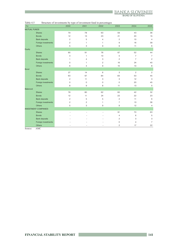### BANKA SLOVENIJE BANK OF SLOVENIA

| $1401C + 7.7$       |                             | Structure of investments by type of investment fund in percentages |                     |                |                |                |                           |
|---------------------|-----------------------------|--------------------------------------------------------------------|---------------------|----------------|----------------|----------------|---------------------------|
| (%)                 |                             | 2000                                                               | 2001                | 2002           | 2003           | 2004           | 2005                      |
| <b>MUTUAL FUNDS</b> |                             |                                                                    |                     |                |                |                |                           |
|                     | Shares                      | 79                                                                 | 78                  | 63             | 59             | 43             | 36                        |
|                     | <b>Bonds</b>                | 12                                                                 | 13                  | 23             | 21             | 20             | 15                        |
|                     | <b>Bank deposits</b>        | $\overline{c}$                                                     | 5                   | $\overline{4}$ | $\overline{c}$ | 10             | $\overline{4}$            |
|                     | Foreign investments         | $\overline{c}$                                                     | $\mathbf{1}$        | 1              | 9              | 16             | 39                        |
|                     | Others                      | 5                                                                  | 3                   | $\overline{9}$ | 9              | 11             | 6                         |
| <b>Equity</b>       |                             |                                                                    |                     |                |                |                |                           |
|                     | <b>Shares</b>               | 90                                                                 | 91                  | 76             | 67             | 52             | 44                        |
|                     | <b>Bonds</b>                | 3                                                                  | $\mathbf{1}$        | 10             | 5              | $\overline{7}$ | $\overline{7}$            |
|                     | <b>Bank deposits</b>        | $\mathbf{1}$                                                       | $\overline{4}$      | 3              | $\overline{c}$ | $\overline{7}$ | $\mathbf{2}$              |
|                     | Foreign investments         | 0                                                                  | $\mathbf{1}$        | $\overline{c}$ | 16             | 24             | 40                        |
|                     | <b>Others</b>               | 6                                                                  | 4                   | $\hbox{9}$     | 10             | 10             | 8                         |
| <b>Bond</b>         |                             |                                                                    |                     |                |                |                |                           |
|                     | Shares                      | 27                                                                 | 14                  | 6              | 3              | $\overline{c}$ | $\overline{c}$            |
|                     | <b>Bonds</b>                | 63                                                                 | 67                  | 84             | 83             | 53             | 45                        |
|                     | <b>Bank deposits</b>        | $\sqrt{2}$                                                         | 11                  | 3              | 3              | 12             | $\ensuremath{\mathsf{3}}$ |
|                     | Foreign investments         | $\mathsf O$                                                        | $\mathsf{O}\xspace$ | $\circ$        | $\mathbf 0$    | 20             | 45                        |
|                     | Others                      | 8                                                                  | 9                   | 8              | 11             | 13             | 5                         |
| <b>Balanced</b>     |                             |                                                                    |                     |                |                |                |                           |
|                     | <b>Shares</b>               | 78                                                                 | 80                  | 62             | 60             | 42             | 32                        |
|                     | <b>Bonds</b>                | 12                                                                 | 11                  | 24             | 22             | 22             | 23                        |
|                     | <b>Bank deposits</b>        | $\overline{c}$                                                     | 5                   | 5              | $\overline{c}$ | 11             | 6                         |
|                     | Foreign investments         | $\overline{c}$                                                     | $\overline{c}$      | 1              | 7              | 13             | 36                        |
|                     | <b>Others</b>               | 5                                                                  | 3                   | 9              | 9              | 12             | $\overline{4}$            |
|                     | <b>INVESTMENT COMPANIES</b> |                                                                    |                     |                |                |                |                           |
|                     | <b>Shares</b>               | ٠                                                                  |                     | L,             | 91             | 70             | 63                        |
|                     | <b>Bonds</b>                |                                                                    |                     |                | 4              | 6              | $\,$ 5 $\,$               |
|                     | <b>Bank deposits</b>        |                                                                    |                     |                | $\overline{c}$ | 3              | 3                         |
|                     | Foreign investments         |                                                                    |                     |                | 0              | $\overline{4}$ | $\overline{7}$            |
|                     | Others                      |                                                                    |                     |                | $\overline{c}$ | 17             | 22                        |
| Source:             | AMC                         |                                                                    |                     |                |                |                |                           |

### Table 4.5 Structure of investments by type of investment fund in percentages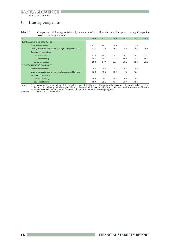BANK OF SLOVENIA

# **5. Leasing companies**

| Table 5.1 | Comparison of leasing activities by members of the Slovenian and European Leasing Companies |  |  |  |  |  |  |
|-----------|---------------------------------------------------------------------------------------------|--|--|--|--|--|--|
|           | Associations in percentages                                                                 |  |  |  |  |  |  |

| (%)                                                           | 2000 | 2001 | 2002 | 2003 | 2004 | 2005 |
|---------------------------------------------------------------|------|------|------|------|------|------|
| <b>SLOVENIAN LEASING COMPANIES</b>                            |      |      |      |      |      |      |
| Growth in transactions                                        | 36.2 | 26.5 | 37.8 | 35.6 | 12.3 | 35.6 |
| Leasing transactions as proportion of gross capital formation | 10.4 | 12.5 | 16.6 | 19.5 | 19.8 | 25.3 |
| Structure of transactions                                     |      |      |      |      |      |      |
| real estate leasing                                           | 15.4 | 20.8 | 29.7 | 34.5 | 29.7 | 33.5 |
| equipment leasing                                             | 84.6 | 79.2 | 70.3 | 65.5 | 70.3 | 66.4 |
| consumer leasing                                              | 24.3 | 20.1 | 20.1 | 20.2 | 22.2 | 20.9 |
| EUROPEAN LEASING COMPANIES                                    |      |      |      |      |      |      |
| Growth in transactions                                        | 8.8  | 9.6  | 3.1  | 8.3  | 7.2  |      |
| Leasing transactions as proportion of gross capital formation | 13.2 | 13.8 | 14.9 | 17.2 | 17.1 |      |
| Structure of transactions                                     |      |      |      |      |      |      |
| real estate leasing                                           | 16.0 | 17.1 | 19.6 | 16.6 | 16.3 |      |
| equipment leasing                                             | 84.0 | 82.2 | 80.4 | 83.4 | 83.8 |      |

Notes: The Leaseurope figures include all the member-states of the European Union with the exception of Cyprus, Ireland, Latvia, Litudiania, Luxembourg and Malta, plus Norway, Switzerland, Romania and Morocco. Gross capita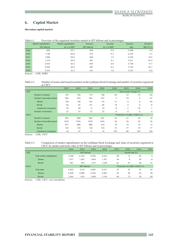# **6. Capital Market**

**Slovenian capital market**

|      | Overview of the organised securities market in SIT billions and in percentages<br>Table 6.1 |                       |                |                 |                 |            |  |  |
|------|---------------------------------------------------------------------------------------------|-----------------------|----------------|-----------------|-----------------|------------|--|--|
|      | Market capitalisation                                                                       | Market capitalisation | Turnover       | <b>Turnover</b> | <b>Turnover</b> | Growth in  |  |  |
|      | (SIT billions)                                                                              | as % of GDP           | (SIT billions) | as % of GDP     | ratio           | SBI 20 (%) |  |  |
| 1999 | 920                                                                                         | 23.7                  | 266            | 6.9             | 0.289           | 5.9        |  |  |
| 2000 | 1,138                                                                                       | 26.8                  | 270            | 6.3             | 0.237           | 0.1        |  |  |
| 2001 | 1.380                                                                                       | 29.0                  | 348            | 7.3             | 0.252           | 19.0       |  |  |
| 2002 | 2,174                                                                                       | 40.9                  | 481            | 9.1             | 0.221           | 55.2       |  |  |
| 2003 | 2,442                                                                                       | 42.5                  | 340            | 5.9             | 0.139           | 17.7       |  |  |
| 2004 | 3.050                                                                                       | 49.3                  | 397            | 6.4             | 0.130           | 24.7       |  |  |
| 2005 | 3.210                                                                                       | 51.2                  | 441            | 7.0             | 0.137           | $-5.6$     |  |  |

Sources: LJSE, SORS

Table 6.2 Number of issuers and issued securities on the Ljubljana Stock Exchange and number of securities registered at CSCC

|                             | 2002 | 2003 | 2004 | 2005 | 2002  | 2003    | 2004                           | 2005    |  |
|-----------------------------|------|------|------|------|-------|---------|--------------------------------|---------|--|
| LJSE                        |      |      |      |      |       |         | Year-on-year change (%)        |         |  |
| Number of issuers           | 197  | 185  | 173  | 148  | $-24$ | $-12$   | $-12$                          | $-25$   |  |
| Number of securities issued | 264  | 254  | 254  | 227  | $-7$  | $-10$   | $\Omega$                       | $-27$   |  |
| <b>Shares</b>               | 139  | 136  | 142  | 112  | $-17$ | $-3$    | 6                              | -30     |  |
| <b>Bonds</b>                | 92   | 92   | 101  | 95   | 16    | $\circ$ | 9                              | $-6$    |  |
| Investment companies        | 33   | 26   | 11   | 10   | $-6$  | $-7$    | $-15$                          | $-1$    |  |
| Number of members           | 27   | 27   | 27   | 27   | $-4$  | $\circ$ | $\Omega$                       | $\circ$ |  |
| <b>CSCC</b>                 |      |      |      |      |       |         | Proportion of LJSE in CSCC (%) |         |  |
| Number of issuers           | 870  | 869  | 853  | 827  | 23    | 21      | 20                             | 18      |  |
| Number of securities issued | 1032 | 1033 | 1030 | 1043 | 26    | 25      | 25                             | 22      |  |
| <b>Shares</b>               | 877  | 886  | 886  | 910  | 16    | 15      | 16                             | 12      |  |
| <b>Bonds</b>                | 122  | 120  | 133  | 123  | 75    | 77      | 76                             | 77      |  |
| Investment companies        | 33   | 27   | 11   | 10   | 100   | 96      | 100                            | 100     |  |

Sources: LJSE, CSCC

Table 6.3 Comparison of market capitalisation on the Ljubljana Stock Exchange and value of securities registered at CSCC by market and book value in SIT billions and in percentages

| <u>.</u>                    |       |                |       |       | $\sim$ |                     |                                |      |
|-----------------------------|-------|----------------|-------|-------|--------|---------------------|--------------------------------|------|
|                             | 2002  | 2003           | 2004  | 2005  | 2002   | 2003                | 2004                           | 2005 |
| <b>LJSE</b>                 |       | (SIT billions) |       |       |        | Growth rate $(\% )$ |                                |      |
| Total market capitalisation | 2.168 | 2,442          | 3,050 | 3,210 | 58     | 13                  | 25                             | 5    |
| <b>Shares</b>               | 1,477 | 1,567          | 1,943 | 1,761 | 46     | 6                   | 24                             | $-9$ |
| <b>Bonds</b>                | 691   | 875            | 1.107 | 1.449 | 91     | 27                  | 26                             | 31   |
| <b>CSCC</b>                 |       | (SIT billions) |       |       |        |                     | Proportion of LJSE in CSCC (%) |      |
| <b>Total value</b>          | 4.602 | 5,174          | 5,967 | 6,217 | 47     | 47                  | 51                             | 52   |
| <b>Shares</b>               | 3.558 | 3,983          | 4,502 | 4,463 | 42     | 39                  | 43                             | 39   |
| <b>Bonds</b>                | 1.044 | 1,191          | 1.465 | 1.754 | 66     | 73                  | 76                             | 83   |

Sources: LJSE, CSCC, own calculations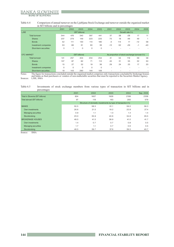BANK OF SLOVENIA

#### Table 6.4 Comparison of annual turnover on the Ljubljana Stock Exchange and turnover outside the organised market in SIT billions and in percentages

|                                                                                                                                                                                                                                                | 2001     | 2002    | 2003           | 2004    | 2005        | 2001  | 2002 | 2003                | 2004                                         | 2005  |
|------------------------------------------------------------------------------------------------------------------------------------------------------------------------------------------------------------------------------------------------|----------|---------|----------------|---------|-------------|-------|------|---------------------|----------------------------------------------|-------|
| <b>LJSE</b>                                                                                                                                                                                                                                    |          |         | (SIT billions) |         |             |       |      | Growth rate $(\% )$ |                                              |       |
| <b>Total turnover</b>                                                                                                                                                                                                                          | 344      | 476     | 340            | 397     | 441         | 37    | 38   | $-28$               | 17                                           | 11    |
| <b>Shares</b>                                                                                                                                                                                                                                  | 237      | 279     | 149            | 223     | 225         | 75    | 18   | $-46$               | 49                                           |       |
| <b>Bonds</b>                                                                                                                                                                                                                                   | 52       | 111     | 130            | 114     | 180         | $-3$  | 114  | 17                  | $-12$                                        | 58    |
| Investment companies                                                                                                                                                                                                                           | 53       | 86      | 61             | 60      | 36          | $-13$ | 62   | $-29$               | $-1$                                         | $-40$ |
| Short-term securities                                                                                                                                                                                                                          | 3        |         | $\Omega$       | 0       | $\circ$     |       |      |                     |                                              |       |
|                                                                                                                                                                                                                                                |          |         |                |         |             |       |      |                     |                                              |       |
| <b>OTC MARKET</b>                                                                                                                                                                                                                              |          |         | (SIT billions) |         |             |       |      |                     | As proportion of stock exchange turnover (%) |       |
| <b>Total turnover</b>                                                                                                                                                                                                                          | 141      | 257     | 404            | 234     | 254         | 41    | 54   | 119                 | 59                                           | 58    |
| <b>Shares</b>                                                                                                                                                                                                                                  | 107      | 87      | 82             | 71      | 112         | 45    | 31   | 55                  | 32                                           | 50    |
| <b>Bonds</b>                                                                                                                                                                                                                                   | 15       | 27      | 32             | 19      | 36          | 29    | 24   | 25                  | 17                                           | 20    |
| Investment companies                                                                                                                                                                                                                           | $\Omega$ | $\circ$ | $\Omega$       | $\circ$ | $\mathbf 0$ |       |      |                     |                                              |       |
| Short-term securities                                                                                                                                                                                                                          | 19       | 143     | 290            | 144     | 106         |       |      |                     |                                              |       |
| THE CONTRACT STATE STATES IN THE RESIDENCE OF THE RESIDENCE OF THE RESIDENCE OF THE RESIDENCE OF THE RESIDENCE OF THE RESIDENCE OF THE RESIDENCE OF THE RESIDENCE OF THE RESIDENCE OF THE RESIDENCE OF THE RESIDENCE OF THE RE<br>$\mathbf{r}$ |          |         |                |         |             |       |      |                     |                                              |       |

Notes: The figure for transactions concluded outside the organised market comprises only transactions concluded by brokerage houses and banks as final purchasers or vendors of non-marketable securities that must be reporte LJSE, SMA

### Table 6.5 Investments of stock exchange members from various types of transaction in SIT billions and in percentages

|                                  | 2001 | 2002                                                         | 2003 | 2004 | Sep. 2005 |
|----------------------------------|------|--------------------------------------------------------------|------|------|-----------|
| Total in Slovenia (SIT billions) | 824  | 1607                                                         | 1926 | 2199 | 2336      |
| Total abroad (SIT billions)      | 97   | 119                                                          | 163  | 293  | 579       |
|                                  |      | Structure of domestic investments by type of transaction (%) |      |      |           |
| <b>BANKS</b>                     | 50.5 | 58.5                                                         | 61.1 | 59.0 | 58.3      |
| Own investments                  | 26.6 | 21.5                                                         | 19.2 | 22.8 | 27.4      |
| <b>Managing securities</b>       | 0.9  | 1.1                                                          | 1.3  | 1.4  | 1.4       |
| Stockbroking                     | 23.0 | 35.9                                                         | 40.6 | 34.8 | 29.5      |
| <b>BROKERAGE HOUSES</b>          | 49.5 | 41.5                                                         | 38.9 | 41.0 | 41.7      |
| Own investments                  | 1.4  | 0.7                                                          | 0.7  | 0.8  | 0.5       |
| <b>Managing securities</b>       | 1.7  | 1.1                                                          | 0.7  | 0.6  | 0.5       |
| Stockbroking                     | 46.5 | 39.7                                                         | 37.6 | 39.5 | 40.7      |

Source: SMA